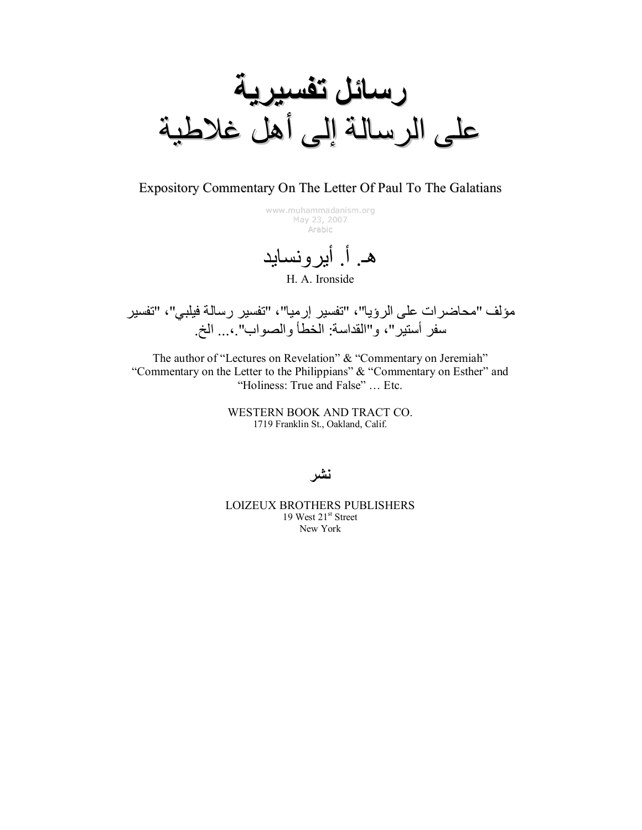

Expository Commentary On The Letter Of Paul To The Galatians

www.muhammadanism.org May 23, 2007 Arabic

هـ. أ. أيرونسايد H. A. Ironside

مؤلف "محاضرات على الرؤيا"، "تفسير إرميا"، "تفسير رسالة فيلبي"، "تفسير سفر أستير"، و"القداسة: الخطأ والصواب".،... الخ.

The author of "Lectures on Revelation" & "Commentary on Jeremiah" "Commentary on the Letter to the Philippians" & "Commentary on Esther" and "Holiness: True and False" ... Etc.

> WESTERN BOOK AND TRACT CO. 1719 Franklin St., Oakland, Calif.

ئشر

**LOIZEUX BROTHERS PUBLISHERS** 19 West 21<sup>st</sup> Street New York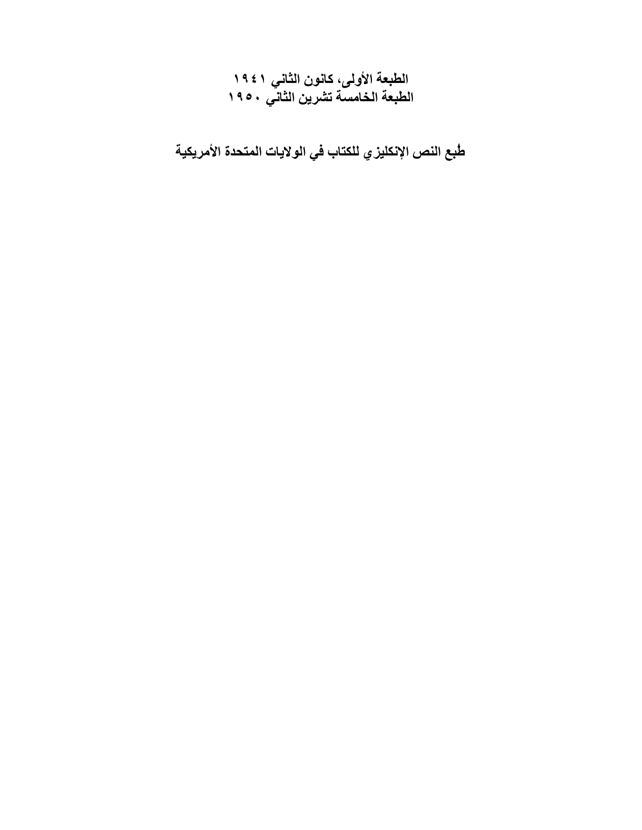الطبعة الأولى، كانون الثاني ١٩٤١<br>الطبعة الخامسة تشرين الثاني ١٩٥٠

طبع النص الإنكليز ي للكتاب في الولايات المتحدة الأمريكية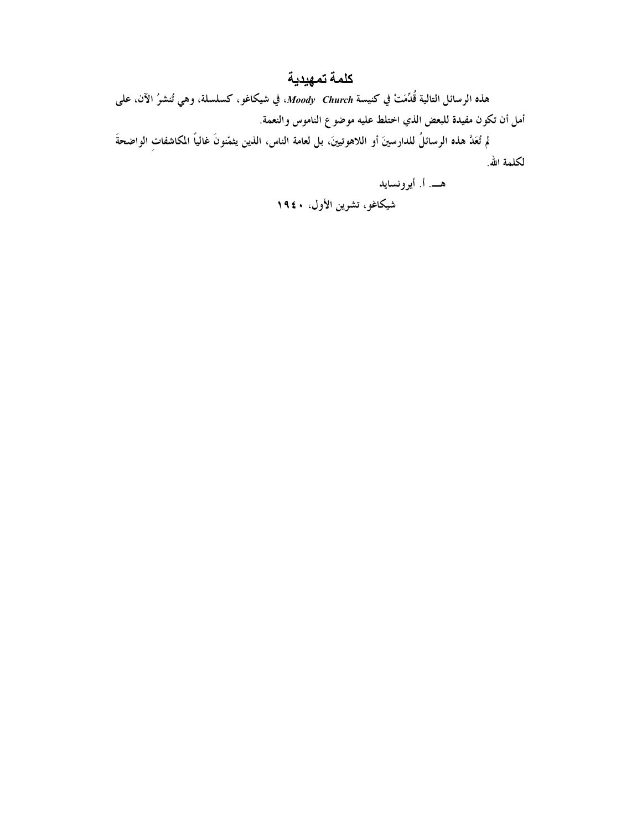### كلمة تمهيدية

هذه الرسائل التالية قُدِّمَتْ في كنيسة Moody Church، في شيكاغو، كسلسلة، وهي تُنشرُ الآن، على أمل أن تكون مفيدة للبعض الذي اختلط عليه موضوع الناموس والنعمة.

لم تُعَدَّ هذه الرسائلُ للدارسينَ أو اللاهوتيينَ، بل لعامة الناس، الذين يثمّنونَ غالياً المكاشفات الواضحةَ لكلمة الله.

هــــ. أ. أيرونسايد

شيكاغو، تشرين الأول، ١٩٤٠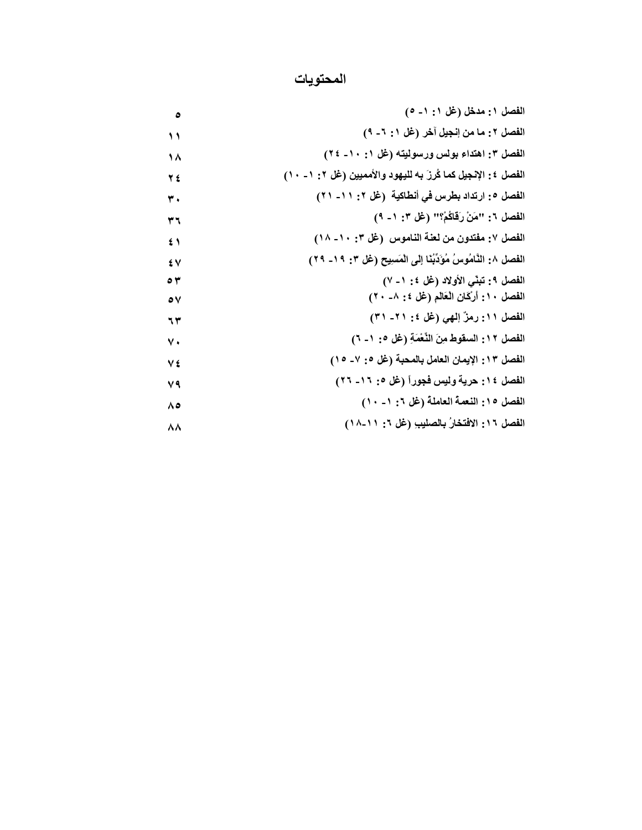#### المحتويات

| الفصل ١: مدخل (غل ١: ١- ٥)                                        |
|-------------------------------------------------------------------|
| الفصل ٢: ما من إنجيل آخر (غل ١: ٦- ٩)                             |
| الفصل ٣: اهتداء بولس ورسوليته (غل ١: ١٠- ٢٤)                      |
| الفصل ٤: الإنجيل كما كُرزَ به لليهود والأمميين (غل ٢: ١ - ١٠)     |
| الفصل ٥: ارتداد بطرس في أنطاكية  (غل ٢: ١١- ٢١)                   |
| الفصل ٦: "مَنْ رَقَاكُمْ؟" (غل ٣: ١- ٩)                           |
| الفصل ٧: مفتدون من لعنة الناموس (غل ٣: ١٠- ١٨)                    |
| الفصل ٨: النَّامُوسُ مُؤَدِّبُنَا إِلَى الْمَسِيحِ (غل ٣: ١٩- ٢٩) |
| الفصل ٩: تبنَّى الأولاد (غل ٤: ١- ٧)                              |
| الفصل ١٠: أَرْكَانِ الْعَالَمِ (غَل ٤: ٨- ٢٠)                     |
| الفصل ١١: رمزٌ إلهي (غل ٤: ٢١- ٣١)                                |
| الفصل ١٢: السقوط مِنَ النَّعْمَةِ (غل ٥: ١- ٦)                    |
| الفصل ١٣: الإيمان العامل بالمحبة (غل ٥: ٧- ١٥)                    |
| الفصل ١٤: حرية وليس فجوراً (غل ٥: ١٦- ٢٦)                         |
| الفصل ١٥: النعمة العاملة (غل ٦: ١ - ١٠)                           |
| الفصل ١٦: الافتخارُ بالصليبِ (عْل ٦: ١١-١٨)                       |
|                                                                   |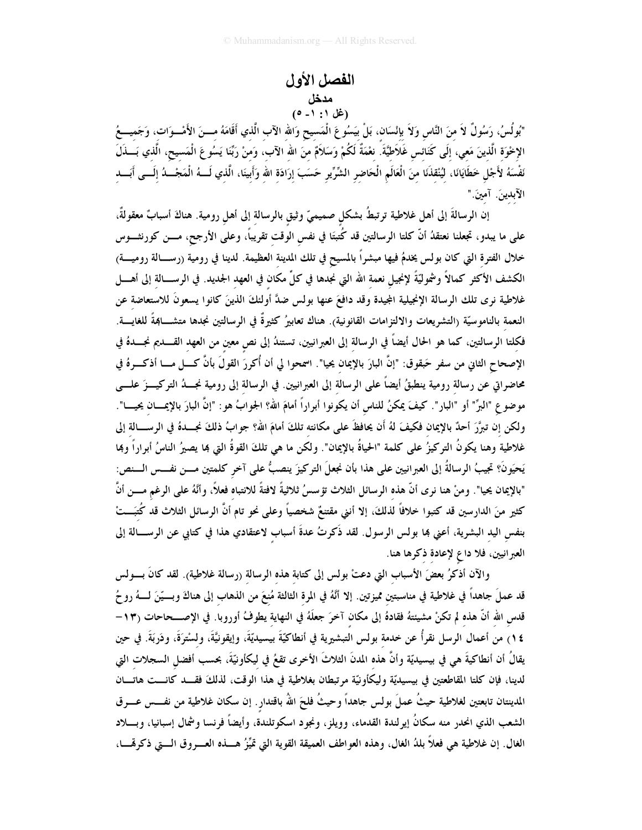## الفصل الأول مدخل<br>(غل ۰: ۰۱ )

"بُولُسُ، رَسُولٌ لاَ منَ النَّاس وَلاَ بإنْسَان، بَلْ بيَسُوعَ الْمَسيحِ وَالله الآب الَّذي أَقَامَهُ مـــنَ الأَمْـــوَات، وَجَميــــعُ الإخْوَة الَّذينَ مَعي، إلَى كَنَائس غَلَاطيَّةَ. نعْمَةٌ لَكُمْ وَسَلاَمٌ منَ الله الآب، وَمنْ رَبَّنَا يَسُوعَ الْمَسيح، الَّذي بَسَذَلَ نَفْسَهُ لأَجْلِ خَطَايَانَا، لِيُنْقِذَنَا مِنَ الْعَالَمِ الْحَاضِرِ الشِّرِّيرِ حَسَبَ إِرَادَةِ الله وَأَبِينَا، الَّذِي لَـــهُ الْمَجْـــدُ إِلَـــى أَبَـــدِ الآبدينَ. آمينَ."

إن الرسالةَ إلى أهل غلاطية ترتبطُ بشكلٍ صميميٍّ وثيقِ بالرسالةِ إلى أهلِ رومية. هناكَ أسبابٌ معقولةٌ، على ما يبدو، تجعلنا نعتقدُ أنَّ كلتا الرسالتين قد كُتبتَا في نفس الوقت تقريباً، وعلى الأرجح، مـــن كورنشـــوس خلال الفترة التي كان بولس يخدمُ فيها مبشراً بالمسيح في تلك المدينة العظيمة. لدينا في رومية (رســـالة روميــــة) الكشف الأكثر كمالاً وشموليّةً لإنجيل نعمة الله التي نجدها في كلِّ مكان في العهد الجديد. في الرســـالة إلى أهــــل غلاطية نرى تلك الرسالة الإنجيلية المجيدة وقد دافعَ عنها بولس ضدَّ أولئكَ الذينَ كانوا يسعونَ للاستعاضة عن النعمة بالناموسيّة (التشريعات والالتزامات القانونية). هناك تعابيرُ كثيرةٌ في الرسالتين نجدها متشـــابمةً للغايــــة. فكلتا الرسالتين، كما هو الحال أيضاً في الرسالة إلى العبرانيين، تستندُ إلى نص معين من العهد القــــديم نجــــدهُ في الإصحاح الثاني من سفرٍ حَبقوق: "إنَّ البارَ بالإيمان يحيا". اسمحوا لي أن أُكررَ القولَ بأنَّ كـــل مـــا أذكــرهُ في محاضراتي عن رسالة رومية ينطبقُ أيضاً على الرسالة إلى العبرانيين. في الرسالة إلى رومية نجـــدُ التركيـــزَ علــــى موضوع "البرِّ" أو "البار". كيفَ يمكنُ للناس أن يكونوا أبراراً أمامَ الله؟ الجوابُ هو: "إنَّ البارَ بالإيمـــان يحيــــا". ولكن إن تبرَّرَ أحدٌ بالإيمان فكيفَ لهُ أَن يحافظَ على مكانته تلكَ أمامَ الله؟ جوابُ ذلكَ نجـــدهُ في الرســــالة إلى غلاطية وهنا يكونُ التركيزُ على كلمة "الحياةُ بالإيمان". ولكن ما هي تلكَ القوةُ التي بما يصيرُ الناسُ أبراراً وبما يَحيَونَ؟ تجيبُ الرسالةُ إلى العبرانيين على هذا بأن نجعلَ التركيزَ ينصبُّ على آخر كلمتين مـــن نفـــس الـــنص: "بالإيمان يحيا". ومنْ هنا نرى أنّ هذه الرسائل الثلاث تؤسسُ ثلاثيةً لافتةً للانتباه فعلاً، وأنَّهُ على الرغم مـــن أنَّ كثير منَ الدارسين قد كتبوا خلافاً لذلكَ، إلا أنني مقتنعٌ شخصياً وعلى نحو تام أنَّ الرسائل الثلاث قد كُتبَـــتْ بنفس اليد البشرية، أعنى بما بولس الرسول. لقد ذَكرتُ عدةَ أسباب لاعتقادي هذا في كتابي عن الرســـالة إلى العبرانيين، فلا داع لإعادة ذكرها هنا.

والآن أذكرُ بعضَ الأسباب التي دعتْ بولس إلى كتابة هذه الرسالة (رسالة غلاطية). لقد كانَ بــــولس قد عملَ جاهداً في غلاطية في مناسبتين مميزتين. إلا أنَّهُ في المرةِ الثالثة مُنعَ من الذهابِ إلى هناكَ وبسيّنَ لسهُ روحُ قدس الله أنَّ هذه لم تكنْ مشيئتهُ فقادهُ إلى مكان آخرَ جعلَهُ في النهاية يطوفُ أوروبا. في الإصـــحاحات (١٣-١٤) من أعمال الرسل نقرأُ عن خدمة بولس التبشيرية في أنطاكيّةَ بيسيديّةَ، وإيقونيَّةَ، ولسْترَةَ، ودَربَةَ. في حين يقالُ أن أنطاكيةَ هي في بيسيديّة وأنَّ هذه المدنَ الثلاثَ الأخرى تقعُ في ليكأونيّةَ، بحسب أفضل السجلات التي لدينا، فإن كلتا المقاطعتين في بيسيديّة وليكأونيّة مرتبطان بغلاطية في هذا الوقت، لذلكَ فقــد كانـــت هاتـــان المدينتان تابعتين لغلاطية حيثُ عملَ بولس جاهداً وحيثُ فلحَ اللهُ باقتدارٍ. إن سكان غلاطية من نفـــس عــــرق الشعب الذي انحدر منه سكانُ إيرلندة القدماء، وويلز، ونجود اسكوتلندة، وأيضاً فرنسا وشمال إسبانيا، وبــــلاد الغال. إن غلاطية هي فعلاً بلدُ الغال، وهذه العواطف العميقة القوية التي تميِّزُ هـــذه العـــروق الـــتي ذكرمّــــا،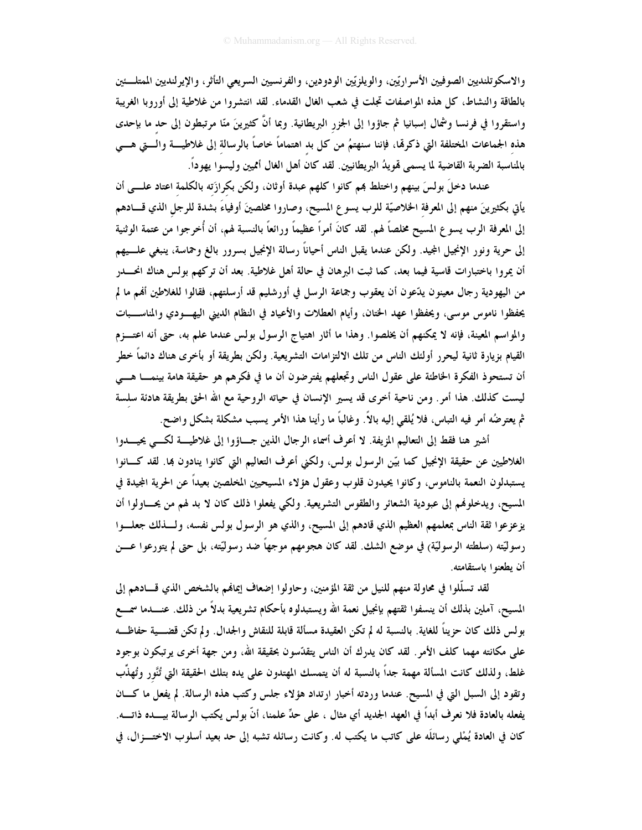والاسكوتلنديين الصوفيين الأسرارتين، والويلزتين الودودين، والفرنسيين السريعي التأثر، والإيرلنديين الممتلئين بالطاقة والنشاط، كل هذه المواصفات تجلت في شعب الغال القدماء. لقد انتشروا من غلاطية إلى أوروبا الغريبة واستقروا في فرنسا وشمال إسبانيا ثم جاؤوا إلى الجزر البريطانية. وبما أنَّ كثيرينَ منّا مرتبطون إلى حد ما بإحدى هذه الجماعات المختلفة التي ذكرهّا، فإننا سنهتمُ من كل بد اهتماماً خاصاً بالرسالة إلى غلاطيــــة والــــتي هــــي بالمناسبة الضربة القاضية لما يسمى قمويدُ البريطانيين. لقد كان أهل الغال أمميين وليسوا يهوداً.

عندما دخلَ بولسَ بينهم واختلط بمم كانوا كلهم عبدة أوثان، ولكن بكرازَته بالكلمة اعتاد علـــى أن يأتي بكثيرينَ منهم إلى المعرفة الخلاصيّة للرب يسوع المسيح، وصاروا مخلصينَ أوفياءَ بشدة للرجل الذي قـــادهم إلى المعرفة الرب يسوع المسيح مخلصاً لهم. لقد كانَ أمراً عظيماً ورائعاً بالنسبة لهم، أن أُخرجوا من عتمة الوثنية إلى حرية ونور الإنجيل الجيد. ولكن عندما يقبل الناس أحياناً رسالة الإنجيل بسرور بالغ وحماسة، ينبغي علـــيهم أن يمروا باختبارات قاسية فيما بعد، كما ثبت البرهان في حالة أهل غلاطية. بعد أن تركهم بولس هناك انحــــــــــــر من اليهودية رجال معينون يدّعون أن يعقوب وجماعة الرسل في أورشليم قد أرسلتهم، فقالوا للغلاطين أُهُم ما لم يحفظوا ناموس موسى، ويحفظوا عهد الختان، وأيام العطلات والأعياد في النظام الديني اليهـــودي والمناســـبات والمواسم المعينة، فإنه لا يمكنهم أن يخلصوا. وهذا ما أثار اهتياج الرسول بولس عندما علم به، حتى أنه اعتـــزم القيام بزيارة ثانية ليحرر أولئك الناس من تلك الالتزامات التشريعية. ولكن بطريقة أو بأخرى هناك دائماً خطر أن تستحوذ الفكرة الخاطئة على عقول الناس وتجعلهم يفترضون أن ما في فكرهم هو حقيقة هامة بينمـــا هــــى ليست كذلك. هذا أمرٍ. ومن ناحية أخرى قد يسير الإنسان في حياته الروحية مع الله الحق بطريقة هادئة سلسة ثم يعترضُه أمرٍ فيه التباس، فلا يُلقى إليه بالاً. وغالباً ما رأينا هذا الأمر يسبب مشكلة بشكل واضح.

أشير هنا فقط إلى التعاليم المزيفة. لا أعرف أسماء الرجال الذين جساؤوا إلى غلاطيسة لكسي يحيسدوا الغلاطيين عن حقيقة الإنجيل كما بيّن الرسول بولس، ولكني أعرف التعاليم التي كانوا ينادون بما. لقد كـــانوا يستبدلون النعمة بالناموس، وكانوا يحيدون قلوب وعقول هؤلاء المسيحيين المخلصين بعيداً عن الحرية المجيدة في المسيح، ويدخلوفمم إلى عبودية الشعائر والطقوس التشريعية. ولكي يفعلوا ذلك كان لا بد لهم من يحـــاولوا أن يزعزعوا ثقة الناس بمعلمهم العظيم الذي قادهم إلى المسيح، والذي هو الرسول بولس نفسه، ولـــذلك جعلـــوا رسوليَّته (سلطته الرسوليَّة) في موضع الشك. لقد كان هجومهم موجهًا ضد رسوليَّته، بل حتى لم يتورعوا عــــن أن يطعنوا باستقامته.

لقد تسلُّلوا في محاولة منهم للنيل من ثقة المؤمنين، وحاولوا إضعاف إيمانهم بالشخص الذي قــــادهم إلى المسيح، آملين بذلك أن ينسفوا ثقتهم بإنجيل نعمة الله ويستبدلوه بأحكام تشريعية بدلاً من ذلك. عنــــدما سمــــع بولس ذلك كان حزيناً للغاية. بالنسبة له لم تكن العقيدة مسألة قابلة للنقاش والجدال. ولم تكن قضــــية حفاظـــه على مكانته مهما كلف الأمرٍ. لقد كان يدرك أن الناس يتقدّسون بحقيقة الله، ومن جهة أخرى يرتبكون بوجود غلط، ولذلك كانت المسألة مهمة جداً بالنسبة له أن يتمسك المهتدون على يده بتلك الحقيقة التي تُنَّور وتُهذَّب وتقود إلى السبل التي في المسيح. عندما وردته أخبار ارتداد هؤلاء جلس وكتب هذه الرسالة. لم يفعل ما كــان يفعله بالعادة فلا نعرف أبداً في العهد الجديد أي مثال ، على حدٍّ علمنا، أنَّ بولس يكتب الرسالة بيــــده ذاتــــه. كان في العادة يُمْلي رسائلُه على كاتب ما يكتب له. وكانت رسائله تشبه إلى حد بعيد أسلوب الاختـــزال، في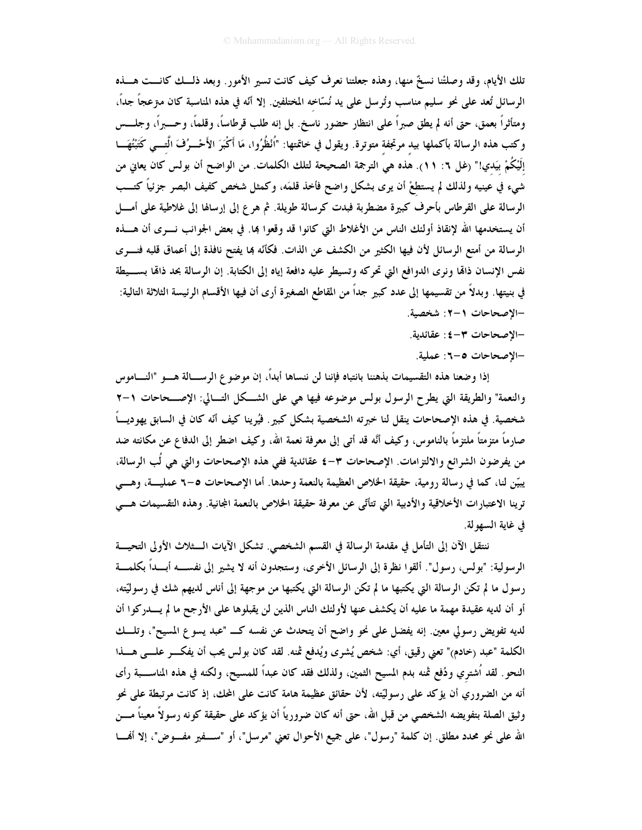تلك الأيام، وقد وصلتْنا نسخٌ منها، وهذه جعلتنا نعرف كيف كانت تسير الأمور . وبعد ذلــك كانـــت هـــذه الرسائل تُعد على نحو سليم مناسب وتُرسل على يد نُسّاخه المختلفين. إلا أنّه في هذه المناسبة كان مترعجاً جداً، ومتأثراً بعمق، حتى أنه لم يطق صبراً على انتظار حضور ناسخ. بل إنه طلب قرطاساً، وقلماً، وحــــبراً، وجلــــس وكتب هذه الرسالة بأكملها بيد مرتجفة متوترة. ويقول في خاتمتها: "اُنْظُرُوا، مَا أَكْبَرَ الأَحْـــرُفَ الَّــــي كَتَبْتُهَـــا إلَيْكُمْ بيَدي!" (غل ٦: ١١). هذه هي الترجمة الصحيحة لتلك الكلمات. من الواضح أن بولس كان يعاني من شيء في عينيه ولذلك لم يستطعْ أن يرى بشكل واضح فأخذ قلمَه، وكمثل شخص كفيف البصر جزئياً كتــب الرسالة على القرطاس بأحرف كبيرة مضطربة فبدت كرسالة طويلة. ثم هرع إلى إرسالها إلى غلاطية على أمــــل أن يستخدمها الله لإنقاذ أولئك الناس من الأغلاط التي كانوا قد وقعوا بما. في بعض الجوانب نـــرى أن هــــذه الرسالة من أمتع الرسائل لأن فيها الكثير من الكشف عن الذات. فكأنّه بما يفتح نافذة إلى أعماق قلبه فنسرى نفس الإنسان ذامًا ونرى الدوافع التي تحركه وتسيطر عليه دافعة إياه إلى الكتابة. إن الرسالة بحد ذامًا بســـيطة في بنيتها. وبدلاً من تقسيمها إلى عدد كبير جداً من المقاطع الصغيرة أرى أن فيها الأقسام الرئيسة الثلاثة التالية: -الإصحاحات ٢-٢: شخصية.

- −الإصحاحات ٣–٤: عقائدية.
- –الإصحاحات ٥–٦: عملية.

إذا وضعنا هذه التقسيمات بذهننا بانتباه فإننا لن ننساها أبداً، إن موضوع الرســـالة هــــو "النــــاموس والنعمة" والطريقة التي يطرح الرسول بولس موضوعه فيها هي على الشكل التسالي: الإصــحاحات ١-٢ شخصية. في هذه الإصحاحات ينقل لنا خبرته الشخصية بشكل كبير . فيُرينا كيف أنّه كان في السابق يهوديـــاً صارماً متزمتاً ملتزماً بالناموس، وكيف أنَّه قد أتى إلى معرفة نعمة الله، وكيف اضطر إلى الدفاع عن مكانته ضد من يفرضون الشرائع والالتزامات. الإصحاحات ٣-٤ عقائدية ففي هذه الإصحاحات والتي هي لُب الرسالة، يبيّن لنا، كما في رسالة رومية، حقيقة الخلاص العظيمة بالنعمة وحدها. أما الإصحاحات ٥–٦ عمليـــة، وهـــي ترينا الاعتبارات الأخلاقية والأدبية التي تتأتّى عن معرفة حقيقة الخلاص بالنعمة المجانية. وهذه التقسيمات هـــي في غاية السهو لة.

ننتقل الآن إلى التأمل في مقدمة الرسالة في القسم الشخصي. تشكل الآيات الـــثلاث الأولى التحيـــة الرسولية: "بولس، رسول". ألقوا نظرة إلى الرسائل الأخرى، وستجدون أنه لا يشير إلى نفســــه أبــــداً بكلمــــة رسول ما لم تكن الرسالة التي يكتبها ما لم تكن الرسالة التي يكتبها من موجهة إلى أناس لديهم شك في رسوليّته، أو أن لديه عقيدة مهمة ما عليه أن يكشف عنها لأولئك الناس الذين لن يقبلوها على الأرجح ما لم يــــدركوا أن لديه تفويض رسولي معين. إنه يفضل على نحو واضح أن يتحدث عن نفسه كــ "عبد يسوع المسيح"، وتلـــك الكلمة "عبد (خادم)" تعني رقيق، أي: شخص يُشرى ويُدفع ثمنه. لقد كان بولس يحب أن يفكـــر علـــي هـــذا النحو . لقد اُشتري ودُفع ثمنه بدم المسيح الثمين، ولذلك فقد كان عبداً للمسيح، ولكنه في هذه المناســـبة رأى أنه من الضروري أن يؤكد على رسوليِّته، لأن حقائق عظيمة هامة كانت على المحك، إذ كانت مرتبطة على نحو وثيق الصلة بتفويضه الشخصي من قبل الله، حتى أنه كان ضرورياً أن يؤكد على حقيقة كونه رسولاً معيناً مـــن الله على نحو محدد مطلق. إن كلمة "رسول"، على جميع الأحوال تعني "مرسل"، أو "ســـفير مفـــوض"، إلا أفمـــا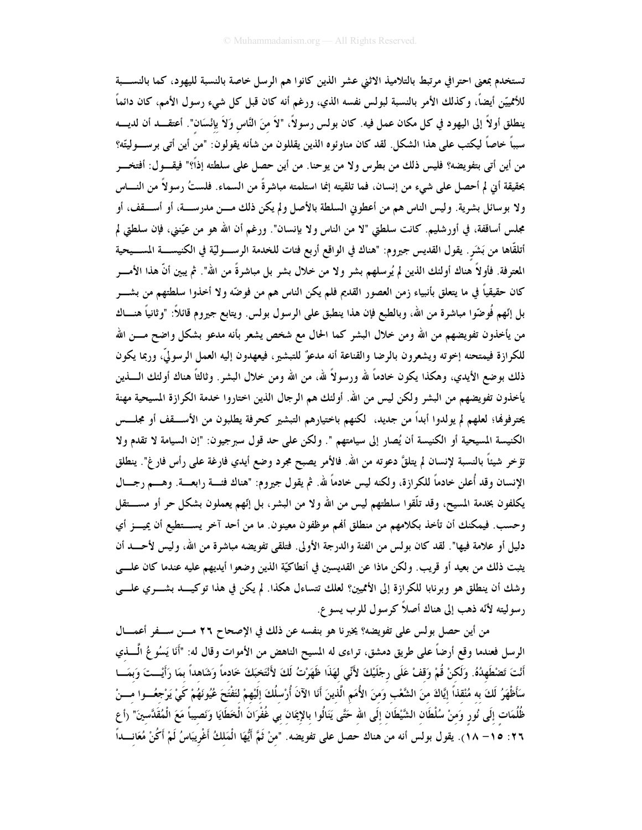تستخدم بمعنى احترافي مرتبط بالتلاميذ الاثنى عشر الذين كانوا هم الرسل خاصة بالنسبة لليهود، كما بالنســـبة للأممييّن أيضاً، وكذلك الأمر بالنسبة لبولس نفسه الذي، ورغم أنه كان قبل كل شيء رسول الأمم، كان دائماً ينطلق أولاً إلى اليهود في كل مكان عمل فيه. كان بولس رسولاً، "لاَ منَ النَّاس وَلاَ بإنْسَان". أعتقـــد أن لديــــه سبباً خاصاً ليكتب على هذا الشكل. لقد كان مناوئوه الذين يقللون من شأنه يقولون: "من أين أتى برســـوليتّه؟ من أين أتى بتفويضه؟ فليس ذلك من بطرس ولا من يوحنا. من أين حصل على سلطته إذاً؟" فيقـــول: أفتخـــر بحقيقة أين لم أحصل على شيء من إنسان، فما تلقيته إنما استلمته مباشرةً من السماء. فلستُ رسولاً من النــــاس ولا بوسائل بشرية. وليس الناس هم من أعطوني السلطة بالأصل ولم يكن ذلك مـــن مدرســـة، أو أســــقف، أو مجلس أساقفة، في أورشليم. كانت سلطتي "لا من الناس ولا بإنسان". ورغم أن الله هو من عيّنني، فإن سلطتي لم أتلقَّاها من بَشَر . يقول القديس جيروم: "هناك في الواقع أربع فنات للخدمة الرســــوليّة في الكنيســــة المســـيحية المعترفة. فأولاً هناك أولئك الذين لم يُرسلهم بشر ولا من خلال بشر بل مباشرةً من الله". ثم يبين أنّ هذا الأمـــر كان حقيقياً في ما يتعلق بأنبياء زمن العصور القديم فلم يكن الناس هم من فوضّه ولا أخذوا سلطتهم من بشـــر بل إنّهم فُوضّوا مباشرة من الله، وبالطبع فإن هذا ينطبق على الرسول بولس. ويتابع جيروم قائلاً: "وثانياً هنـــاك من يأخذون تفويضهم من الله ومن خلال البشر كما الحال مع شخص يشعر بأنه مدعو بشكل واضح مـــن الله للكرازة فيمتحنه إخوته ويشعرون بالرضا والقناعة أنه مدعوٌ للتبشير، فيعهدون إليه العمل الرسوليّ، وربما يكون ذلك بوضع الأيدي، وهكذا يكون خادماً لله ورسولاً لله، من الله ومن خلال البشر . وثالثاً هناك أولئك الــــذين يأخذون تفويضهم من البشر ولكن ليس من الله. أولئك هم الرجال الذين اختاروا خدمة الكرازة المسيحية مهنة يحترفوها؛ لعلهم لم يولدوا أبداً من جديد، ككنهم باختيارهم التبشير كحرفة يطلبون من الأســــقف أو مجلـــس الكنيسة المسيحية أو الكنيسة أن يُصار إلى سيامتهم ". ولكن على حد قول سبرجيون: "إن السيامة لا تقدم ولا تؤخر شيئاً بالنسبة لإنسان لم يتلقَّ دعوته من الله. فالأمر يصبح مجرد وضع أيدي فارغة على رأس فار غ". ينطلق الإنسان وقد أُعلن خادماً للكرازة، ولكنه ليس خادماً لله. ثم يقول جيروم: "هناك فئـــة رابعـــة. وهــــم رجـــال يكلفون بخدمة المسيح، وقد تلُّقوا سلطتهم ليس من الله ولا من البشر، بل إنَّهم يعملون بشكل حر أو مســــتقل وحسبٍ. فيمكنك أن تأخذ بكلامهم من منطلق ألهم موظفون معينونٍ. ما من أحد آخر يســــتطيع أن يميــــز أي دليل أو علامة فيها". لقد كان بولس من الفتة والدرجة الأولى. فتلقى تفويضه مباشرة من الله، وليس لأحـــد أن يثبت ذلك من بعيد أو قريب. ولكن ماذا عن القديسين في أنطاكيّة الذين وضعوا أيديهم عليه عندما كان علـــي وشك أن ينطلق هو وبرنابا للكرازة إلى الأتميين؟ لعلك تتساءل هكذا. لم يكن في هذا توكيــد بشـــري علـــي رسوليته لأنّه ذهب إلى هناك أصلاً كرسول للرب يسوع.

من أين حصل بولس على تفويضه؟ يخبرنا هو بنفسه عن ذلك في الإصحاح ٢٦ مــن ســفر أعمـــال الرسل فعندما وقع أرضاً على طريق دمشق، تراءى له المسيح الناهض من الأموات وقال له: "أَنَا يَسُوعُ الَّـــذي أَنْتَ تَصْطَهِدُهُ. وَلَكنْ قُمْ وَقفْ عَلَى رجْلَيْكَ لأَنِّي لهَذَا ظَهَرْتُ لَكَ لأَنْتَخبَكَ خَادماً وَشَاهداً بمَا رَأَيْــتَ وَبمَـــا سَأَظْهَرُ لَكَ به مُنْقذاً إيَّاكَ منَ الشَّعْب وَمنَ الأُمَمِ الَّذينَ أَنَا الآنَ أُرْسلُكَ إلَيْهمْ لتَفْتَحَ عُيُونَهُمْ كَيْ يَرْجَعُـــوا مــــنْ ظُلُمَات إلَى نُور وَمنْ سُلْطَان الشَّيْطَان إلَى الله حَتَّى يَنَالُوا بالإِيمَان بي غُفْرَانَ الْخَطَايَا وَنَصيباً مَعَ الْمُقَدَّسينَ" (أع ٢٦: ١٥– ١٨). يقول بولس أنه من هناك حصل على تفويضه. "منْ ثَمَّ أَيُّهَا الْمَلكُ أَغْريبَاسُ لَمْ أَكُنْ مُعَانــــداً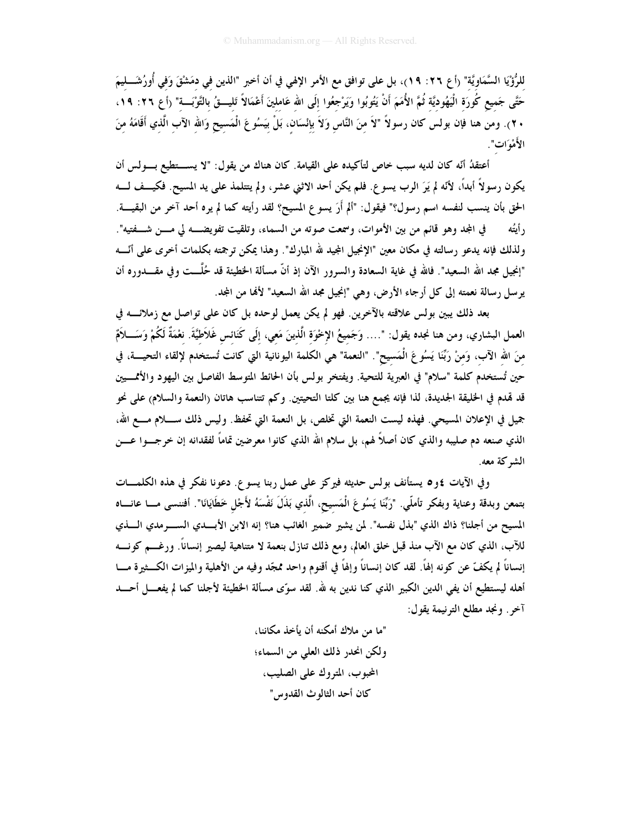للرُّؤْيَا السَّمَاوِيَّة" (أ ع ٢٦: ٩٩)، بل على توافق مع الأمر الإلهي في أن أخبر "الذين في دمَشْقَ وَفي أُورُشَـــليمَ حَتَّى جَميع كُورَة الْيَهُوديَّة ثُمَّ الأُمَمَ أَنْ يَتُوبُوا وَيَرْجعُوا إلَى الله عَاملينَ أَعْمَالاً تَليـــقُ بالتَّوْبَـــة" (أع ٢٦: ١٩، ٢٠). ومن هنا فإن بولس كان رسولاً "لاَ منَ النَّاس وَلاَ بإنْسَان، بَلْ بَيَسُوعَ الْمَسيح وَالله الآب الَّذي أقَامَهُ منَ الأَهْوَاتِ".

أعتقدُ أنَّه كان لديه سبب خاص لتأكيده على القيامة. كان هناك من يقول: "لا يســــتطيع بــــولس أن يكون رسولاً أبداً، لأنّه لم يَرَ الرب يسوع. فلم يكن أحد الاثني عشر، ولم يتتلمذ على يد المسيح. فكيــف لـــه الحق بأن ينسب لنفسه اسم رسول؟" فيقول: "ألم أَرَ يسوع المسيح؟ لقد رأيته كما لم يره أحد آخر من البقيــــة. في المجد وهو قائم من بين الأموات، وسمعت صوته من السماء، وتلقيت تفويضــــه لي مــــن شـــفتيه". ر أيتُه ولذلك فإنه يدعو رسالته في مكان معين "الإنجيل المجيد لله المبارك". وهذا يمكن ترجمته بكلمات أخرى على أنَّـــه "إنجيل مجد الله السعيد". فالله في غاية السعادة والسرور الآن إذ أنَّ مسألة الحطيئة قد حُلَّـــت وفي مقــــدوره أن يو سل رسالة نعمته إلى كل أرجاء الأرض، وهي "إنجيل مجد الله السعيد" لأفما من المجد.

بعد ذلك يبين بولس علاقته بالآخرين. فهو لم يكن يعمل لوحده بل كان على تواصل مع زملائــــه في العمل البشاري، ومن هنا نجده يقول: "…. وَجَميعُ الإخْوَة الَّذينَ مَعي، إلَى كَنَائس غَلاَطيَّةَ. نعْمَةٌ لَكُمْ وَسَـــلاَمٌ منَ الله الآب، وَمنْ رَبِّنَا يَسُوعَ الْمَسيح". "النعمة" هي الكلمة اليونانية التي كانت تُستخدم لإلقاء التحيــــة، في حين تُستخدم كلمة "سلام" في العبرية للتحية. ويفتخر بولس بأن الحائط المتوسط الفاصل بين اليهود والأممــــيين قد قمدم في الخليقة الجديدة، لذا فإنه يجمع هنا بين كلتا التحيتين. وكم تتناسب هاتان (النعمة والسلام) على نحو جميل في الإعلان المسيحي. فهذه ليست النعمة التي تخلص، بل النعمة التي تحفظ. وليس ذلك ســـــلام مـــــع الله، الذي صنعه دم صليبه والذي كان أصلاً لهم، بل سلام الله الذي كانوا معرضين تماماً لفقدانه إن خرجـــوا عــــن الشه كة معه.

وفي الآيات ٤و٥ يستأنف بولس حديثه فيركز على عمل ربنا يسوع. دعونا نفكر في هذه الكلمـــات بتمعن وبدقة وعناية وبفكر تأملّي. "رَبَّنَا يَسُوعَ الْمَسيح، الَّذي بَذَلَ نَفْسَهُ لأَجْل خَطَايَانَا". أفننسى مـــا عانــــاه المسيح من أجلنا؟ ذاك الذي "بذل نفسه". لمن يشير ضمير الغائب هنا؟ إنه الابن الأبسدي الســــــرمدي الـــــذي للآب، الذي كان مع الآب منذ قبل خلق العالم، ومع ذلك تنازل بنعمة لا متناهية ليصير إنساناً. ورغـــم كونــــه إنساناً لم يكفّ عن كونه إلهاً. لقد كان إنساناً وإلهاً في أقنوم واحد ممجّد وفيه من الأهلية والميزات الكــثيرة مـــا أهله ليستطيع أن يفي الدين الكبير الذي كنا ندين به لله. لقد سوّى مسألة الخطيئة لأجلنا كما لم يفعـــل أحــــد آخر. ونجد مطلع الترنيمة يقول:

> "ما من ملاك أمكنه أن يأخذ مكاننا، ولكن انحدر ذلك العلي من السماء؛ المحبوب، المتروك على الصليب، كان أحد الثالوث القدوس"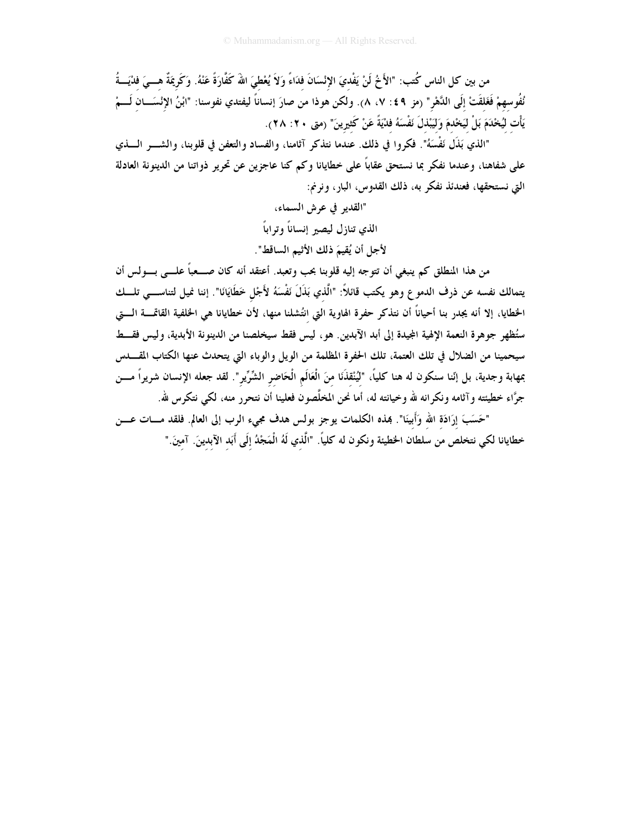من بين كل الناس كُتب: "الأَخُ لَنْ يَفْديَ الإِنْسَانَ فدَاءً وَلاَ يُعْطىَ اللهَ كَفَّارَةً عَنْهُ. وَكَريمَةٌ هـــىَ فذيَـــةُ نُفُوسهمْ فَغَلقَتْ إلَى الدَّهْرِ" (مز ٤٩ : ٧، ٨). ولكن هوذا من صارَ إنساناً ليفتدي نفوسنا: "ابْنُ الإئسَـــان لَـــمْ يَأْت لَيُخْدَمَ بَلْ لَيَخْدمَ وَلَيَبْذلَ نَفْسَهُ فَدْيَةً عَنْ كَثيرِينَ" (متى ٢٠: ٢٨).

"الذي بَذَل نَفْسَهُ". فكروا في ذلك. عندما نتذكر آثامنا، والفساد والتعفن في قلوبنا، والشـــر الــــذي على شفاهنا، وعندما نفكر بما نستحق عقاباً على خطايانا وكم كنا عاجزين عن تحرير ذواتنا من الدينونة العادلة التي نستحقها، فعندئذ نفكر به، ذلك القدوس، البار، ونرنم:

> "القدير في عرش السماء، الذي تنازل ليصير إنساناً وتراباً لأجل أن يُقِيمَ ذلك الأثيم الساقط".

من هذا المنطلق كم ينبغي أن تتوجه إليه قلوبنا بحب وتعبد. أعتقد أنه كان صــــعباً علــــى بــــولس أن يتمالك نفسه عن ذرف الدموع وهو يكتب قائلاً: "الَّذي بَذَلَ نَفْسَهُ لأَجْل خَطَايَانَا". إننا نميل لتناســـي تلـــك الخطايا، إلا أنه يجدر بنا أحياناً أن نتذكر حفرة الهاوية التي انتُشلنا منها، لأن خطايانا هي الخلفية القاقـــــة الــــتي ستُظهر جوهرة النعمة الإلهية الجيدة إلى أبد الآبدين. هو ، ليس فقط سيخلصنا من الدينونة الأبدية، وليس فقسط سيحمينا من الضلال في تلك العتمة، تلك الحفرة المظلمة من الويل والوباء التي يتحدث عنها الكتاب المقــــدس بمهابة وجدية، بل إنّنا سنكون له هنا كليّاً، "لِيُنْقِذَنَا مِنَ الْعَالَمِ الْحَاضِرِ الشِّرِّيرِ". لقد جعله الإنسان شريراً مــــن جرَّاء خطيئته وآثامه ونكرانه لله وخيانته له، أما نحن المخلَّصون فعلينا أن نتحرر منه، لكي نتكرس لله.

"حَسَبَ إِرَادَة الله وَأَبِينَا". بمذه الكلمات يوجز بولس هدف مجيء الرب إلى العالم. فلقد مـــات عـــن خطايانا لكي نتخلص من سلطان الخطيئة ونكون له كلياً. "الَّذي لَهُ الْمَجْدُ إلَى أَبَد الآبدينَ. آمينَ."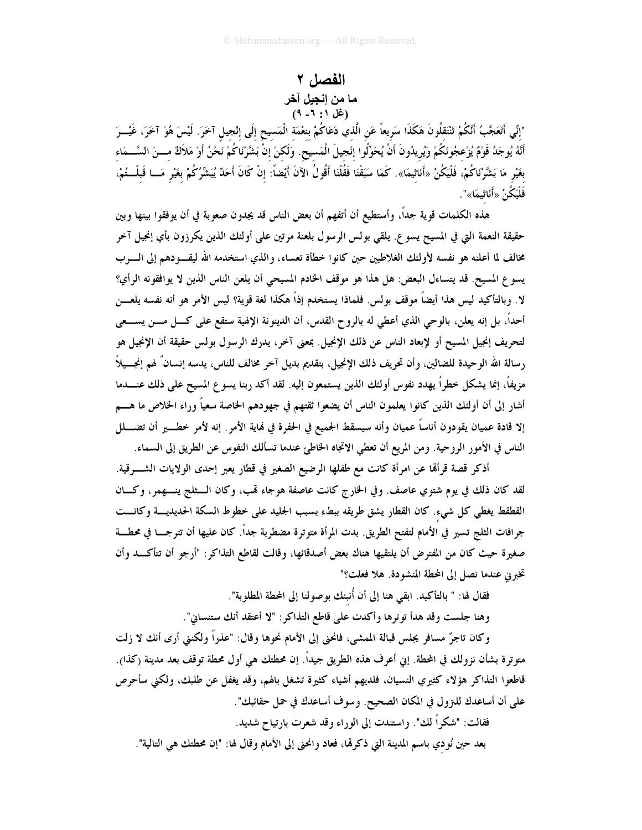#### الفصل ٢ ما من إنجيل آخر (غل ۱: ۱- ۹)

"إنِّي أَتَعَجَّبُ أَنَّكُمْ تَنْتَقَلُونَ هَكَذَا سَريعاً عَن الَّذيُ دَعَاكُمْ بنعْمَة الْمَسيح إلَى إنْجيل آخَرَ. لَيْسَ هُوَ آخَرَ، غَيْـــرَ أَنَّهُ يُوجَدُ قَوْمٌ يُزْعجُونَكُمْ وَيُريدُونَ أَنْ يُحَوِّلُوا إنْجيلَ الْمَسيح. وَلَكنْ إنْ بَشَّرْنَاكُمْ نَحْنُ أَوْ مَلاَكٌ مـــنَ السَّـــمَاء بغَيْرِ مَا بَشَّرْنَاكُمْ، فَلْيَكُنْ «أَنَاثيمَا». كَمَا سَبَقْنَا فَقُلْنَا أَقُولُ الآنَ أَيْضاً: إنْ كَانَ أَحَدٌ يُبَشِّرُكُمْ بغَيْر مَــا قَبلْــتُمْ، فَلْيَكُنْ «أَنَاثِيمَا»".

هذه الكلمات قوية جداً، وأستطيع أن أتفهم أن بعض الناس قد يجدون صعوبة في أن يوفقوا بينها وبين حقيقة النعمة التي في المسيح يسو ع. يلقى بولس الرسول بلعنة مرتين على أولئك الذين يكرزون بأي إنجيل آخر مخالف لما أعلنه هو نفسه لأولئك الغلاطيين حين كانوا خطأة تعساء، والذي استخدمه الله ليقــــودهم إلى الـــــرب يسوع المسيح. قد يتساءل البعض: هل هذا هو موقف الخادم المسيحي أن يلعن الناس الذين لا يوافقونه الرأي؟ لا. وبالتأكيد ليس هذا أيضاً موقف بولس. فلماذا يستخدم إذاً هكذا لغة قوية؟ ليس الأمر هو أنه نفسه يلعـــن أحداً، بل إنه يعلن، بالوحي الذي أعطي له بالروح القدس، أن الدينونة الإلهية ستقع على كـــل مــــن يســــعي لتحريف إنجيل المسيح أو لإبعاد الناس عن ذلك الإنجيل. بمعنى آخر، يدرك الرسول بولس حقيقة أن الإنجيل هو رسالة الله الوحيدة للضالين، وأن تحريف ذلك الإنجيل، بتقديم بديل آخر مخالف للناس، يدسه إنسانٌ لهم إنجـــيلاً مزيفاً، إنما يشكل خطراً يهدد نفوس أولئك الذين يستمعون إليه. لقد أكد ربنا يسوع المسيح على ذلك عنــــدما أشار إلى أن أولئك الذين كانوا يعلمون الناس أن يضعوا ثقتهم في جهودهم الخاصة سعياً وراء الخلاص ما هـــم إلا قادة عميان يقودون أناساً عميان وأنه سيسقط الجميع في الحفرة في نماية الأمر . إنه لأمر خطـــــــير أن تضـــــلل الناس في الأمور الروحية. ومن المريع أن تعطي الاتجاه الخاطئ عندما تسألك النفوس عن الطريق إلى السماء.

أذكر قصة قرأمًّا عن امرأة كانت مع طفلها الرضيع الصغير في قطار يعبر إحدى الولايات الشــــرقية. لقد كان ذلك في يوم شتوي عاصف. وفي الخارج كانت عاصفة هوجاء لهب، وكان الـــثلج ينــــهمر، وكـــان القطقط يغطي كل شيء. كان القطار يشق طريقه ببطء بسبب الجليد على خطوط السكة الحديديــــة وكانــــت جرافات الثلج تسير في الأمام لتفتح الطريق. بدت المرأة متوترة مضطربة جداً. كان عليها أن تترجـــا في محطـــة صغيرة حيث كان من المفترض أن يلتقيها هناك بعض أصدقائها، وقالت لقاطع التذاكر: "أرجو أن تتأكـــد وأن تخبر في عندما نصل إلى المحطة المنشودة. هلا فعلت؟"

فقال لها: " بالتأكيد. ابقى هنا إلى أن أُنبئك بوصولنا إلى المحطة المطلوبة".

وهنا جلست وقد هدأ توترها وأكدت على قاطع التذاكر : "لا أعتقد أنك ستنساني".

وكان تاجرٌ مسافرٍ يجلس قبالة الممشى، فانحني إلى الأمام نحوها وقال: "عذراً ولكنني أرى أنك لا زلت متوترة بشأن نزولك في المحطة. إين أعرف هذه الطريق جيداً. إن محطتك هي أول محطة توقف بعد مدينة (كذا). قاطعوا التذاكر هؤلاء كثيري النسيان، فلديهم أشياء كثيرة تشغل بالهم، وقد يغفل عن طلبك، ولكني سأحرص على أن أساعدك للترول في المكان الصحيح. وسوف أساعدك في حمل حقائبك".

فقالت: "شكراً لك". واستندت إلى الوراء وقد شعرت بارتياح شديد. بعد حين نُودي باسم المدينة التي ذكرهّا، فعاد وانحني إلى الأمام وقال لها: "إن محطتك هي التالية".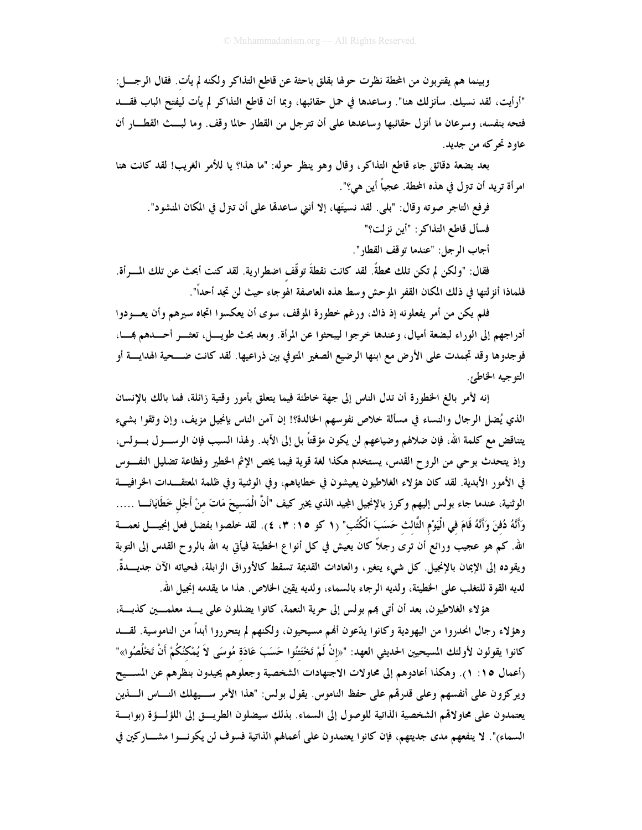وبينما هم يقتربون من المحطة نظرت حولها بقلق باحثة عن قاطع التذاكر ولكنه لم يأت. فقال الرجــــل: "أرأيت، لقد نسيك. سأنزلك هنا". وساعدها في حمل حقائبها، وبما أن قاطع التذاكر لم يأت ليفتح الباب فقـــد فتحه بنفسه، وسرعان ما أنزل حقائبها وساعدها على أن تترجل من القطار حالما وقف. وما لبـــث القطـــار أن عاود تحرکه من جدید.

بعد بضعة دقائق جاء قاطع التذاكر، وقال وهو ينظر حوله: "ما هذا؟ يا للأمر الغريب! لقد كانت هنا امرأة تريد أن تـرل في هذه المحطة. عجباً أين هي؟".

فرفع التاجر صوته وقال: "بلي. لقد نسيتَها، إلا أنني ساعدها على أن تـرّل في المكان المنشود". فسأل قاطع التذاكر: "أين نزلت؟"

أجاب الرجل: "عندما توقف القطار".

فقال: "ولكن لم تكن تلك محطةً. لقد كانت نقطةَ توقَّف اضطرارية. لقد كنت أبحث عن تلك المسرأة. فلماذا أنزلتها في ذلك المكان القفر الموحش وسط هذه العاصفة الهوجاء حيث لن تجد أحداً".

فلم يكن من أمر يفعلونه إذ ذاك، ورغم خطورة الموقف، سوى أن يعكسوا اتجاه سيرهم وأن يعـــودوا أدراجهم إلى الوراء لبضعة أميال، وعندها خرجوا ليبحثوا عن المرأة. وبعد بحث طويـــل، تعثـــر أحــــدهم بمـــا، فوجدوها وقد تجمدت على الأرض مع ابنها الرضيع الصغير المتوفي بين ذراعيها. لقد كانت ضـــحية الهدايــــة أو التوجيه الخاطئ.

إنه لأمر بالغ الخطورة أن تدل الناس إلى جهة خاطئة فيما يتعلق بأمور وقتية زائلة، فما بالك بالإنسان الذي يُضل الرجال والنساء في مسألة خلاص نفوسهم الحالدة؟! إن آمن الناس بإنجيل مزيف، وإن وثقوا بشيء يتناقض مع كلمة الله، فإن ضلالهم وضياعهم لن يكون مؤقتاً بل إلى الأبد. ولهذا السبب فإن الرســـول بـــولس، وإذ يتحدث بوحي من الروح القدس، يستخدم هكذا لغة قوية فيما يخص الإثم الخطير وفظاعة تضليل النفسوس في الأمور الأبدية. لقد كان هؤلاء الغلاطيون يعيشون في خطاياهم، وفي الوثنية وفي ظلمة المعتقــدات الخرافيـــة الوثنية، عندما جاء بولس إليهم وكرز بالإنجيل المجيد الذي يخبر كيف "أَنَّ الْمَسيحَ مَاتَ منْ أَجْل خَطَايَانَـــا ….. وَأَنَّهُ دُفنَ وَأَنَّهُ قَامَ في الْيَوْمِ الثَّالث حَسَبَ الْكُتُبِ" (١ كو ١٥: ٣، ٤). لقد خلصوا بفضل فعل إنجيـــل نعمـــة الله. كم هو عجيب ورائع أن ترى رجلاً كان يعيش في كل أنواع الخطيئة فيأتى به الله بالروح القدس إلى التوبة ويقوده إلى الإيمان بالإنجيل. كل شيء يتغير، والعادات القديمة تسقط كالأوراق الزابلة، فحياته الآن جديـــدةٌ. لديه القوة للتغلب على الخطيئة، ولديه الرجاء بالسماء، ولديه يقين الخلاص. هذا ما يقدمه إنجيل الله.

هؤلاء الغلاطيون، بعد أن أتبي بمم بولس إلى حرية النعمة، كانوا يضللون على يـــد معلمـــين كذبـــة، وهؤلاء رجال انحدروا من اليهودية وكانوا يدّعون أفمم مسيحيون، ولكنهم لم يتحرروا أبداً من الناموسية. لقـــد كانوا يقولون لأولئك المسيحيين الحديثي العهد: "«إنْ لَمْ تَخْتَتْنُوا حَسَبَ عَادَة مُوسَى لاَ يُمْكُنُكُمْ أَنْ تَخْلُصُوا»" رأعمال ١٥: ١). وهكذا أعادوهم إلى محاولات الاجتهادات الشخصية وجعلوهم يحيدون بنظرهم عن المســيح ويركزون على أنفسهم وعلى قدرقم على حفظ الناموس. يقول بولس: "هذا الأمر ســيهلك النـــاس الــــذين يعتمدون على محاولاقم الشخصية الذاتية للوصول إلى السماء. بذلك سيضلون الطريسق إلى اللؤلسؤة (بوابسة السماء)". لا ينفعهم مدى جديتهم، فإن كانوا يعتمدون على أعمالهم الذاتية فسوف لن يكونسوا مشـــاركين في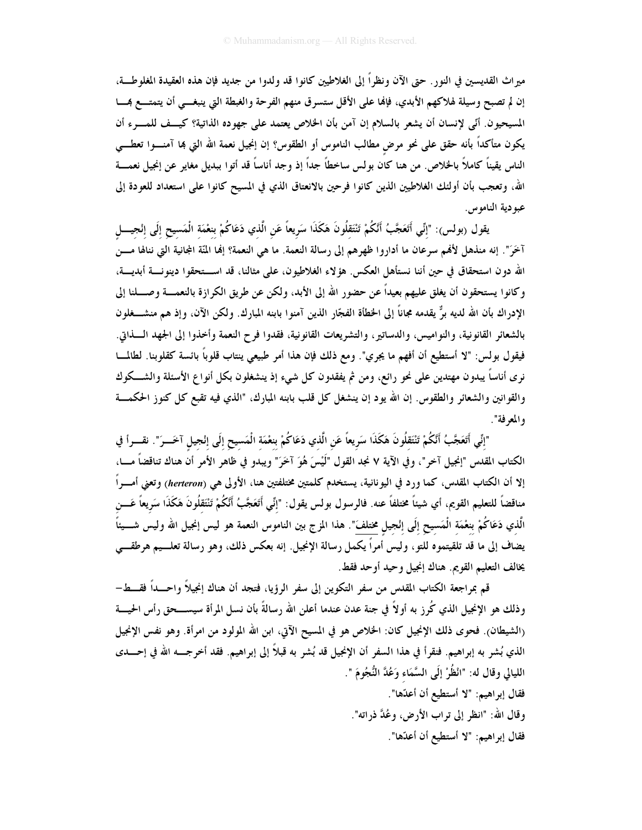ميراث القديسين في النور . حتى الآن ونظراً إلى الغلاطيين كانوا قد ولدوا من جديد فإن هذه العقيدة المغلوطــة، إن لم تصبح وسيلة لهلاكهم الأبدي، فإنَّما على الأقل ستسرق منهم الفرحة والغبطة التي ينبغــي أن يتمتـــع همـــا المسيحيون. أنّي لإنسان أن يشعر بالسلام إن آمن بأن الخلاص يعتمد على جهوده الذاتية؟ كيــف للمـــرء أن يكون متأكداً بأنه حقق على نحو مرض مطالب الناموس أو الطقوس؟ إن إنجيل نعمة الله التي بما آمنـــوا تعطـــي الناس يقيناً كاملاً بالخلاص. من هنا كان بولس ساخطاً جداً إذ وجد أناساً قد أتوا ببديل مغاير عن إنجيل نعمــــة الله، وتعجب بأن أولئك الغلاطيين الذين كانوا فرحين بالانعتاق الذي في المسيح كانوا على استعداد للعودة إلى عبو دية الناموس.

يقول (بولس): "إنِّي أَتَعَجَّبُ أَنَّكُمْ تَنْتَقَلُونَ هَكَذَا سَرِيعاً عَنِ الَّذي دَعَاكُمْ بنعْمَة الْمَسيح إلَى إنْجيــــل آخَرَ". إنه منذهل لأفمم سرعان ما أداروا ظهرهم إلى رسالة النعمة. ما هي النعمة؟ إفما المَّة المجانية التي ننالها مـــن الله دون استحقاق في حين أننا نستأهل العكس. هؤلاء الغلاطيون، على مثالنا، قد است حقوا دينونسة أبديسة، وكانوا يستحقون أن يغلق عليهم بعيداً عن حضور الله إلى الأبد، ولكن عن طريق الكرازة بالنعمـــة وصــــلنا إلى الإدراك بأن الله لديه برٌّ يقدمه مجاناً إلى الخطأة الفجّار الذين آمنوا بابنه المبارك. ولكن الآن، وإذ هم منشـــغلون بالشعائر القانونية، والنواميس، والدساتير، والتشريعات القانونية، فقدوا فرح النعمة وأخذوا إلى الجهد الــذاق. فيقول بولس: "لا أستطيع أن أفهم ما يجري". ومع ذلك فإن هذا أمر طبيعي ينتاب قلوباً بائسة كقلوبنا. لطالمـــا نري أناساً يبدون مهتدين على نحو رائع، ومن ثم يفقدون كل شيء إذ ينشغلون بكل أنواع الأسئلة والشـــكوك والقوانين والشعائر والطقوس. إن الله يود إن ينشغل كل قلب بابنه المبارك، "الذي فيه تقبع كل كنوز الحكمـــة والمعرفة".

"إنِّي أَتَعَجَّبُ أَنَّكُمْ تَنْتَقلُونَ هَكَذَا سَريعاً عَنِ الَّذي دَعَاكُمْ بنعْمَة الْمَسيح إلَى إنْجيل آخَــرَ". نقـــرأ في الكتاب المقدس "إنجيل آخر"، وفي الآية ٧ نجد القول "لَيْسَ هُوَ آخَرَ" ويبدو في ظاهر الأمر أن هناك تناقضاً مـــا، إلا أن الكتاب المقدس، كما ورد في اليونانية، يستخدم كلمتين مختلفتين هنا، الأولى هي (herteron) وتعني أمسراً مناقضاً للتعليم القويم، أي شيئاً مختلفاً عنه. فالرسول بولس يقول: "إنِّي أَتَعَجَّبُ أَنَّكُمْ تَنْتَقْلُونَ هَكَذَا سَريعاً عَـــن الَّذي دَعَاكُمْ بنعْمَة الْمَسيح إلَى إنْجيل مختلفَ". هذا المزج بين الناموس النعمة هو ليس إنجيل الله وليس شـــيئاً يضاف إلى ما قد تلقيتموه للتو، وليس أمراً يكمل رسالة الإنجيل. إنه بعكس ذلك، وهو رسالة تعلـــيم هرطقـــي يخالف التعليم القويم. هناك إنجيل وحيد أوحد فقط.

قم بمراجعة الكتاب المقدس من سفر التكوين إلى سفر الرؤيا، فتجد أن هناك إنجيلاً واحـــداً فقـــط-وذلك هو الإنجيل الذي كُرز به أولاً في جنة عدن عندما أعلن الله رسالةً بأن نسل المرأة سيســـحق رأس الحيـــة (الشيطان). فحوى ذلك الإنجيل كان: الخلاص هو في المسيح الآتي، ابن الله المولود من امرأة. وهو نفس الإنجيل الذي بُشر به إبراهيم. فنقرأ في هذا السفر أن الإنجيل قد بُشر به قبلاً إلى إبراهيم. فقد أخرجـــه الله في إحـــدى الليالي وقال له: "انْظُرْ إلَى السَّمَاء وَعُدَّ النُّجُومَ ".

فقال إبراهيم: "لا أستطيع أن أعدّها". وقال الله: "انظر إلى تراب الأرض، وعُدَّ ذراته". فقال إبراهيم: "لا أستطيع أن أعدّها".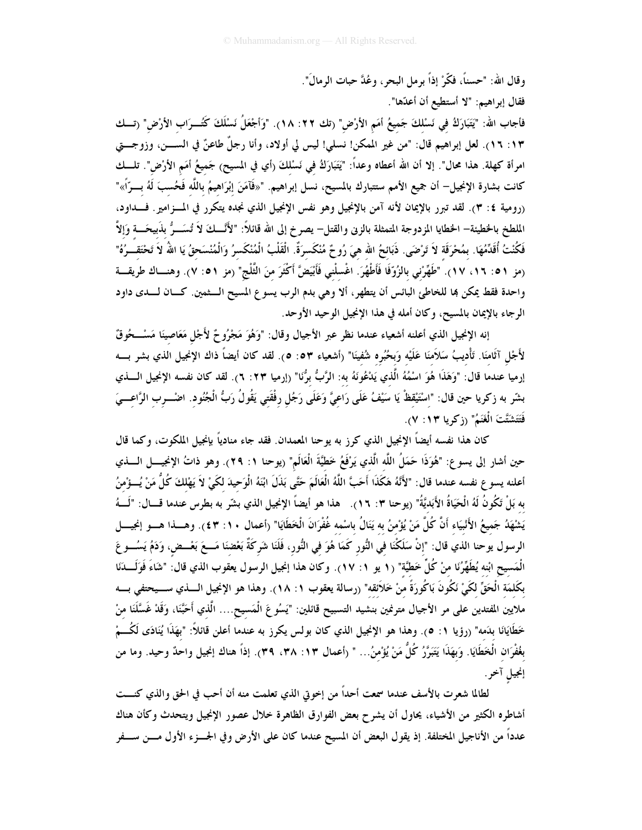وقال الله: "حسناً، فكَّرْ إذاً برمل البحر، وعُدَّ حبات الرمالَ".

فقال إبراهيم: "لا أستطيع أن أعدّها". فأجاب الله: "يَتَبَارَكُ في نَسْلكَ جَميعُ أمَمِ الأرْض" (تك ٢٢: ١٨). "وَأَجْعَلُ نَسْلَكَ كَتُــرَاب الأرْض" (تــك ١٣: ١٦). لعل إبراهيم قال: "من غير الممكن! نسلي! ليس لي أولاد، وأنا رجلٌ طاعنٌ في الســــن، وزوجــــتي امرأة كهلة. هذا محال". إلا أن الله أعطاه وعداً: "يَتَبَارَكُ في نَسْلكَ (أي في المسيح) جَميعُ أمَم الأرْض". تلــك كانت بشارة الإنجيل— أن جميع الأمم ستتبارك بالمسيح، نسل إبراهيم. "«فَآمَنَ إبْرَاهيمُ باللَّه فَحُسبَ لَهُ بــرّأ»" (رومية ٤: ٣). لقد تبرر بالإيمان لأنه آمن بالإنجيل وهو نفس الإنجيل الذي نجده يتكرر في المسزامير . فسداود، الملطخ بالحظيئة— الحظايا المزدوجة المتمثلة بالزنى والقتل— يصرخ إلى الله قائلاً: "لأَنَّـــكَ لاَ تُسَـــرُّ بذَبيحَـــة وَإلاَّ فَكُنْتُ أُقَدِّمُهَا. بمُحْرَقَة لاَ تَرْضَى. ذَبَائحُ الله هيَ رُوحٌ مُنْكَسرَةٌ. الْقَلْبُ الْمُنْكَسرُ وَالْمُنْسَحقُ يَا اللهُ لاَ تَحْتَقــرُهُ" (مز ٥١: ١٦، ١٧). "طَهِّرْني بالزُوِّفَا فَأَطْهُرَ. اغْسلْني فَأَبْيَضَّ أَكْثَرَ منَ الثَّلْج" (مز ٥١: ٧). وهنساك طريقسة واحدة فقط يمكن بما للخاطئ البائس أن يتطهر، ألا وهي بدم الرب يسوع المسيح الــثمين. كــان لــدى داود الرجاء بالإيمان بالمسيح، وكان أمله في هذا الإنجيل الوحيد الأوحد.

إنه الإنجيل الذي أعلنه أشعياء عندما نظر عبر الأجيال وقال: "وَهُوَ مَجْرُوحٌ لأَجْل مَعَاصينَا مَسْــحُوقٌ لأَجْل آثَامنَا. تَأْديبُ سَلاَمنَا عَلَيْه وَبحُبُره شُفينَا" (أشعياء ٥٣: ٥). لقد كان أيضاً ذاك الإنجيل الذي بشر بسه إرميا عندما قال: "وَهَذَا هُوَ اسْمُهُ الَّذي يَدْعُونَهُ به: الرَّبُّ برُّنَا" (إرميا ٢٣: ٦). لقد كان نفسه الإنجيل الــــذي بشّر به زكريا حين قال: "اسْتَيْقظْ يَا سَيْفُ عَلَى رَاعيَّ وَعَلَى رَجُل رفْقَتي يَقُولُ رَبُّ الْجُنُود. اضـْـــرب الرَّاعـــيَ فَتَتَشَتَّتَ الْغَنَمُ" (زكريا ١٣: ٧).

كان هذا نفسه أيضاً الإنجيل الذي كرز به يوحنا المعمدان. فقد جاء منادياً بإنجيل الملكوت، وكما قال حين أشار إلى يسوع: "هُوَذَا حَمَلُ اللَّه الَّذي يَرْفَعُ خَطِّيَّةَ الْعَالَم" (يوحنا ١: ٢٩). وهو ذاتُ الإنجيـــل الــــذي أعلنه يسوع نفسه عندما قال: "لأَنَّهُ هَكَذَا أَحَبَّ اللَّهُ الْعَالَمَ حَتَّى بَذَلَ ابْنَهُ الْوَحيدَ لكَىْ لاَ يَهْلكَ كُلُّ مَنْ يُسؤْمنُ به بَلْ تَكُونُ لَهُ الْحَيَاةُ الأَبَديَّةُ" (يوحنا ٣: ١٦). هذا هو أيضاً الإنجيل الذي بشّر به بطرس عندما قــــال: "لَـــهُ يَشْهَدُ جَميعُ الأَنْبِيَاء أَنَّ كُلَّ مَنْ يُؤْمنُ به يَنَالُ باسْمه غُفْرَانَ الْخَطَايَا" (أعمال ١٠: ٤٣). وهـــذا هـــو إنجيــــل الرسول يوحنا الذي قال: "إنْ سَلَكْنَا في النُّور كَمَا هُوَ في النُّور، فَلَنَا شَركَةٌ بَعْضنَا مَــعَ بَعْــض، وَدَمُ يَسُـــوعَ الْمَسيح ابْنه يُطَهِّرُنَا منْ كُلِّ خَطيَّة" (١ يو ١: ١٧). وكان هذا إنجيل الرسول يعقوب الذي قال: "شَاءَ فَوَلَــــدَنا بكَلمَة الْحَقِّ لكَىْ نَكُونَ بَاكُورَةً منْ خَلاَئقه" (رسالة يعقوب ١: ١٨). وهذا هو الإنجيل الــــذي ســـيحتفى بــــه ملايين المُتدين على مر الأجيال مترنمين بنشيد التسبيح قائلين: "يَسُو عَ الْمَسيح.... الَّذي أَحَبَّنَا، وَقَدْ غَسَّلَنَا منْ خَطَايَانَا بدَمه" (رؤيا ١: ٥). وهذا هو الإنجيل الذي كان بولس يكرز به عندما أعلن قائلاً: "بهَذَا يُنَادَى لَكُسمْ بغُفْرَان الْخَطَايَا. وَبهَذَا يَتَبَرَّزُ كُلَّ مَنْ يُؤْمنُ... " (أعمال ١٣، ٣٨، ٣٩). إذاً هناك إنجيل واحدٌ وحيد. وما من إنجيل آخر.

لطالما شعرت بالأسف عندما سمعت أحداً من إخوتي الذي تعلمت منه أن أحب في الحق والذي كنـــت أشاطره الكثير من الأشياء، يحاول أن يشرح بعض الفوارق الظاهرة خلال عصور الإنجيل ويتحدث وكأن هناك عدداً من الأناجيل المختلفة. إذ يقول البعض أن المسيح عندما كان على الأرض وفي الجـــزء الأول مـــن ســـفر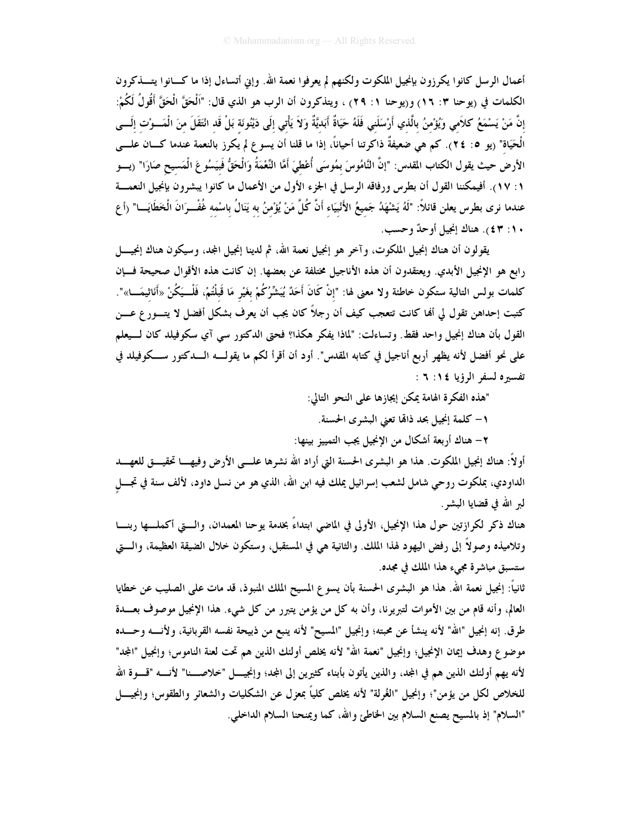أعمال الرسل كانوا يكرزون بإنجيل الملكوت ولكنهم لم يعرفوا نعمة الله. وإين أتساءل إذا ما كـــانوا يتــــذكرون الكلمات في (يوحنا ٣: ١٦) و(يوحنا ١: ٢٩) ، ويتذكرون أن الرب هو الذي قال: "اَلْحَقَّ الْحَقَّ أَقُولُ لَكُمْ: إنَّ مَنْ يَسْمَعُ كلاَمي وَيُؤْمنُ بالَّذي أَرْسَلَني فَلَهُ حَيَاةٌ أَبَديَّةٌ وَلاَ يَأْتي إلَى دَيْنُونَة بَلْ قَد انْتَقَلَ منَ الْمَـــوْت إلَـــى الْحَيَاة" (يو ٢٤ : ٢٤). كم هي ضعيفةٌ ذاكرتنا أحياناً، إذا ما قلنا أن يسوع لم يكرز بالنعمة عندما كـــان علــــى الأرضُ حيث يقول الكتاب المقدس: "إنَّ النَّامُوسَ بمُوسَى أُعْطيَ أمَّا النَّعْمَةُ وَالْحَقُّ فَبيَسُوعَ الْمَسيح صَارَا" (يسو ١: ١٧). أفيمكننا القول أن بطرس ورفاقه الرسل في الجزء الأول من الأعمال ما كانوا يبشرون بإنجيل النعمـــة عندما نرى بطرس يعلن قائلاً: "لَهُ يَشْهَدُ جَميعُ الأَنْبِيَاء أَنَّ كُلَّ مَنْ يُؤْمِنُ به يَنَالُ باسْمه غُفْــرَانَ الْخَطَايَـــا" (أع ١٠: ٤٣). هناك إنجيل أوحدٌ وحسب.

يقولون أن هناك إنجيل الملكوت، وآخر هو إنجيل نعمة الله، ثم لدينا إنجيل المجد، وسيكون هناك إنجيـــــل رابع هو الإنجيل الأبدي. ويعتقدون أن هذه الأناجيل مختلفة عن بعضها. إن كانت هذه الأقوال صحيحة فسإن كلمات بولس التالية ستكون خاطئة ولا معنى لها: "إنْ كَانَ أَحَدٌ يُبَشِّرُكُمْ بغَيْرِ مَا قَبلْتُمْ، فَلْــيَكُنْ «أَناثيمَـــا»". كتبت إحداهن تقول لي ألها كانت تتعجب كيف أن رجلاً كان يجب أن يعرف بشكل أفضل لا يتـــور ع عـــن القول بأن هناك إنجيل واحد فقط. وتساءلت: "لماذا يفكر هكذا؟ فحتى الدكتور سي آي سكوفيلد كان لـــيعلم على نحو أفضل لأنه يظهر أربع أناجيل في كتابه المقدس". أود أن أقرأ لكم ما يقولـــه الــــدكتور ســـكوفيلد في تفسيره لسفر الرؤيا ١٤: ٦ :

"هذه الفكرة الهامة يمكن إيجازها على النحو التالي:

١– كلمة إنجيل بحد ذالها تعني البشرى الحسنة.

٢– هناك أربعة أشكال من الإنجيل يجب التمييز بينها:

أو لاً: هناك إنجيل الملكوت. هذا هو البشرى الحسنة التي أراد الله نشرها علـــى الأرض وفيهـــا تحقيـــق للعهـــد الداودي، بملكوت روحي شامل لشعب إسرائيل يملك فيه ابن الله، الذي هو من نسل داود، لألف سنة في تجــــل لبر الله في قضايا البشو .

هناك ذكر لكرازتين حول هذا الإنجيل، الأولى في الماضي ابتداءً بخدمة يوحنا المعمدان، والــــتي أكملــــها ربنــــا وتلاميذه وصولاً إلى رفض اليهود لهذا الملك. والثانية هي في المستقبل، وستكون خلال الضيقة العظيمة، والــــتي ستسبق مباشرة مجيء هذا الملك في مجده.

ثانياً: إنجيل نعمة الله. هذا هو البشرى الحسنة بأن يسوع المسيح الملك المنبوذ، قد مات على الصليب عن خطايا العالم، وأنه قام من بين الأموات لتبريرنا، وأن به كل من يؤمن يتبرر من كل شيء. هذا الإنجيل موصوف بعـــدة طرق. إنه إنجيل "الله" لأنه ينشأ عن محبته؛ وإنجيل "المسيح" لأنه ينبع من ذبيحة نفسه القربانية، ولأنسه وحسده موضوع وهدف إيمان الإنجيل؛ وإنجيل "نعمة الله" لأنه يخلص أولئك الذين هم تحت لعنة الناموس؛ وإنجيل "المجد" لأنه يهم أولئك الذين هم في المجد، والذين يأتون بأبناء كثيرين إلى المجد؛ وإنجيــــل "خلاصــــنا" لأنــــه "قــــوة الله للخلاص لكل من يؤمن"؛ وإنجيل "الغُرلة" لأنه يخلص كلياً بمعزل عن الشكليات والشعائر والطقوس؛ وإنجيـــل "السلام" إذ بالمسيح يصنع السلام بين الخاطئ والله، كما ويمنحنا السلام الداخلي.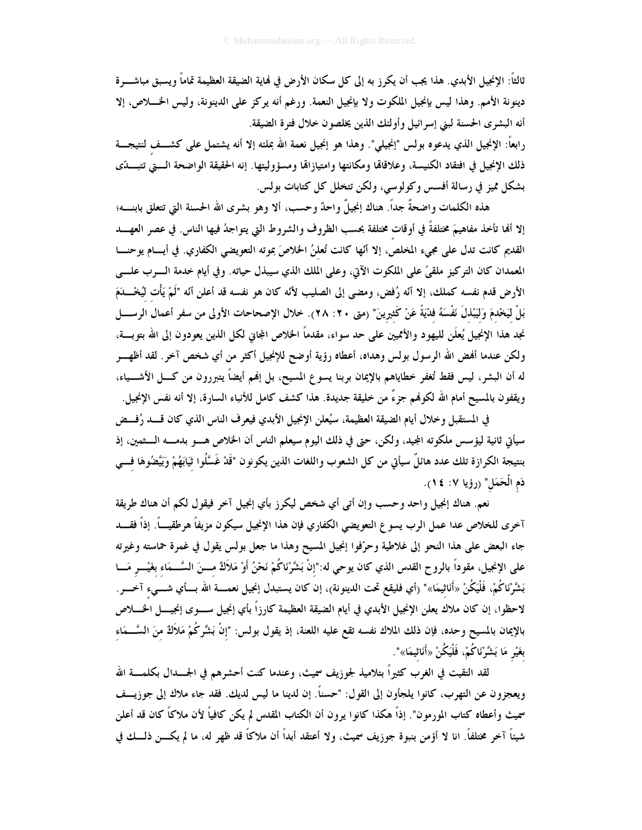ثالثاً: الإنجيل الأبدي. هذا يجب أن يكرز به إلى كل سكان الأرض في فماية الضيقة العظيمة تماماً ويسبق مباشــــرة دينونة الأمم. وهذا ليس بإنجيل الملكوت ولا بإنجيل النعمة. ورغم أنه يركز على الدينونة، وليس الخـــلاص، إلا أنه البشرى الحسنة لبني إسرائيل وأولئك الذين يخلصون خلال فترة الضيقة.

رابعاً: الإنجيل الذي يدعوه بولس "إنجيلي". وهذا هو إنجيل نعمة الله بملئه إلا أنه يشتمل على كشــف لنتيجـــة ذلك الإنجيل في افتقاد الكنيسة، وعلاقاقا ومكانتها وامتيازاقما ومسؤوليتها. إنه الحقيقة الواضحة الـــتى تتبـــدّي بشكل مميز في رسالة أفسس وكولوسي، ولكن تتخلل كل كتابات بولس.

هذه الكلمات واضحةٌ جداً. هناك إنجيلٌ واحدٌ وحسب، ألا وهو بشرى الله الحسنة التي تتعلق بابنــــه؛ إلا ألها تأخذ مفاهيمَ مختلفةً في أوقات مختلفة بحسب الظروف والشروط التي يتواجدُ فيها الناس. في عصر العهــــــد القديم كانت تدل على مجيء المخلص، إلا أنَّها كانت تُعلنُ الخلاصَ بموته التعويضي الكفاري. في أيسام يوحنـــا المعمدان كان التركيز ملقيٍّ على الملكوت الآتي، وعلى الملك الذي سيبذل حياته. وفي أيام خدمة الــــرب علــــي الأرض قدم نفسه كملك، إلا أنّه رُفض، ومضى إلى الصليب لأنّه كان هو نفسه قد أعلن أنّه "لَمْ يَأْت لَيُخْـــدَمَ بَلْ لَيَخْدمَ وَلَيَبْذلَ نَفْسَهُ فِدْيَةً عَنْ كَثِيرِينَ" (متى ٢٠: ٢٨). خلال الإصحاحات الأولى من سفر أعمال الرســــل نجد هذا الإنجيل يُعلَن لليهود والأمميين على حد سواء، مقدماً الخلاص المجاني لكل الذين يعودون إلى الله بتوبسة، ولكن عندما أفمض الله الرسول بولس وهداه، أعطاه رؤية أوضح للإنجيل أكثر من أي شخص آخر. لقد أظهـــر له أن البشر، ليس فقط تُغفر خطاياهم بالإيمان بربنا يسوع المسيح، بل إلهم أيضاً يتبررون من كـــل الأشــــياء، ويقفون بالمسيح أمام الله لكوفمم جزءٌ من خليقة جديدة. هذا كشف كامل للأنباء السارة، إلا أنه نفس الإنجيل.

في المستقبل وخلال أيام الضيقة العظيمة، سيُعلن الإنجيل الأبدي فيعرف الناس الذي كان قـــــد رُفـــض سيأتي ثانية ليؤسس ملكوته المجيد، ولكن، حتى في ذلك اليوم سيعلم الناس أن الخلاص هــــو بدمــــه الــــثمين، إذ بنتيجة الكرازة تلك عدد هائلٌ سيأتي من كل الشعوب واللغات الذين يكونون "قَدْ غَسَّلُوا ثيَابَهُمْ وَبَيَّضُوهَا فسي دَم الْحَمَلِ" (رؤيا ٧: ١٤).

نعم. هناك إنجيل واحد وحسب وإن أتبي أي شخص ليكرز بأي إنجيل آخر فيقول لكم أن هناك طريقة آخرى للخلاص عدا عمل الرب يسوع التعويضي الكفاري فإن هذا الإنجيل سيكون مزيفاً هرطقيـــاً. إذاً فقــــد جاء البعض على هذا النحو إلى غلاطية وحرّفوا إنجيل المسيح وهذا ما جعل بولس يقول في غمرة حماسته وغيرته على الإنجيل، مقوداً بالروح القدس الذي كان يوحي له:"إنْ بَشَّرْنَاكُمْ نَحْنُ أَوْ مَلاَكٌ مــــنَ السَّـــمَاء بغَيْـــر مَـــا بَشَّرْنَاكُمْ، فَلْيَكُنْ «أَنَاثيمَا»" (أي فليقع تحت الدينونة)، إن كان يستبدل إنجيل نعمــــة الله بـــأي شـــىء آخــــر. لاحظوا، إن كان ملاك يعلن الإنجيل الأبدي في أيام الضيقة العظيمة كارزاً بأي إنجيل ســـوى إنجيــــل الخـــــلاص بالإيمان بالمسيح وحده، فإن ذلك الملاك نفسه تقع عليه اللعنة، إذ يقول بولس: "إنْ بَشَّرِكُمْ مَلاَكٌ منَ السَّــمَاء بِغَيْرِ مَا بَشَّرْنَاكُمْ، فَلْيَكُنْ «أَنَاثِيمَا»".

لقد التقيت في الغرب كثيراً بتلاميذ لجوزيف سميث، وعندما كنت أحشرهم في الجـــــدال بكلمــــة الله ويعجزون عن التهرب، كانوا يلجأون إلى القول: "حسناً. إن لدينا ما ليس لديك. فقد جاء ملاك إلى جوزيــف سميث وأعطاه كتاب المورمون". إذاً هكذا كانوا يرون أن الكتاب المقدس لم يكن كافياً لأن ملاكاً كان قد أعلن شيئاً آخر مختلفاً. انا لا أؤمن بنبوة جوزيف سميث، ولا أعتقد أبداً أن ملاكاً قد ظهر له، ما لم يكـــن ذلـــك فى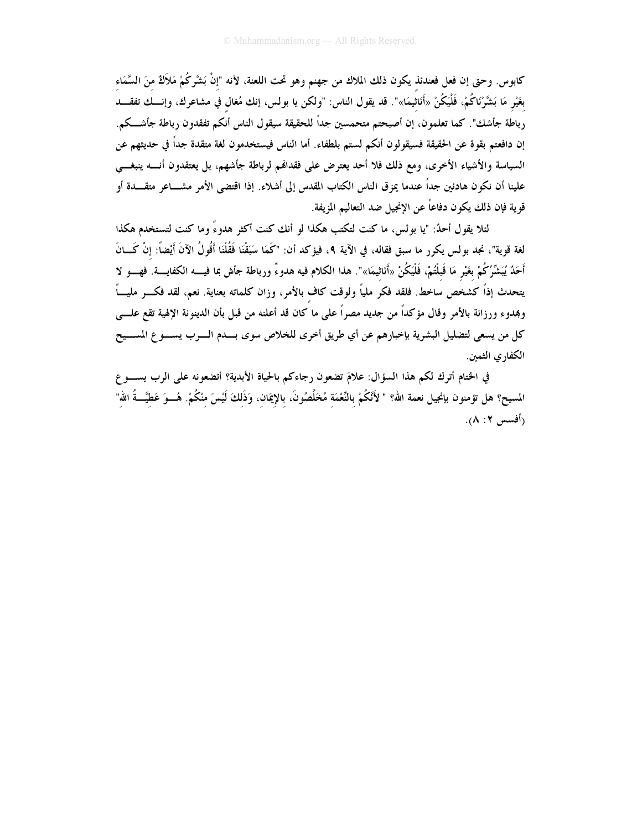كابوس. وحتى إن فعل فعندئذ يكون ذلك الملاك من جهنم وهو تحت اللعنة، لأنه "إنْ بَشَّركُمْ مَلاَكٌ منَ السَّمَاء بغَيْرِ مَا بَشَّرْنَاكُمْ، فَلْيَكُنْ «أَنَاثيمَا»". قد يقول الناس: "ولكن يا بولس، إنك مُغال في مشاعرك، وإنـــك تفقــــد رباطة جأشك". كما تعلمون، إن أصبحتم متحمسين جداً للحقيقة سيقول الناس أنكم تفقدون رباطة جأشـــكم. إن دافعتم بقوة عن الحقيقة فسيقولون أنكم لستم بلطفاء. أما الناس فيستخدمون لغة متقدة جداً في حديثهم عن السياسة والأشياء الأخرى، ومع ذلك فلا أحد يعترض على فقدالهم لرباطة جأشهم، بل يعتقدون أنسه ينبغـــي علينا أن نكون هادئين جداً عندما يمزق الناس الكتاب المقدس إلى أشلاء. إذا اقتضى الأمر مشـــاعر متقــــدة أو قوية فإن ذلك يكون دفاعاً عن الإنجيل ضد التعاليم المزيفة.

لئلا يقول أحدٌ: "يا بولس، ما كنت لتكتب هكذا لو أنك كنت أكثر هدوءً وما كنت لتستخدم هكذا لغة قوية"، نجد بولس يكرر ما سبق فقاله، في الآية ٩، فيؤكد أن: "كَمَا سَبَقْنَا فَقُلْنَا أَقُولُ الآنَ أَيْضاً: إنْ كَـــانَ أَحَدٌ يُبَشِّرُكُمْ بغَيْرٍ مَا قَبلْتُمْ، فَلْيَكُنْ «أَنَاثيمَا»". هذا الكلام فيه هدوءٌ ورباطة جأش بما فيــــه الكفايــــة. فهــــو لا يتحدث إذاً كشخص ساخط. فلقد فكر ملياً ولوقت كاف بالأمر، وزان كلماته بعناية. نعم، لقد فكـــر مليــــاً وبمدوء ورزانة بالأمر وقال مؤكداً من جديد مصراً على ما كان قد أعلنه من قبل بأن الدينونة الإلهية تقع علـــي كل من يسعى لتضليل البشرية بإخبارهم عن أي طريق أخرى للخلاص سوى بــــدم الــــرب يســــو ع المســــيح الكفار ي الثمين.

في الختام أترك لكم هذا السؤال: علامَ تضعون رجاءكم بالحياة الأبدية؟ أتضعونه على الرب يســـو ع المسيح؟ هل تؤمنون بإنجيل نعمة الله؟ " لأَنَّكُمْ بالنَّعْمَة مُخَلَّصُونَ، بالإيمَان، وَذَلكَ لَيْسَ منْكُمْ. هُـــوَ عَطيَّـــةُ الله" (أفسس ٢: ٨).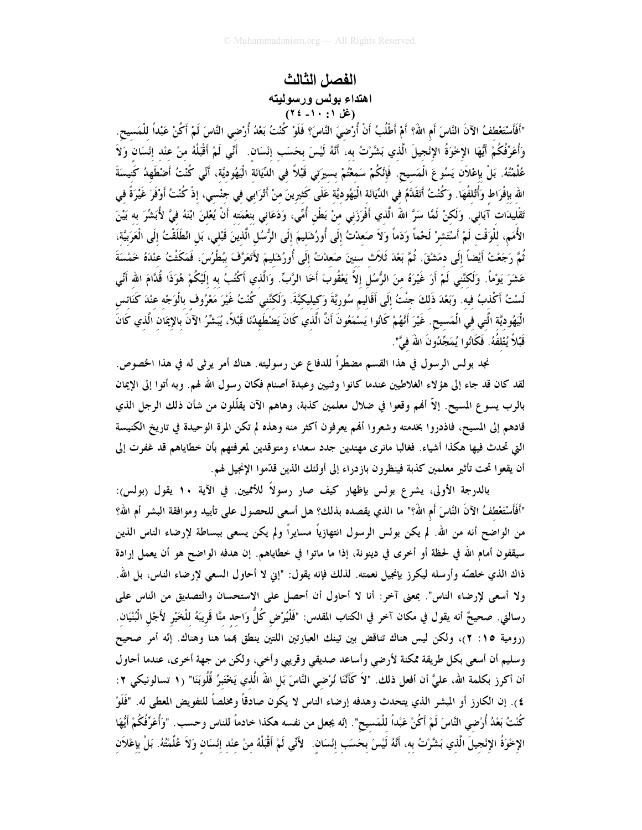#### الفصل الثالث اهتداء بولس ورسوليته (غل ۱۰ : ۲۰ ؛ ۲)

"أَفَأَسْتَعْطفُ الآنَ النَّاسَ أَم اللَّهُ؟ أَمْ أَطْلُبُ أَنْ أُرْضِيَ النَّاسَ؟ فَلَوْ كُنْتُ بَعْدُ أُرْضي النَّاسَ لَمْ أَكُنْ عَبْداً للْمَسيح. وَأُعَرِّفُكُمْ أَيُّهَا الإخْوَةُ الإنْجيلَ الَّذي بَشَّرْتُ به، أَنَّهُ لَيْسَ بحَسَب إنْسَان. ۚ أَنِّي لَمْ أَقْبَلْهُ منْ عنْد إنْسَان وَلاَ عُلِّمْتُهُ. بَلْ بإعْلاَن يَسُوعَ الْمَسيح. فَإِنَّكُمْ سَمعْتُمْ بسيرَتي قَبْلاً في الدَّيَانَة الْيَهُوديَّة، أَنِّي كُنْتُ أَضْطَهِدُ كَنيسَةَ الله بإفْرَاط وَأُتْلفُهَا. وَكُنْتُ أَتَقَدَّمُ في الدِّيَانَة الْيَهُوديَّة عَلَى كَثيرينَ منْ أَتْرَابي في جنْسي، إذْ كُنْتُ أَوْفَرَ غَيْرَةً في تَقْليدَات آبَائي. وَلَكنْ لَمَّا سَرَّ اللهَ الَّذي أَفْرَزَني منْ بَطْنِ أُمِّي، وَدَعَاني بنعْمَته أَنْ يُعْلنَ ابْنَهُ فيَّ لأُبَشِّرَ به بَيْنَ الأُمَمِ، للْوَقْت لَمْ أَسْتَشرْ لَحْماً وَدَماً وَلاَ صَعدْتُ إلَى أُورُشَليمَ إلَى الرُّسُل الَّذينَ قَبْلي، بَل انْطَلَقْتُ إلَى الْعَرَبيَّة، ثُمَّ رَجَعْتُ أَيْضاً إلَى دمَشْقَ. ثُمَّ بَعْدَ ثَلاَث سنينَ صَعدْتُ إلَى أُورُشَليمَ لأَتَعَرَّفَ ببُطْرُسَ، فَمَكَشْتُ عنْدَهُ خَمْسَةَ عَشَرَ يَوْماً. وَلَكِنَّنِي لَمْ أَرَ غَيْرَهُ مِنَ الرُّسُلِ إلاَّ يَعْقُوبَ أَخَا الرَّبِّ. وَالَّذي أكْتُبُ به إلَيْكُمْ هُوَذَا قُدَّامَ الله أَنِّي لَسْتُ أَكْذبُ فيه. وَبَعْدَ ذَلكَ جنْتُ إلَى أَقَالِيم سُوريَّةَ وَكيليكيَّةَ. وَلَكْنَني كُنْتُ غَيْرَ مَعْرُوف بالْوَجْه عنْدَ كَنَائس الْيَهُوديَّة الَّتى في الْمَسيح. غَيْرَ أَنَّهُمْ كَانُوا يَسْمَعُونَ أَنَّ الَّذي كَانَ يَضْطَهِدُنَا قَبْلاً، يُبَشِّرُ الآنَ بالإِيمَان الَّذي كَانَ قَبْلاً يُتْلفُهُ. فَكَانُوا يُمَجِّدُونَ اللَّهَ فيَّ".

نجد بولس الرسول في هذا القسم مضطراً للدفاع عن رسوليته. هناك أمر يرثى له في هذا الخصوص. لقد كان قد جاء إلى هؤلاء الغلاطيين عندما كانوا وثنيين وعبدة أصنام فكان رسول الله لهم. وبه أتوا إلى الإيمان بالرب يسوع المسيح. إلاَّ أفمم وقعوا في ضلال معلمين كذبة، وهاهم الآن يقلَّلون من شأن ذلك الرجل الذي قادهم إلى المسيح، فاذدروا بخدمته وشعروا أُمِّم يعرفون أكثر منه وهذه لم تكن المرة الوحيدة في تاريخ الكنيسة التي تحدث فيها هكذا أشياء. فغالبا مانري مهتدين جدد سعداء ومتوقدين لمعرفتهم بأن خطاياهم قد غفرت إلى أن يقعوا تحت تأثير معلمين كذبة فينظرون بازدراء إلى أولئك الذين قدّموا الإنجيل لهم.

بالدرجة الأولى، يشرع بولس بإظهار كيف صار رسولاً للأمميين. في الآية ١٠ يقول (بولس): "أَفَأَسْتَعْطفُ الآنَ النَّاسَ أم اللهُ؟" ما الذي يقصده بذلك؟ هل أسعى للحصول على تأييد وموافقة البشر أم الله؟ من الواضح أنه من الله. لم يكن بولس الرسول انتهازياً مسايراً ولم يكن يسعى ببساطة لإرضاء الناس الذين سيقفون أمام الله في لحظة أو أخرى في دينونة، إذا ما ماتوا في خطاياهم. إن هدفه الواضح هو أن يعمل إرادة ذاك الذي خلصَّه وأرسله ليكرز بإنجيل نعمته. لذلك فإنه يقول: "إني لا أحاول السعي لإرضاء الناس، بل الله. ولا أسعى لإرضاء الناس". بمعنى آخر: أنا لا أحاول أن أحصل على الاستحسان والتصديق من الناس على رسالتي. صحيحٌ أنه يقول في مكان آخر في الكتاب المقدس: "فَلْيُرْض كُلَّ وَاحد منَّا قَرِيبَهُ للْخَيْر لأَجْل الْبُنْيَان. (رومية ١٥: ٢)، ولكن ليس هناك تناقض بين تينك العبارتين اللتين ينطق بمما هنا وهناك. إنّه أمر صحيح وسليم أن أسعى بكل طريقة ممكنة لأرضى وأساعد صديقى وقريبي وأخي، ولكن من جهة أخرى، عندما أحاول أن أكرز بكلمة الله، عليَّ أن أفعل ذلك. "لاَ كَأَنَّنَا نُرْضي النَّاسَ بَل اللهَ الَّذي يَخْتَبِرُ قُلُوبَنَا" (١ تسالونيكي ٢: ٤). إن الكارز أو المبشر الذي يتحدث وهدفه إرضاء الناس لا يكون صادقاً ومخلصاً للتفويض المعطى له. "فَلَوْ كُنْتُ بَعْدُ أُرْضي النَّاسَ لَمْ أَكُنْ عَبْداً للْمَسيح". إنّه يجعل من نفسه هكذا خادماً للناس وحسب. "وَأُعَرِّفُكُمْ أَيُّهَا الإِخْوَةُ الإِنْجِيلَ الَّذِي بَشَّرْتُ بِهِ، أَنَّهُ لَيْسَ بِحَسَبٍ إِنْسَانٍ. ۖ لأَنِّي لَمْ أَقْبَلْهُ مِنْ عِنْدِ إِنْسَانٍ وَلاَ عُلَّمْتُهُ. بَلْ بِإعْلاَنِ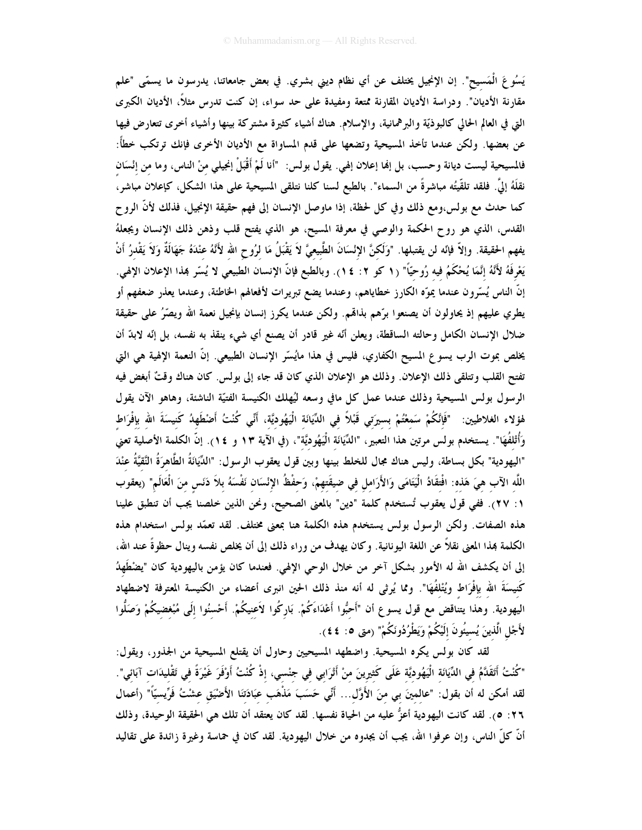يَسُوعَ الْمَسيح". إن الإنجيل يختلف عن أي نظام ديني بشري. في بعض جامعاتنا، يدرسون ما يسمّى "علم مقارنة الأديان". ودراسة الأديان المقارنة ممتعة ومفيدة على حد سواء، إن كنت تدرس مثلاً، الأديان الكبرى التي في العالم الحالي كالبوذيّة والبرهمانية، والإسلام. هناك أشياء كثيرة مشتركة بينها وأشياء أخرى تتعارض فيها عن بعضها. ولكن عندما تأخذ المسيحية وتضعها على قدم المساواة مع الأديان الأخرى فإنك ترتكب خطأً: فالمسيحية ليست ديانة وحسب، بل إنها إعلان إلهي. يقول بولس: "أنا لَمْ أَقْبَلْ إنجيلي مِنْ الناس، وما من إنْسَان نقلَهُ إلىَّ. فلقد تلقَّيتُه مباشرةً من السماء". بالطبع لسنا كلنا نتلقى المسيحية على هذا الشكل، كإعلان مباشر، كما حدث مع بولس،ومع ذلك وفي كل لحظة، إذا ماوصل الإنسان إلى فهم حقيقة الإنجيل، فذلك لأنَّ الروح القدس، الذي هو روح الحكمة والوصي في معرفة المسيح، هو الذي يفتح قلب وذهن ذلك الإنسان ويجعلهُ يفهم الحقيقة. وإلاّ فإنّه لن يقتبلها. "وَلَكِنَّ الإِنْسَانَ الطَّبيعيَّ لاَ يَقْبَلُ مَا لرُوح الله لأَنّهُ عنْدَهُ جَهَالَةٌ وَلاَ يَقْدرُ أَنْ يَعْرِفَهُ لأَنَّهُ إِنَّمَا يُحْكَمُ فيه رُوحيّاً" (١ كو ٢: ٢). وبالطبع فإنَّ الإنسان الطبيعي لا يُسّر هذا الإعلان الإلهي. إنَّ الناس يُسِّرون عندما يموِّه الكارز خطاياهم، وعندما يضع تبريرات لأفعالهم الخاطئة، وعندما يعذر ضعفهم أو يطري عليهم إذ يحاولون أن يصنعوا برّهم بذاهم. ولكن عندما يكرز إنسان بإنجيل نعمة الله ويصّرُ على حقيقة ضلال الإنسان الكامل وحالته الساقطة، ويعلن أنَّه غير قادر أن يصنع أي شيء ينقذ به نفسه، بل إنَّه لابدَّ أن يخلص بموت الرب يسو ع المسيح الكفاري، فليس في هذا مايُسّر الإنسان الطبيعي. إنّ النعمة الإلهية هي التي تفتح القلب وتتلقى ذلك الإعلان. وذلك هو الإعلان الذي كان قد جاء إلى بولس. كان هناك وقتٌ أبغض فيه الرسول بولس المسيحية وذلك عندما عمل كل مافي وسعه ليُهلك الكنيسة الفتيّة الناشئة، وهاهو الآن يقول هْوْلاء الغلاطيين: "فَإِنَّكُمْ سَمعْتُمْ بسيرَتي قَبْلاً في الدِّيَانَة الْيَهُوديَّة، أَنِّي كُنْتُ أَضْطَهدُ كَنيسَةَ الله بإفْرَاط وَأُتْلفُهَا". يستخدم بولس مرتين هذا التعبير، "الدِّيَانَة الْيَهُوديَّة"، (في الآية ١٣ و ٢٤). إنَّ الكلمة الأصلية تعني "اليهودية" بكل بساطة، وليس هناك مجال للخلط بينها وبين قول يعقوب الرسول: "الدِّيَانَةُ الطَّاهرَةُ النَّقيَّةُ عنْدَ اللَّه الآب هيَ هَذه: افْتقَادُ الْيَتَامَى وَالأَرَامل في ضيقَتهمْ، وَحفْظُ الإِنْسَان نَفْسَهُ بلاَ دَنَس منَ الْعَالَم" (يعقوب ١: ٢٧). ففي قول يعقوب تُستخدم كلمة "دين" بالمعنى الصحيح، ونحن الذين خلصنا يجب أن تنطبق علينا هذه الصفات. ولكن الرسول بولس يستخدم هذه الكلمة هنا بمعنى مختلف. لقد تعمّد بولس استخدام هذه الكلمة هذا المعنى نقلاً عن اللغة اليونانية. وكان يهدف من وراء ذلك إلى أن يخلص نفسه وينال حظوةً عند الله، إلى أن يكشف الله له الأمور بشكل آخر من خلال الوحي الإلهي. فعندما كان يؤمن باليهودية كان "يضْطَهِدُ كَنيسَةَ الله بإفْرَاط ويُتْلفُهَا". ومما يُرثى له أنه منذ ذلك الحين انبرى أعضاء من الكنيسة المعترفة لاضطهاد اليهودية. وهذا يتناقض مع قول يسوع أن "أَحبُّوا أَعْدَاءَكُمْ. بَاركُوا لاَعنيكُمْ. أَحْسنُوا إلَى مُبْغضيكُمْ وَصَلُّوا لأَجْلِ الَّذينَ يُسيئُونَ إلَيْكُمْ وَيَطْرُدُونَكُمْ" (متى ٥: ٤٤).

لقد كان بولس يكره المسيحية. واضطهد المسيحيين وحاول أن يقتلع المسيحية من الجذور، ويقول: "كُنْتُ أَتَقَدَّمُ في الدِّيَانَة الْيَهُوديَّة عَلَى كَثيرينَ منْ أَتْرَابي في جنْسي، إذْ كُنْتُ أَوْفَرَ غَيْرَةً في تَقْليدَات آبَائي". لقد أمكن له أن بقول: "عالمينَ بي منَ الأَوَّل... أَنِّي حَسَبَ مَذْهَب عَبَادَتنَا الأَضْيَق عشْتُ فَرِّيسيّاً" (أعمال ٢٦: ٥). لقد كانت اليهودية أعزُّ عليه من الحياة نفسها. لقد كان يعتقد أن تلك هي الحقيقة الوحيدة، وذلك أنَّ كلَّ الناس، وإن عرفوا الله، يجب أن يجدوه من خلال اليهودية. لقد كان في حماسة وغيرة زائدة على تقاليد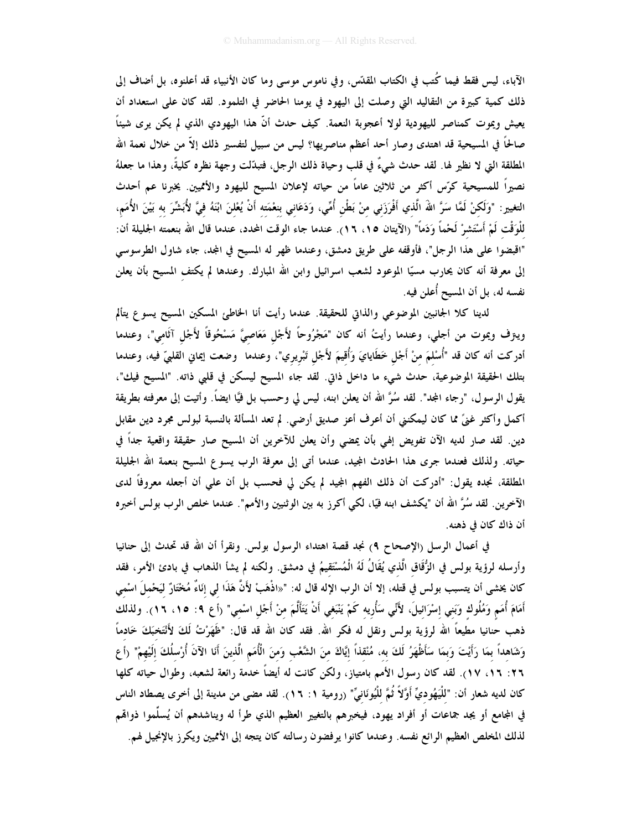الآباء، ليس فقط فيما كُتب في الكتاب المقدّس، وفي ناموس موسى وما كان الأنبياء قد أعلنوه، بل أضاف إلى ذلك كمية كبيرة من التقاليد التي وصلت إلى اليهود في يومنا الحاضر في التلمود. لقد كان على استعداد أن يعيش ويموت كمناصر لليهودية لولا أعجوبة النعمة. كيف حدث أنَّ هذا اليهودي الذي لم يكن يرى شيئاً صالحاً في المسيحية قد اهتدى وصار أحد أعظم مناصريها؟ ليس من سبيل لتفسير ذلك إلاّ من خلال نعمة الله المطلقة التي لا نظير لها. لقد حدث شيءٌ في قلب وحياة ذلك الرجل، فتبدَّلت وجهة نظره كليةً، وهذا ما جعلهُ نصيراً للمسيحية كرّس أكثر من ثلاثين عاماً من حياته لإعلان المسيح لليهود والأمميين. يخبرنا عم أحدث التغيير: "وَلَكنْ لَمَّا سَرَّ اللهَ الَّذي أَفْرَزَني منْ بَطْن أُمِّي، وَدَعَاني بنعْمَته أَنْ يُعْلنَ ابْنَهُ فيَّ لأُبَشِّرَ به بَيْنَ الأُمَم، للْوَقْت لَمْ أَسْتَشرْ لَحْماً وَدَماً" (الآيتان ١٥، ١٦). عندما جاء الوقت المحدد، عندما قال الله بنعمته الجليلة أن: "اقبضوا على هذا الرجل"، فأوقفه على طريق دمشق، وعندما ظهر له المسيح في المجد، جاء شاول الطرسوسي إلى معرفة أنه كان يحارب مسيًّا الموعود لشعب اسرائيل وابن الله المبارك. وعندها لم يكتف المسيح بأن يعلن نفسه له، بل أن المسيح أُعلن فيه.

لدينا كلا الجانبين الموضوعي والذاتي للحقيقة. عندما رأيت أنا الخاطئ المسكين المسيح يسوع يتألم ويترف ويموت من أجلي، وعندما رأيتُ أنه كان "مَجْرُوحاً لأَجْل مَعَاصيَّ مَسْحُوقاً لأَجْل آثَامي"، وعندما أدركت أنه كان قد "أُسْلمَ منْ أَجْل خَطَايايَ وَأُقيمَ لأَجْل تَبْريري"، وعندما ۖ وضعت اِيماني القلبيّ فيه، وعندما بتلك الحقيقة الموضوعية، حدث شيء ما داخل ذاتي. لقد جاء المسيح ليسكن في قلبي ذاته. "المسيح فيك"، يقول الرسول، "رجاء المجد". لقد سُرَّ الله أن يعلن ابنه، ليس لي وحسب بل فيَّا ايضاً. وأتيت إلى معرفته بطريقة أكمل وأكثر غنيٍّ مما كان ليمكنني أن أعرف أعز صديق أرضي. لم تعد المسألة بالنسبة لبولس مجرد دين مقابل دين. لقد صار لديه الآن تفويض إلهي بأن يمضي وأن يعلن للآخرين أن المسيح صار حقيقة واقعية جداً في حياته. ولذلك فعندما جرى هذا الحادث المجيد، عندما أتى إلى معرفة الرب يسوع المسيح بنعمة الله الجليلة المطلقة، نجده يقول: "أدركت أن ذلك الفهم المجيد لم يكن لي فحسب بل أن على أن أجعله معروفاً لدى الآخرين. لقد سُرَّ الله أن "يكشف ابنه فيًّا، لكي أكرز به بين الوثنيين والأمم". عندما خلص الرب بولس أخبره أن ذاك كان في ذهنه.

في أعمال الرسل (الإصحاح ٩) نجد قصة اهتداء الرسول بولس. ونقرأ أن الله قد تحدث إلى حنانيا وأرسله لرؤية بولس في الزُّقَاق الَّذي يُقَالُ لَهُ الْمُسْتَقيمُ في دمشق. ولكنه لم يشأ الذهاب في بادئ الأمر، فقد كان يخشى أن يتسبب بولس في قتله، إلا أن الرب الإله قال له: "«اذْهَبْ لأَنَّ هَذَا ل<sub>ى</sub> إنَاءٌ مُخْتَارٌ ليَحْملَ اسْمى أَمَامَ أُمَم وَمُلُوك وَبَني إسْرَائيلَ، لأَنِّي سَأُريه كَمْ يَنْبَغي أَنْ يَتَأَلَّمَ مِنْ أَجْلِ اسْمِي" (أع ٩: ١٥، ١٦). ولذلك ذهب حنانيا مطيعاً الله لرؤية بولس ونقل له فكر الله. فقد كان الله قد قال: "ظَهَرْتُ لَكَ لأَنْتَخبَكَ خَادماً وَشَاهداً بمَا رَأَيْتَ وَبِمَا سَأَظْهَرُ لَكَ به، مُنْقَذاً إيَّاكَ منَ الشَّعْبِ وَمنَ الْأُمَمِ الَّذينَ أَنَا الآنَ أُرْسلُكَ إلَيْهِمْ" (أع ٢٦: ١٦، ١٧). لقد كان رسول الأمم بامتياز، ولكن كانت له أيضاً خدمة رائعة لشعبه، وطوال حياته كلها كان لديه شعار أن: "للْيَهُوديِّ أَوَّلاً ثُمَّ للْيُونَانيِّ" (رومية ١: ١٦). لقد مضى من مدينة إلى أخرى يصطاد الناس في المجامع أو يجد جماعات أو أفراد يهود، فيخبرهم بالتغيير العظيم الذي طرأ له ويناشدهم أن يُسلِّموا ذواقمم لذلك المخلص العظيم الرائع نفسه. وعندما كانوا يرفضون رسالته كان يتجه إلى الأمميين ويكرز بالإنجيل لهم.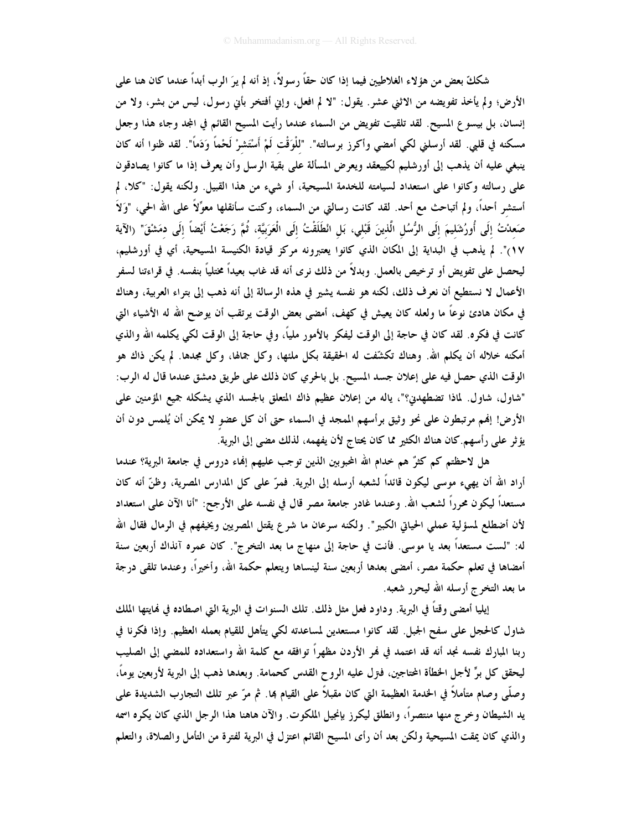شككَّ بعض من هؤ لاء الغلاطيين فيما إذا كان حقًّا رسولاً، إذ أنه لم يرَ الرب أبداً عندما كان هنا علمي الأرض؛ ولم يأخذ تفويضه من الاثني عشر. يقول: "لا لم افعل، وإني أفتخر بأني رسول، ليس من بشر، ولا من إنسان، بل بيسوع المسيح. لقد تلقيت تفويض من السماء عندما رأيت المسيح القائم في المجد وجاء هذا وجعل مسكنه في قلبي. لقد أرسلني لكي أمضي وأكرز برسالته". "للْوَقْت لَمْ أَسْتَشرْ لَحْماً وَدَماً". لقد ظنوا أنه كان ينبغي عليه أن يذهب إلى أورشليم لكييعقد ويعرض المسألة على بقية الرسل وأن يعرف إذا ما كانوا يصادقون على رسالته وكانوا على استعداد لسيامته للخدمة المسيحية، أو شيء من هذا القبيل. ولكنه يقول: "كلا، لم أستشر أحداً، ولم أتباحث مع أحد. لقد كانت رسالتي من السماء، وكنت سأنقلها معوِّلاً على الله الحي، "وَلاَ صَعدْتُ إلَى أُورُشَليمَ إلَى الرُّسُل الَّذينَ قَبْلى، بَل انْطَلَقْتُ إلَى الْعَرَبِيَّة، ثُمَّ رَجَعْتُ أيْضاً إلَى دمَشْقّ" (الآية ١٧)". لم يذهب في البداية إلى المكان الذي كانوا يعتبرونه مركز قيادة الكنيسة المسيحية، أي في أورشليم، ليحصل على تفويض أو ترخيص بالعمل. وبدلاً من ذلك نرى أنه قد غاب بعيداً مختلياً بنفسه. في قراءتنا لسفر الأعمال لا نستطيع أن نعرف ذلك، لكنه هو نفسه يشير في هذه الرسالة إلى أنه ذهب إلى بتراء العربية، وهناك في مكان هادئ نوعًا ما ولعله كان يعيش في كهف، أمضى بعض الوقت يرتقب أن يوضح الله له الأشياء التي كانت في فكره. لقد كان في حاجة إلى الوقت ليفكر بالأمور ملياً، وفي حاجة إلى الوقت لكي يكلمه الله والذي أمكنه خلاله أن يكلم الله. وهناك تكشَّفت له الحقيقة بكل ملنها، وكل جمالها، وكل مجدها. لم يكن ذاك هو الوقت الذي حصل فيه على إعلان جسد المسيح. بل بالحري كان ذلك على طريق دمشق عندما قال له الرب: "شاول، شاول. لماذا تضطهدن؟"، ياله من إعلان عظيم ذاك المتعلق بالجسد الذي يشكله جميع المؤمنين على الأرض! إفمم مرتبطون على نحو وثيق برأسهم الممجد في السماء حتى أن كل عضو لا يمكن أن يُلمس دون أن يؤثر على رأسهم.كان هناك الكثير مما كان يحتاج لأن يفهمه، لذلك مضى إلى البرية.

هل لاحظتم كم كثرٌ هم خدام الله المحبوبين الذين توجب عليهم إلهاء دروس في جامعة البرية؟ عندما أراد الله أن يهيء موسى ليكون قائداً لشعبه أرسله إلى البرية. فمرّ على كل المدارس المصرية، وظنّ أنه كان مستعداً ليكون محرراً لشعب الله. وعندما غادر جامعة مصر قال في نفسه على الأرجح: "أنا الآن على استعداد لأن أضطلع لمسؤلية عملي الحياتي الكبير". ولكنه سرعان ما شرع يقتل المصريين ويخيفهم في الرمال فقال الله له: "لست مستعداً بعد يا موسى. فأنت في حاجة إلى منهاج ما بعد التخرج". كان عمره آنذاك أربعين سنة أمضاها في تعلم حكمة مصر، أمضى بعدها أربعين سنة لينساها ويتعلم حكمة الله، وأخيراً، وعندما تلقى درجة ما بعد التخرج أرسله الله ليحرر شعبه.

إيليا أمضى وقتاً في البرية. وداود فعل مثل ذلك. تلك السنوات في البرية التي اصطاده في نمايتها الملك شاول كالحجل على سفح الجبل. لقد كانوا مستعدين لمساعدته لكي يتأهل للقيام بعمله العظيم. وإذا فكرنا في ربنا المبارك نفسه نجد أنه قد اعتمد في فمر الأردن مظهراً توافقه مع كلمة الله واستعداده للمضى إلى الصليب ليحقق كل برٍّ لأجل الخطأة المحتاجين، فـتزل عليه الروح القدس كحمامة. وبعدها ذهب إلى البرية لأربعين يوماً، وصلَّى وصام متأملاً في الخدمة العظيمة التي كان مقبلاً على القيام بما. ثم مرّ عبر تلك التجارب الشديدة على يد الشيطان وخرج منها منتصراً، وانطلق ليكرز بإنجيل الملكوت. والآن هاهنا هذا الرجل الذي كان يكره اسمه والذي كان يمقت المسيحية ولكن بعد أن رأى المسيح القائم اعتزل في البرية لفترة من التأمل والصلاة، والتعلم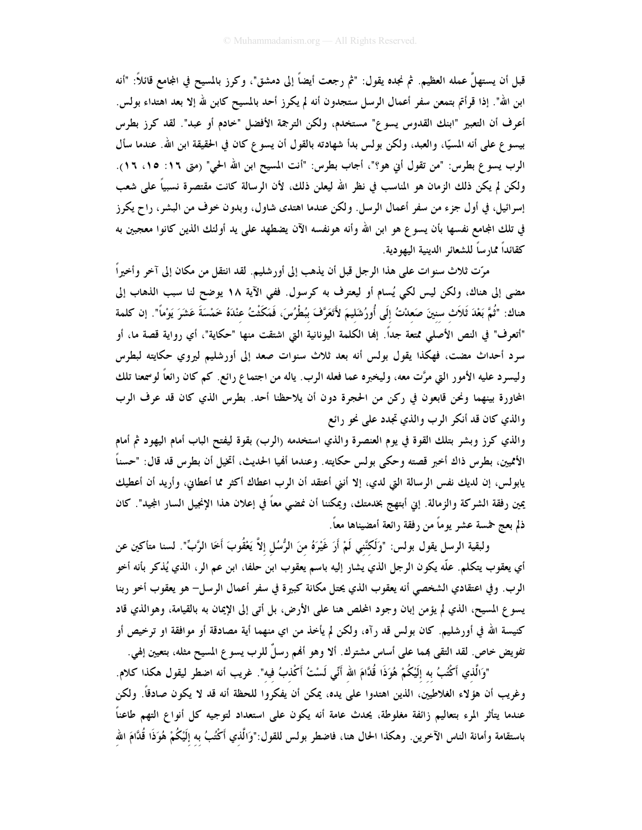قبل أن يستهلَّ عمله العظيم. ثم نجده يقول: "ثم رجعت أيضاً إلى دمشق"، وكرز بالمسيح في المجامع قائلاً: "أنه ابن الله". إذا قرأتم بتمعن سفر أعمال الرسل ستجدون أنه لم يكرز أحد بالمسيح كابن لله إلا بعد اهتداء بولس. أعرف أن التعبير "ابنك القدوس يسوع" مستخدم، ولكن الترجمة الأفضل "خادم أو عبد". لقد كرز بطرس بيسو ع على أنه المسيًّا، والعبد، ولكن بولس بدأ شهادته بالقول أن يسوع كان في الحقيقة ابن الله. عندما سأل الرب يسوع بطرس: "من تقول أني هو؟"، أجاب بطرس: "أنت المسيح ابن الله الحي" (متى ١٦: ١٥، ١٦). ولكن لم يكن ذلك الزمان هو المناسب في نظر الله ليعلن ذلك، لأن الرسالة كانت مقتصرة نسبياً على شعب إسرائيل، في أول جزء من سفر أعمال الرسل. ولكن عندما اهتدى شاول، وبدون خوف من البشر، راح يكرز في تلك المجامع نفسها بأن يسوع هو ابن الله وأنه هونفسه الآن يضطهد على يد أولئك الذين كانوا معجبين به كقائداً ممارساً للشعائر الدينية اليهودية.

مرّت ثلاث سنوات على هذا الرجل قبل أن يذهب إلى أورشليم. لقد انتقل من مكان إلى آخر وأخيراً مضى إلى هناك، ولكن ليس لكي يُسام أو ليعترف به كرسول. ففي الآية ١٨ يوضح لنا سبب الذهاب إلى هناك: "ثُمَّ بَعْدَ ثَلاَث سنينَ صَعدْتُ إلَى أُورُشَلِيمَ لأَتَعَرَّفَ بِبُطْرُسَ، فَمَكَشْتُ عنْدَهُ خَمْسَةَ عَشَرَ يَوْماً". إن كلمة "أتعرف" في النص الأصلي ممتعة جداً. إنما الكلمة اليونانية التي اشتقت منها "حكاية"، أي رواية قصة ما، أو سرد أحداث مضت، فهكذا يقول بولس أنه بعد ثلاث سنوات صعد إلى أورشليم ليروي حكايته لبطرس وليسرد عليه الأمور التي مرَّت معه، وليخبره عما فعله الرب. ياله من اجتماع رائع. كم كان رائعاً لوسمعنا تلك المحاورة بينهما ونحن قابعون في ركن من الحجرة دون أن يلاحظنا أحد. بطرس الذي كان قد عرف الرب والذي كان قد أنكر الرب والذي تجدد على نحو رائع

والذي كرز وبشر بتلك القوة في يوم العنصرة والذي استخدمه (الرب) بقوة ليفتح الباب أمام اليهود ثم أمام الأمميين، بطرس ذاك أخبر قصته وحكي بولس حكايته. وعندما أفميا الحديث، أتخيل أن بطرس قد قال: "حسناً يابولس، إن لديك نفس الرسالة التي لدي، إلا أنني أعتقد أن الرب اعطاك أكثر مما أعطاني، وأريد أن أعطيك يمين رفقة الشركة والزمالة. إنى أبتهج بخدمتك، ويمكننا أن نمضى معاً في إعلان هذا الإنجيل السار المجيد". كان ذلم بعج لهمسة عشر يوماً من رفقة رائعة أمضيناها معاً.

ولبقية الرسل يقول بولس: "وَلَكْنْنِي لَمْ أَرَ غَيْرَهُ منَ الرُّسُلِ إلاَّ يَعْقُوبَ أَخَا الرَّبِّ". لسنا متأكين عن أي يعقوب يتكلم. علَّه يكون الرجل الذي يشار إليه باسم يعقوب ابن حلفا، ابن عم الر، الذي يُذكر بأنه أخو الرب. وفي اعتقادي الشخصي أنه يعقوب الذي يحتل مكانة كبيرة في سفرٍ أعمال الرسل– هو يعقوب أخو ربنا يسوع المسيح، الذي لم يؤمن إبان وجود المحلص هنا على الأرض، بل أتى إلى الإيمان به بالقيامة، وهوالذي قاد كنيسة الله في أورشليم. كان بولس قد رآه، ولكن لم يأخذ من اي منهما أية مصادقة أو موافقة او ترخيص أو تفويض خاص. لقد التقى بمما على أساس مشترك. ألا وهو أفمم رسلٌ للرب يسو ع المسيح مثله، بتعيين إلهي.

"وَالَّذي أَكْتُبُ به إلَيْكُمْ هُوَذَا قُدَّامَ الله أَنِّي لَسْتُ أَكْذبُ فيه". غريب أنه اضطر ليقول هكذا كلام. وغريب أن هؤ لاء الغلاطيين، الذين اهتدوا على يده، يمكن أن يفكروا للحظة أنه قد لا يكون صادقاً. ولكن عندما يتأثر المرء بتعاليم زائفة مغلوطة، يحدث عامة أنه يكون على استعداد لتوجيه كل أنواع التهم طاعناً باستقامة وأمانة الناس الآخرين. وهكذا الحال هنا، فاضطر بولس للقول:"وَالَّذي أَكْتُبُ به إلَيْكُمْ هُوَذَا قُدَّامَ الله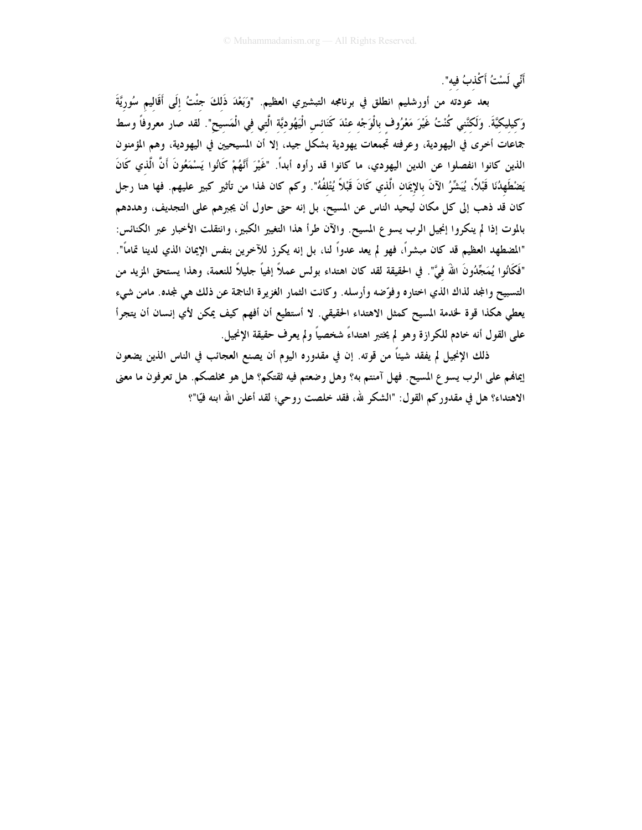أَنِّي لَسْتُ أَكْذبُ فيه".

بعد عودته من أورشليم انطلق في برنامجه التبشيري العظيم. "وَبَعْدَ ذَلكَ جئْتُ إلَى أَقَاليم سُوريَّةَ وَكيليكيَّةَ. وَلَكنَّني كُنْتُ غَيْرَ مَعْرُوف بالْوَجْه عِنْدَ كَنَائسِ الْيَهُودِيَّةِ الَّتِي فِي الْمَسيحِ". لقد صار معروفاً وسط جماعات أخرى في اليهودية، وعرفته تجمعات يهودية بشكل جيد، إلا أن المسيحيين في اليهودية، وهم المؤمنون الذين كانوا انفصلوا عن الدين اليهودي، ما كانوا قد رأوه أبداً. "غَيْرَ أَنَّهُمْ كَانُوا يَسْمَعُونَ أَنَّ الَّذي كَانَ يَضْطَهِدُنَا قَبْلاً، يُبَشِّرُ الآنَ بالإِيمَان الَّذي كَانَ قَبْلاً يُتْلفُهُ". وكم كان لهذا من تأثير كبير عليهم. فها هنا رجل كان قد ذهب إلى كل مكان ليحيد الناس عن المسيح، بل إنه حتى حاول أن يجبرهم على التجديف، وهددهم بالموت إذا لم ينكروا إنجيل الرب يسوع المسيح. والآن طرأ هذا التغيير الكبير، وانتقلت الأخبار عبر الكنائس: "المضطهد العظيم قد كان مبشراً، فهو لم يعد عدواً لنا، بل إنه يكرز للآخرين بنفس الإيمان الذي لدينا تماماً". "فَكَانُوا يُمَجِّدُونَ اللهُ فيَّ". في الحقيقة لقد كان اهتداء بولس عملاً إلهياً جليلاً للنعمة، وهذا يستحق المزيد من التسبيح والمجد لذاك الذي اختاره وفوِّضه وأرسله. وكانت الثمار الغزيرة الناجمة عن ذلك هي لمجده. مامن شيء يعطي هكذا قوة لخدمة المسيح كمثل الاهتداء الحقيقي. لا أستطيع أن أفهم كيف يمكن لأي إنسان أن يتجرأ على القول أنه خادم للكرازة وهو لم يختبر اهتداءً شخصياً ولم يعرف حقيقة الإنجيل.

ذلك الإنجيل لم يفقد شيئاً من قوته. إن في مقدوره اليوم أن يصنع العجائب في الناس الذين يضعون إيمالهم على الرب يسو ع المسيح. فهل آمنتم به؟ وهل وضعتم فيه ثقتكم؟ هل هو مخلصكم. هل تعرفون ما معنى الاهتداء؟ هل في مقدوركم القول: "الشكر لله، فقد خلصت روحي؛ لقد أعلن الله ابنه فيّا"؟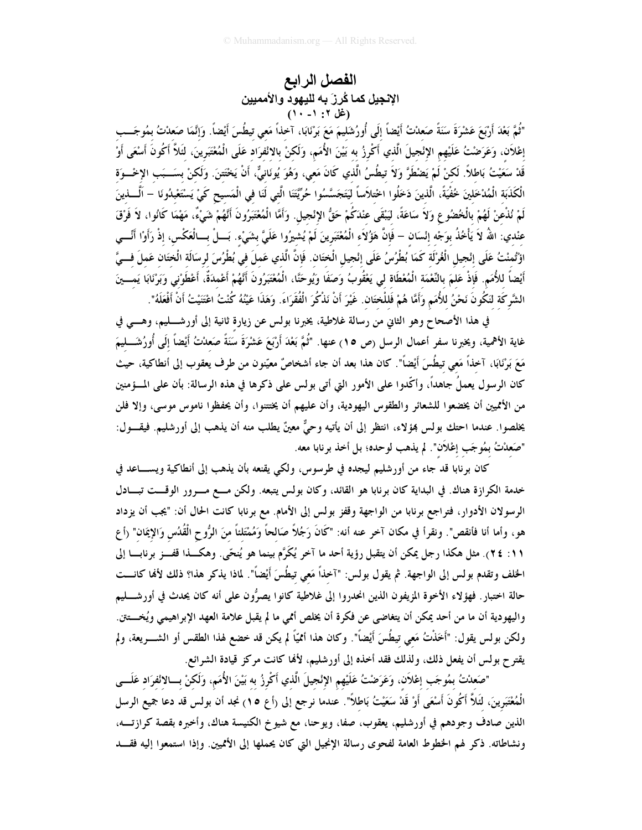# الفصل الرابع الإنجيل كما كُرِزَ به لليهود والأمميين<br>(غل ٢: ١- ١٠)

"ثُمَّ بَعْدَ أَرْبَعَ عَشْرَةَ سَنَةً صَعدْتُ أَيْضاً إلَى أُورُشَليمَ مَعَ بَرْنَابَا، آخذاً مَعى تيطُسَ أيْضاً. وَإنَّمَا صَعدْتُ بمُوجَــب إعْلاَن، وَعَرَضْتُ عَلَيْهِم الإِنْجيلَ الَّذي أَكْرِزُ به بَيْنَ الأُمَمِ، وَلَكنْ بالانْفرَاد عَلَى الْمُعْتَبَرينَ، لئَلاَّ أَكُونَ أَسْعَى أَوْ قَدْ سَعَيْتُ بَاطلاً. لَكنْ لَمْ يَضْطَرَّ وَلاَ تيطُسُ الَّذي كَانَ مَعى، وَهُوَ يُونَانِيٌّ، أَنْ يَخْتَننَ. وَلَكنْ بسَــبَب الإخْــوَة الْكَذَبَة الْمُدْخَلِينَ خُفْيَةً، الَّذينَ دَخَلُوا اخْتلاَساً لَيَتَجَسَّسُوا حُرِّيَّتَنا الَّتى لَنَا فى الْمَسيح كَىْ يَسْتَعْبدُونَا – اَلْـــذينَ لَمْ نُذْعنْ لَهُمْ بِالْخُضُوعِ وَلاَ سَاعَةً، لَيَبْقَى عِنْدَكُمْ حَقُّ الإِنْجِيلِ. وَأَمَّا الْمُعْتَبَرُونَ أَنَّهُمْ شَيْءٌ، مَهْمَا كَانُوا، لاَ فَرْقَ عنْدي: اللهُ لاَ يَأْخُذُ بوَجْه إنْسَان – فَإِنَّ هَؤُلاَء الْمُغْتَبَرينَ لَمْ يُشيرُوا عَلَىَّ بشَىْء. بَـــلْ بـــالْعَكْس، إذْ رَأَوْا أَنْــــى اؤْتُمنْتُ عَلَى إِنْجِيلِ الْغُرْلَة كَمَا بُطْرُسُ عَلَى إِنْجِيلِ الْخِتَانِ. فَإِنَّ الَّذي عَملَ في بُطْرُسَ لرسَالَة الْخِتَانِ عَملَ فــيَّ أَيْضاً للأُمَم. فَإِذْ عَلمَ بالنِّعْمَة الْمُعْطَاة لي يَعْقُوبُ وَصَفَا وَيُوحَنَّا، الْمُعْتَبَرُونَ أَنَّهُمْ أَعْمدَةٌ، أَعْطَوْني وَبَرْنَابَا يَمــينَ الشَّركَة لنَكُونَ نَحْنُ للأُمَمِ وَأَمَّا هُمْ فَللْختَان. غَيْرَ أَنْ نَذْكُرَ الْفُقَرَاءَ. وَهَذَا عَيْنُهُ كُنْتُ اعْتَنِيْتُ أَنْ أَفْعَلَهُ".

في هذا الأصحاح وهو الثاني من رسالة غلاطية، يخبرنا بولس عن زيارة ثانية إلى أورشــــليم، وهــــى في غاية الأهمية، ويخبرنا سفر أعمال الرسل (ص ١٥) عنها. "ثُمَّ بَعْدَ أَرْبَعَ عَشْرَةَ سَنَةً صَعدْتُ أَيْضاً إلَى أُورُشَـــليمَ مَعَ بَرْنَابَا، آخذاً مَعى تيطُسَ أَيْضاً". كان هذا بعد أن جاء أشخاصٌ معيّنون من طرف يعقوب إلى أنطاكية، حيث كان الرسول يعملُ جاهداً، وأكَّدوا على الأمور التي أتي بولس على ذكرها في هذه الرسالة: بأن على المسؤمنين من الأمميين أن يخضعوا للشعائر والطقوس اليهودية، وأن عليهم أن يختتنوا، وأن يحفظوا ناموس موسى، وإلا فلن يخلصوا. عندما احتك بولس بمؤلاء، انتظر إلى أن يأتيه وحيٌّ معينٌ يطلب منه أن يذهب إلى أورشليم. فيقــول: "صَعدْتُ بمُوجَب إعْلاَن". لم يذهب لوحده؛ بل أخذ برنابا معه.

كان برنابا قد جاء من أورشليم ليجده في طرسوس، ولكي يقنعه بأن يذهب إلى أنطاكية ويســــاعد في خدمة الكرازة هناك. في البداية كان برنابا هو القائد، وكان بولس يتبعه. ولكن مـــع مـــرور الوقـــت تبـــادل الرسولان الأدوار، فتراجع برنابا من الواجهة وقفز بولس إلى الأمام. مع برنابا كانت الحال أن: "يجب أن يزداد هو، وأما أنا فأنقص". ونقرأ في مكان آخر عنه أنه: "كَانَ رَجُلاً صَالحاً وَمُمْتَلئاً منَ الرُّوح الْقُدُس وَالإيمَان" (أع ١١: ٢٤). مثل هكذا رجل يمكن أن يتقبل رؤية أحد ما آخر يُكَرَّم بينما هو يُنحَّى. وهكـــذا قفـــز برنابـــا إلى الخلف وتقدم بولس إلى الواجهة. ثم يقول بولس: "آخذاً مَعي تيطُسَ أَيْضاً". لماذا يذكر هذا؟ ذلك لألها كانـــت حالة اختبارٍ. فهؤلاء الأخوة المزيفون الذين انحدروا إلى غلاطية كانوا يصرُّون على أنه كان يحدث في أورشــــليم واليهودية أن ما من أحد يمكن أن يتغاضى عن فكرة أن يخلص أممي ما لم يقبل علامة العهد الإبراهيمي ويُخـــتق. ولكن بولس يقول: "أَخَذْتُ مَعي تيطُسَ أَيْضاً". وكان هذا أممّيّاً لم يكن قد خضع لهذا الطقس أو الشــــريعة، ولم يقتر ح بولس أن يفعل ذلك، ولذلك فقد أخذه إلى أورشليم، لألها كانت مركز قيادة الشرائع.

"صَعدْتُ بمُوجَب إعْلاَن، وَعَرَضْتُ عَلَيْهم الإنْجيلَ الَّذي أَكْرِزُ به بَيْنَ الأُمَمِ، وَلَكنْ بـــالائفرَاد عَلَـــى الْمُعْتَبَرينَ، لَئَلاَّ أَكُونَ أَسْعَى أَوْ قَدْ سَعَيْتُ بَاطلاً". عندما نرجع إلى (أع ١٥) نجد أن بولس قد دعا جميع الرسل الذين صادف وجودهم في أورشليم، يعقوب، صفا، ويوحنا، مع شيوخ الكنيسة هناك، وأخبره بقصة كرازتـــه، ونشاطاته. ذكر لهم الخطوط العامة لفحوى رسالة الإنجيل التي كان يحملها إلى الأتميين. وإذا استمعوا إليه فقـــد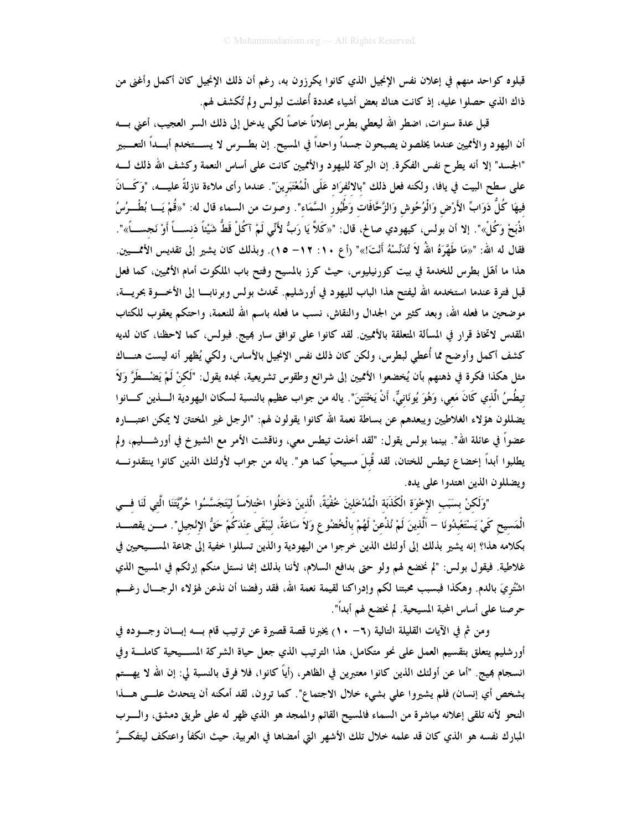قبلوه كواحد منهم في إعلان نفس الإنجيل الذي كانوا يكرزون به، رغم أن ذلك الإنجيل كان أكمل وأغنى من ذاك الذي حصلوا عليه، إذ كانت هناك بعض أشياء محددة أُعلنت لبولس ولم تُكشف لهم.

قبل عدة سنوات، اضطر الله ليعطي بطرس إعلاناً خاصاً لكي يدخل إلى ذلك السر العجيب، أعنى بــــه أن اليهود والأمميين عندما يخلصون يصبحون جسداً واحداً في المسيح. إن بطـــرس لا يســـتخدم أبـــداً التعـــبير "الجسد" إلا أنه يطرح نفس الفكرة. إن البركة لليهود والأمميين كانت على أساس النعمة وكشف الله ذلك لـــه على سطح البيت في يافا، ولكنه فعل ذلك "بالانْفرَاد عَلَى الْمُغْتَبَرينَ". عندما رأى ملاءة نازلةً عليــــه، "وَكَـــانَ فِيهَا كُلُّ دَوَابٍّ الأَرْضِ وَالْوُحُوشِ وَالزَّحَّافَات<sup>ُ</sup> و<sup>َ</sup>طُيُور<sup>ُ</sup> السَّمَاء". وصوت من السماء قال له: "«قُمْ يَــا بُطْــرُسُ اذْبَحْ وَكُلْ»". إلا أن بولس، كيهودي صالح، قال: "«كَلاَّ يَا رَبُّ لأَنِّي لَمْ آكُلْ قَطُّ شَيْئاً دَنســاً أوْ نَجســـاً»". فقال له الله: "«مَا طَهَّرَهُ اللهُ لاَ تُدَنِّسْهُ أَنْتَ!»" (أع ١٠: ١٢– ١٥). وبذلك كان يشير إلى تقديس الأممـــين. هذا ما أهّل بطرس للخدمة في بيت كورنيليوس، حيث كرز بالمسيح وفتح باب الملكوت أمام الأثميين، كما فعل قبل فترة عندما استخدمه الله ليفتح هذا الباب لليهود في أورشليم. تحدث بولس وبرنابـــا إلى الأخـــوة بحريــــة، موضحين ما فعله الله، وبعد كثير من الجدال والنقاش، نسب ما فعله باسم الله للنعمة، واحتكم يعقوب للكتاب المقدس لاتخاذ قرار في المسألة المتعلقة بالأمميين. لقد كانوا على توافق سار بميج. فبولس، كما لاحظنا، كان لديه كشف أكمل وأوضح مما أُعطى لبطرس، ولكن كان ذلك نفس الإنجيل بالأساس، ولكي يُظهر أنه ليست هنـــاك مثل هكذا فكرة في ذهنهم بأن يُخضعوا الأمميين إلى شرائع وطقوس تشريعية، نجده يقول: "لَكنْ لَمْ يَضْـــطَرَّ وَلاَ تيطُسُ الَّذي كَانَ مَعي، وَهُوَ يُونَانيٌّ، أَنْ يَخْتَتِنَ". ياله من جواب عظيم بالنسبة لسكان اليهودية الــــذين كــــانوا يضللون هؤلاء الغلاطيين ويبعدهم عن بساطة نعمة الله كانوا يقولون لهم: "الرجل غير المختتن لا يمكن اعتبـــاره عضواً في عائلة الله". بينما بولس يقول: "لقد أخذت تيطس معي، وناقشت الأمر مع الشيوخ في أورشــــليم، ولم يطلبوا أبداً إخضاع تيطس للختان، لقد قُبلَ مسيحياً كما هو". ياله من جواب لأولئك الذين كانوا ينتقدونـــه ويضللون الذين اهتدوا على يده.

"وَلَكنْ بسَبَب الإخْوَة الْكَذَبَة الْمُدْخَلِينَ خُفْيَةً، الَّذينَ دَخَلُوا اخْتلاَساً لَيَتَجَسَّسُوا حُرِّيَّتَنَا الَّتي لَنَا فـــي الْمَسيح كَيْ يَسْتَعْبِدُونَا – اَلّذينَ لَمْ نُذْعنْ لَهُمْ بِالْخُضُوعِ وَلاَ سَاعَةً، لَيَبْقَى عنْدَكُمْ حَقُّ الإنْجيل". مـــن يقصـــد بكلامه هذا؟ إنه يشير بذلك إلى أولئك الذين خرجوا من اليهودية والذين تسللوا خفية إلى جماعة المســيحيين في غلاطية. فيقول بولس: "لم نخضع لهم ولو حتى بدافع السلام، لأننا بذلك إنما نستل منكم إرثكم في المسيح الذي اشْتُريَ بالدم. وهكذا فبسبب محبتنا لكم وإدراكنا لقيمة نعمة الله، فقد رفضنا أن نذعن لهؤلاء الرجـــال رغـــم حرصنا على أساس المحبة المسيحية. لم نخضع لهم أبداً".

ومن ثم في الآيات القليلة التالية (٦- ١٠) يخبرنا قصة قصيرة عن ترتيب قام بـــه إبـــان وجـــوده في أورشليم يتعلق بتقسيم العمل على نحو متكامل، هذا الترتيب الذي جعل حياة الشركة المســيحية كاملــــة وفي انسجام بميج. "أما عن أولئك الذين كانوا معتبرين في الظاهر، (أياً كانوا، فلا فرق بالنسبة لي: إن الله لا يهـــتم بشخص أي إنسان) فلم يشيروا على بشيء خلال الاجتماع". كما ترون، لقد أمكنه أن يتحدث علـــى هـــذا النحو لأنه تلقى إعلانه مباشرة من السماء فالمسيح القائم والممجد هو الذي ظهر له على طريق دمشق، والسرب المبارك نفسه هو الذي كان قد علمه خلال تلك الأشهر التي أمضاها في العربية، حيث انكفأ واعتكف ليتفكــرَّ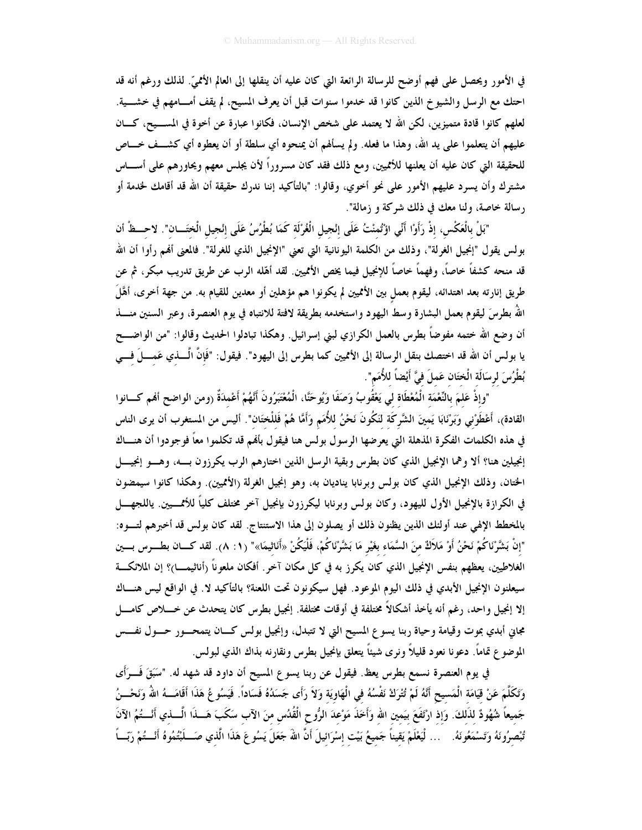في الأمور ويحصل على فهم أوضح للرسالة الرائعة التي كان عليه أن ينقلها إلى العالم الأمميّ. لذلك ورغم أنه قد احتك مع الرسل والشيوخ الذين كانوا قد خدموا سنوات قبل أن يعرف المسيح، لم يقف أمـــامهم في خشــــية. لعلهم كانوا قادة متميزين، لكن الله لا يعتمد على شخص الإنسان، فكانوا عبارة عن أخوة في المســـيح، كـــان عليهم أن يتعلموا على يد الله، وهذا ما فعله. ولم يسألهم أن يمنحوه أي سلطة أو أن يعطوه أي كشــف خـــاص للحقيقة التي كان عليه أن يعلنها للأمميين، ومع ذلك فقد كان مسروراً لأن يجلس معهم ويحاورهم على أســــاس مشترك وأن يسرد عليهم الأمور على نحو أخوي، وقالوا: "بالتأكيد إننا ندرك حقيقة أن الله قد أقامك لخدمة أو رسالة خاصة، ولنا معك في ذلك شركة و زمالة".

"بَلْ بِالْعَكْسِ، إذْ رَأَوْا أَنِّي اؤْتُمنْتُ عَلَى إنْجيل الْغُرْلَة كَمَا بُطْرُسُ عَلَى إنْجيل الْختَـــان". لاحـــظْ أن بولس يقول "إنجيل الغرلة"، وذلك من الكلمة اليونانية التي تعني "الإنجيل الذي للغرلة". فالمعنى أفمم رأوا أن الله قد منحه كشفاً خاصاً، وفهماً خاصاً للإنجيل فيما يخص الأمميين. لقد أهّله الرب عن طريق تدريب مبكر، ثم عن طريق إنارته بعد اهتدائه، ليقوم بعمل بين الأمميين لم يكونوا هم مؤهلين أو معدين للقيام به. من جهة أخرى، أهَّلَ اللهُ بطرسَ ليقوم بعمل البشارة وسط اليهود واستخدمه بطريقة لافتة للانتباه في يوم العنصرة، وعبر السنين منـــذ أن وضع الله ختمه مفوضاً بطرس بالعمل الكرازي لبني إسرائيل. وهكذا تبادلوا الحديث وقالوا: "من الواضـــح يا بولس أن الله قد اختصك بنقل الرسالة إلى الأمميين كما بطرس إلى اليهود". فيقول: "فَإِنَّ الْــــذي عَمــــلَ فـــي بُطْرُسَ لرسَالَة الْختَان عَملَ فيَّ أَيْضاً للأُمَم".

"وإذْ عَلمَ بالنِّعْمَة الْمُعْطَاة لي يَعْقُوبُ وَصَفَا وَيُوحَنَّا، الْمُعْتَبَرُونَ أَنَّهُمْ أَعْمدَةٌ (ومن الواضح أفمم كـــانوا القادة)، أَعْطَوْني وَبَرْنَابَا يَمينَ الشَّركَة لنَكُونَ نَحْنُ للأُمَمِ وَأَمَّا هُمْ فَللْختَان". أليس من المستغرب أن يرى الناس في هذه الكلمات الفكرة المذهلة التي يعرضها الرسول بولس هنا فيقول بأفهم قد تكلموا معاً فوجودوا أن هنساك إنجيلين هنا؟ ألا وهما الإنجيل الذي كان بطرس وبقية الرسل الذين اختارهم الرب يكرزون بسه، وهسو إنجيسل الختان، وذلك الإنجيل الذي كان بولس وبرنابا يناديان به، وهو إنجيل الغرلة (الأمميين). وهكذا كانوا سيمضون في الكرازة بالإنجيل الأول لليهود، وكان بولس وبرنابا ليكرزون بإنجيل آخر مختلف كلياً للأممـــيين. ياللجهــــل بالمخطط الإلهي عند أولئك الذين يظنون ذلك أو يصلون إلى هذا الاستنتاج. لقد كان بولس قد أخبرهم لتسوه: "إنْ بَشَّرْنَاكُمْ نَحْنُ أَوْ مَلاَكٌ منَ السَّمَاء بغَيْر مَا بَشَّرْنَاكُمْ، فَلْيَكُنْ «أَنَاثيمَا»" (١: ٨). لقد كـــان بطـــرس بـــين الغلاطيين، يعظهم بنفس الإنجيل الذي كان يكرز به في كل مكان آخرٍ. أفكان ملعوناً (أناثيمـــا)؟ إن الملائكـــة سيعلنون الإنجيل الأبدي في ذلك اليوم الموعود. فهل سيكونون تحت اللعنة؟ بالتأكيد لا. في الواقع ليس هنـــاك إلا إنجيل واحد، رغم أنه يأخذ أشكالاً مختلفة في أوقات مختلفة. إنجيل بطرس كان يتحدث عن خــــلاص كامــــل مجاني أبدي بموت وقيامة وحياة ربنا يسوع المسيح التي لا تتبدل، وإنجيل بولس كــان يتمحــور حــول نفـــس الموضوع تماماً. دعونا نعود قليلاً ونرى شيئاً يتعلق بإنجيل بطرس ونقارنه بذاك الذي لبولس.

في يوم العنصرة نسمع بطرس يعظ. فيقول عن ربنا يسوع المسيح أن داود قد شهد له. "سَبَقَ فَـــرَأَى وَتَكَلَّمَ عَنْ قِيَامَة الْمَسيح أَنَّهُ لَمْ تُتْرَكْ نَفْسُهُ في الْهَاوِيَة وَلاَ رَأَى جَسَدُهُ فَسَاداً. فَيَسُوعُ هَذَا أَقَامَـــهُ اللهُ وَنَحْــنُ جَميعاً شُهُودٌ لذَلكَ. وَإذ ارْتَفَعَ بيَمين الله وَأخَذَ مَوْعدَ الرُّوح الْقُدُس منَ الآب سَكَبَ هَـــذَا الْــــذي أنْــــتُمُ الآنَ تُبْصِرُونَهُ وَتَسْمَعُونَهُ. ... لْيَعْلَمْ يَقيناً جَمِيعُ بَيْت إسْرَائيلَ أَنَّ اللهَ جَعَلَ يَسُوعَ هَذَا الَّذي صَـــلَبْتُمُوهُ أَنْـــتُمْ رَبّـــاً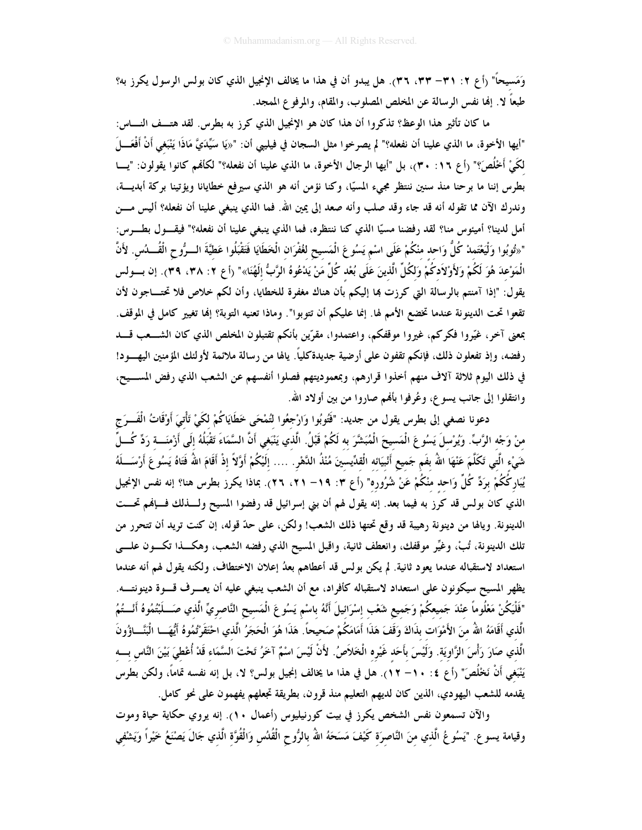وَمَسيحاً" (أع ٢: ٣١– ٣٣، ٣٦). هل يبدو أن في هذا ما يخالف الإنجيل الذي كان بولس الرسول يكرز به؟ طبعاً لا. إنها نفس الرسالة عن المخلص المصلوب، والمقام، والمرفوع الممجد.

ما كان تأثير هذا الوعظ؟ تذكروا أن هذا كان هو الإنجيل الذي كرز به بطرس. لقد هتــف النـــاس: "أيها الأخوة، ما الذي علينا أن نفعله؟" لم يصرخوا مثل السجان في فيليبي أن: "«يَا سَيِّدَيَّ مَاذَا يَنْبَغى أَنْ أَفْعَـــلَ لكَيْ أَخْلُصَ؟" (أع ١٦: ٣٠)، بل "أيها الرجال الأخوة، ما الذي علينا أن نفعله؟" لكأفمم كانوا يقولون: "يسا بطرس إننا ما برحنا منذ سنين ننتظر مجيء المسيًّا، وكنا نؤمن أنه هو الذي سيرفع خطايانا ويؤتينا بركة أبديسة، وندرك الآن مما تقوله أنه قد جاء وقد صلب وأنه صعد إلى يمين الله. فما الذي ينبغي علينا أن نفعله؟ أليس مـــن أمل لدينا؟ أميئوس منا؟ لقد رفضنا مسيًّا الذي كنا ننتظره، فما الذي ينبغي علينا أن نفعله؟" فيقـــول بطــــرس: "«تُوبُوا وَلْيَعْتَمدْ كُلُّ وَاحد منْكُمْ عَلَى اسْم يَسُو عَ الْمَسيح لغُفْرَان الْخَطَايَا فَتَقْبَلُوا عَطيَّةَ الــرُّوح الْقُــــدُس. لأَنَّ الْمَوْعدَ هُوَ لَكُمْ وَلأَوْلاَدكُمْ وَلكُلِّ الَّذينَ عَلَى بُعْد كُلِّ مَنْ يَدْعُوهُ الرَّبُّ إلَهُنَا»" (أع ٢: ٣٨، ٣٩). إن بسـولس يقول: "إذا آمنتم بالرسالة التي كرزت بما إليكم بأن هناك مغفرة للخطايا، وأن لكم خلاص فلا تحتـــاجون لأن تقعوا تحت الدينونة عندما تخضع الأمم لها. إنما عليكم أن تتوبوا". وماذا تعنيه التوبة؟ إنما تغيير كامل في الموقف. بمعنى آخر، غيّروا فكركم، غيروا موقفكم، واعتمدوا، مقرّين بأنكم تقتبلون المخلص الذي كان الشـــعب قـــد رفضه، وإذ تفعلون ذلك، فإنكم تقفون على أرضية جديدةكلياً. يالها من رسالة ملائمة لأولئك المؤمنين اليهـــود! في ذلك اليوم ثلاثة آلاف منهم أخذوا قرارهم، وبمعموديتهم فصلوا أنفسهم عن الشعب الذي رفض المســيح، وانتقلوا إلى جانب يسوع، وعُرِفوا بألهم صاروا من بين أولاد الله.

دعونا نصغي إلى بطرس يقول من جديد: "فَتُوبُوا وَارْجِعُوا لتُمْحَى خَطَايَاكُمْ لكَيْ تَأْتِيَ أَوْقَاتُ الْفَــرَج منْ وَجْه الرَّبِّ. ويُرْسلَ يَسُو عَ الْمَسيحَ الْمُبَشَّرَ به لَكُمْ قَبْلُ. الَّذ<sup>ِ</sup>ي يَنْبَغى أَنَّ السَّمَاءَ تَقْبَلُهُ إلَى أَرْمنَـــة رَدِّ كُـــلِّ شَيْء الَّتِي تَكَلَّمَ عَنْهَا اللهُ بفَم جَميع أَنْبِيَائه الْقدِّيسينَ مُنْذُ الدَّهْرِ . .... إِلَيْكُمْ أَوَّلاً إِذْ أَقَامَ اللهُ فَتَاهُ يَسُو عَ أَرْسَــلَهُ يُبَاركُكُمْ برَدِّ كُلِّ وَاحِد منْكُمْ عَنْ شُرُوره" (أع ٣: ١٩– ٢١، ٢٦). بماذا يكرز بطرس هنا؟ إنه نفس الإنجيل الذي كان بولس قد كرز به فيما بعد. إنه يقول لهم أن بني إسرائيل قد رفضوا المسيح ولــــذلك فــــإنهم تحـــت الدينونة. ويالها من دينونة رهيبة قد وقع تحتها ذلك الشعب! ولكن، على حدّ قوله، إن كنت تريد أن تتحرر من تلك الدينونة، تُبْ، وغيِّر موقفك، وانعطف ثانية، واقبل المسيح الذي رفضه الشعب، وهكـــذا تكـــون علــــى استعداد لاستقباله عندما يعود ثانية. لم يكن بولس قد أعطاهم بعدُ إعلان الاختطاف، ولكنه يقول لهم أنه عندما يظهر المسيح سيكونون على استعداد لاستقباله كأفراد، مع أن الشعب ينبغي عليه أن يعـــرف قــــوة دينونتــــه. "فَلَيَكُنْ مَعْلُوماً عنْدَ جَميعكُمْ وَجَميع شَعْب إسْرَائيلَ أَنَّهُ باسْم يَسُوعَ الْمَسيح النَّاصريِّ الّذي صَـــلَبْتُمُوهُ أَنْـــتُمُ الَّذي أَقَامَهُ اللَّهُ منَ الأَمْوَات بذَاكَ وَقَفَ هَذَا أَمَامَكُمْ صَحِيحاً. هَذَا هُوَ الْحَجَرُ الَّذي احْتَقَرْتُمُوهُ أَيُّهَــا الْبَنَّـــاؤُونَ الَّذي صَارَ رَأْسَ الزَّاوِيَة. وَلَيْسَ بأَحَد غَيْره الْخَلاَصُ. لأَنْ لَيْسَ اسْمٌ آخَرُ تَحْتَ السَّمَاء قَدْ أُعْطيَ بَيْنَ النَّاس بـــه يَنْبَغي أَنْ نَخْلُصَ" (أع ٤: ١٠– ١٢). هل في هذا ما يخالف إنجيل بولس؟ لا، بل إنه نفسه تماماً، ولكن بطرس يقدمه للشعب اليهودي، الذين كان لديهم التعليم منذ قرون، بطريقة تجعلهم يفهمون على نحو كامل.

والآن تسمعون نفس الشخص يكرز في بيت كورنيليوس (أعمال ١٠). إنه يروي حكاية حياة وموت وقيامة يسوع. "يَسُوعُ الَّذي منَ النَّاصرَة كَيْفَ مَسَحَهُ اللهُ بالرُّوحِ الْقُدُسِ وَالْقُوَّةِ الَّذي جَالَ يَصْنَعُ خَيْراً وَيَشْفي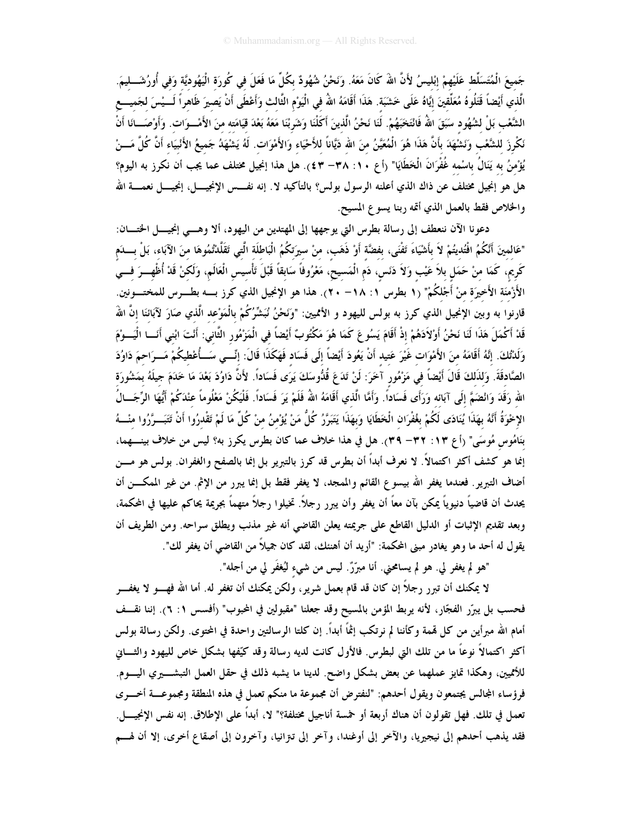جَميعَ الْمُتَسَلِّط عَلَيْهِمْ إبْليسُ لأَنَّ اللهَ كَانَ مَعَهُ. وَنَحْنُ شُهُودٌ بكُلِّ مَا فَعَلَ في كُورَةِ الْيَهُوديَّةِ وَفِي أُورُشَـــلِيمَ. الَّذي أَيْضاً قَتَلُوهُ مُعَلِّقينَ إيَّاهُ عَلَى خَشَبَة. هَذَا أَقَامَهُ اللهُ في الْيَوْمِ الثَّالث وَأَعْطَى أَنْ يَصيرَ ظَاهراً لَـــيْسَ لجَميـــع الشَّعْب بَلْ لشُهُود سَبَقَ اللهُ فَانْتَخَبَهُمْ. لَنَا نَحْنُ الَّذينَ أَكَلْنَا وَشَربْنَا مَعَهُ بَعْدَ قيَامَته منَ الأَمْــوَات. وَأَوْصَـــانَا أَنْ نَكْرِزَ للشَّعْبِ وَنَشْهَدَ بأنَّ هَذَا هُوَ الْمُعَيَّنُ منَ الله دَيَّاناً للأَحْيَاء وَالأَمْوَات. لَهُ يَشْهَدُ جَميعُ الأَنْبيَاء أَنَّ كُلَّ مَـــنْ يُؤْمنُ به يَنَالُ باسْمه غُفْرَانَ الْخَطَايَا" (أع ٣٨: ٣٨— ٤٣). هل هذا إنجيل مختلف عما يجب أن نكرز به اليوم؟ هل هو إنجيل مختلف عن ذاك الذي أعلنه الرسول بولس؟ بالتأكيد لا. إنه نفـــس الإنجيــــل، إنجيــــل نعمــــة الله والخلاص فقط بالعمل الذي أتمه ربنا يسوع المسيح.

دعونا الآن ننعطف إلى رسالة بطرس التي يوجهها إلى المهتدين من اليهود، ألا وهـــي إنجيــــل الحخــــان: "عَالِمِينَ أَنَّكُمُ افْتُدِيتُمْ لاَ بِأَشْيَاءَ تَفْنَى، بِفِضَّةِ أَوْ ذَهَبٍ، مِنْ سِيرَتِكُمُ الْبَاطِلَةِ الَّتِي تَقَلَّدْتُمُوهَا مِنَ الآبَاءِ، بَلْ بِسَلَم كَرِيم، كَمَا منْ حَمَل بلاَ عَيْب وَلاَ دَنَس، دَم الْمَسيحُ، مَعْرُوفاً سَابقاً قَبْلَ تَأْسيس الْعَالَم، وَلَكنْ قَدْ أُظْهِـــرَ فـــي الأَرْمَنَة الأَخيرَة منْ أَجْلكُمْ" (١ بطرس ١: ١٨– ٢٠). هذا هو الإنجيل الذي كرز بــــه بطــــرس للمختــــونين. قارنوا به وبين الإنجيل الذي كرز به بولس لليهود و الأمميين: "وَنَحْنُ نُبَشِّرُكُمْ بِالْمَوْعِد الَّذي صَارَ لآبائنَا إنَّ اللهُ قَدْ أَكْمَلَ هَذَا لَنَا نَحْنُ أَوْلاَدَهُمْ إذْ أَقَامَ يَسُوعَ كَمَا هُوَ مَكْتُوبٌ أَيْضاً في الْمَرْمُورِ الثَّانِي: أَنْتَ ابْني أَنَـــا الْيَـــوْمَ وَلَدْتُكَ. إِنَّهُ أَقَامَهُ منَ الأَمْوَات غَيْرَ عَتِيد أَنْ يَعُودَ أَيْضاً إلَى فَسَاد فَهَكَذَا قَالَ: إنِّــي سَــأُعْطيكُمْ مَــرَاحمَ دَاوُدَ الصَّادقَةَ. وَلذَلكَ قَالَ أَيْضاً في مَزْمُور آخَرَ: لَنْ تَدَعَ قُدُّوسَكَ يَرَى فَسَاداً. لأَنَّ دَاوُدَ بَعْدَ مَا خَدَمَ جيلَهُ بمَشُورَة الله رَقَدَ وَانْضَمَّ إلَى آبَائه وَرَأَى فَسَاداً. وَأَمَّا الَّذي أَقَامَهُ اللَّهُ فَلَمْ يَرَ فَسَاداً. فَلْيَكُنْ مَعْلُوماً عنْدَكُمْ أَيُّهَا الرِّجَــالُ الإِحْوَةُ أَنَّهُ بِهَذَا يُنَادَى لَكُمْ بغُفْرَان الْخَطَايَا وَبهَذَا يَتَبَرَّرُ كُلٌّ مَنْ يُؤْمنُ منْ كُلٌّ مَا لَمْ تَقْدرُوا أَنْ تَتَبَــرَّرُوا منْـــهُ بنَامُوس مُوسَى" (أع ٢٣: ٣٢– ٣٩). هل في هذا خلاف عما كان بطرس يكرز به؟ ليس من خلاف بينـــهما، إنما هو كشف أكثر اكتمالاً. لا نعرف أبداً أن بطرس قد كرز بالتبرير بل إنما بالصفح والغفران. بولس هو مـــن أضاف التبرير . فعندما يغفر الله بيسوع القائم والممجد، لا يغفر فقط بل إنما يبرر من الإثم. من غير الممكـــن أن يحدث أن قاضياً دنيوياً يمكن بآن معاً أن يغفر وأن يبرر رجلاً. تخيلوا رجلاً متهماً بجريمة يحاكم عليها في المحكمة، وبعد تقديم الإثبات أو الدليل القاطع على جريمته يعلن القاضي أنه غير مذنب ويطلق سراحه. ومن الطريف أن يقول له أحد ما وهو يغادر مبنى المحكمة: "أريد أن أهنئك، لقد كان جميلاً من القاضي أن يغفر لك".

"هو لم يغفر لي. هو لم يسامحني. أنا مبرّزٌ. ليس من شيء ليُغفَر لي من أجله".

لا يمكنك أن تبرر رجلاً إن كان قد قام بعمل شرير، ولكن يمكنك أن تغفر له. أما الله فهــــو لا يغفــــر فحسب بل يبرّر الفجّار، لأنه يربط المؤمن بالمسيح وقد جعلنا "مقبولين في المحبوب" (أفسس ١: ٦). إننا نقــف أمام الله مبرأين من كل قممة وكأننا لم نرتكب إثمًا أبداً. إن كلتا الرسالتين واحدة في المحتوى. ولكن رسالة بولس أكثر اكتمالاً نوعاً ما من تلك التي لبطرس. فالأول كانت لديه رسالة وقد كيّفها بشكل خاص لليهود والثــــاني للأمميين، وهكذا تمايز عملهما عن بعض بشكل واضح. لدينا ما يشبه ذلك في حقل العمل التبشــــيري اليـــــوم. فرؤساء المجالس يجتمعون ويقول أحدهم: "لنفترض أن مجموعة ما منكم تعمل في هذه المنطقة ومجموعــــة أخــــرى تعمل في تلك. فهل تقولون أن هناك أربعة أو خمسة أناجيل مختلفة؟" لا، أبداً على الإطلاق. إنه نفس الإنجيــــل. فقد يذهب أحدهم إلى نيجيريا، والآخر إلى أوغندا، وآخر إلى تتزانيا، وآخرون إلى أصقاع أخرى، إلا أن لهــم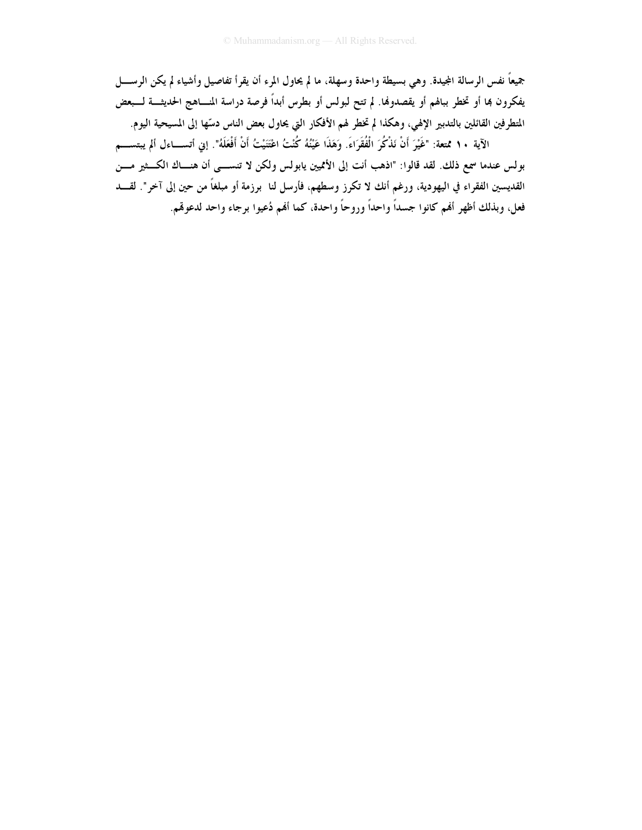جميعاً نفس الرسالة المجيدة. وهي بسيطة واحدة وسهلة، ما لم يحاول المرء أن يقرأ تفاصيل وأشياء لم يكن الرســـــل يفكرون بما أو تخطر ببالهم أو يقصدونها. لم تتح لبولس أو بطرس أبداً فرصة دراسة المســاهـج الحديثـــة لــــبعض المتطرفين القائلين بالتدبير الإلهي، وهكذا لم تخطر لهم الأفكار التي يحاول بعض الناس دسّها إلى المسيحية اليوم.

الآية ١٠ ممّتعة: "غَيْرَ أَنْ نَذْكُرَ الْفُقَرَاءَ. وَهَذَا عَيْنُهُ كُنْتُ اعْتَنَيْتُ أَنْ أَفْعَلَهُ". إنى أتســاءل ألم يبتســـم بولس عندما سمع ذلك. لقد قالوا: "اذهب أنت إلى الأمميين يابولس ولكن لا تنســـي أن هنـــاك الكـــثير مـــن القديسين الفقراء في اليهودية، ورغم أنك لا تكرز وسطهم، فأرسل لنا ۖ برزمة أو مبلغاً من حين إلى آخر". لقــــد فعل، وبذلك أظهر أفمم كانوا جسداً واحداً وروحاً واحدة، كما أفمم دُعيوا برجاء واحد لدعوقم.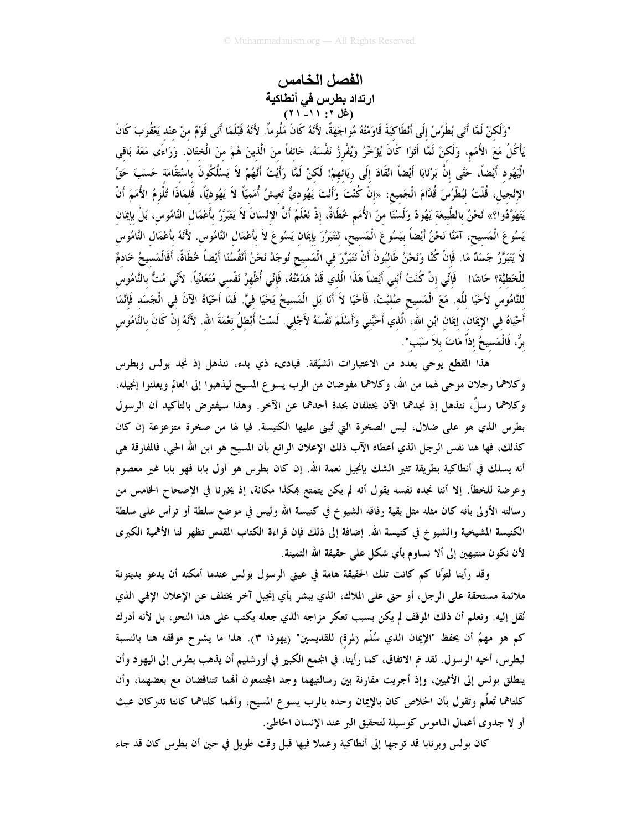### الفصل الخامس ارتداد بطرس في أنطاكية  $(31 - 11)$ : (غل ۲: ۲۱)

"وَلَكنْ لَمَّا أَتَى بُطْرُسُ إِلَى أَنْطَاكِيَةَ قَاوَمْتُهُ مُواجَهَةً، لأَنَّهُ كَانَ مَلُوماً. لأَنَّهُ قَبْلَمَا أَتَى قَوْمٌ منْ عنْد يَعْقُوبَ كَانَ يَأْكُلُ مَعَ الأُمَمِ، وَلَكنْ لَمَّا أَتَوْا كَانَ يُؤَخِّرُ وَيُفْرِزُ نَفْسَهُ، خَائفاً منَ الَّذينَ هُمْ منَ الْختَان. وَرَاءَى مَعَهُ بَاقِي الْيَهُود أَيْضاً، حَتَّى إنَّ بَرْنَابَا أَيْضاً ائْقَادَ إلَى ريَائهمْ! لَكنْ لَمَّا رَأَيْتُ أَنَّهُمْ لاَ يَسْلُكُونَ باسْتقَامَة حَسَبَ حَقٍّ الإِنْجيل، قُلْتُ لبُطْرُسَ قُدَّامَ الْجَميع: «إنْ كُنْتَ وَأَنْتَ يَهُوديٌّ تَعِيشُ أُمَميّاً لاَ يَهُوديّاً، فَلمَاذَا تُلْزِمُ الأُمَمَ أَنْ يَتَهَوَّدُوا؟» نَحْنُ بالطَّبيعَة يَهُودٌ وَلَسْنَا منَ الأُمَم خُطَاةً، إذْ نَعْلَمُ أَنَّ الإِنْسَانَ لاَ يَتَبَرَّرُ بأَعْمَال النَّامُوس، بَلْ بإيمَان يَسُوعَ الْمَسيحِ، آمَنَّا نَحْنُ أَيْضاً بيَسُوعَ الْمَسيحِ، لنَتَبَرَّرَ بإيمَان يَسُوعَ لاَ بأَعْمَال النَّاهُوس لأَنَّهُ بأَعْمَال النَّاهُوس لاَ يَتَبَرَّرُ جَسَدٌ مَا. فَإنْ كُنَّا وَنَحْنُ طَالبُونَ أَنْ نَتَبَرَّرَ في الْمَسيح نُوجَدُ نَحْنُ أَنْفُسُنَا أَيْضاً خُطَاةً، أَفَالْمَسِيحُ خَادِمٌ للْخَطيَّة؟ حَاشَا! ۖ فَإِنِّي إنْ كُنْتُ أَبْني أَيْضاً هَذَا الَّذي قَدْ هَدَمْتُهُ، فَإِنِّي أُظْهِرُ نَفْسي مُتَعَدِّياً. لأَنِّي مُتُّ بالنَّامُوس للنَّامُوس لأَحْيَا للَّه. مَعَ الْمَسيح صُلبْتُ، فَأَحْيَا لاَ أَنَا بَل الْمَسيحُ يَحْيَا فيَّ. فَمَا أَحْيَاهُ الآنَ في الْجَسَد فَإِنَّمَا أَحْيَاهُ في الإيمَان، إيمَان ابْن الله، الَّذي أَحَبَّني وَأَسْلَمَ نَفْسَهُ لأَجْلي. لَسْتُ أُبْطلُ نغمَةَ الله. لأَنَّهُ إنْ كَانَ بالنَّامُوس برٌّ، فَالْمَسيحُ إذاً مَاتَ بلاَ سَبَب".

هذا المقطع يوحى بعدد من الاعتبارات الشيّقة. فبادىء ذي بدء، ننذهل إذ نجد بولس وبطرس وكلاهما رجلان موحى لهما من الله، وكلاهما مفوضان من الرب يسوع المسيح ليذهبوا إلى العالم ويعلنوا إنجيله، وكلاهما رسلٌ، ننذهل إذ نجدهما الآن يختلفان بحدة أحدهما عن الآخر . وهذا سيفترض بالتأكيد أن الرسول بطرس الذي هو على ضلال، ليس الصخرة التي تُبنى عليها الكنيسة. فيا لها من صخرة متزعزعة إن كان كذلك، فها هنا نفس الرجل الذي أعطاه الآب ذلك الإعلان الرائع بأن المسيح هو ابن الله الحي، فالمفارقة هي أنه يسلك في أنطاكية بطريقة تثير الشك بإنجيل نعمة الله. إن كان بطرس هو أول بابا فهو بابا غير معصوم وعرضة للخطأ. إلا أننا نجده نفسه يقول أنه لم يكن يتمتع بمكذا مكانة، إذ يخبرنا في الإصحاح الحامس من رسالته الأولى بأنه كان مثله مثل بقية رفاقه الشيوخ في كنيسة الله وليس في موضع سلطة أو ترأس على سلطة الكنيسة المشيخية والشيو خ في كنيسة الله. إضافة إلى ذلك فإن قراءة الكتاب المقدس تظهر لنا الأهمية الكبرى لأن نكون منتبهين إلى ألا نساوم بأي شكل على حقيقة الله الثمينة.

وقد رأينا لتوَّنا كم كانت تلك الحقيقة هامة في عيني الرسول بولس عندما أمكنه أن يدعو بدينونة ملائمة مستحقة على الرجل، أو حتى على الملاك، الذي يبشر بأي إنجيل آخر يختلف عن الإعلان الإلهي الذي نُقل إليه. ونعلم أن ذلك الموقف لم يكن بسبب تعكر مزاجه الذي جعله يكتب على هذا النحو، بل لأنه أدرك كم هو مهمٌ أن يحفظ "الإيمان الذي سُلِّم (لمرة) للقديسين" (يهوذا ٣). هذا ما يشرح موقفه هنا بالنسبة لبطرس، أخيه الرسول. لقد تم الاتفاق، كما رأينا، في المجمع الكبير في أورشليم أن يذهب بطرس إلى اليهود وأن ينطلق بولس إلى الأمميين، وإذ أجريت مقارنة بين رسالتيهما وجد المجتمعون ألهما تتناقضان مع بعضهما، وأن كلتاهما تُعلُّم وتقول بأن الخلاص كان بالإيمان وحده بالرب يسوع المسيح، وألهما كلتاهما كانتا تدركان عبث أو لا جدوى أعمال الناموس كوسيلة لتحقيق البر عند الإنسان الخاطئ.

كان بولس وبرنابا قد توجها إلى أنطاكية وعملا فيها قبل وقت طويل في حين أن بطرس كان قد جاء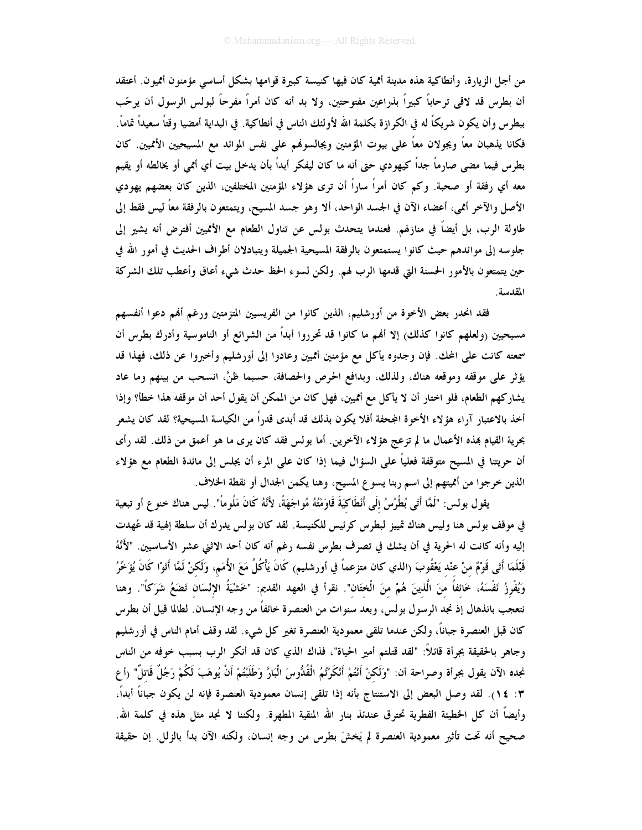من أجل الزيارة، وأنطاكية هذه مدينة أثمية كان فيها كنيسة كبيرة قوامها بشكل أساسي مؤمنون أثميون. أعتقد أن بطرس قد لاقى ترحاباً كبيراً بذراعين مفتوحتين، ولا بد أنه كان أمراً مفرحاً لبولس الرسول أن يرحّب ببطرس وأن يكون شريكاً له في الكرازة بكلمة الله لأولئك الناس في أنطاكية. في البداية أمضيا وقتاً سعيداً تماماً. فكانا يذهبان معاً ويجولان معاً على بيوت المؤمنين ويجالسوفمم على نفس الموائد مع المسيحيين الأمميين. كان بطرس فيما مضى صارماً جداً كيهودي حتى أنه ما كان ليفكر أبداً بأن يدخل بيت أي أثمى أو يخالطه أو يقيم معه أي رفقة أو صحبة. وكم كان أمراً ساراً أن ترى هؤلاء المؤمنين المختلفين، الذين كان بعضهم يهودي الأصل والآخر أممي، أعضاء الآن في الجسد الواحد، ألا وهو جسد المسيح، ويتمتعون بالرفقة معاً ليس فقط إلى طاولة الرب، بل أيضاً في منازلهم. فعندما يتحدث بولس عن تناول الطعام مع الأمميين أفترض أنه يشير إلى جلوسه إلى موائدهم حيث كانوا يستمتعون بالرفقة المسيحية الجميلة ويتبادلان أطراف الحديث في أمور الله في حين يتمتعون بالأمور الحسنة التي قدمها الرب لهم. ولكن لسوء الحظ حدث شيء أعاق وأعطب تلك الشركة المقدسة.

فقد انحدر بعض الأخوة من أورشليم، الذين كانوا من الفريسيين المتزمتين ورغم ألهم دعوا أنفسهم مسيحيين (ولعلهم كانوا كذلك) إلا أفمم ما كانوا قد تحرروا أبداً من الشرائع أو الناموسية وأدرك بطرس أن سمعته كانت على المحك. فإن وجدوه يأكل مع مؤمنين أمميين وعادوا إلى أورشليم وأخبروا عن ذلك، فهذا قد يؤثر على موقفه وموقعه هناك، ولذلك، وبدافع الحرص والحصافة، حسبما ظنَّ، انسحب من بينهم وما عاد يشاركهم الطعام، فلو اختار أن لا يأكل مع أُمميين، فهل كان من الممكن أن يقول أحد أن موقفه هذا خطأ؟ وإذا أخذ بالاعتبار آراء هؤلاء الأخوة المجحفة أفلا يكون بذلك قد أبدى قدراً من الكياسة المسيحية؟ لقد كان يشعر بحرية القيام بمذه الأعمال ما لم تزعج هؤلاء الآخرين. أما بولس فقد كان يرى ما هو أعمق من ذلك. لقد رأى أن حريتنا في المسيح متوقفة فعلياً على السؤال فيما إذا كان على المرء أن يجلس إلى مائدة الطعام مع هؤلاء الذين خرجوا من أمميتهم إلى اسم ربنا يسوع المسيح، وهنا يكمن الجدال أو نقطة الخلاف.

يقول بولس: "لَمَّا أَتَى بُطْرُسُ إِلَى أَنْطَاكِيَةَ قَاوَمْتُهُ مُواجَهَةً، لأَنَّهُ كَانَ مَلُوماً". ليس هناك خنو ع أو تبعية في موقف بولس هنا وليس هناك تمييز لبطرس كرئيس للكنيسة. لقد كان بولس يدرك أن سلطة إلهية قد عُهدت إليه وأنه كانت له الحرية في أن يشك في تصرف بطرس نفسه رغم أنه كان أحد الاثني عشر الأساسيين. "لأَنَّهُ قَبْلَمَا أَتَى قَوْمٌ منْ عنْد يَعْقُوبَ (الذي كان متزعماً في أورشليم) كَانَ يَأْكُلُ مَعَ الأُمَمِ، وَلَكنْ لَمَّا أَتَوْا كَانَ يُؤَخِّرُ وَيُفْرِزُ نَفْسَهُ، خَائفاً منَ الَّذينَ هُمْ منَ الْختَان". نقرأ في العهد القديم: "خَشْيَةُ الإِنْسَان تَضَعُ شَرَكاً". وهنا نتعجب بانذهال إذ نجد الرسول بولس، وبعد سنوات من العنصرة خائفاً من وجه الإنسان. لطالما قيل أن بطرس كان قبل العنصرة جباناً، ولكن عندما تلقى معمودية العنصرة تغير كل شيء. لقد وقف أمام الناس في أورشليم وجاهر بالحقيقة بجرأة قائلاً: "لقد قتلتم أمير الحياة"، فذاك الذي كان قد أنكر الرب بسبب خوفه من الناس نجده الآن يقول بجرأة وصراحة أن: "وَلَكنْ أَنْتُمْ أَنْكَرْتُمُ الْقُدُّوسَ الْبَارَّ وَطَلَبْتُمْ أَنْ يُوهَبَ لَكُمْ رَجُلٌ قَاتلٌ" (أع ٣: ١٤). لقد وصل البعض إلى الاستنتاج بأنه إذا تلقى إنسان معمودية العنصرة فإنه لن يكون جباناً أبداً، وأيضاً أن كل الخطيئة الفطرية تحترق عندئذ بنار الله المنقية المطهرة. ولكننا لا نجد مثل هذه في كلمة الله. صحيح أنه تحت تأثير معمودية العنصرة لم يَخشَ بطرس من وجه إنسان، ولكنه الآن بدأ بالزلل. إن حقيقة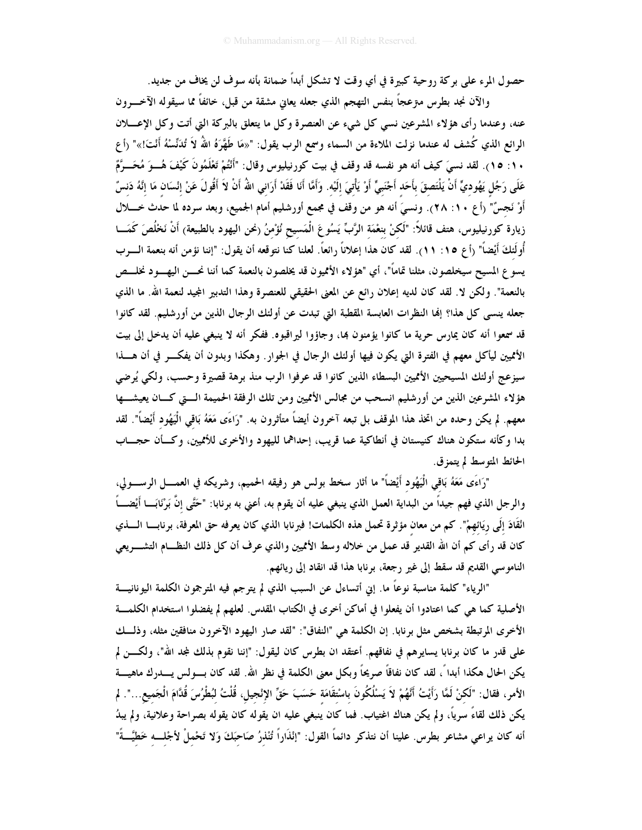حصول المرء على بركة روحية كبيرة في أي وقت لا تشكل أبداً ضمانة بأنه سوف لن يخاف من جديد.

والآن نجد بطرس مىزعجاً بنفس التهجم الذي جعله يعانى مشقة من قبل، خائفاً مما سيقوله الآخـــرون عنه، وعندما رأى هؤلاء المشرعين نسبي كل شيء عن العنصرة وكل ما يتعلق بالبركة التي أتت وكل الإعــــلان الرائع الذي كُشف له عندما نزلت الملاءة من السماء وسمع الرب يقول: "«مَا طَهَّرَهُ اللهُ لاَ تُدَنِّسْهُ أَنْتَ!»" (أع ١٠: ١٥). لقد نسيَ كيف أنه هو نفسه قد وقف في بيت كورنيليوس وقال: "أَنْتُمْ تَعْلَمُونَ كَيْفَ هُـــوَ مُخَـــوَّمٌ عَلَى رَجُل يَهُوديٍّ أَنْ يَلْتَصقَ بأَحَد أَجْنَبيٍّ أَوْ يَأْتيَ إلَيْه. وَأَمَّا أَنَا فَقَدْ أَرَانى اللهُ أَنْ لاَ أَقُولَ عَنْ إِنْسَان مَا إِنَّهُ دَنسٌ أَوْ نَجسٌ" (أع ١٠: ٢٨). ونسيَ أنه هو من وقف في مجمع أورشليم أمام الجميع، وبعد سرده لما حدث خــــلال زيارة كورنيليوس، هتف قائلاً: "لَكنْ بنعْمَة الرَّبِّ يَسُوعَ الْمَسيح نُؤْمنُ (نحن اليهود بالطبيعة) أَنْ نَخْلُصَ كَمَـــا أُولَئكَ أَيْضاً" (أع ١٥: ١١). لقد كان هذا إعلاناً رائعاً. لعلنا كنا نتوقعه أن يقول: "إننا نؤمن أنه بنعمة الـــرب يسوع المسيح سيخلصون، مثلنا تمامًا"، أي "هؤلاء الأمميون قد يخلصون بالنعمة كما أننا نحـــن اليهـــود نخلـــص بالنعمة". ولكن لا. لقد كان لديه إعلان رائع عن المعنى الحقيقي للعنصرة وهذا التدبير المجيد لنعمة الله. ما الذي جعله ينسى كل هذا؟ إلها النظرات العابسة المقطبة التي تبدت عن أولئك الرجال الذين من أورشليم. لقد كانوا قد سمعوا أنه كان يمارس حرية ما كانوا يؤمنون بما، وجاؤوا ليراقبوه. ففكر أنه لا ينبغي عليه أن يدخل إلى بيت الأمميين ليأكل معهم في الفترة التي يكون فيها أولئك الرجال في الجوار. وهكذا وبدون أن يفكـــر في أن هــــذا سيزعج أولئك المسيحيين الأمميين البسطاء الذين كانوا قد عرفوا الرب منذ برهة قصيرة وحسب، ولكي يُرضى هؤلاء المشرعين الذين من أورشليم انسحب من مجالس الأتميين ومن تلك الرفقة الحميمة الـــتى كـــان يعيشــــها معهم. لم يكن وحده من اتخذ هذا الموقف بل تبعه آخرون أيضاً متأثرون به. "رَاءَى مَعَهُ بَاقى الْيَهُود أَيْضاً". لقد بدا وكأنه ستكون هناك كنيستان في أنطاكية عما قريب، إحداهما لليهود والأخرى للأثميين، وكسأن حجساب الحائط المتوسط لم يتمزق.

"رَاءَى مَعَهُ بَاقى الْيَهُود أَيْضاً" ما أثار سخط بولس هو رفيقه الحميم، وشريكه في العمــــل الرســــولى، والرجل الذي فهم جيداً من البداية العمل الذي ينبغي عليه أن يقوم به، أعنى به برنابا: "حَتَّى إنَّ بَرْنَابَـــا أيْضــــاً انْقَادَ إِلَى رِيَائِهِمْ". كم من معان مؤثرة تحمل هذه الكلمات! فبرنابا الذي كان يعرفه حق المعرفة، برنابـــا الــــذي كان قد رأى كم أن الله القدير قد عمل من خلاله وسط الأمميين والذي عرف أن كل ذلك النظـــام التشــــريعي الناموسي القديم قد سقط إلى غير رجعة، برنابا هذا قد انقاد إلى ريائهم.

"الرياء" كلمة مناسبة نوعاً ما. إنى أتساءل عن السبب الذي لم يترجم فيه المترجمون الكلمة اليونانيــــة الأصلية كما هي كما اعتادوا أن يفعلوا في أماكن أخرى في الكتاب المقدس. لعلهم لم يفضلوا استخدام الكلمـــة الأخرى المرتبطة بشخص مثل برنابا. إن الكلمة هي "النفاق": "لقد صار اليهود الآخرون منافقين مثله، وذلــك على قدر ما كان برنابا يسايرهم في نفاقهم. أعتقد ان بطرس كان ليقول: "إننا نقوم بذلك لمجد الله"، ولكـــن لم يكن الحال هكذا أبدا ً، لقد كان نفاقاً صريحاً وبكل معنى الكلمة في نظر الله. لقد كان بـــولس يــــدرك ماهيــــة الأمر، فقال: "لَكنْ لَمَّا رَأَيْتُ أَنَّهُمْ لاَ يَسْلُكُونَ باسْتقَامَة حَسَبَ حَقٍّ الإنْجيل، قُلْتُ لبُطْرُسَ قُدَّامَ الْجَميع...". لم يكن ذلك لقاءً سرياً، ولم يكن هناك اغتياب. فما كان ينبغي عليه ان يقوله كان يقوله بصراحة وعلانية، ولم يبدُ أنه كان يراعى مشاعر بطرس. علينا أن نتذكر دائماً القول: "إنْذَاراً تُنْذرُ صَاحَبَكَ وَلا تَحْملْ لأجْلـــه خَطيَّـــةً"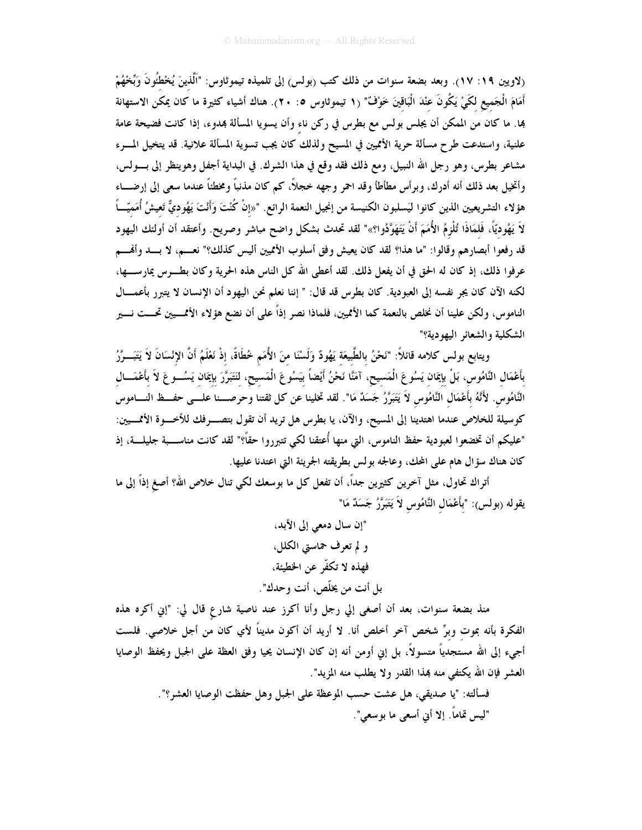(لاويين ١٩: ١٧). وبعد بضعة سنوات من ذلك كتب (بولس) إلى تلميذه تيموثاوس: "اَلَّذينَ يُخْطُّونَ وَبِّخْهُمْ أَمَامَ الْجَميع لكَيْ يَكُونَ عنْدَ الْبَاقينَ خَوْفٌ" (١ تيموثاوس ٥: ٢٠). هناك أشياء كثيرة ما كان يمكن الاستهانة بما. ما كان من الممكن أن يجلس بولس مع بطرس في ركن ناء وأن يسويا المسألة بمدوء، إذا كانت فضيحة عامة علنية، واستدعت طرح مسألة حرية الأمميين في المسيح ولذلك كان يجب تسوية المسألة علانية. قد يتخيل المسرء مشاعر بطرس، وهو رجل الله النبيل، ومع ذلك فقد وقع في هذا الشرك. في البداية أجفل وهوينظر إلى بـــولس، وأتخيل بعد ذلك أنه أدرك، وبرأس مطأطأ وقد احمر وجهه خجلاً، كم كان مذنباً ومخطئاً عندما سعى إلى إرضـــاء هؤلاء التشريعيين الذين كانوا ليَسلبون الكنيسة من إنجيل النعمة الرائع. "«إنْ كُنْتَ وَأَنْتَ يَهُوديٌّ تَعيشُ أُمَميّــاً لاَ يَهُوديّاً، فَلمَاذَا تُلْزِمُ الأُمَمَ أَنْ يَتَهَوَّدُوا؟»" لقد تحدث بشكل واضح مباشر وصريح. وأعتقد أن أولئك اليهود قد رفعوا أبصارهم وقالوا: "ما هذا؟ لقد كان يعيش وفق أسلوب الأمميين أليس كذلك؟" نعسم، لا بسد وأفسم عرفوا ذلك، إذ كان له الحق في أن يفعل ذلك. لقد أعطى الله كل الناس هذه الحرية وكان بطــــرس يمارســــها، لكنه الآن كان يجر نفسه إلى العبودية. كان بطرس قد قال: " إننا نعلم نحن اليهود أن الإنسان لا يتبرر بأعمـــال الناموس، ولكن علينا أن نخلص بالنعمة كما الأمميين، فلماذا نصر إذاً على أن نضع هؤلاء الأممــــيين تحـــت نــــير الشكلية والشعائر اليهودية؟"

ويتابع بولس كلامه قائلاً: "نَحْنُ بالطَّبيعَة يَهُودٌ وَلَسْنَا منَ الأُمَمِ خُطَاةً، إذْ نَعْلَمُ أنَّ الإئسَانَ لاَ يَتَبَـــرَّرُ بِأَعْمَالِ النَّامُوسِ، بَلْ بِإِيمَان يَسُوعَ الْمَسِيحِ، آمَنَّا نَحْنُ أَيْضاً بِيَسُوعَ الْمَسِيحِ، لنَتَبَرَّزَ بِإِيمَان يَسُـــوعَ لاَ بأَعْمَـــالِ النَّامُوس. لأَنَّهُ بأَعْمَال النَّامُوس لاَ يَتَبَرَّرُ جَسَدٌ مَا". لقد تخلينا عن كل ثقتنا وحرصـــنا علـــى حفـــظ النــــاموس كوسيلة للخلاص عندما اهتدينا إلى المسيح، والآن، يا بطرس هل تريد أن تقول بتصــــرفك للأخــــوة الأممــــين: "عليكم أن تخضعوا لعبودية حفظ الناموس، التي منها أُعتقنا لكي تتبرروا حقاً؟" لقد كانت مناســـبة جليلــــة، إذ كان هناك سؤال هام على المحك، وعالجه بولس بطريقته الجريئة التي اعتدنا عليها.

أتراك تحاول، مثل آخرين كثيرين جداً، أن تفعل كل ما بوسعك لكي تنال خلاص الله؟ أصغ إذاً إلى ما يقوله (بولس): "بأَعْمَال النَّامُوس لاَ يَتَبَرَّرُ جَسَدٌ مَا"

> "إن سال دمعي إلى الأبد، و لم تعرف حماستي الكلل، فهذه لا تكفَّر عن الخطيئة، بل أنت من يخلّص، أنت وحدك".

منذ بضعة سنوات، بعد أن أصغى إلي رجل وأنا أكرز عند ناصية شارع قال لي: "إني أكره هذه الفكرة بأنه بموت وبرٍّ شخص آخر أخلص أنا. لا أريد أن أكون مديناً لأي كان من أجل خلاصي. فلست أجيء إلى الله مستجدياً متسولاً، بل إنى أومن أنه إن كان الإنسان يحيا وفق العظة على الجبل ويحفظ الوصايا العشر فإن الله يكتفي منه بمذا القدر ولا يطلب منه المزيد".

> فسألته: "يا صديقي، هل عشت حسب الموعظة على الجبل وهل حفظت الوصايا العشر؟". "ليس تماماً. إلا أين أسعى ما بوسعى".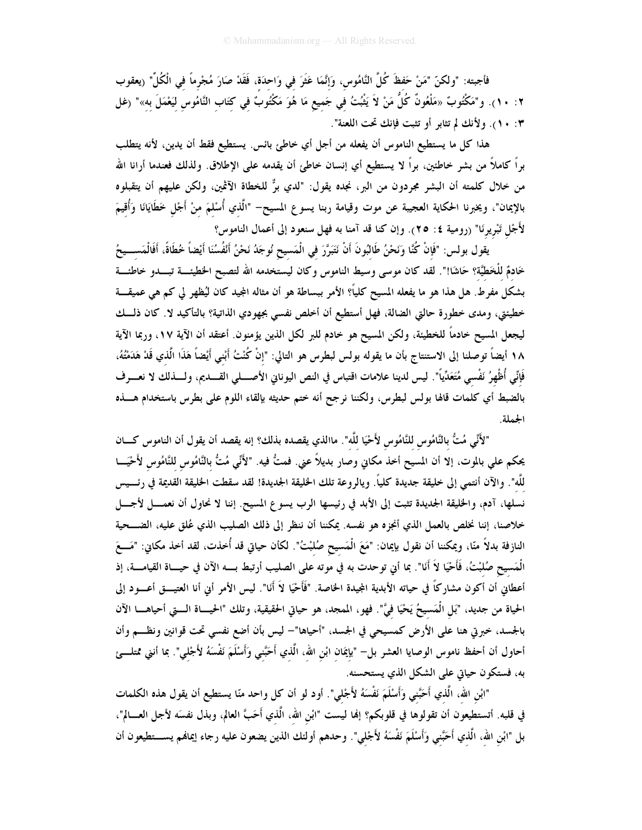فأجبته: "ولكنّ "مَنْ حَفظَ كُلَّ النَّامُوس، وَإِنَّمَا عَثَرَ في وَاحدَة، فَقَدْ صَارَ مُجْرِماً في الْكُلِّ" (يعقوب ١٢: ١٠). و"مَكْتُوبٌ «مَلْعُونٌ كُلُّ مَنْ لاَ يَثْبُتُ فِي جَميعِ مَا هُوَ مَكْتُوبٌ فِي كِتَابِ النَّامُوسِ لِيَعْمَلَ بِهِ»" (غل ٠: ١٠). ولأنك لم تثابر أو تثبت فإنك تحت اللعنة".

هذا كل ما يستطيع الناموس أن يفعله من أجل أي خاطئ بائس. يستطيع فقط أن يدين، لأنه يتطلب براً كاملاً من بشر خاطئين، براً لا يستطيع أي إنسان خاطئ أن يقدمه على الإطلاق. ولذلك فعندما أرانا الله من خلال كلمته أن البشر مجردون من البر، نجده يقول: "لدي برٌّ للخطاة الآثمين، ولكن عليهم أن يتقبلوه بالإيمان"، ويخبرنا الحكاية العجيبة عن موت وقيامة ربنا يسوع المسيح– "الَّذي أُسْلمَ منْ أَجْل خَطَايَانَا وَأُقيمَ لأَجْل تَبْريرِنَا" (رومية ٤: ٢٥). وإن كنا قد آمنا به فهل سنعود إلى أعمال الناموس؟

يقول بولس: "فَإِنْ كُنَّا وَنَحْنُ طَالبُونَ أَنْ نَتَبَرَّرَ في الْمَسيح نُوجَدُ نَحْنُ أَلْفُسُنَا أيْضاً خُطَاةً، أَفَالْمَســـيحُ خَادمٌ للْخَطيَّة؟ حَاشَا!". لقد كان موسى وسيط الناموس وكان ليستخدمه الله لتصبح الخطيئــــة تبــــدو خاطئـــة بشكل مفرط. هل هذا هو ما يفعله المسيح كليًّا؟ الأمر ببساطة هو أن مثاله المجيد كان ليُظهر لي كم هي عميقـــة خطيئتي، ومدى خطورة حالتي الضالة، فهل أستطيع أن أخلص نفسي بجهودي الذاتية؟ بالتأكيد لا. كان ذلـــك ليجعل المسيح خادماً للخطيئة، ولكن المسيح هو خادم للبر لكل الذين يؤمنون. أعتقد أن الآية ١٧، وربما الآية ١٨ أيضاً توصلنا إلى الاستنتاج بأن ما يقوله بولس لبطرس هو التالي: "إنْ كُنْتُ أَبْني أَيْضاً هَذَا الّذي قَدْ هَدَمْتُهُ، فَإِنِّي أُظْهِرُ نَفْسي مُتَعَدِّياً". ليس لدينا علامات اقتباس في النص اليوناني الأصــــلي القــــديم، ولــــذلك لا نعــــرف بالضبط أي كلمات قالها بولس لبطرس، ولكننا نرجح أنه ختم حديثه بإلقاء اللوم على بطرس باستخدام هــــذه الجملة.

"لأَنِّي مُتُّ بالنَّامُوس للنَّامُوس لأَحْيَا للَّه". ماالذي يقصده بذلك؟ إنه يقصد أن يقول أن الناموس كــــان يحكم على بالموت، إلا أن المسيح أخذ مكاني وصار بديلاً عني. فمتُّ فيه. "لأَنِّي مُتُّ بالنَّامُوس للنَّامُوس لأَحْيَـــا للَّه". والآن أنتمي إلى خليقة جديدة كلياً. ويالروعة تلك الخليقة الجديدة! لقد سقطت الخليقة القديمة في رئسيس نسلها، آدم، والخليقة الجديدة تثبت إلى الأبد في رئيسها الرب يسوع المسيح. إننا لا نحاول أن نعمـــل لأجـــل خلاصنا، إننا نخلص بالعمل الذي أنجزه هو نفسه. يمكننا أن ننظر إلى ذلك الصليب الذي عُلق عليه، الضــــحية النازفة بدلاً منّا، ويمكننا أن نقول بإيمان: "مَعَ الْمَسيح صُلبْتُ". لكأن حياتي قد أُخذت، لقد أخذ مكاني: "مَــعَ الْمَسيح صُلبْتُ، فَأَحْيَا لاَ أَنَا". بما أني توحدت به في موته على الصليب أرتبط بــــه الآن في حيــــاة القيامــــة، إذ أعطانى أن أكون مشاركًا في حياته الأبدية المجيدة الحاصة. "فَأَحْيَا لاَ أَنَا". ليس الأمر أني أنا العتيـــق أعـــود إلى الحياة من جديد، "بَل الْمَسيحُ يَحْيَا فيَّ". فهو، الممجد، هو حياتي الحقيقية، وتلك "الحيـــاة الـــتي أحياهــــا الآن بالجسد، خبرتي هنا على الأرض كمسيحي في الجسد، "أحياها"— ليس بأن أضع نفسي تحت قوانين ونظـــم وأن أحاول أن أحفظ ناموس الوصايا العشر بل– "بإيمَان ابْنِ الله، الَّذي أَحَبَّني وَأَسْلَمَ نَفْسَهُ لأَجْلي". بما أنني ممتلـــئ به، فستكون حياتي على الشكل الذي يستحسنه.

"ابْنِ اللهِ، الَّذي أَحَبَّني وَأَسْلَمَ نَفْسَهُ لأَجْلي". أود لو أن كل واحد منّا يستطيع أن يقول هذه الكلمات في قلبه. أتستطيعون أن تقولوها في قلوبكم؟ إنما ليست "ابْن الله، الَّذي أَحَبَّ العالم، وبذل نفسَه لأجل العـــالم"، بل "ابْن الله، الَّذي أَحَبَّني وَأَسْلَمَ نَفْسَهُ لأَجْلي". وحدهم أولئك الذين يضعون عليه رجاء إيمانهم يســـتطيعون أن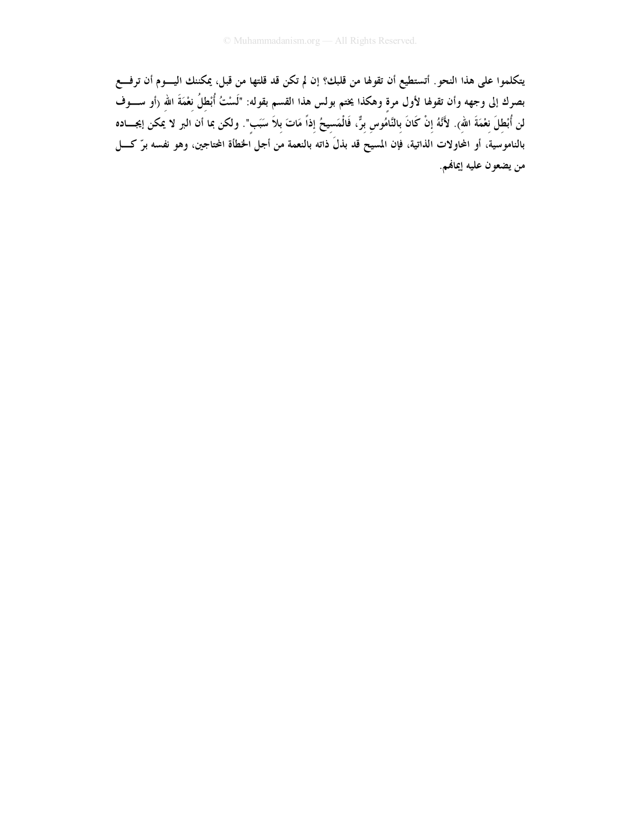يتكلموا على هذا النحو أتستطيع أن تقولها من قلبك؟ إن لم تكن قد قلتها من قبل، يمكننك اليــــوم أن ترفـــع بصرك إلى وجهه وأن تقولها لأول مرةٍ وهكذا يختم بولس هذا القسم بقوله: "لَسْتُ أُبْطِلُ نِعْمَةَ اللهِ (أو ســــوف لن أُبْطِلَ نِعْمَةَ اللهِ). لأَنَّهُ إِنْ كَانَ بِالنَّامُوسِ بِرٌّ، فَالْمَسِيحُ إِذاً مَاتَ بِلاَ سَبَبٍ". ولكن بما أن البر لا يمكن إيجـــاده بالناموسية، أو المحاولات الذاتية، فإن المسيح قد بذلَ ذاته بالنعمة من أجل الخطأة المحتاجين، وهو نفسه برّ كــــل من يضعون عليه إيمانهم.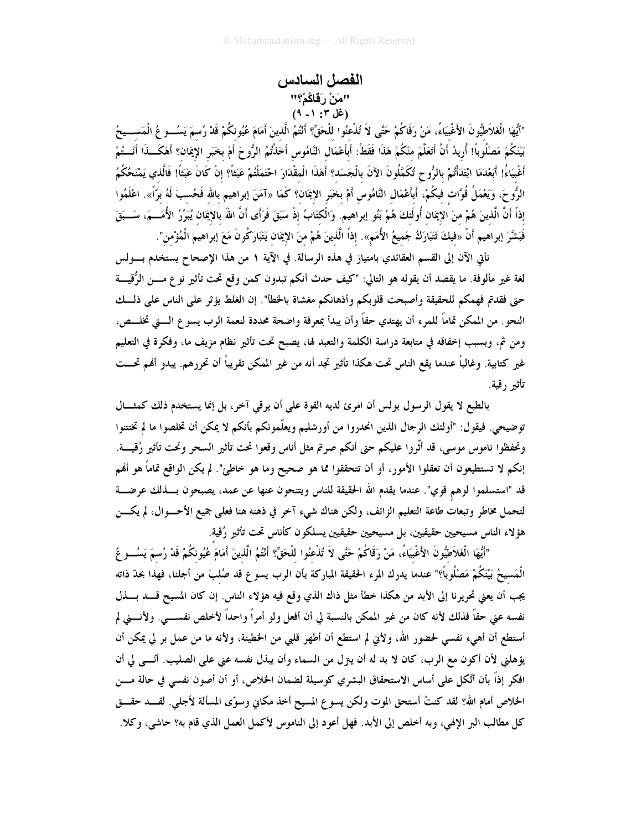# الفصل السادس ''مَنْ رَقَاكُمْ؟''<br>(غل ۳: ۱\_ ۹)

"ٱيُّهَا الْغَلاَطِيُّونَ الأَغْبِيَاءُ، مَنْ رَقَاكُمْ حَتَّى لاَ تُذْعِنُوا للْحَقِّ؟ أَنْتُمُ الّذينَ أَمَامَ عُيُونكُمْ قَدْ رُسمَ يَسُــوعُ الْمَســـيحُ بَيْنَكُمْ مَصْلُوبًا! أُريدُ أَنْ أَتَعَلَّمَ منْكُمْ هَذَا فَقَطْ: أَبِأَعْمَال النَّامُوس أَخَذْتُمُ الرُّوحَ أمْ بخَبَر الإيمَان؟ أَهَكَـــذَا أَنْـــتُمْ أَغْبِيَاءُ! أَبَعْدَمَا ابْتَدَأْتُمْ بِالرُّوحِ تُكَمَّلُونَ الآنَ بِالْجَسَد؟ أَهَذَا الْمقْدَارَ احْتَمَلْتُمْ عَبَثاً؟ إنْ كَانَ عَبَثاً! فَالَّذي يَمْنَحُكُمُ الرُّوحَ، وَيَعْمَلُ قُوَّات فيكُمْ، أَبأَعْمَال النَّامُوس أَمْ بخَبَر الإيمَان؟ كَمَا «آمَنَ إبراهيم بالله فَحُسبَ لَهُ برّاً». اعْلَمُوا إذاً أنَّ الَّذينَ هُمْ منَ الإِيمَان أُولَئكَ هُمْ بَنُو إبراهيم. وَالْكَتَابُ إذْ سَبَقَ فَرَأَى أنَّ الله بالإِيمَان يُبَرِّرُ الأُمَـــمَ، سَـــبَقَ فَبَشَّرَ إبراهيم أَنْ «فِيكَ تَتَبَارَكُ جَمِيعُ الأُمَمِ». إذاً الَّذينَ هُمْ منَ الإيمَان يَتَبَارَكُونَ مَعَ إبراهيم الْمُؤْمن".

نأتي الآن إلى القسم العقائدي بامتياز في هذه الرسالة. في الآية ١ من هذا الإصحاح يستخدم بــــولس لغة غير مألوفة. ما يقصد أن يقوله هو التالي: "كيف حدث أنكم تبدون كمن وقع تحت تأثير نو ع مــــن الرُّقيــــة حتى فقدتم فهمكم للحقيقة وأصبحت قلوبكم وأذهانكم مغشاة بالخطأ". إن الغلط يؤثر على الناس على ذلــك النحو . من الممكن تماماً للمرء أن يهتدي حقاً وأن يبدأ بمعرفة واضحة محددة لنعمة الرب يسو ع الــــتي تخلــــص، ومن ثم، وبسبب إخفاقه في متابعة دراسة الكلمة والتعبد لها، يصبح تحت تأثير نظام مزيف ما، وفكرة في التعليم غير كتابية. وغالباً عندما يقع الناس تحت هكذا تأثير تجد أنه من غير الممكن تقريباً أن تحررهم. يبدو أفمم تحـــت تأثير رقية.

بالطبع لا يقول الرسول بولس أن امرئ لديه القوة على أن يرقى آخر، بل إنما يستخدم ذلك كمثـــال توضيحي. فيقول: "أولئك الرجال الذين انحدروا من أورشليم ويعلّمونكم بأنكم لا يمكن أن تخلصوا ما لم تختتنوا وتحفظوا ناموس موسى، قد أثَّروا عليكم حتى أنكم صرتم مثل أناس وقعوا تحت تأثير السحر وتحت تأثير رُقيـــة. إنكم لا تستطيعون أن تعقلوا الأمور، أو أن تتحققوا مما هو صحيح وما هو خاطئ". لم يكن الواقع تماماً هو أفمم قد "استسلموا لوهم قوي". عندما يقدم الله الحقيقة للناس ويتنحون عنها عن عمد، يصبحون بـــذلك عرضــــة لتحمل مخاطر وتبعات طاعة التعليم الزائف، ولكن هناك شيء آخر في ذهنه هنا فعلي جميع الأحــــوال، لم يكــــن هؤلاء الناس مسيحيين حقيقيين، بل مسيحيين حقيقيين يسلكون كأناس تحت تأثير رُقية.

"أَيُّهَا الْغَلاَطَيُّونَ الأَغْبِيَاءُ، مَنْ رَقَاكُمْ حَتَّى لاَ تُذْعِنُوا للْحَقِّ؟ أَنْتُمُ الّذينَ أَمَامَ عُيُو نكُمْ قَدْ رُسمَ يَسُــو عُ الْمَسيحُ بَيْنَكُمْ مَصْلُوباً؟" عندما يدرك المرء الحقيقة المباركة بأن الرب يسوع قد صُلبَ من أجلنا، فهذا بحدّ ذاته يجب أن يعني تحريرنا إلى الأبد من هكذا خطأ مثل ذاك الذي وقع فيه هؤلاء الناس. إن كان المسيح قــــد بــــذل نفسه عني حقاً فذلك لأنه كان من غير الممكن بالنسبة لي أن أفعل ولو أمراً واحداً لأخلص نفســـي. ولأنـــني لم أستطع أن أهيء نفسي لحضور الله، ولأبي لم استطع أن أطهر قلبي من الخطيئة، ولأنه ما من عمل بر لي يمكن أن يؤهلني لأن أكون مع الرب، كان لا بد له أن يتزل من السماء وأن يبذل نفسه عني على الصليب. أنّـــي لي أن افكر إذاً بأن أتَّكل على أساس الاستحقاق البشري كوسيلة لضمان الخلاص، أو أن أصون نفسي في حالة مــــن الخلاص أمام الله؟ لقد كنتُ أستحق الموت ولكن يسوع المسيح أخذ مكانى وسوّى المسألة لأجلى. لقـــد حقـــق كل مطالب البر الإلهي، وبه أخلص إلى الأبد. فهل أعود إلى الناموس لأكمل العمل الذي قام به؟ حاشي، وكلا.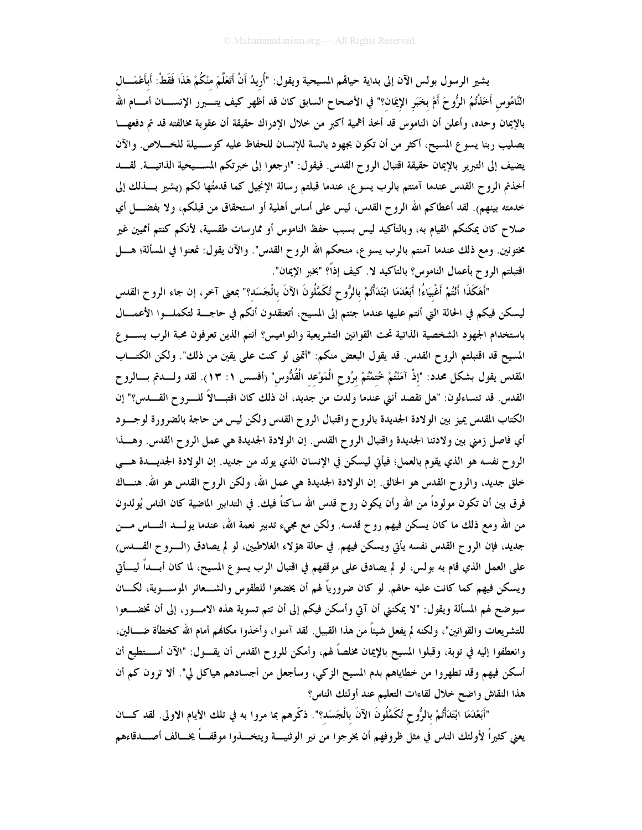يشير الرسول بولس الآن إلى بداية حياقمم المسيحية ويقول: "أُريدُ أَنْ أَتَعَلَّمَ منْكُمْ هَذَا فَقَطْ: أبأغمَـــال النَّامُوس أَخَذْتُمُ الرُّوحَ أَمْ بخَبَر الإيمَان؟" في الأصحاح السابق كان قد أظهر كيف يتــــبرر الإنســــان أمــــام الله بالإيمان وحده، وأعلن أن الناموس قد أخذ أهمية أكبر من خلال الإدراك حقيقة أن عقوبة مخالفته قد تم دفعهـــا بصليب ربنا يسوع المسيح، أكثر من أن تكون بجهود بائسة للإنسان للحفاظ عليه كوســيلة للخـــلاص. والآن يضيف إلى التبرير بالإيمان حقيقة اقتبال الروح القدس. فيقول: "ارجعوا إلى خبرتكم المســيحية الذاتيـــة. لقـــد أخذتم الروح القدس عندما آمنتم بالرب يسوع، عندما قبلتم رسالة الإنجيل كما قدمتُها لكم ريشير بــــذلك إلى خدمته بينهم). لقد أعطاكم الله الروح القدس، ليس على أساس أهلية أو استحقاق من قبلكم، ولا بفضــــل أي صلاح كان يمكنكم القيام به، وبالتأكيد ليس بسبب حفظ الناموس أو ممارسات طقسية، لأنكم كنتم أمميين غير مختونين. ومع ذلك عندما آمنتم بالرب يسوع، منحكم الله الروح القدس". والآن يقول: تمعنوا في المسألة؛ هــــل اقتبلتم الروح بأعمال الناموس؟ بالتأكيد لا. كيف إذاً؟ "بخبر الإيمان".

"أَهَكَذَا أَنْتُمْ أَغْبِيَاءُ! أَبَعْدَمَا ابْتَدَأْتُمْ بالرُّوح تُكَمَّلُونَ الآنَ بالْجَسَد؟" بمعنى آخر، إن جاء الروح القدس ليسكن فيكم في الحالة التي أنتم عليها عندما جئتم إلى المسيح، أتعتقدون أنكم في حاجــــة لتكملـــوا الأعمــــال باستخدام الجهود الشخصية الذاتية تحت القوانين التشريعية والنواميس؟ أنتم الذين تعرفون محبة الرب يســـو ع المسيح قد اقتبلتم الروح القدس. قد يقول البعض منكم: "أتمنى لو كنت على يقين من ذلك". ولكن الكتـــاب المقدس يقول بشكل محدد: "إذْ آمَنْتُمْ خُتمْتُمْ برُوح الْمَوْعد الْقُدُّوس" (أفسس ١: ١٣). لقد ولــــدتم بــــالروح القدس. قد تتساءلون: "هل تقصد أنني عندما ولدت من جديد، أن ذلك كان اقتبــالاً للـــروح القـــدس؟" إن الكتاب المقدس يميز بين الولادة الجديدة بالروح واقتبال الروح القدس ولكن ليس من حاجة بالضرورة لوجسود أي فاصل زمني بين ولادتنا الجديدة واقتبال الروح القدس. إن الولادة الجديدة هي عمل الروح القدس. وهــذا الروح نفسه هو الذي يقوم بالعمل؛ فيأتي ليسكن في الإنسان الذي يولد من جديد. إن الولادة الجديسدة هـــي خلق جديد، والروح القدس هو الخالق. إن الولادة الجديدة هي عمل الله، ولكن الروح القدس هو الله. هنـــاك فرق بين أن تكون مولوداً من الله وأن يكون روح قدس الله ساكناً فيك. في التدابير الماضية كان الناس يُولدون من الله ومع ذلك ما كان يسكن فيهم روح قدسه. ولكن مع مجيء تدبير نعمة الله، عندما يولـــد النــــاس مــــن جديد، فإن الروح القدس نفسه يأتي ويسكن فيهم. في حالة هؤلاء الغلاطيين، لو لم يصادق (الــــروح القـــــدس) على العمل الذي قام به بولس، لو لم يصادق على موقفهم في اقتبال الرب يسوع المسيح، لما كان أبـــداً ليــــأتي ويسكن فيهم كما كانت عليه حالهم. لو كان ضرورياً لهم أن يخضعوا للطقوس والشـــعائر الموســـوية، لكــــان سيوضح لهم المسألة ويقول: "لا يمكنني أن آتي وأسكن فيكم إلى أن تتم تسوية هذه الامـــور، إلى أن تخضـــعوا للتشريعات والقوانين"، ولكنه لم يفعل شيئاً من هذا القبيل. لقد آمنوا، وأخذوا مكانهم أمام الله كخطأة ضــــالين، وانعطفوا إليه في توبة، وقبلوا المسيح بالإيمان مخلصاً لهم، وأمكن للروح القدس أن يقـــول: "الآن أســـتطيع أن أسكن فيهم وقد تطهروا من خطاياهم بدم المسيح الزكي، وسأجعل من أجسادهم هياكل لي". ألا ترون كم أن هذا النقاش واضح خلال لقاءات التعليم عند أولئك الناس؟

"أَبَعْدَمَا ابْتَدَأْتُمْ بِالرُّوحِ تُكَمَّلُونَ الآنَ بِالْجَسَد؟". ذكّرهم بما مروا به في تلك الأيام الاولى. لقد كـــان يعني كثيراً لأولئك الناس في مثل ظروفهم أن يخرجوا من نير الوثنيــــة ويتخــــذوا موقفـــاً يخـــالف أصــــدقاءهم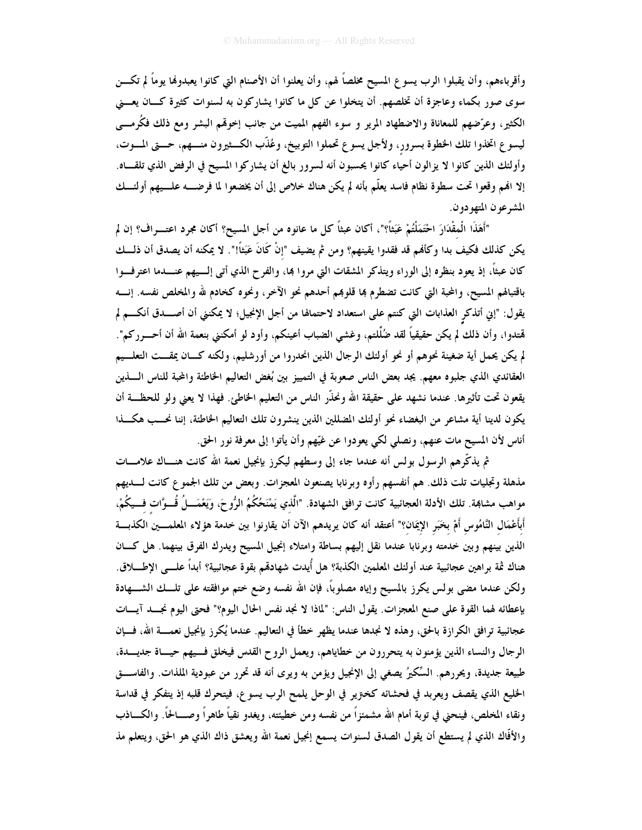وأقرباءهم، وأن يقبلوا الرب يسوع المسيح مخلصاً لهم، وأن يعلنوا أن الأصنام التي كانوا يعبدولها يوماً لم تكـــن سوی صور بکماء وعاجزة أن تخلصهم. أن يتخلوا عن کل ما کانوا يشارکون به لسنوات کثيرة کــان يعـــني الكثير، وعرَّضهم للمعاناة والاضطهاد المرير و سوء الفهم المميت من جانب إخوهّم البشر ومع ذلك فكُرمـــي ليسوع اتخذوا تلك الخطوة بسرور، ولأجل يسوع تحملوا التوبيخ، وعُذَّب الكــثيرون منــهم، حـــني المــوت، وأولئك الذين كانوا لا يزالون أحياء كانوا يحسبون أنه لسرور بالغ أن يشاركوا المسيح في الرفض الذي تلقـــاه. إلا الهم وقعوا تحت سطوة نظام فاسد يعلّم بأنه لم يكن هناك خلاص إلى أن يخضعوا لما فرضـــه علـــيهم أولئـــك المشرعون المتهودون.

"أَهَذَا الْمقْدَارَ احْتَمَلْتُمْ عَبَثاً؟"، أكان عبثاً كل ما عانوه من أجل المسيح؟ أكان مجرد اعتــــراف؟ إن لم يكن كذلك فكيف بدا وكأفم قد فقدوا يقينهم؟ ومن ثم يضيف "إنْ كَانَ عَبَثاً!". لا يمكنه أن يصدق أن ذلــك كان عبثاً، إذ يعود بنظره إلى الوراء ويتذكر المشقات التي مروا بما، والفرح الذي أتى إلــيهم عنـــدما اعترفـــوا باقتبالهم المسيح، والمحبة التي كانت تضطرم بما قلوبمم أحدهم نحو الآخر، ونحوه كخادم لله والمخلص نفسه. إنسه يقول: "إني أتذكرِ العذابات التي كنتم على استعداد لاحتمالها من أجل الإنجيل؛ لا يمكنني أن أصــــدق أنكــــم لم هْتدوا، وأن ذلك لم يكن حقيقياً لقد ضُلَّلتم، وغشى الضباب أعينكم، وأود لو أمكنني بنعمة الله أن أحـــرركم". لم يكن يحمل أية ضغينة نحوهم أو نحو أولئك الرجال الذين انحدروا من أورشليم، ولكنه كــان يمقـــت التعلـــيم العقائدي الذي جلبوه معهم. يجد بعض الناس صعوبة في التمييز بين بُغض التعاليم الخاطئة والمحبة للناس اللبذين يقعون تحت تأثيرها. عندما نشهد على حقيقة الله ونحذّر الناس من التعليم الخاطئ. فهذا لا يعني ولو للحظــة أن يكون لدينا أية مشاعر من البغضاء نحو أولئك المضللين الذين ينشرون تلك التعاليم الخاطئة، إننا نحــب هكـــذا أناس لأن المسيح مات عنهم، ونصلي لكي يعودوا عن غيّهم وأن يأتوا إلى معرفة نور الحق.

ثم يذكِّرهم الرسول بولس أنه عندما جاء إلى وسطهم ليكرز بإنجيل نعمة الله كانت هنـــاك علامــــات مذهلة وتجليات تلت ذلك. هم أنفسهم رأوه وبرنابا يصنعون المعجزات. وبعض من تلك الجموع كانت لـــديهم مواهب مشاهِمة. تلك الأدلة العجائبية كانت ترافق الشهادة. "الَّذي يَمْنَحُكُمُ الرُّوحَ، ويَعْمَـــلُ قُـــوَّات فـــيكُمْ، أَبأَعْمَالِ النَّامُوسِ أَمْ بخَبَرِ الإيمَان؟" أعتقد أنه كان يريدهم الآن أن يقارنوا بين خدمة هؤلاء المعلمـــين الكذبــــة الذين بينهم وبين خدمته وبرنابا عندما نقل إليهم بساطة وامتلاء إنجيل المسيح ويدرك الفرق بينهما. هل كـان هناك ثمة براهين عجائبية عند أولئك المعلمين الكذبة؟ هل أُيدت شهادقم بقوة عجائبية؟ أبداً علـــى الإطـــــلاق. ولكن عندما مضى بولس يكرز بالمسيح وإياه مصلوباً، فإن الله نفسه وضع ختم موافقته على تلــك الشــــهادة بإعطائه لهما القوة على صنع المعجزات. يقول الناس: "لماذا لا نجد نفس الحال اليوم؟" فحتى اليوم نجـــد آيـــات عجائبية ترافق الكرازة بالحق، وهذه لا نجدها عندما يظهر خطأ في التعاليم. عندما يُكرز بإنجيل نعمــــة الله، فـــإن الرجال والنساء الذين يؤمنون به يتحررون من خطاياهم، ويعمل الروح القدس فيخلق فسيهم حيساة جديسدة، طبيعة جديدة، ويحررهم. السِّكيرُ يصغي إلى الإنجيل ويؤمن به ويرى أنه قد تحرر من عبودية الملذات. والفاســـق الخليع الذي يقصف ويعربد في فحشائه كخزير في الوحل يلمح الرب يسوع، فيتحرك قلبه إذ يتفكر في قداسة ونقاء المخلص، فينحنى في توبة أمام الله مشمئزاً من نفسه ومن خطيئته، ويغدو نقياً طاهراً وصـــالحاً. والكـــاذب والأفَّاك الذي لم يستطع أن يقول الصدق لسنوات يسمع إنجيل نعمة الله ويعشق ذاك الذي هو الحق، ويتعلم مذ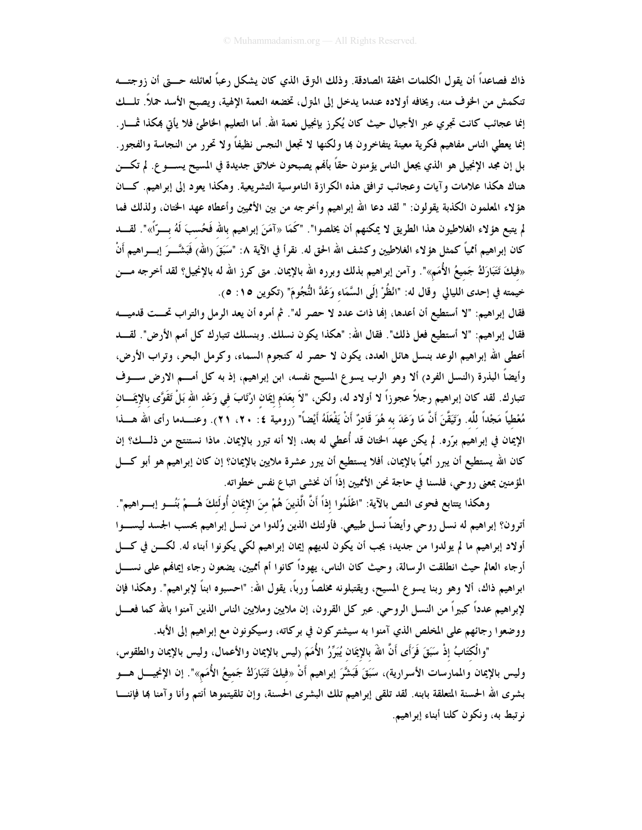ذاك فصاعداً أن يقول الكلمات المحقة الصادقة. وذلك النرق الذي كان يشكل رعباً لعائلته حــــتى أن زوجتـــه تنكمش من الخوف منه، ويخافه أولاده عندما يدخل إلى المتزل، تخضعه النعمة الإلهية، ويصبح الأسد حملاً. تلــك إنما عجائب كانت تجري عبر الأجيال حيث كان يُكرز بإنجيل نعمة الله. أما التعليم الخاطئ فلا يأتي بمكذا ثمـــار. إنما يعطي الناس مفاهيم فكرية معينة يتفاخرون بما ولكنها لا تجعل النجس نظيفاً ولا تحرر من النجاسة والفجور . بل إن مجد الإنجيل هو الذي يجعل الناس يؤمنون حقاً بألهم يصبحون خلائق جديدة في المسيح يســــو ع. لم تكــــن هناك هكذا علامات و آيات وعجائب ترافق هذه الكرازة الناموسية التشريعية. وهكذا يعود إلى إبراهيم. كـــان هؤلاء المعلمون الكذبة يقولون: " لقد دعا الله إبراهيم وأخرجه من بين الأمميين وأعطاه عهد الختان، ولذلك فما لم يتبع هؤلاء الغلاطيون هذا الطريق لا يمكنهم أن يخلصوا". "كَمَا «آمَنَ إبراهيم بالله فَحُسبَ لَهُ بـــرّاً»". لقـــد كان إبراهيم أممياً كمثل هؤلاء الغلاطيين وكشف الله الحق له. نقرأ في الآية ٨: "سَبَقَ (الله) فَبَشَّــرَ إبـــراهيم أَنْ «فيكَ تَتَبَارَكُ جَميعُ الأُمَمِ»". وآمن إبراهيم بذلك وبرره الله بالإيمان. متى كرز الله له بالإنجيل؟ لقد أخرجه مـــن خيمته في إحدى الليالي وقال له: "انْظُرْ إلَى السَّمَاء وَعُدَّ النُّجُومَ" (تكوين ١٥: ٥).

فقال إبراهيم: "لا أستطيع أن أعدها، إلها ذات عدد لا حصر له". ثم أمره أن يعد الرمل والتراب تحــت قدميـــه فقال إبراهيم: "لا أستطيع فعل ذلك". فقال الله: "هكذا يكون نسلك. وبنسلك تتبارك كل أمم الأرض". لقـــد أعطى الله إبراهيم الوعد بنسل هائل العدد، يكون لا حصر له كنجوم السماء، وكرمل البحر، وتراب الأرض، وأيضاً البذرة (النسل الفرد) ألا وهو الرب يسوع المسيح نفسه، ابن إبراهيم، إذ به كل أمـــم الارض ســـوف تتبارك. لقد كان إبراهيم رجلاً عجوزاً لا أولاد له، ولكن، "لاَ بعَدَم إيمَان ارْتَابَ في وَعْد الله بَلْ تَقَوَّى بالإيمَـــان مُعْطياً مَجْداً للَّه. وَتَيَقَّنَ أَنَّ مَا وَعَدَ به هُوَ قَادرٌ أَنْ يَفْعَلَهُ أَيْضاً" (رومية ٤: ٢٠، ٢١). وعنــــدما رأى الله هــــذا الإيمان في إبراهيم برّره. لم يكن عهد الختان قد أُعطى له بعد، إلا أنه تبرر بالإيمان. ماذا نستنتج من ذلـــك؟ إن كان الله يستطيع أن يبرر أممياً بالإيمان، أفلا يستطيع أن يبرر عشرة ملايين بالإيمان؟ إن كان إبراهيم هو أبو كـــل المؤمنين بمعنى روحي، فلسنا في حاجة نحن الأمميين إذاً أن نخشى اتباع نفس خطواته.

وهكذا يتتابع فحوى النص بالآية: "اعْلَمُوا إذاً أَنَّ الَّذينَ هُمْ منَ الإيمَان أُولَئكَ هُـــمْ بَنُـــو إبـــراهيم". أترون؟ إبراهيم له نسل روحي وأيضاً نسل طبيعي. فأولئك الذين وُلدوا من نسل إبراهيم بحسب الجسد ليســـوا أولاد إبراهيم ما لم يولدوا من جديد؛ يجب أن يكون لديهم إيمان إبراهيم لكي يكونوا أبناء له. لكـــن في كــــل أرجاء العالم حيث انطلقت الرسالة، وحيث كان الناس، يهوداً كانوا أم أثميين، يضعون رجاء إيمالهم على نســــل ابراهيم ذاك، ألا وهو ربنا يسوع المسيح، ويقتبلونه مخلصاً ورباً، يقول الله: "احسبوه ابناً لإبراهيم". وهكذا فإن لإبراهيم عدداً كبيراً من النسل الروحي. عبر كل القرون، إن ملايين وملايين الناس الذين آمنوا بالله كما فعــــل ووضعوا رجائهم على المخلص الذي آمنوا به سيشتركون في بركاته، وسيكونون مع إبراهيم إلى الأبد.

"والْكتَابُ إذْ سَبَقَ فَرَأَى أَنَّ اللهَ بالإِيمَانِ يُبَرِّرُ الأُمَمَ رليس بالإِيمانِ والأعمالِ، وليس بالإيمان والطقوس، وليس بالإيمان والممارسات الأسرارية)، سَبَقَ فَبَشَّرَ إبراهيم أَنْ «فيكَ تَتَبَارَكُ جَميعُ الأُمَمِ»". إن الإنجيــــل هـــو بشرى الله الحسنة المتعلقة بابنه. لقد تلقى إبراهيم تلك البشرى الحسنة، وإن تلقيتموها أنتم وأنا وآمنا بما فإننــا نو تبط به، ونكون كلنا أبناء إبراهيم.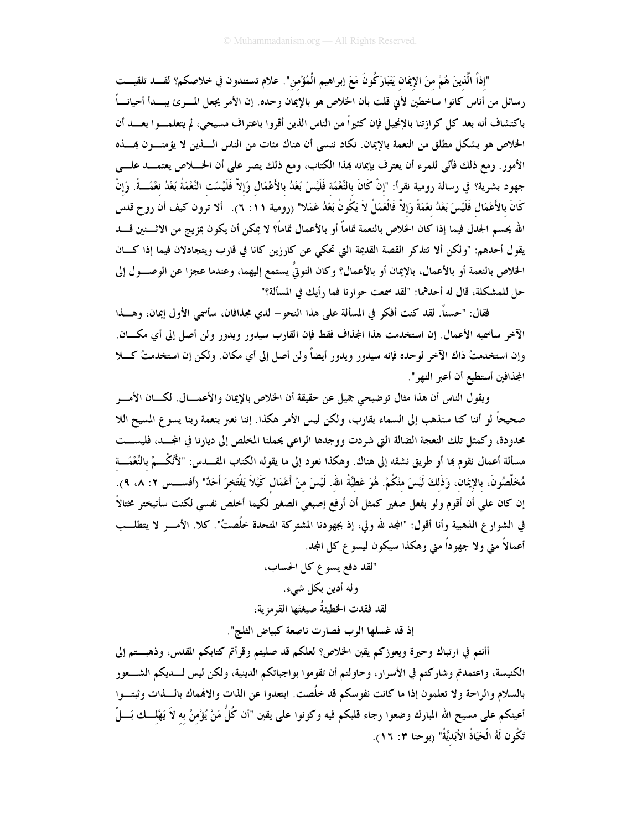"إذاً الَّذينَ هُمْ منَ الإيمَان يَتَبَارَكُونَ مَعَ إبراهيم الْمُؤْمن". علام تستندون في خلاصكم؟ لقـــد تلقيـــت رسائل من أناس كانوا ساخطين لأني قلت بأن الخلاص هو بالإيمان وحده. إن الأمر يجعل المسرئ يبسدأ أحيانـــاً باكتشاف أنه بعد كل كرازتنا بالإنجيل فإن كثيراً من الناس الذين أقروا باعتراف مسيحي، لم يتعلمــوا بعـــد أن الخلاص هو بشكل مطلق من النعمة بالإيمان. نكاد ننسبي أن هناك مئات من الناس الــــذين لا يؤمنــــون بمــــذه الأمور . ومع ذلك فأنّي للمرء أن يعترف بإيمانه بمذا الكتاب، ومع ذلك يصر على أن الخــــلاص يعتمـــد علــــي جهود بشرية؟ في رسالة رومية نقرأ: "إنْ كَانَ بالنِّعْمَة فَلَيْسَ بَعْدُ بالأَعْمَال وَإلاَّ فَلَيْسَت النِّعْمَةُ بَعْدُ نعْمَـــةً. وَإنْ كَانَ بالأَعْمَال فَلَيْسَ بَعْدُ نعْمَةً وَإِلاَّ فَالْعَمَلُ لاَ يَكُونُ بَعْدُ عَمَلا" (رومية ٦١: ٦). ألا ترون كيف أن روح قدس الله يحسم الجدل فيما إذا كان الخلاص بالنعمة تماماً أو بالأعمال تماماً؟ لا يمكن أن يكون بمزيج من الاثــــنين قــــد يقول أحدهم: "ولكن ألا تتذكر القصة القديمة التي تحكي عن كارزين كانا في قارب ويتجادلان فيما إذا كــان الخلاص بالنعمة أو بالأعمال، بالإيمان أو بالأعمال؟ وكان النوتيُّ يستمع إليهما، وعندما عجزا عن الوصـــول إلى حل للمشكلة، قال له أحدهما: "لقد سمعت حوارنا فما رأيك في المسألة؟"

فقال: "حسناً. لقد كنت أفكر في المسألة على هذا النحو– لدي مجذافان، سأسمي الأول إيمان، وهـــذا الآخر سأسميه الأعمال. إن استخدمت هذا المجذاف فقط فإن القارب سيدور ويدور ولن أصل إلى أي مكـــان. وإن استخدمتُ ذاك الآخر لوحده فإنه سيدور ويدور أيضاً ولن أصل إلى أي مكان. ولكن إن استخدمتُ كـــلا المجذافين أستطيع أن أعبر النهر ".

ويقول الناس أن هذا مثال توضيحي جميل عن حقيقة أن الخلاص بالإيمان والأعمــــال. لكــــان الأمــــر صحيحاً لو أننا كنا سنذهب إلى السماء بقارب، ولكن ليس الأمر هكذا. إننا نعبر بنعمة ربنا يسوع المسيح اللا محدودة، وكمثل تلك النعجة الضالة التي شردت ووجدها الراعي يحملنا المخلص إلى ديارنا في المجــد، فليســـت مسألة أعمال نقوم بما أو طريق نشقه إلى هناك. وهكذا نعود إلى ما يقوله الكتاب المقــــدس: "لأَنَّكُـــمْ بالنَّعْمَـــة مُخَلَّصُونَ، بالإيمَان، وَذَلكَ لَيْسَ منْكُمْ. هُوَ عَطيَّةُ الله. لَيْسَ منْ أَعْمَال كَيْلاَ يَفْتَخرَ أَحَدٌ" (أفســــس ٢: ٨، ٩). إن كان علي أن أقوم ولو بفعل صغير كمثل أن أرفع إصبعي الصغير لكيما أخلص نفسى لكنت سأتبختر مختالاً في الشوارع الذهبية وأنا أقول: "المجد لله ولي، إذ بجهودنا المشتركة المتحدة خُلُصتُ". كلا. الأمــــو لا يتطلـــب أعمالاً مني ولا جهوداً مني وهكذا سيكون ليسوع كل المجد.

> "لقد دفع يسوع كل الحساب، وله أدين بكل شيء. لقد فقدت الخطيئةُ صبغتَها القرمز ية،

إذ قد غسلها الرب فصارت ناصعة كبياض الثلج".

أأنتم في ارتباك وحيرة ويعوزكم يقين الخلاص؟ لعلكم قد صليتم وقرأتم كتابكم المقدس، وذهبـــتم إلى الكنيسة، واعتمدتم وشاركتم في الأسرار، وحاولتم أن تقوموا بواجباتكم الدينية، ولكن ليس لــــديكم الشــــعور بالسلام والراحة ولا تعلمون إذا ما كانت نفوسكم قد خلُصت. ابتعدوا عن الذات والانهماك بالـــذات وثبتـــوا أعينكم على مسيح الله المبارك وضعوا رجاء قلبكم فيه وكونوا على يقين "أن كُلُّ مَنْ يُؤْمنُ به لاَ يَهْلــك بَـــلْ تَكُون لَهُ الْحَيَاةُ الأَبَديَّةُ" (يوحنا ٣: ١٦).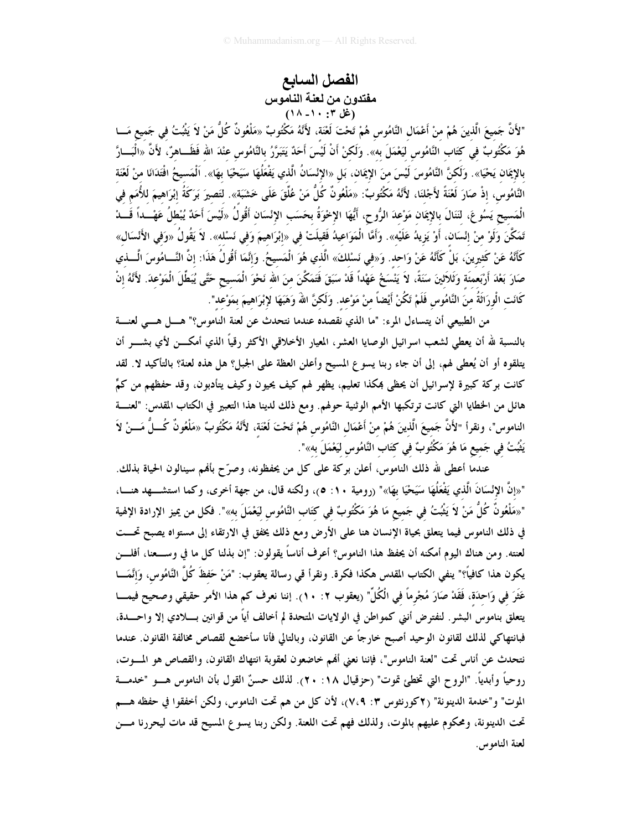## الفصل السابع مفتدون من لعنة الناموس<br>(غل ۰: ۰۱- ۱۸)

"لأَنَّ جَميعَ الَّذينَ هُمْ منْ أَعْمَال النَّامُوس هُمْ تَحْتَ لَغْنَة، لأَنَّهُ مَكْتُوبٌ «مَلْعُونٌ كُلُّ مَنْ لاَ يَثْبُتُ فى جَميع مَـــا هُوَ مَكْتُوبٌ في كتَاب النَّامُوس ليَعْمَلَ به». وَلَكنْ أَنْ لَيْسَ أَحَدٌ يَتَبَرَّرُ بالنَّامُوس عنْدَ الله فَظَــاهرٌ، لأَنَّ «الْبَـــارَّ بالإيمَان يَحْيَا». وَلَكنَّ النَّامُوسَ لَيْسَ منَ الإيمَان، بَل «الإِنْسَانُ الَّذي يَفْعَلُهَا سَيَحْيَا بهَا». الْمَسيحُ افْتَدَانَا منْ لَعْنَة النَّامُوس، إذْ صَارَ لَعْنَةً لأَجْلنَا، لأَنَّهُ مَكْتُوبٌ: «مَلْعُونٌ كُلُّ مَنْ عُلِّقَ عَلَى خَشَبَة». لتَصيرَ بَرَكَةُ إبْرَاهيمَ للأُمَم في الْمَسيح يَسُوعَ، لنَنَالَ بالإيمَان مَوْعدَ الرُّوح، أَيُّهَا الإخْوَةُ بحَسَب الإِنْسَان أَقُولُ «لَيْسَ أَحَدٌ يُبْطلُ عَهْـــداً قَـــدْ تَمَكَّنَ وَلَوْ منْ إنْسَان، أَوْ يَزيدُ عَلَيْه». وَأَمَّا الْمَوَاعيدُ فَقيلَتْ في «إبْرَاهيمَ وَفي نَسْله». لاَ يَقُولُ «وَفي الأَنْسَال» كَأَنَّهُ عَنْ كَثِيرِينَ، بَلْ كَأَنَّهُ عَنْ وَاحِد. وَ«في نَسْلكَ» الَّذي هُوَ الْمَسيحُ. وَإِنَّمَا أَقُولُ هَذَا: إنَّ النَّـــامُوسَ الْــــذي صَارَ بَعْدَ أَرْبَعمنَة وَثَلاَثينَ سَنَةً، لاَ يَنْسَخُ عَهْداً قَدْ سَبَقَ فَتَمَكَّنَ منَ الله نَحْوَ الْمَسيح حَتَّى يُبَطِّلَ الْمَوْعدَ. لأَنَّهُ إنْ كَانَت الْورَاثَةُ منَ النَّامُوس فَلَمْ تَكُنْ أَيْضاً منْ مَوْعد. وَلَكنَّ اللهَ وَهَبَهَا لإِبْرَاهِيمَ بِمَوْعدِ".

من الطبيعي أن يتساءل المرء: "ما الذي نقصده عندما نتحدث عن لعنة الناموس؟" هــــل هــــى لعنــــة بالنسبة لله أن يعطى لشعب اسرائيل الوصايا العشر، المعيار الأخلاقي الأكثر رقياً الذي أمكــــن لأي بشــــر أن يتلقوه أو أن يُعطى لهم، إلى أن جاء ربنا يسوع المسيح وأعلن العظة على الجبل؟ هل هذه لعنة؟ بالتأكيد لا. لقد كانت بركة كبيرة لإسرائيل أن يحظى بمكذا تعليم، يظهر لهم كيف يحيون وكيف يتأدبون، وقد حفظهم من كمٍّ هائل من الخطايا التي كانت ترتكبها الأمم الوثنية حولهم. ومع ذلك لدينا هذا التعبير في الكتاب المقدس: "لعنسة الناموس"، ونقرأ "لأَنَّ جَميعَ الَّذينَ هُمْ منْ أَعْمَال النَّامُوس هُمْ تَحْتَ لَعْنَة، لأَنَّهُ مَكْتُوبٌ «مَلْعُونٌ كُـــلُّ مَـــنْ لاَ يَثْبُتُ في جَميع مَا هُوَ مَكْتُوبٌ في كتَاب النَّامُوس لَيَعْمَلَ به»".

عندما أعطى لله ذلك الناموس، أعلن بركة على كل من يحفظونه، وصرَّح بأفمم سينالون الحياة بذلك. "«إنَّ الإِنْسَانَ الَّذي يَفْعَلُهَا سَيَحْيَا بهَا»" (رومية ١٠: ٥)، ولكنه قال، من جهة أخرى، وكما استشـــهد هنــــا، "«مَلْعُونٌ كُلٌ مَنْ لاَ يَثْبُتُ في جَميع مَا هُوَ مَكْتُوبٌ في كتَاب النَّامُوس ليَعْمَلَ به»". فكل من يميز الإرادة الإلهية في ذلك الناموس فيما يتعلق بحياة الإنسان هنا على الأرض ومع ذلك يخفق في الارتقاء إلى مستواه يصبح تحـــت لعنته. ومن هناك اليوم أمكنه أن يحفظ هذا الناموس؟ أعرف أناساً يقولون: "إن بذلنا كل ما في وســـعنا، أفلــــن يكون هذا كافياً؟" ينفي الكتاب المقدس هكذا فكرة. ونقرأ قي رسالة يعقوب: "مَنْ حَفظَ كُلَّ النَّامُوس، وَإنَّمَـــا عَثَرَ في وَاحدَة، فَقَدْ صَارَ مُجْرِماً في الْكُلِّ" (يعقوب ٢: ١٠). إننا نعرف كم هذا الأمر حقيقي وصحيح فيمـــا يتعلق بناموس البشر. لنفترض أنني كمواطن في الولايات المتحدة لم أخالف أياً من قوانين بــــلادي إلا واحــــدة، فبانتهاكي لذلك لقانون الوحيد أصبح خارجاً عن القانون، وبالتالي فأنا سأخضع لقصاص مخالفة القانون. عندما نتحدث عن أناس تحت "لعنة الناموس"، فإننا نعني ألهم خاضعون لعقوبة انتهاك القانون، والقصاص هو المسوت، روحياً وأبدياً. "الروح التي تخطئ تموت" (حزقيال ١٨: ٢٠). لذلك حسنٌ القول بأن الناموس هـــو "خدمــــة الموت" و"خدمة الدينونة" (٢كورنثوس ٣: ٧،٩)، لأن كل من هم تحت الناموس، ولكن أخفقوا في حفظه هـــم تحت الدينونة، ومحكوم عليهم بالموت، ولذلك فهم تحت اللعنة. ولكن ربنا يسوع المسيح قد مات ليحررنا مـــن لعنة الناموس.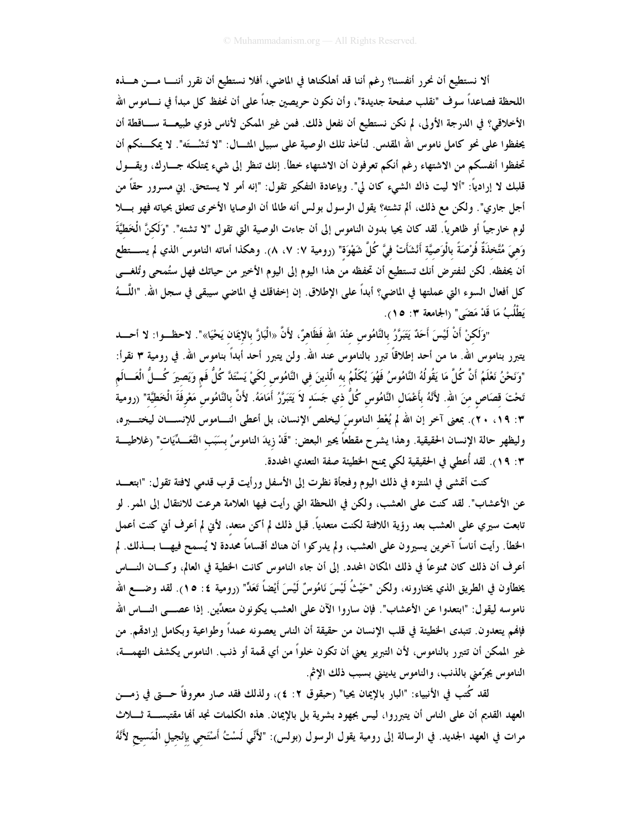ألا نستطيع أن نحرر أنفسنا؟ رغم أننا قد أهلكناها في الماضي، أفلا نستطيع أن نقرر أننـــا مـــن هـــذه اللحظة فصاعداً سوف "نقلب صفحة جديدة"، وأن نكون حريصين جداً على أن نحفظ كل مبدأ في نـــاموس الله الأخلاقي؟ في الدرجة الأولى، لم نكن نستطيع أن نفعل ذلك. فمن غير الممكن لأناس ذوي طبيعـــة ســـاقطة أن يحفظوا على نحو كامل ناموس الله المقدس. لنأخذ تلك الوصية على سبيل المثـــال: "لا تَشْـــتَه". لا يمكـــنكم أن تحفظوا أنفسكم من الاشتهاء رغم أنكم تعرفون أن الاشتهاء خطأ. إنك تنظر إلى شيء يمتلكه جــــارك، ويقــــول قلبك لا إرادياً: "ألا ليت ذاك الشيء كان لي". وبإعادة التفكير تقول: "إنه أمر لا يستحق. إني مسرور حقاً من أجل جاري". ولكن مع ذلك، ألم تشته؟ يقول الرسول بولس أنه طالما أن الوصايا الأخرى تتعلق بحياته فهو بـــلا لوم خارجياً أو ظاهرياً. لقد كان يحيا بدون الناموس إلى أن جاءت الوصية التي تقول "لا تشته". "وَلَكنَّ الْخطيَّةَ وَهِيَ مُتَّخذَةٌ فُرْصَةً بالْوَصيَّة أَنْشَأَتْ فيَّ كُلَّ شَهْوَة" (رومية ٧: ٧، ٨). وهكذا أماته الناموس الذي لم يســــتطع أن يحفظه. لكن لنفترض أنك تستطيع أن تحفظه من هذا اليوم إلى اليوم الأخير من حياتك فهل ستُمحى وتُلغـــى كل أفعال السوء التي عملتها في الماضي؟ أبداً على الإطلاق. إن إخفاقك في الماضي سيبقى في سجل الله. "اللَّـــهُ يَطْلُبُ مَا قَدْ مَضَى" (الجامعة ٣: ٥ ().

"وَلَكنْ أَنْ لَيْسَ أَحَدٌ يَتَبَرَّرُ بالنَّامُوس عنْدَ الله فَظَاهرٌ، لأَنَّ «الْبَارَّ بالإِيمَان يَحْيَا»". لاحظــوا: لا أحــــد يتبرر بناموس الله. ما من أحد إطلاقاً تبرر بالناموس عند الله. ولن يتبرر أحد أبداً بناموس الله. في رومية ٣ نقرأ: "وَنَحْنُ نَعْلَمُ أَنَّ كُلَّ مَا يَقُولُهُ النَّامُوسُ فَهُوَ يُكَلِّمُ به الَّذينَ في النَّامُوس لكَيْ يَسْتَدَّ كُلُّ فَم وَيَصيرَ كُــلُّ الْعَـــالَم تَحْتَ قصَاص منَ الله. لأَنَّهُ بأَعْمَال النَّامُوس كُلُّ ذي جَسَد لاَ يَتَبَرَّرُ أَمَامَهُ. لأَنَّ بالنَّامُوس مَعْرفَةَ الْخَطيَّة" (رومية ٣: ١٩، ٢٠). بمعنى آخر إن الله لم يُعْط الناموسَ ليخلص الإنسان، بل أعطى النــــاموس للإنســــان ليختـــــبره، وليظهر حالة الإنسان الحقيقية. وهذا يشرح مقطعاً يحير البعض: "قَدْ زيدَ الناموسُ بسَبَب التَّعَــدِّيَات" (غلاطيـــة ٣: ١٩). لقد أُعطي في الحقيقية لكي يمنح الخطيئة صفة التعدي المحددة.

كنت أتمشى في المنتزه في ذلك اليوم وفجأة نظرت إلى الأسفل ورأيت قرب قدمي لافتة تقول: "ابتعـــد عن الأعشاب". لقد كنت على العشب، ولكن في اللحظة التي رأيت فيها العلامة هرعت للانتقال إلى الممر. لو تابعت سيرى على العشب بعد رؤية اللافتة لكنت متعدياً. قبل ذلك لم أكن متعد، لأبن لم أعرف أبي كنت أعمل الخطأ. رأيت أناساً آخرين يسيرون على العشب، ولم يدركوا أن هناك أقساماً محددة لا يُسمح فيهـــا بــــذلك. لم أعرف أن ذلك كان ممنوعاً في ذلك المكان المحدد. إلى أن جاء الناموس كانت الخطية في العالم، وكـــان النــــاس يخطأون في الطريق الذي يختارونه، ولكن "حَيْثُ لَيْسَ نَامُوسٌ لَيْسَ أَيْضاً تَعَدٌّ" (رومية ٤: ١٥). لقد وضــــع الله ناموسه ليقول: "ابتعدوا عن الأعشاب". فإن ساروا الآن على العشب يكونون متعدِّين. إذا عصـــى النــــاس الله فإنهم يتعدون. تتبدى الخطيئة في قلب الإنسان من حقيقة أن الناس يعصونه عمداً وطواعية وبكامل إرادقم. من غير الممكن أن تتبرر بالناموس، لأن التبرير يعني أن تكون خلواً من أي قممة أو ذنب. الناموس يكشف التهمــــة، الناموس يجرّمني بالذنب، والناموس يدينني بسبب ذلك الإثم.

لقد كُتب فى الأنبياء: "البار بالإيمان يحيا" (حبقوق ٢: ٤)، ولذلك فقد صار معروفاً حــــتى في زمــــن العهد القديم أن على الناس أن يتبرروا، ليس بجهود بشرية بل بالإيمان. هذه الكلمات نجد ألها مقتبســـة ثــــلاث مرات في العهد الجديد. في الرسالة إلى رومية يقول الرسول (بولس): "لأَنِّي لَسْتُ أَسْتَحى بإنْجيل الْمَسيح لأَنَّهُ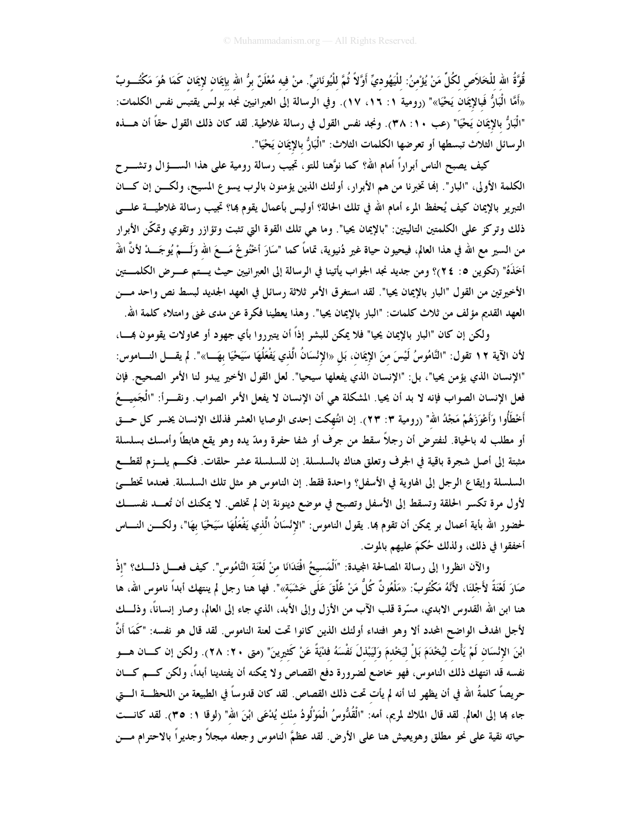قُوَّةُ الله للْخَلاَص لكُلِّ مَنْ يُؤْمنُ: للْيَهُوديِّ أَوَّلاً ثُمَّ للْيُونَانيِّ. منْ فيه مُعْلَنٌ برُّ الله بإيمَان لإيمَان كَمَا هُوَ مَكْتُــوبٌ «أَمَّا الْبَارُّ فَبالإِيمَان يَحْيَا»" (رومية ١: ١٦، ١٧). وفي الرسالة إلى العبرانيين نجد بولس يقتبس نفس الكلمات: "الْبَارُّ بالإيمَان يَحْيَا" (عب ١٠: ٣٨). ونجد نفس القول في رسالة غلاطية. لقد كان ذلك القول حقاً أن هــــذه الرسائل الثلاث تبسطها أو تعرضها الكلمات الثلاث: "الْبَارُّ بالإِيمَان يَحْيَا".

كيف يصبح الناس أبراراً أمام الله؟ كما نوَّهنا للتو، تجيب رسالة رومية على هذا الســـؤال وتشــــرح الكلمة الأولى، "البار". إنها تخبرنا من هم الأبرار، أولئك الذين يؤمنون بالرب يسوع المسيح، ولكــن إن كــان التبرير بالإيمان كيف يُحفظ المرء أمام الله في تلك الحالة؟ أوليس بأعمال يقوم بما؟ تجيب رسالة غلاطيــــة علـــــي ذلك وتركز على الكلمتين التاليتين: "بالإيمان يحيا". وما هي تلك القوة التي تثبت وتؤازر وتقوي وتمكّن الأبرار من السير مع الله في هذا العالم، فيحيون حياة غير دُنيوية، تماماً كما "سَارَ أخْنُوخُ مَـــعَ الله وَلَـــمْ يُوجَـــدْ لأنَّ اللهَ أخَذَهُ" (تكوين ٥: ٢٤)؟ ومن جديد نجد الجواب يأتينا في الرسالة إلى العبرانيين حيث يستم عــــرض الكلمــــتين الأخيرتين من القول "البار بالإيمان يحيا". لقد استغرق الأمر ثلاثة رسائل في العهد الجديد لبسط نص واحد مـــن العهد القديم مؤلف من ثلاث كلمات: "البار بالإيمان يحيا". وهذا يعطينا فكرة عن مدى غني وامتلاء كلمة الله.

ولكن إن كان "البار بالإيمان يحيا" فلا يمكن للبشر إذاً أن يتبرروا بأي جهود أو محاولات يقومون بمسـًا، لأن الآية ١٢ تقول: "النَّامُوسُ لَيْسَ منَ الإيمَان، بَل «الإنْسَانُ الَّذي يَفْعَلُهَا سَيَحْيَا بهَـــا»". لم يقــــل النــــاموس: "الإنسان الذي يؤمن يحيا"، بل: "الإنسان الذي يفعلها سيحيا". لعل القول الأخير يبدو لنا الأمر الصحيح. فإن فعل الإنسان الصواب فإنه لا بد أن يحيا. المشكلة هي أن الإنسان لا يفعل الأمر الصواب. ونقـــراً: "الْجَميــــعُ أَخْطَأُوا وَأَعْوَزَهُمْ مَجْدُ الله" (رومية ٣: ٢٣). إن انتُهكت إحدى الوصايا العشر فذلك الإنسان يخسر كل حـــق أو مطلب له بالحياة. لنفترض أن رجلاً سقط من جرف أو شفا حفرة ومدّ يده وهو يقع هابطاً وأمسك بسلسلة مثبتة إلى أصل شجرة باقية في الجرف وتعلق هناك بالسلسلة. إن للسلسلة عشر حلقات. فكـــم يلـــزم لقطـــع السلسلة وإيقاع الرجل إلى الهاوية في الأسفل؟ واحدة فقط. إن الناموس هو مثل تلك السلسلة. فعندما تخطــئ لأول مرة تكسر الحلقة وتسقط إلى الأسفل وتصبح في موضع دينونة إن لم تخلص. لا يمكنك أن تُعــد نفســـك لحضور الله بأية أعمال بر يمكن أن تقوم بما. يقول الناموس: "الإنْسَانُ الَّذي يَفْعَلُهَا سَيَحْيَا بهَا"، ولكـــن النــــاس أخفقوا في ذلك، ولذلك حُكمَ عليهم بالموت.

والآن انظروا إلى رسالة المصالحة المجيدة: "اَلْمَسيحُ افْتَدَانَا منْ لَعْنَة النَّامُوس". كيف فعـــل ذلـــك؟ "إذْ صَارَ لَعْنَةً لأَجْلنَا، لأَنَّهُ مَكْتُوبٌ: «مَلْعُونٌ كُلُّ مَنْ عُلَّقَ عَلَى خَشَبَة»". فها هنا رجل لم ينتهك أبداً ناموس الله، ها هنا ابن الله القدوس الابدي، مسّرة قلب الآب من الأزل وإلى الأبد، الذي جاء إلى العالم، وصار إنساناً، وذلـــك لأجل الهدف الواضح المحدد ألا وهو افتداء أولئك الذين كانوا تحت لعنة الناموس. لقد قال هو نفسه: "كَمَا أَنَّ ابْنَ الإِنْسَان لَمْ يَأْت لَيُخْدَمَ بَلْ لَيَخْدمَ وَلَيَبْذلَ نَفْسَهُ فَدْيَةً عَنْ كَثيرينَ" (متى ٢٠: ٢٨). ولكن إن كـــان هــــو نفسه قد انتهك ذلك الناموس، فهو خاضع لضرورة دفع القصاص ولا يمكنه أن يفتدينا أبداً، ولكن كـــم كـــان حريصاً كلمةُ الله في أن يظهر لنا أنه لم يأت تحت ذلك القصاص. لقد كان قدوساً في الطبيعة من اللحظــة الــــتي جاء بما إلى العالم. لقد قال الملاك لمريم، أمه: "الْقُدُّوسُ الْمَوْلُودُ منْك يُدْعَى ابْنَ الله" (لوقا ١: ٣٥). لقد كانـــت حياته نقية على نحو مطلق وهويعيش هنا على الأرض. لقد عظمَّ الناموس وجعله مبجلاً وجديراً بالاحترام مـــن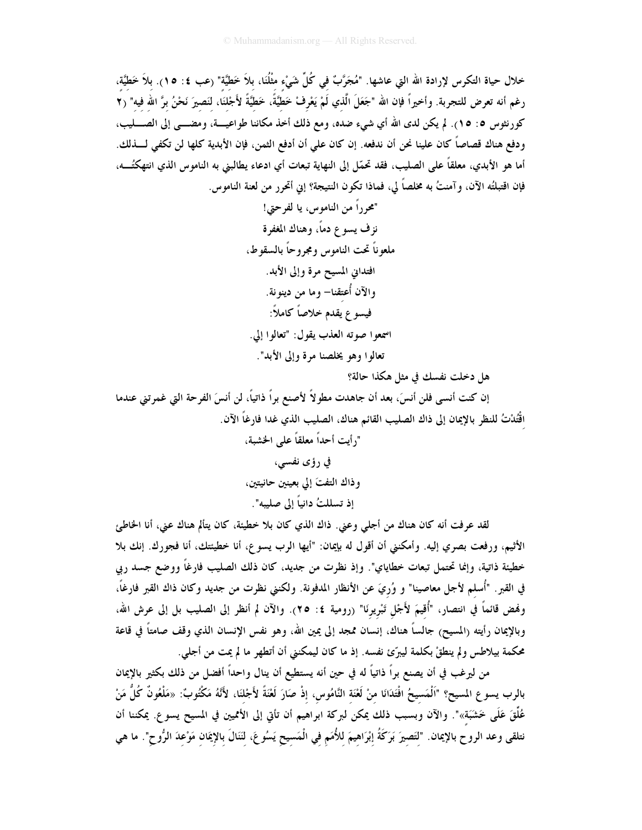خلال حياة التكرس لإرادة الله التي عاشها. "مُجَرَّبٌ في كُلِّ شَيْء مثْلُنَا، بلاَ خَطِّيَّة" (عب ٤: ١٥). بلاَ خَطيَّة، رغم أنه تعرض للتجربة. وأخيراً فإن الله "جَعَلَ الَّذي لَمْ يَعْرفْ خَطيَّةً، خَطيَّةً لأَجْلنَا، لنَصيرَ نَحْنُ برَّ الله فيه" (٢ كورنثوس ٥: ١٥). لم يكن لدى الله أي شيء ضده، ومع ذلك أخذ مكاننا طواعيسة، ومضـــي إلى الصــــليب، ودفع هناك قصاصاً كان علينا نحن أن ندفعه. إن كان على أن أدفع الثمن، فإن الأبدية كلها لن تكفي لــــذلك. أما هو الأبدي، معلقاً على الصليب، فقد تحمّل إلى النهاية تبعات أي ادعاء يطالبني به الناموس الذي انتهكتُـــه، فإن اقتبلتُه الآن، و آمنتُ به مخلصاً لي، فماذا تكون النتيجة؟ إني أتحرر من لعنة الناموس.

هل دخلت نفسك في مثل هكذا حالة؟

إن كنت أنسى فلن أنسَ، بعد أن جاهدت مطولاً لأصنع براً ذاتياً، لن أنسَ الفرحة التي غمرتني عندما اقْتُدْتُ للنظر بالإيمان إلى ذاك الصليب القائم هناك، الصليب الذي غدا فارغاً الآن. "رأيت أحداً معلقاً على الخشبة، في رؤى نفسى،

لقد عرفت أنه كان هناك من أجلي وعني. ذاك الذي كان بلا خطيئة، كان يتألم هناك عني، أنا الخاطئ الأثيم، ورفعت بصري إليه. وأمكنني أن أقول له بإيمان: "أيها الرب يسوع، أنا خطيئتك، أنا فجورك. إنك بلا خطيئة ذاتية، وإنما تحتمل تبعات خطاياي". وإذ نظرت من جديد، كان ذلك الصليب فارغاً ووضع جسد ربي في القبر. "أُسلم لأجل معاصينا" و وُريَ عن الأنظار المدفونة. ولكنني نظرت من جديد وكان ذاك القبر فارغاً، وفمض قائماً في انتصار، "أُقيمَ لأَجْل تَبْريرنَا" (رومية ٤: ٢٥). والآن لم أنظر إلى الصليب بل إلى عرش الله، وبالإيمان رأيته (المسيح) جالساً هناك، إنسان ممجد إلى يمين الله، وهو نفس الإنسان الذي وقف صامتاً في قاعة محكمة بيلاطس ولم ينطقْ بكلمة ليبرِّئ نفسه. إذ ما كان ليمكنني أن أتطهر ما لم يمت من أجلي.

من ليرغب في أن يصنع براً ذاتياً له في حين أنه يستطيع أن ينال واحداً أفضل من ذلك بكثير بالإيمان بالرب يسوع المسيح؟ "اَلْمَسيحُ افْتَدَانَا منْ لَعْنَة النَّامُوس، إذْ صَارَ لَعْنَةً لأَجْلنَا، لأَنَّهُ مَكْتُوبٌ: «مَلْعُونٌ كُلُّ مَنْ عُلِّقَ عَلَى خَشَبَة»". والآن وبسبب ذلك يمكن لبركة ابراهيم أن تأتى إلى الأمميين في المسيح يسوع. يمكننا أن نتلقى وعد الروح بالإيمان. "لتَصيرَ بَرَكَةُ إبْرَاهيمَ للأُمَم في الْمَسيح يَسُوعَ، لَنَنَالَ بالإِيمَان مَوْعدَ الرُّوح". ما هي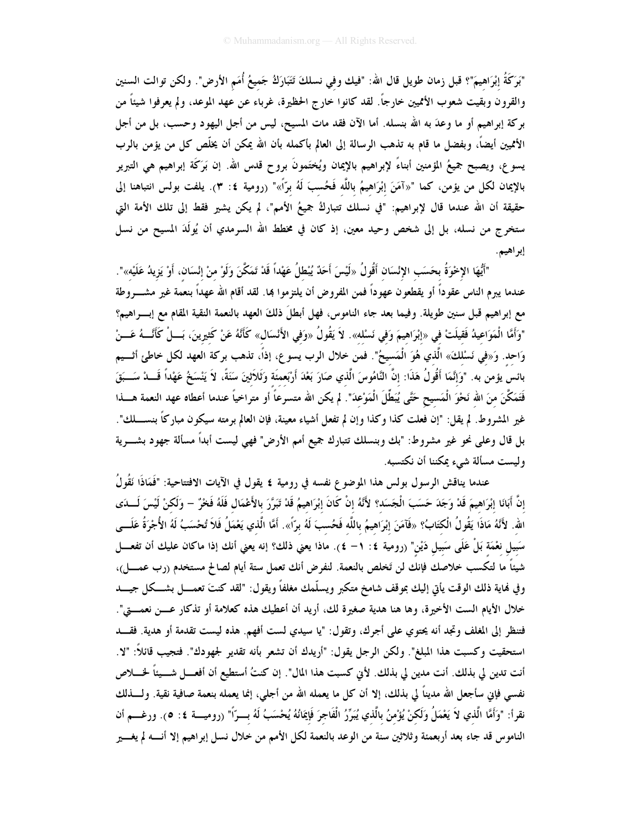"بَرَكَةُ إبْرَاهيمَ"؟ قبل زمان طويل قال الله: "فيك وفي نسلكَ تَتَبَارَكُ جَميعُ أُمَم الأرض". ولكن توالت السنين والقرون وبقيت شعوب الأمميين خارجاً. لقد كانوا خارج الحظيرة، غرباء عن عهد الموعد، ولم يعرفوا شيئاً من بركة إبراهيم أو ما وعدَ به الله بنسله. أما الآن فقد مات المسيح، ليس من أجل اليهود وحسب، بل من أجل الأمميين أيضاً، وبفضل ما قام به تذهب الرسالة إلى العالم بأكمله بأن الله يمكن أن يخلَّص كل من يؤمن بالرب يسوع، ويصبح جميعُ المؤمنين أبناءً لإبراهيم بالإيمان ويُختَمونَ بروح قدس الله. إن بَرَكَة إبراهيم هي التبرير بالإيمان لكل من يؤمن، كما "«آمَنَ إبْرَاهيمُ باللَّه فَحُسبَ لَهُ برَّاً»" (رومية ٤: ٣). يلفت بولس انتباهنا إلى حقيقة أن الله عندما قال لإبراهيم: "في نسلك تتباركُ جميعُ الأمم"، لم يكن يشير فقط إلى تلك الأمة التي ستخرج من نسله، بل إلى شخص وحيد معين، إذ كان في مخطط الله السرمدي أن يُولَدَ المسيح من نسل إبراهيم.

"أَيُّهَا الإِحْوَةُ بِحَسَبِ الإِنْسَانِ أَقُولُ «لَيْسَ أَحَدٌ يُبْطلُ عَهْداً قَدْ تَمَكَّنَ وَلَوْ منْ إنْسَان، أَوْ يَزيدُ عَلَيْه»". عندما يبرم الناس عقوداً أو يقطعون عهوداً فمن المفروض أن يلتزموا بما. لقد أقام الله عهداً بنعمة غير مشـــروطة مع إبراهيم قبل سنين طويلة. وفيما بعد جاء الناموس، فهل أبطلَ ذلكَ العهد بالنعمة النقية المقام مع إبـــراهيم؟ "وَأَمَّا الْمَوَاعِيدُ فَقيلَتْ في «إبْرَاهيمَ وَفي نَسْله». لاَ يَقُولُ «وَفي الأَنْسَال» كَأَنَّهُ عَنْ كَثيرينَ، بَـــلْ كَأَنَّـــهُ عَـــنْ وَاحِدٍ. وَ«في نَسْلكَ» الَّذي هُوَ الْمَسيحُ". فمن خلال الرب يسوع، إذاً، تذهب بركة العهد لكل خاطئ أثـــيم بائس يؤمن به. "وَإِنَّمَا أَقُولُ هَذَا: إنَّ النَّامُوسَ الَّذي صَارَ بَعْدَ أَرْبَعمئَة وَثَلاَثينَ سَنَةً، لاَ يَنْسَخُ عَهْداً قَـــدْ سَـــبَقَ فَتَمَكَّنَ منَ الله نَحْوَ الْمَسيح حَتَّى يُبَطِّلَ الْمَوْعدَ". لم يكن الله متسرعاً أو متراخياً عندما أعطاه عهد النعمة هـــذا غير المشروط. لم يقل: "إن فعلت كذا وكذا وإن لم تفعل أشياء معينة، فإن العالم برمته سيكون مباركًا بنســــلك". بل قال وعلى نحو غير مشروط: "بك وبنسلك تتبارك جميع أمم الأرض" فهي ليست أبداً مسألة جهود بشــــرية وليست مسألة شيء يمكننا أن نكتسبه.

عندما يناقش الرسول بولس هذا الموضوع نفسه في رومية ٤ يقول في الآيات الافتتاحية: "فَمَاذَا نَقُولُ إنَّ أَبَانَا إِبْرَاهِيمَ قَدْ وَجَدَ حَسَبَ الْجَسَد؟ لأَنَّهُ إنْ كَانَ إبْرَاهِيمُ قَدْ تَبَرَّرَ بالأَعْمَال فَلَهُ فَخْرٌ – وَلَكنْ لَيْسَ لَــدَى الله. لأَنَّهُ مَاذَا يَقُولُ الْكَتَابُ؟ «فَآمَنَ إبْرَاهيمُ باللَّه فَحُسبَ لَهُ برَّاً». أَمَّا الَّذي يَعْمَلُ فَلاَ تُحْسَبُ لَهُ الأُجْرَةُ عَلَـــى سَبيل نعْمَة بَلْ عَلَى سَبيل دَيْن" (رومية ٤: ١– ٤). ماذا يعني ذلك؟ إنه يعني أنك إذا ماكان عليك أن تفعـــل شيئاً ما لتكسب خلاصك فإنك لن تَخلص بالنعمة. لنفرض أنك تعمل ستة أيام لصالح مستخدم (رب عمــــل)، وفي فماية ذلك الوقت يأتي إليك بموقف شامخ متكبر ويسلَّمك مغلفاً ويقول: "لقد كنتَ تعمــــل بشـــكل جيــــد خلال الأيام الست الأخيرة، وها هنا هدية صغيرة لك، أريد أن أعطيك هذه كعلامة أو تذكار عـــن نعمــــتي". فتنظر إلى المغلف وتجد أنه يحتوي على أجرك، وتقول: "يا سيدي لست أفهم. هذه ليست تقدمة أو هدية. فقــد استحقيت وكسبت هذا المبلغ". ولكن الرجل يقول: "أريدك أن تشعر بأنه تقدير لجهودك". فتجيب قائلاً: "لا. أنت تدين لي بذلك. أنت مدين لي بذلك. لأني كسبت هذا المال". إن كنتُ أستطيع أن أفعـــل شــــيئاً لخــــلاص نفسي فإني سأجعل الله مديناً لي بذلك، إلا أن كل ما يعمله الله من أجلي، إنما يعمله بنعمة صافية نقية. ولــــذلك نقرأ: "وَأَمَّا الَّذي لاَ يَعْمَلُ وَلَكنْ يُؤْمنُ بِالَّذي يُبَرِّرُ الْفَاجرَ فَإِيمَانُهُ يُحْسَبُ لَهُ بسرّاً" (روميسة ٤: ٥). ورغسم أن الناموس قد جاء بعد أربعمئة وثلاثين سنة من الوعد بالنعمة لكل الأمم من خلال نسل إبراهيم إلا أنـــــه لم يغــــير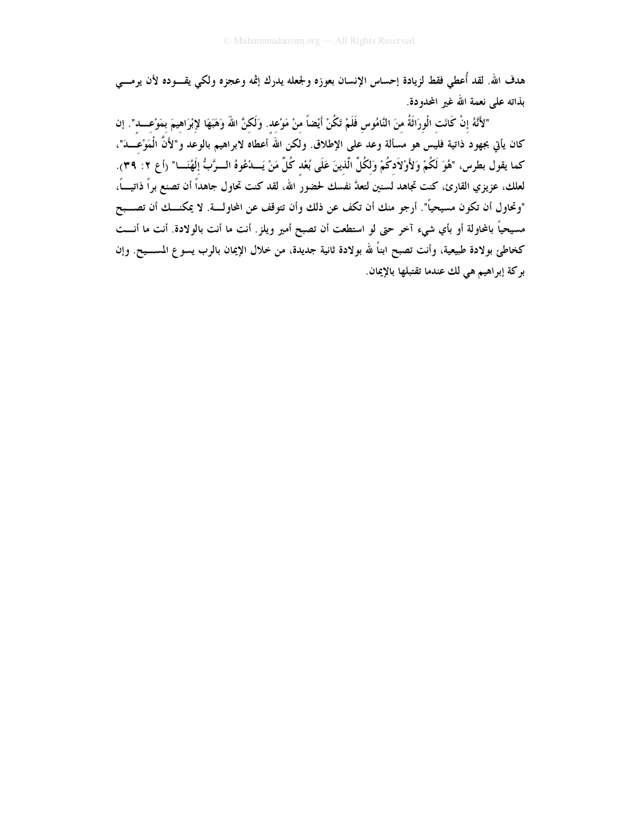هدف الله. لقد أُعطي فقط لزيادة إحساس الإنسان بعوزه ولجعله يدرك إثمه وعجزه ولكي يقـــوده لأن يرمـــي بذاته على نعمة الله غير المحدودة.

"لأَنَّهُ إنْ كَانَت الْورَاثَةُ منَ النَّامُوس فَلَمْ تَكُنْ أَيْضاً منْ مَوْعد. وَلَكنَّ اللهَ وَهَبَهَا لإبْرَاهيمَ بمَوْعــــد". إن كان يأتي بجهود ذاتية فليس هو مسألة وعد على الإطلاق. ولكن الله اًعطاه لابراهيم بالوعد و"لأَنَّ الْمَوْعَـــدَ"، كما يقول بطرس، "هُوَ لَكُمْ وَلأَوْلاَدكُمْ وَلكُلِّ الَّذينَ عَلَى بُعْد كُلِّ مَنْ يَــدْعُوهُ الــرَّبُّ إلَهُنَـــا" (أع ٢: ٣٩). لعلك، عزيزي القارئ، كنت تجاهد لسنين لتعدَّ نفسك لحضور الله، لقد كنت تحاول جاهداً أن تصنع براً ذاتيـــاً، "وتحاول أن تكون مسيحياً". أرجو منك أن تكف عن ذلك وأن تتوقف عن المحاولة. لا يمكنـــك أن تصـــبح مسيحياً بالمحاولة أو بأي شيء آخر حتى لو استطعت أن تصبح أمير ويلز. أنت ما أنت بالولادة. أنت ما أنـــت كخاطئ بولادة طبيعية، وأنت تصبح ابناً لله بولادة ثانية جديدة، من خلال الإيمان بالرب يسوع المســـيح. وإن بر كة إبراهيم هي لك عندما تقتبلها بالإيمان.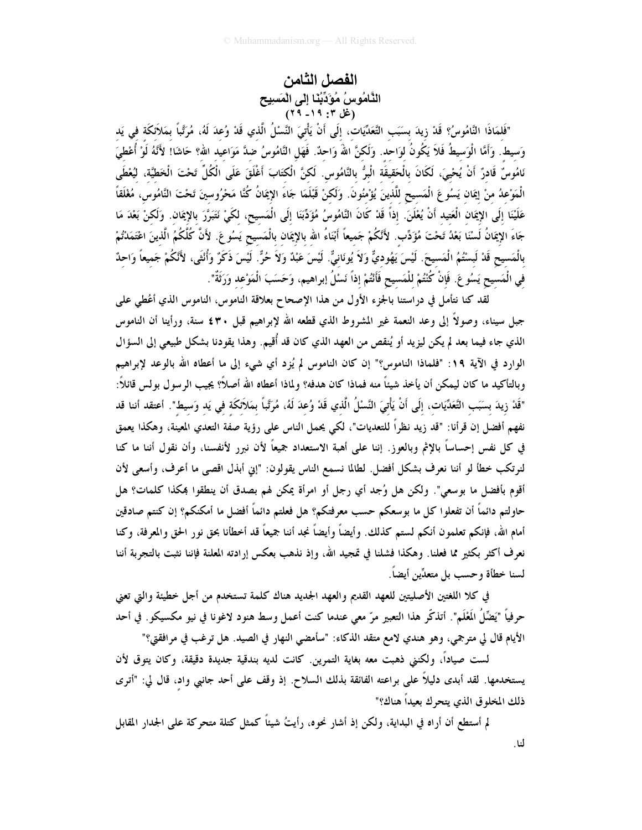الفصل الثامن الْذَّامُوسُ مُوَّدِّبُنَا إِلَى الْمَسنِيح<br>(غل ٣: ١٩ - ٢٩)

"فَلمَاذَا النَّامُوسُ؟ قَدْ زيدَ بسَبَبِ التَّعَدِّيَات، إلَى أَنْ يَأْتيَ النَّسْلُ الَّذي قَدْ وُعدَ لَهُ، مُرَتَّباً بمَلاَئكَة في يَد وَسيط. وَأَمَّا الْوَسيطُ فَلاَ يَكُونُ لوَاحد. وَلَكنَّ اللهُ وَاحدٌ. فَهَل النَّامُوسُ ضدَّ مَوَاعيد الله؟ حَاشَا! لأَنَّهُ لَوْ أُعْطيَ نَامُوسٌ قَادرٌ أَنْ يُحْيىَ، لَكَانَ بِالْحَقيقَة الْبِرُّ بِالنَّامُوسِ. لَكنَّ الْكَتَابَ أَغْلَقَ عَلَى الْكُلِّ تَحْتَ الْخَطيَّة، ليُعْطَى الْمَوْعدُ منْ إِيمَان يَسُوعَ الْمَسيحِ للَّذينَ يُؤْمِنُونَ. وَلَكنْ قَبْلَمَا جَاءَ الإِيمَانُ كُنَّا مَحْرُوسينَ تَحْتَ النَّامُوس، مُغْلَقاً عَلَيْنَا ۚ إِلَى الإِيمَان الْعَتِيد أَنْ يُعْلَنَ. إذاً قَدْ كَانَ النَّامُوسُ مُؤَدِّبَنَا إِلَى الْمَسيح، لكَيْ نَتَبَرَّرَ بالإِيمَان. وَلَكنْ بَعْدَ مَا جَاءَ الإِيمَانُ لَسْنَا بَعْدُ تَحْتَ مُؤَدِّبٍ. لأَنَّكُمْ جَميعاً أَبْنَاءُ الله بالإِيمَان بالْمَسيح يَسُوعَ. لأَنَّ كُلَّكُمُ الَّذينَ اعْتَمَدْتُمْ بِالْمَسِيحِ قَدْ لَبِسْتُمُ الْمَسِيحَ. لَيْسَ يَهُوديٌّ وَلاَ يُونَانيٌّ. لَيْسَ عَبْدٌ وَلاَ حُرٌّ. لَيْسَ ذَكَرٌ وَأُنْثَى، لأَنْكُمْ جَميعاً وَاحدٌ في الْمَسيح يَسُو عَ. فَإِنْ كُنْتُمْ للْمَسيح فَأَنْتُمْ إذاً نَسْلُ إبراهيم، وَحَسَبَ الْمَوْعد وَرَثَةٌ".

لقد كنا نتأمل في دراستنا بالجزء الأول من هذا الإصحاح بعلاقة الناموس، الناموس الذي أعُطى على جبل سيناء، وصولاً إلى وعد النعمة غير المشروط الذي قطعه الله لإبراهيم قبل ٢٠\$ سنة، ورأينا أن الناموس الذي جاء فيما بعد لم يكن ليزيد أو يُنقص من العهد الذي كان قد أُقيم. وهذا يقودنا بشكل طبيعي إلى السؤال الوارد في الآية ١٩: "فلماذا الناموس؟" إن كان الناموس لم يُزِد أي شيء إلى ما أعطاه الله بالوعد لإبراهيم وبالتأكيد ما كان ليمكن أن يأخذ شيئاً منه فماذا كان هدفه؟ ولماذا أعطاه الله أصلاً؟ يجيب الرسول بولس قائلاً: "قَدْ زِيدَ بِسَبَبِ التَّعَدِّيَاتِ، إِلَى أَنْ يَأْتِيَ النَّسْلُ الَّذي قَدْ وُعدَ لَهُ، مُرَتَّباً بمَلاَئكَة في يَد وَسيط". أعتقد أننا قد نفهم أفضل إن قرأنا: "قد زيد نظراً للتعديات"، لكي يحمل الناس على رؤية صفة التعدي المعينة، وهكذا يعمق في كل نفس إحساساً بالإثم وبالعوز. إننا على أهبة الاستعداد جميعاً لأن نبرر لأنفسنا، وأن نقول أننا ما كنا لنرتكب خطأ لو أننا نعرف بشكل أفضل. لطالما نسمع الناس يقولون: "إني أبذل اقصى ما أعرف، وأسعى لأن أقوم بأفضل ما بوسعي". ولكن هل وُجد أي رجل أو امرأة يمكن لهم بصدق أن ينطقوا بمكذا كلمات؟ هل حاولتم دائماً أن تفعلوا كل ما بوسعكم حسب معرفتكم؟ هل فعلتم دائماً أفضل ما أمكنكم؟ إن كنتم صادقين أمام الله، فإنكم تعلمون أنكم لستم كذلك. وأيضاً وأيضاً نجد أننا جميعاً قد أخطأنا بحق نور الحق والمعرفة، وكنا نعرف أكثر بكثير مما فعلنا. وهكذا فشلنا في تمجيد الله، وإذ نذهب بعكس إرادته المعلنة فإننا نثبت بالتجربة أننا لسنا خطأة وحسب بل متعدِّين أيضاً.

في كلا اللغتين الأصليتين للعهد القديم والعهد الجديد هناك كلمة تستخدم من أجل خطيئة والتي تعني حرفياً "يَضَّلُ المَعْلَم". أتذكَّر هذا التعبير مرّ معي عندما كنت أعمل وسط هنود لاغونا في نيو مكسيكو . في أحد الأيام قال لي مترجمي، وهو هندي لامع متقد الذكاء: "سأمضى النهار في الصيد. هل ترغب في مرافقتي؟"

لست صياداً، ولكنني ذهبت معه بغاية التمرين. كانت لديه بندقية جديدة دقيقة، وكان يتوق لأن يستخدمها. لقد أبدى دليلاً على براعته الفائقة بذلك السلاح. إذ وقف على أحد جانبي واد، قال لي: "أترى ذلك المخلوق الذي يتحرك بعيداً هناك؟"

لم أستطع أن أراه في البداية، ولكن إذ أشار نحوه، رأيتُ شيئاً كمثل كتلة متحركة على الجدار المقابل لنا.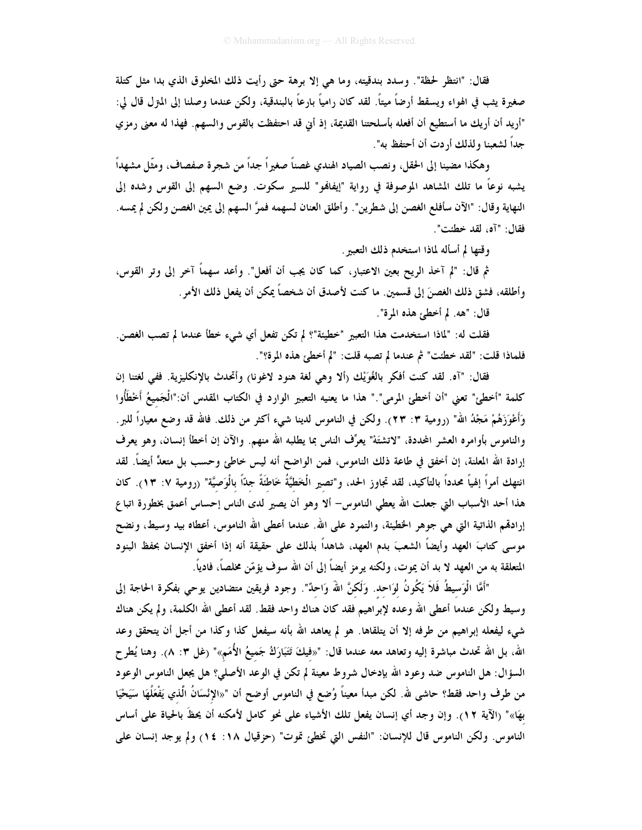فقال: "انتظر لحظة". وسدد بندقيته، وما هي إلا برهة حتى رأيت ذلك المخلوق الذي بدا مثل كتلة صغيرة يثب في الهواء ويسقط أرضاً ميتاً. لقد كان رامياً بارعاً بالبندقية، ولكن عندما وصلنا إلى المترل قال لى: "أريد أن أريك ما أستطيع أن أفعله بأسلحتنا القديمة، إذ أين قد احتفظت بالقوس والسهم. فهذا له معنى رمزي جداً لشعبنا ولذلك أردت أن أحتفظ به".

وهكذا مضينا إلى الحقل، ونصب الصياد الهندي غصناً صغيراً جداً من شجرة صفصاف، ومثّل مشهداً يشبه نوعاً ما تلك المشاهد الموصوفة في رواية "إيفافمو" للسير سكوت. وضع السهم إلى القوس وشده إلى النهاية وقال: "الآن سأفلع الغصن إلى شطرين". وأطلق العنان لسهمه فمرَّ السهم إلى يمين الغصن ولكن لم يمسه. فقال: "آه، لقد خطئت".

وقتها لم أسأله لماذا استخدم ذلك التعبير .

ثم قال: "لم آخذ الريح بعين الاعتبار، كما كان يجب أن أفعل". وأعد سهماً آخر إلى وتر القوس، وأطلقه، فشق ذلك الغصنَ إلى قسمين. ما كنت لأصدق أن شخصاً يمكن أن يفعل ذلك الأمر .

قال: "هه. لم أخطئ هذه المرة".

فقلت له: "لماذا استخدمت هذا التعبير "خطيئة"؟ لم تكن تفعل أي شيء خطأ عندما لم تصب الغصن. فلماذا قلت: "لقد خطئت" ثم عندما لم تصبه قلت: "لم أخطئ هذه المرة؟".

فقال: "آه. لقد كنت أفكر بالغُوَيْك (ألا وهي لغة هنود لاغونا) وأتحدث بالإنكليزية. ففي لغتنا إن كلمة "أخطئ" تعني "أن أخطئ المرمي"." هذا ما يعنيه التعبير الوارد في الكتاب المقدس أن:"الْجَميعُ أَخْطَأُوا وَأَعْوَزَهُمْ مَجْدُ الله" (رومية ٣: ٢٣). ولكن في الناموس لدينا شيء أكثر من ذلك. فالله قد وضع معياراً للبر . والناموس بأوامره العشر المحددة، "لاتشتَهْ" يعرِّف الناس بما يطلبه الله منهم. والآن إن أخطأ إنسان، وهو يعرف إرادة الله المعلنة، إن أخفق في طاعة ذلك الناموس، فمن الواضح أنه ليس خاطئ وحسب بل متعدٍّ أيضاً. لقد انتهك أمراً إلهياً محدداً بالتأكيد، لقد تجاوز الحد، و"تصير الْخَطَّيَّةُ خَاطَنَةً جدّاً بالْوَصيَّة" (رومية ٧: ١٣). كان هذا أحد الأسباب التي جعلت الله يعطي الناموس- ألا وهو أن يصير لدى الناس إحساس أعمق بخطورة اتباع إرادهُم الذاتية التي هي جوهرِ الخطيئة، والتمرد على الله. عندما أعطى الله الناموس، أعطاه بيد وسيط، ونضح موسى كتابَ العهد وأيضاً الشعبَ بدم العهد، شاهداً بذلك على حقيقة أنه إذا أخفق الإنسان بحفظ البنود المتعلقة به من العهد لا بد أن يموت، ولكنه يرمز أيضاً إلى أن الله سوف يؤمّن مخلصاً، فادياً.

"أَمَّا الْوَسيطُ فَلاَ يَكُونُ لوَاحد. وَلَكنَّ اللهُ وَاحدٌ". وجود فريقين متضادين يوحى بفكرة الحاجة إلى وسيط ولكن عندما أعطى الله وعده لإبراهيم فقد كان هناك واحد فقط. لقد أعطى الله الكلمة، ولم يكن هناك شيء ليفعله إبراهيم من طرفه إلا أن يتلقاها. هو لم يعاهد الله بأنه سيفعل كذا وكذا من أجل أن يتحقق وعد الله، بل الله تحدث مباشرة إليه وتعاهد معه عندما قال: "«فيكَ تَتَبَارَكُ جَميعُ الأُمَم»" (غل ٣: ٨). وهنا يُطرح السؤال: هل الناموس ضد وعود الله بإدخال شروط معينة لم تكن في الوعد الأصلي؟ هل يجعل الناموس الوعود من طرف واحد فقط؟ حاشي لله. لكن مبدأ معيناً وُضع في الناموس أوضح أن "«الإنْسَانُ الَّذي يَفْعَلُهَا سَيَحْيَا بهَا»" (الآية ١٢). وإن وجد أي إنسان يفعل تلك الأشياء على نحو كامل لأمكنه أن يحظَ بالحياة على أساس الناموس. ولكن الناموس قال للإنسان: "النفس التي تخطئ تموت" (حزقيال ١٨: ١٤) ولم يوجد إنسان على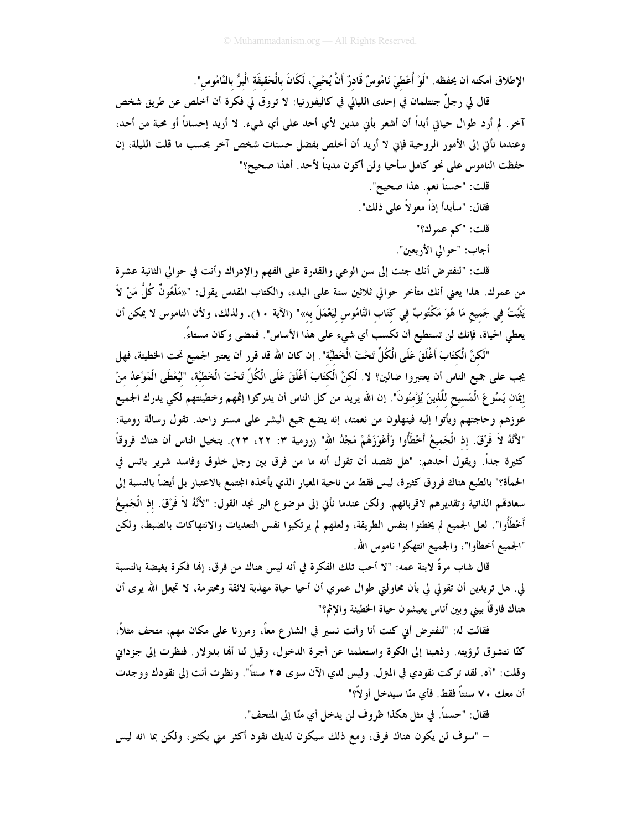الإطلاق أمكنه أن يحفظه. "لَوْ أُعْطىَ نَامُوسٌ قَادرٌ أَنْ يُحْيىَ، لَكَانَ بِالْحَقيقَة الْبرُّ بِالنَّامُوس".

قال لي رجلٌ جنتلمان في إحدى الليالي في كاليفورنيا: لا تروق لي فكرة أن أخلص عن طريق شخص آخر. لم أرد طوال حياتي أبداً أن أشعر بأني مدين لأي أحد على أي شيء. لا أريد إحساناً أو محبة من أحد، وعندما نأتي إلى الأمور الروحية فإين لا أريد أن أخلص بفضل حسنات شخص آخر بحسب ما قلت الليلة، إن حفظت الناموس على نحو كامل سأحيا ولن أكون مديناً لأحد. أهذا صحيح؟"

> قلت: "حسناً نعم. هذا صحيح". فقال: "سأبدأ إذاً معو لاً على ذلك".

قلت: "كم عمرك؟"

أجاب: "حوالي الأربعين".

قلت: "لنفترض أنك جئت إلى سن الوعي والقدرة على الفهم والإدراك وأنت في حوالي الثانية عشرة من عمرك. هذا يعني أنك متأخر حوالي ثلاثين سنة على البدء، والكتاب المقدس يقول: "«مَلْعُونٌ كُلُّ مَنْ لاَ يَثْبُتُ في جَميع مَا هُوَ مَكْتُوبٌ في كتَاب النَّامُوس ليَعْمَلَ به»" (الآية ١٠). ولذلك، ولأن الناموس لا يمكن أن يعطي الحياة، فإنك لن تستطيع أن تكسب أي شيء على هذا الأساس". فمضى وكان مستاءً.

"لَكنَّ الْكتَابَ أَغْلَقَ عَلَى الْكُلِّ تَحْتَ الْخَطِّيَّة". إن كان الله قد قرر أن يعتبر الجميع تحت الخطيئة، فهل يجب على جميع الناس أن يعتبروا ضالين؟ لا. لَكنَّ الْكتَابَ أَغْلَقَ عَلَى الْكُلِّ تَحْتَ الْخَطيَّة، "ليُعْطَى الْمَوْعدُ منْ إِيمَان يَسُوعَ الْمَسيحِ للَّذينَ يُؤْمِنُونَ". إن الله يريد من كل الناس أن يدركوا إثمهم وخطيئتهم لكي يدرك الجميع عوزهم وحاجتهم ويأتوا إليه فينهلون من نعمته، إنه يضع جميع البشر على مستو واحد. تقول رسالة رومية: "لأَنَّهُ لاَ فَرْقَ. إذ الْجَميعُ أَخْطَأُوا وَأَعْوَزَهُمْ مَجْدُ الله" (رومية ٣: ٢٢، ٢٣). يتخيل الناس أن هناك فروقاً كثيرة جداً. ويقول أحدهم: "هل تقصد أن تقول أنه ما من فرق بين رجل خلوق وفاسد شرير بائس في الحمأة؟" بالطبع هناك فروق كثيرة، ليس فقط من ناحية المعيار الذي يأخذه المجتمع بالاعتبار بل أيضاً بالنسبة إلى سعادهٌم الذاتية وتقديرهم لاقربائهم. ولكن عندما نأتي إلى موضوع البر نجد القول: "لأَنَّهُ لاَ فَرْقَ. إذ الْجَميعُ أَخْطَأُوا". لعل الجميع لم يخطئوا بنفس الطريقة، ولعلهم لم يرتكبوا نفس التعديات والانتهاكات بالضبط، ولكن "الجميع أخطأوا"، والجميع انتهكوا ناموس الله.

قال شاب مرةً لابنة عمه: "لا أحب تلك الفكرة في أنه ليس هناك من فرق، إهْا فكرة بغيضة بالنسبة لى. هل تريدين أن تقولي لي بأن محاولتي طوال عمري أن أحيا حياة مهذبة لائقة ومحترمة، لا تجعل الله يرى أن هناك فارقاً بيني وبين أناس يعيشون حياة الخطيئة والإثم؟"

فقالت له: "لنفترض أني كنت أنا وأنت نسير في الشارع معاً، ومررنا على مكان مهم، متحف مثلاً، كنّا نتشوق لرؤيته. وذهبنا إلى الكوة واستعلمنا عن أجرة الدخول، وقيل لنا ألها بدولار. فنظرت إلى جزداني وقلت: "آه. لقد تركت نقودي في المتزل. وليس لدي الآن سوى ٢٥ سنتاً". ونظرت أنت إلى نقودك ووجدت أن معك ٧٠ سنتاً فقط. فأي منّا سيدخل أو لاً؟"

فقال: "حسناً. في مثل هكذا ظروف لن يدخل أي منّا إلى المتحف". – "سوف لن يكون هناك فرق، ومع ذلك سيكون لديك نقود أكثر مني بكثير، ولكن بما انه ليس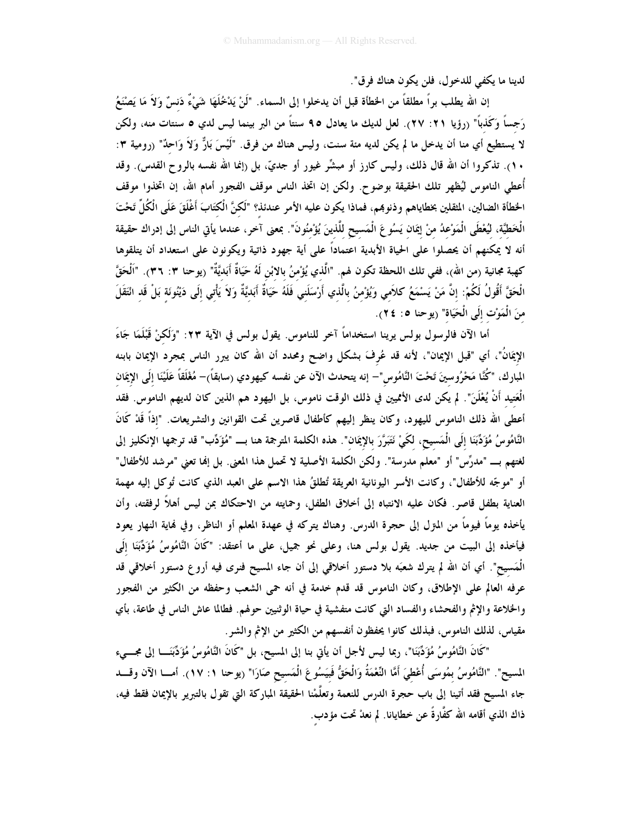لدينا ما يكفي للدخول، فلن يكون هناك فرق".

إن الله يطلب براً مطلقاً من الخطأة قبل أن يدخلوا إلى السماء. "لَنْ يَدْخُلَهَا شَيْءٌ دَنسٌ وَلاَ مَا يَصْنَعُ رَجساً وَكَذباً" (رؤيا ٢١: ٢٧). لعل لديك ما يعادل ٩٥ سنتاً من البر بينما ليس لدي ٥ سنتات منه، ولكن لا يستطيع أي منا أن يدخل ما لم يكن لديه مئة سنت، وليس هناك من فرق. "لَيْسَ بَارٌّ وَلاَ وَاحِدٌ" (رومية ٣: ١٠). تذكروا أن الله قال ذلك، وليس كارز أو مبشِّر غيور أو جديٍّ، بل (إنما الله نفسه بالروح القدس). وقد أُعطى الناموس ليُظهر تلك الحقيقة بوضوح. ولكن إن اتخذ الناس موقف الفجور أمام الله، إن اتخذوا موقف الخطأة الضالين، المثقلين بخطاياهم وذنوهم، فماذا يكون عليه الأمر عندئذ؟ "لَكنَّ الْكتَابَ أَغْلَقَ عَلَى الْكُلّ تَحْتَ الْخَطيَّة، ليُعْطَى الْمَوْعدُ منْ إيمَان يَسُو عَ الْمَسيح للَّذينَ يُؤْمنُونَ". بمعنى آخر، عندما يأتى الناس إلى إدراك حقيقة أنه لا يمكنهم أن يحصلوا على الحياة الأبدية اعتماداً على أية جهود ذاتية ويكونون على استعداد أن يتلقوها كهبة مجانية (من الله)، ففي تلك اللحظة تكون لهم. "الَّذي يُؤْمنُ بالابْنِ لَهُ حَيَاةٌ أَبَديَّةٌ" (يوحنا ٣: ٣٦). "اَلْحَقَّ الْحَقَّ أَقُولُ لَكُمْ: إنَّ مَنْ يَسْمَعُ كلاَمي وَيُؤْمنُ بالَّذي أَرْسَلَني فَلَهُ حَيَاةٌ أَبَديَّةٌ وَلاَ يَأْتي إلَى دَيْنُونَة بَلْ قَد انْتَقَلَ منَ الْمَوْت إلَى الْحَيَاة" (يوحنا ٥: ٢٤).

أما الآن فالرسول بولس يرينا استخداماً آخر للناموس. يقول بولس في الآية ٢٣: "وَلَكنْ قَبْلَمَا جَاءَ الإيمَانُ"، أي "قبل الإيمان"، لأنه قد عُرِفَ بشكل واضح ومحدد أن الله كان يبرر الناس بمجرد الإيمان بابنه المبارك، "كُنَّا مَحْرُوسينَ تَحْتَ النَّامُوس"– إنه يتحدث الآن عن نفسه كيهودي (سابقاً)– مُغْلَقاً عَلَيْنَا إلَى الإيمَان الْعَتيد أَنْ يُعْلَنَ". لم يكن لدى الأمميين في ذلك الوقت ناموس، بل اليهود هم الذين كان لديهم الناموس. فقد أعطى الله ذلك الناموس لليهود، وكان ينظر إليهم كأطفال قاصرين تحت القوانين والتشريعات. "إذاً قَدْ كَانَ النَّامُوسُ مُؤَدِّبَنَا إلَى الْمَسيح، لكَيْ نَتَبَرَّرَ بالإِيمَان". هذه الكلمة المترجمة هنا بـــ "مُؤَدِّب" قد ترجمها الإنكليز إلى لغتهم بـــ "مدرِّس" أو "معلم مدرسة". ولكن الكلمة الأصلية لا تحمل هذا المعنى. بل إنما تعني "مرشد للأطفال" أو "موجّه للأطفال"، وكانت الأسر اليونانية العريقة تُطلقُ هذا الاسم على العبد الذي كانت تُوكل إليه مهمة العناية بطفل قاصر. فكان عليه الانتباه إلى أخلاق الطفل، وحمايته من الاحتكاك بمن ليس أهلاً لرفقته، وأن يأخذه يوماً فيوماً من المترل إلى حجرة الدرس. وهناك يتركه في عهدة المعلم أو الناظر، وفي نماية النهار يعود فيأخذه إلى البيت من جديد. يقول بولس هنا، وعلى نحو جميل، على ما أعتقد: "كَانَ النَّامُوسُ مُؤَدِّبَنَا إلَى الْمَسيح". أي أن الله لم يترك شعبَه بلا دستور أخلاقي إلى أن جاء المسيح فنرى فيه أروع دستور أخلاقي قد عرفه العالم على الإطلاق، وكان الناموس قد قدم خدمة في أنه حمى الشعب وحفظه من الكثير من الفجور والخلاعة والإثم والفحشاء والفساد التي كانت متفشية في حياة الوثنيين حولهم. فطالما عاش الناس في طاعة، بأي مقياس، لذلك الناموس، فبذلك كانوا يحفظون أنفسهم من الكثير من الإثم والشر.

"كَانَ النَّامُوسُ مُؤَدِّبَنَا"، ربما ليس لأجل أن يأتي بنا إلى المسيح، بل "كَانَ النَّامُوسُ مُؤَدِّبَنَـــا إلى مجــــىء المسيح". "النَّامُوسُ بمُوسَى أُعْطيَ أَمَّا النِّعْمَةُ وَالْحَقُّ فَبَيسُوعَ الْمَسيح صَارَا" (يوحنا ١: ١٧). أمسا الآن وقسد جاء المسيح فقد أتينا إلى باب حجرة الدرس للنعمة وتعلَّمْنا الحقيقة المباركة التي تقول بالتبرير بالإيمان فقط فيه، ذاك الذي أقامه الله كفَّارةً عن خطايانا. لم نعدْ تحت مؤدب.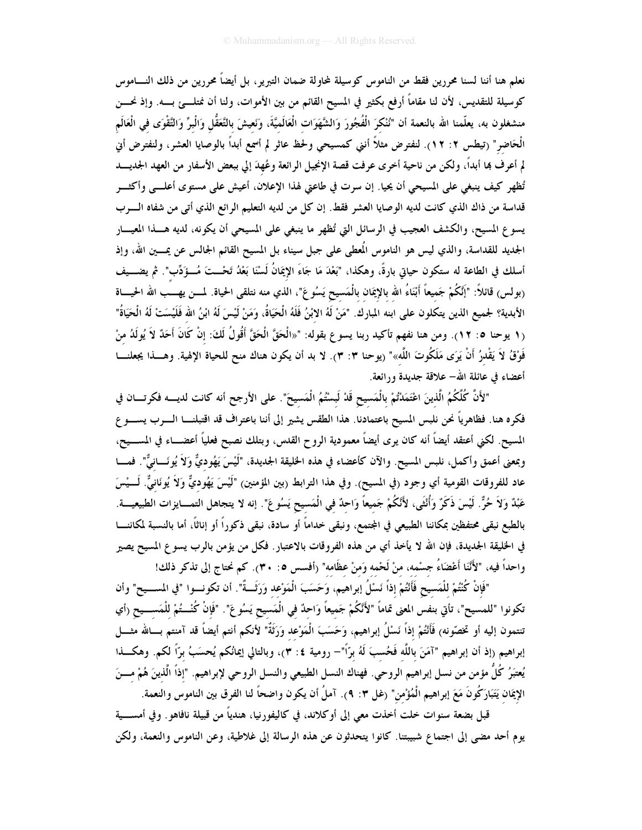نعلم هنا أننا لسنا محررين فقط من الناموس كوسيلة لمحاولة ضمان التبرير ، بل أيضاً محررين من ذلك النــــاموس كوسيلة للتقديس، لأن لنا مقاماً أرفع بكثير في المسيح القائم من بين الأموات، ولنا أن نمتلـــئ بــــه. وإذ نحــــن منشغلون به، يعلّمنا الله بالنعمة أن "نُنْكرَ الْفُجُورَ وَالشَّهَوَات الْعَالَميَّةَ، وَنَعيشَ بالتَّعَقُّل وَالْبِرِّ وَالتَّقْوَى في الْعَالَم الْحَاضر" (تيطس ٢: ١٢). لنفترض مثلاً أنني كمسيحي ولحظ عاثر لم أسمع أبداً بالوصايا العشر، ولنفترض أني لم أعرف ها أبداً، ولكن من ناحية أخرى عرفت قصة الإنجيل الرائعة وعُهدَ إلى ببعض الأسفار من العهد الجديـــد تُظهِر كيف ينبغي على المسيحي أن يحيا. إن سرت في طاعتي لهذا الإعلان، أعيش على مستوى أعلـــي وأكثـــر قداسة من ذاك الذي كانت لديه الوصايا العشر فقط. إن كل من لديه التعليم الرائع الذي أتى من شفاه الـوب يسوع المسيح، والكشف العجيب في الرسائل التي تُظهر ما ينبغي على المسيحي أن يكونه، لديه هــــذا المعيــــار الجديد للقداسة، والذي ليس هو الناموس المُعطى على جبل سيناء بل المسيح القائم الجالس عن يمـــين الله، وإذ أسلك في الطاعة له ستكون حياتي بارةً، وهكذا، "بَعْدَ مَا جَاءَ الإِيمَانُ لَسْنَا بَعْدُ تَحْــتَ مُــؤَدِّب". ثم يضـــيف (بولس) قائلاً: "إنَّكُمْ جَميعاً أَبْنَاءُ الله بالإيمَان بالْمَسيح يَسُوعَ"، الذي منه نتلقى الحياة. لمسن يهسب الله الحيساة الأبدية؟ لجميع الذين يتكلون على ابنه المبارك. "مَنْ لَهُ الابْنُ فَلَهُ الْحَيَاةُ، وَمَنْ لَيْسَ لَهُ ابْنُ الله فَلَيْسَتْ لَهُ الْحَيَاةُ" (١ يوحنا ٥: ١٢). ومن هنا نفهم تأكيد ربنا يسوع بقوله: "«الْحَقَّ الْحَقَّ أَقُولُ لَكَ: إنْ كَانَ أَحَدٌ لاَ يُولَدُ منْ فَوْقُ لاَ يَقْدرُ أَنْ يَرَى مَلَكُوتَ اللَّه»" (يوحنا ٣: ٣). لا بد أن يكون هناك منح للحياة الإلهية. وهـــذا يجعلنــــا أعضاء في عائلة الله– علاقة جديدة ورائعة.

"لأَنَّ كُلَّكُمُ الَّذينَ اعْتَمَدْتُمْ بِالْمَسيحِ قَدْ لَبِسْتُمُ الْمَسيحَ". على الأرجح أنه كانت لديــــه فكرتــــان في فكره هنا. فظاهرياً نحن نلبس المسيح باعتمادنا. هذا الطقس يشير إلى أننا باعتراف قد اقتبلنـــا الــــرب يســــوع المسيح. لكني أعتقد أيضاً أنه كان يرى أيضاً معمودية الروح القدس، وبتلك نصبح فعلياً أعضــــاء في المســـيح، وبمعنى أعمق وأكمل، نلبس المسيح. والآن كأعضاء في هذه الخليقة الجديدة، "لَيْسَ يَهُوديٌّ وَلاَ يُونَـــانيٌّ". فمـــا عاد للفروقات القومية أي وجود (في المسيح). وفي هذا الترابط (بين المؤمنين) "لَيْسَ يَهُوديٌّ وَلاَ يُونَانيٌّ. لَـــيْسَ عَبْدٌ وَلاَ حُرٌّ. لَيْسَ ذَكَرٌ وَأُنْثَى، لأَنَّكُمْ جَميعاً وَاحدٌ في الْمَسيح يَسُوعَ". إنه لا يتجاهل التمـــايزات الطبيعيــــة. بالطبع نبقى محتفظين بمكاننا الطبيعي في المجتمع، ونبقى خداماً أو سادة، نبقى ذكوراً أو إناثاً، أما بالنسبة لمكاننـــا في الخليقة الجديدة، فإن الله لا يأخذ أي من هذه الفروقات بالاعتبار. فكل من يؤمن بالرب يسو ع المسيح يصير واحداً فيه، "لأَنَّنَا أَعْضَاءُ جسْمه، منْ لَحْمه وَمنْ عظَامه" (أفسس ٥: ٣٠). كم نحتاج إلى تذكر ذلك!

"فَإِنْ كُنْتُمْ للْمَسيح فَأَنْتُمْ إذاً نَسْلُ إبراهيم، وَحَسَبَ الْمَوْعد وَرَثَــةٌ". أن تكونـــوا "في المســيح" وأن تكونوا "للمسيح"، تأتي بنفس المعنى تماماً "لأَنَّكُمْ جَميعاً وَاحدٌ في الْمَسيح يَسُوعَ". "فَإِنْ كُنْـــتُمْ للْمَســـيح (أي تنتمون إليه أو تخصّونه) فَأَنْتُمْ إذاً نَسْلُ إبراهيم، وَحَسَبَ الْمَوْعد وَرَثَةٌ" لأنكم أنتم أيضاً قد آمنتم بسالله مثسل إبراهيم (إذ أن إبراهيم "آمَنَ باللَّه فَحُسبَ لَهُ برَّاً"– رومية ٤: ٣)، وبالتالي إيمانُكم يُحسَبُ برّاً لكم. وهكـــذا يُعتبَرُ كُلُّ مؤمن من نسل إبراهيم الروحي. فهناك النسل الطبيعي والنسل الروحي لإبراهيم. "إذاً الَّذينَ هُمْ مـــنَ الإِيمَان يَتَبَارَكُونَ مَعَ إبراهيم الْمُؤْمن" (غل ٣: ٩). آملُ أن يكون واضحاً لنا الفرق بين الناموس والنعمة.

قبل بضعة سنوات خلت أخذت معي إلى أوكلاند، في كاليفورنيا، هندياً من قبيلة نافاهو . وفي أمســـية يوم أحد مضى إلى اجتماع شبيبتنا. كانوا يتحدثون عن هذه الرسالة إلى غلاطية، وعن الناموس والنعمة، ولكن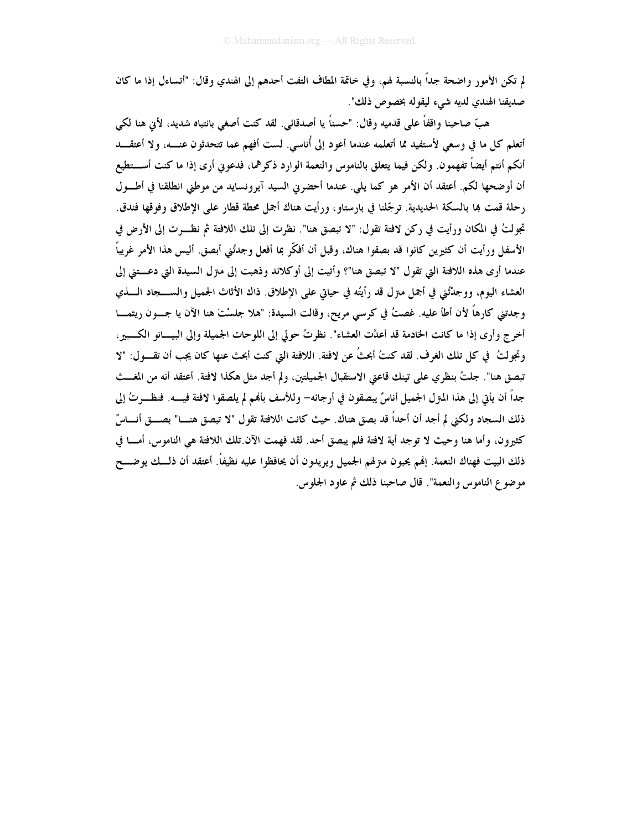لم تكن الأمور واضحة جداً بالنسبة لهم، وفي خاتمة المطاف التفت أحدهم إلى الهندي وقال: "أتساءل إذا ما كان صديقنا الهندي لديه شيء ليقوله بخصوص ذلك".

هبِّ صاحبنا واقفاً على قدميه وقال: "حسناً يا أصدقائي. لقد كنت أصغى بانتباه شديد، لأيِّ هنا لكي أتعلم كل ما في وسعى لأستفيد مما أتعلمه عندما أعود إلى أُناسي. لست أفهم عما تتحدثون عنـــه، ولا أعتقـــد أنكم أنتم أيضاً تفهمون. ولكن فيما يتعلق بالناموس والنعمة الوارد ذكرهما، فدعوني أرى إذا ما كنت أســـتطيع أن أوضحها لكم. أعتقد أن الأمر هو كما يلي. عندما أحضرني السيد آيرونسايد من موطني انطلقنا في أطــول رحلة قمت بما بالسكة الحديدية. ترجَّلنا في بارستاو ، ورأيت هناك أجمل محطة قطار على الإطلاق وفوقها فندق. تجولتُ في المكان ورأيت في ركن لافتة تقول: "لا تبصق هنا". نظرت إلى تلك اللافتة ثم نظـرت إلى الأرض في الأسفل ورأيت أن كثيرين كانوا قد بصقوا هناك، وقبل أن أفكَّر بما أفعل وجدتُني أبصق. أليس هذا الأمر غريباً عندما أرى هذه اللافتة التي تقول "لا تبصق هنا"؟ وأتيت إلى أوكلاند وذهبت إلى مترل السيدة التي دعـــتني إلى العشاء اليوم، ووجدْتُني في أجمل مترل قد رأيتُه في حياتي على الإطلاق. ذاك الأثاث الجميل والســــجاد الــــذي وجدتني كارهاً لأن أطأ عليه. غصتُ في كرسي مريح، وقالت السيدة: "هلا جلسْتَ هنا الآن يا جـــون ريثمــــا أخرج وأرى إذا ما كانت الخادمة قد أعدَّت العشاء". نظرتُ حولي إلى اللوحات الجميلة وإلى البيـــانو الكـــبير ، وتجولتُ ۖ في كل تلك الغرف. لقد كنتُ أبحثُ عن لافتة. اللافتة التي كنت أبحث عنها كان يجب أن تقـــول: "لا تبصق هنا". جلتُ بنظري على تينك قاعتي الاستقبال الجميلتين، ولم أجد مثل هكذا لافتة. أعتقد أنه من المغــث جداً أن يأتي إلى هذا المترل الجميل أناسٌ يبصقون في أرجائه– وللأسف بألهم لم يلصقوا لافتة فيــــه. فنظـــرتُ إلى ذلك السجاد ولكني لم أجد أن أحداً قد بصق هناك. حيث كانت اللافتة تقول "لا تبصق هنـــا" بصـــق أنــــاسٌ كثيرون، وأما هنا وحيث لا توجد أية لافتة فلم يبصق أحد. لقد فهمت الآن تلك اللافتة هي الناموس، أمــا في ذلك البيت فهناك النعمة. إفمم يحبون مـتزلهم الجميل ويريدون أن يحافظوا عليه نظيفاً. أعتقد أن ذلـــك يوضـــح موضوع الناموس والنعمة". قال صاحبنا ذلك ثم عاود الجلوس.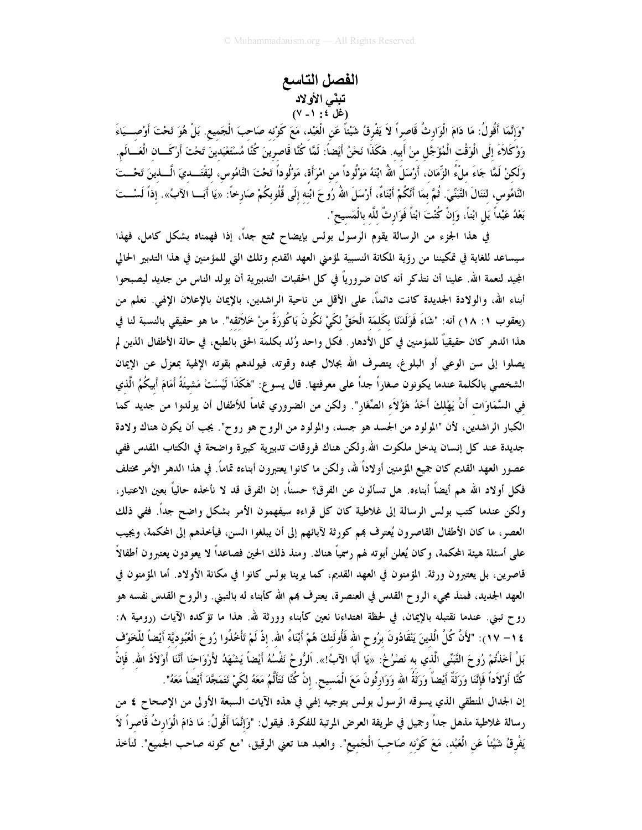## الفصل التاسع تبنّى الأولاد (غل ٤ : ١ - ٧)

"وَإِنَّمَا أَقُولُ: مَا دَامَ الْوَارِثُ قَاصراً لاَ يَفْرِقُ شَيْئاً عَن الْعَبْد، مَعَ كَوْنه صَاحبَ الْجَميع. بَلْ هُوَ تَحْتَ أَوْصـــيَاءَ وَوُكَلاَءَ إِلَى الْوَقْتِ الْمُؤَجَّلِ منْ أَبِيه. هَكَذَا نَحْنُ أَيْضاً: لَمَّا كُنَّا قَاصرينَ كُنَّا مُسْتَعْبَدينَ تَحْتَ أَرْكَــان الْعَــالَم. وَلَكنْ لَمَّا جَاءَ ملْءُ الزِّمَان، أَرْسَلَ اللهُ ابْنَهُ مَوْلُوداً من امْرَأَة، مَوْلُوداً تَحْتَ النَّامُوس، ليَفْتَــديَ الْـــذينَ تَحْـــتَ النَّامُوس، لنَنَالَ التَّبَنِّيَ. ثُمَّ بمَا أَنْكُمْ أَبْنَاءٌ، أَرْسَلَ اللهُ رُوحَ ابْنه إلَى قُلُوبكُمْ صَارخاً: «يَا أَبَـــا الآبُ». إذاً لَسْـــتَ بَعْدُ عَبْداً بَلِ ابْناً، وَإِنْ كُنْتَ ابْناً فَوَارِثٌ للَّه بالْمَسيح".

في هذا الجزء من الرسالة يقوم الرسول بولس بإيضاح ممتع جداً، إذا فهمناه بشكل كامل، فهذا سيساعد للغاية في تمكيننا من رؤية المكانة النسبية لمؤمني العهد القديم وتلك التي للمؤمنين في هذا التدبير الحالي المجيد لنعمة الله. علينا أن نتذكر أنه كان ضرورياً في كل الحقبات التدبيرية أن يولد الناس من جديد ليصبحوا أبناء الله، والولادة الجديدة كانت دائماً، على الأقل من ناحية الراشدين، بالإيمان بالإعلان الإلهي. نعلم من (يعقوب ١: ١٨) أنه: "شَاءَ فَوَلَدَنَا بكَلمَة الْحَقِّ لكَيْ نَكُونَ بَاكُورَةً منْ خَلاَئقه". ما هو حقيقي بالنسبة لنا في هذا الدهر كان حقيقياً للمؤمنين في كل الأدهار . فكل واحد وُلد بكلمة الحق بالطبع، في حالة الأطفال الذين لم يصلوا إلى سن الوعي أو البلوغ، يتصرف الله بجلال مجده وقوته، فيولدهم بقوته الإلهية بمعزل عن الإيمان الشخصي بالكلمة عندما يكونون صغاراً جداً على معرفتها. قال يسوع: "هَكَذَا لَيْسَتْ مَشِيئَةً أَمَامَ أَبِيكُمُ الّذي في السَّمَاوَات أَنْ يَهْلكَ أَحَدُ هَؤُلاَء الصِّغَار". ولكن من الضروري تماماً للأطفال أن يولدوا من جديد كما الكبار الراشدين، لأن "المولود من الجسد هو جسد، والمولود من الروح هو روح". يجب أن يكون هناك ولادة جديدة عند كل إنسان يدخل ملكوت الله.ولكن هناك فروقات تدبيرية كبيرة واضحة في الكتاب المقدس ففي عصور العهد القديم كان جميع المؤمنين أولاداً لله، ولكن ما كانوا يعتبرون أبناءه تماماً. في هذا الدهر الأمر مختلف فكل أولاد الله هم أيضاً أبناءه. هل تسألون عن الفرق؟ حسناً، إن الفرق قد لا نأخذه حالياً بعين الاعتبار، ولكن عندما كتب بولس الرسالة إلى غلاطية كان كل قراءه سيفهمون الأمر بشكل واضح جداً. ففي ذلك العصر ، ما كان الأطفال القاصرون يُعترف بمم كورثة لآبائهم إلى أن يبلغوا السن، فيأخذهم إلى المحكمة، ويجيب على أسئلة هيئة المحكمة، وكان يُعلن أبوته لهم رسميًا هناك. ومنذ ذلك الحين فصاعداً لا يعودون يعتبرون أطفالاً قاصرين، بل يعتبرون ورثة. المؤمنون في العهد القديم، كما يرينا بولس كانوا في مكانة الأولاد. أما المؤمنون في العهد الجديد، فمنذ مجيء الروح القدس في العنصرة، يعترف هم الله كأبناء له بالتبني. والروح القدس نفسه هو رو ح تبني. عندما نقتبله بالإيمان، في لحظة اهتداءنا نعين كأبناء وورثة لله. هذا ما تؤكده الآيات (رومية ٨: ٤ ( – ١٧): "لأَنَّ كُلَّ الَّذينَ يَنْقَادُونَ برُوح الله فَأُولَئكَ هُمْ أَبْنَاءُ الله. إذْ لَمْ تَأْخُذُوا رُوحَ الْعُبُوديَّة أَيْضاً للْخَوْف بَلْ أَخَذْتُمْ رُوحَ التَّبَنِّى الَّذي به نَصْرُخُ: «يَا أَبَا الآبُ!». اَلرُّوحُ نَفْسُهُ أَيْضاً يَشْهَدُ لأَرْوَاحنَا أَنَّنَا أَوْلاَدُ الله. فَإِنْ كُنَّا أَوْلاَداً فَإِنَّنَا وَرَفَةٌ أَيْضاً وَرَفَةُ الله وَوَارِثُونَ مَعَ الْمَسيح. إنْ كُنَّا نَتَأَلَّمُ مَعَهُ لكَىٰ نَتَمَجَّدَ أَيْضاً مَعَهُ". إن الجدال المنطقى الذي يسوقه الرسول بولس بتوجيه إلهي في هذه الآيات السبعة الأولى من الإصحاح ٤ من رسالة غلاطية مذهل جداً وجميل في طريقة العرض المرتبة للفكرة. فيقول: "وَإِنَّمَا أَقُولُ: مَا دَامَ الْوَارثُ قَاصراً لاَ يَفْرِقُ شَيْئاً عَن الْعَبْد، مَعَ كَوْنه صَاحبَ الْجَميع". والعبد هنا تعني الرقيق، "مع كونه صاحب الجميع". لنأخذ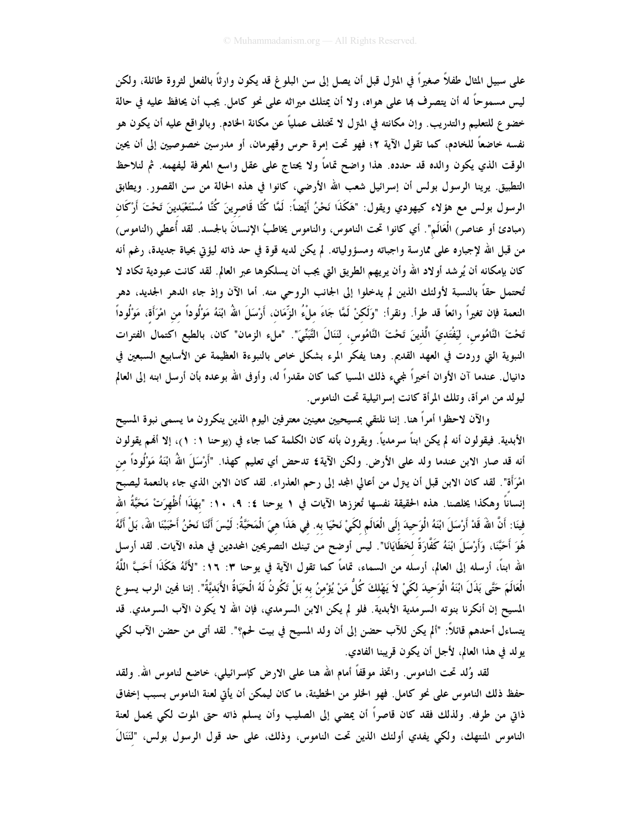علمي سبيل المثال طفلاً صغيراً في المنزل قبل أن يصل إلى سن البلوغ قد يكون وارثاً بالفعل لثروة طائلة، ولكن ليس مسموحاً له أن يتصرف بما على هواه، ولا أن يمتلك ميراثه على نحو كامل. يجب أن يحافظ عليه في حالة خضو ع للتعليم والتدريب. وإن مكانته في المترل لا تختلف عمليًّا عن مكانة الخادم. وبالواقع عليه أن يكون هو نفسه خاضعاً للخادم، كما تقول الآية ٢؛ فهو تحت إمرة حرس وقهرمان، أو مدرسين خصوصيين إلى أن يحين الوقت الذي يكون والده قد حدده. هذا واضح تماماً ولا يحتاج على عقل واسع المعرفة ليفهمه. ثم لنلاحظ التطبيق. يرينا الرسول بولس أن إسرائيل شعب الله الأرضى، كانوا في هذه الحالة من سن القصور. ويطابق الرسول بولس مع هؤلاء كيهودي ويقول: "هَكَذَا نَحْنُ أَيْضاً: لَمَّا كُنَّا قَاصرينَ كُنَّا مُسْتَعْبَدينَ تَحْتَ أَرْكَان (مبادئ أو عناصر) الْعَالَم". أي كانوا تحت الناموس، والناموس يخاطبُ الإنسانَ بالجسد. لقد أُعطى (الناموس) من قبل الله لإجباره على ممارسة واجباته ومسؤولياته. لم يكن لديه قوة في حد ذاته ليؤتي بحياة جديدة، رغم أنه كان بإمكانه أن يُرشد أولاد الله وأن يريهم الطريق التي يجب أن يسلكوها عبر العالم. لقد كانت عبودية تكاد لا تُحتمل حقاً بالنسبة لأولئك الذين لم يدخلوا إلى الجانب الروحي منه. أما الآن وإذ جاء الدهر الجديد، دهر النعمة فإن تغيراً رائعاً قد طراً. ونقراً: "وَلَكنْ لَمَّا جَاءَ ملْءُ الزِّمَان، أَرْسَلَ اللهُ ابْنَهُ مَوْلُوداً من امْرَأَة، مَوْلُوداً تَحْتَ النَّامُوس، لَيَفْتَديَ الَّذينَ تَحْتَ النَّامُوس، لَنَنَالَ التَّبَنِّيّ". "ملء الزمان" كان، بالطبع اكتمال الفترات النبوية التي وردت في العهد القديم. وهنا يفكر المرء بشكل خاص بالنبوءة العظيمة عن الأسابيع السبعين في دانيال. عندما آن الأوان أخيراً لمجيء ذلك المسيا كما كان مقدراً له، وأوفى الله بوعده بأن أرسل ابنه إلى العالم ليولد من امرأة، وتلك المرأة كانت إسرائيلية تحت الناموس.

والآن لاحظوا أمراً هنا. إننا نلتقي بمسيحيين معينين معترفين اليوم الذين ينكرون ما يسمى نبوة المسيح الأبدية. فيقولون أنه لم يكن ابناً سرمدياً. ويقرون بأنه كان الكلمة كما جاء في (يوحنا ١: ١)، إلا أفمم يقولون أنه قد صار الابن عندما ولد على الأرض. ولكن الآية٤ تدحض أي تعليم كهذا. "أَرْسَلَ اللهُ ابْنَهُ مَوْلُوداً من امْرَأَة". لقد كان الابن قبل أن يتزل من أعالي المجد إلى رحم العذراء. لقد كان الابن الذي جاء بالنعمة ليصبح إنساناً وهكذا يخلصنا. هذه الحقيقة نفسها تُعززها الآيات في ١ يوحنا ٤: ٩، ١٠: "بهَذَا أُظْهِرَتْ مَحَبَّةُ الله فِينَا: أَنَّ اللهَ قَدْ أَرْسَلَ ابْنَهُ الْوَحِيدَ إلَى الْعَالَمِ لكَىْ نَحْيَا به. في هَذَا هيَ الْمَحَبَّةُ: لَيْسَ أَنَّنا نَحْنُ أَحْبَبْنَا اللهَ، بَلْ أَنَّهُ هُوَ أَحَبَّنَا، وَأَرْسَلَ ابْنَهُ كَفَّارَةً لخطَايَانَا". ليس أوضح من تينك التصريحين المحددين في هذه الآيات. لقد أرسل الله ابناً، أرسله إلى العالم، أرسله من السماء، تماماً كما تقول الآية في يوحنا ٣: ١٦: "لأَنَّهُ هَكَذَا أَحَبَّ اللَّهُ الْعَالَمَ حَتَّى بَذَلَ ابْنَهُ الْوَحِيدَ لكَيْ لاَ يَهْلكَ كُلُّ مَنْ يُؤْمنُ به بَلْ تَكُونُ لَهُ الْحَيَاةُ الأَبَديَّةُ". إننا فمين الرب يسو ع المسيح إن أنكرنا بنوته السرمدية الأبدية. فلو لم يكن الابن السرمدي، فإن الله لا يكون الآب السرمدي. قد يتساءل أحدهم قائلاً: "ألم يكن للآب حضن إلى أن ولد المسيح في بيت لحم؟". لقد أتى من حضن الآب لكي يولد في هذا العالم، لأجل أن يكون قريبنا الفادي.

لقد وُلد تحت الناموس. واتخذ موقفاً أمام الله هنا على الارض كإسرائيلي، خاضع لناموس الله. ولقد حفظ ذلك الناموس على نحو كامل. فهو الخلو من الخطيئة، ما كان ليمكن أن يأتى لعنة الناموس بسبب إخفاق ذاتي من طرفه. ولذلك فقد كان قاصراً أن يمضي إلى الصليب وأن يسلم ذاته حتى الموت لكي يحمل لعنة الناموس المنتهك، ولكي يفدي أولئك الذين تحت الناموس، وذلك، على حد قول الرسول بولس، "لَنَنَالَ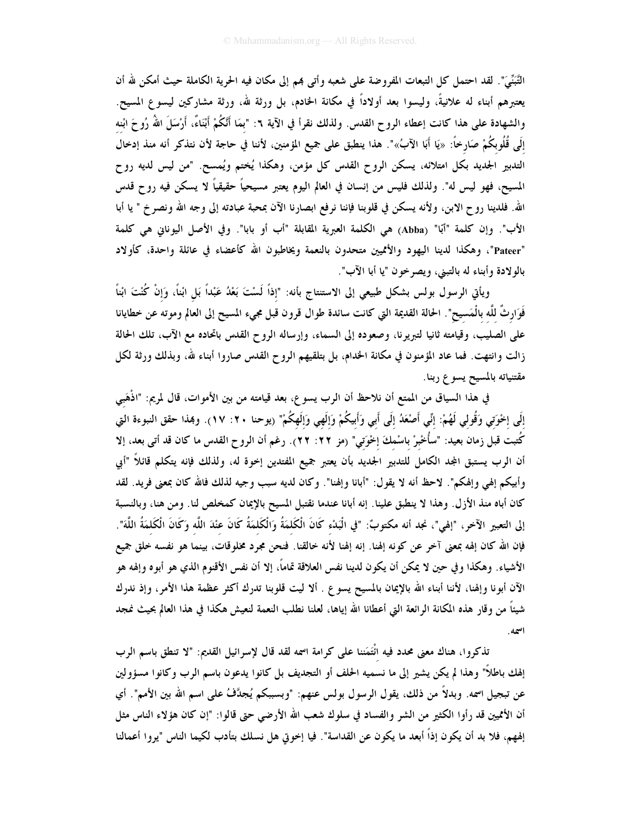التَّبَنِّيِّ". لقد احتمل كل التبعات المفروضة على شعبه وأتى بمم إلى مكان فيه الحرية الكاملة حيث أمكن لله أن يعتبرهم أبناء له علانيةً، وليسوا بعد أولاداً في مكانة الخادم، بل ورثة لله، ورثة مشاركين ليسوع المسيح. والشهادة على هذا كانت إعطاء الروح القدس. ولذلك نقرأ في الآية ٦: "بمَا أَنْكُمْ أَبْنَاءٌ، أَرْسَلَ اللهُ رُوحَ ابْنه إِلَى قُلُوبِكُمْ صَارِخًا: «يَا أَبَا الآبُ»". هذا ينطبق على جميع المؤمنين، لأننا في حاجة لأن نتذكر أنه منذ إدخال التدبير الجديد بكل امتلائه، يسكن الروح القدس كل مؤمن، وهكذا يُختم ويُمسح. "من ليس لديه روح المسيح، فهو ليس له". ولذلك فليس من إنسان في العالم اليوم يعتبر مسيحياً حقيقياً لا يسكن فيه روح قدس الله. فلدينا روح الابن، ولأنه يسكن في قلوبنا فإننا نرفع ابصارنا الآن بمحبة عبادته إلى وجه الله ونصرخ " يا أبا الأب". وإن كلمة "أبّا" (Abba) هي الكلمة العبرية المقابلة "أب أو بابا". وفي الأصل اليوناني هي كلمة "Pateer"، وهكذا لدينا اليهود والأمميين متحدون بالنعمة ويخاطبون الله كأعضاء في عائلة واحدة، كأولاد بالولادة وأبناء له بالتبني، ويصرخون "يا أبا الآب".

ويأتي الرسول بولس بشكل طبيعي إلى الاستنتاج بأنه: "إذاً لَسْتَ بَعْدُ عَبْداً بَل ابْناً، وَإنْ كُنْتَ ابْناً فَوَارِثٌ للَّه بالْمَسيح". الحالة القديمة التي كانت سائدة طوال قرون قبل مجيء المسيح إلى العالم وموته عن خطايانا على الصليب، وقيامته ثانيا لتبريرنا، وصعوده إلى السماء، وإرساله الروح القدس باتحاده مع الآب، تلك الحالة زالت وانتهت. فما عاد المؤمنون في مكانة الخدام، بل بتلقيهم الروح القدس صاروا أبناء لله، وبذلك ورثة لكل مقتنياته بالمسيح يسوع ربنا.

في هذا السياق من الممتع أن نلاحظ أن الرب يسوع، بعد قيامته من بين الأموات، قال لمريم: "اذْهَبي إِلَى إِخْوَتِي وَقُولِي لَهُمْ: إِنِّي أَصْعَدُ إِلَى أَبِي وَأَبِيكُمْ وَإِلَهِي وَإِلَهِكُمْ" (يوحنا ٢٠: ١٧). وهذا حقق النبوءة التي كُتبت قبل زمان بعيد: "سأُخْبرْ باسْمكَ إخْوَتي" (مز ٢٢: ٢٢). رغم أن الروح القدس ما كان قد أتى بعد، إلا أن الرب يستبق المجد الكامل للتدبير الجديد بأن يعتبر جميع المفتدين إخوة له، ولذلك فإنه يتكلم قائلاً "أبي وأبيكم إلهي وإلهكم". لاحظ أنه لا يقول: "أبانا وإلهنا". وكان لديه سبب وجيه لذلك فالله كان بمعنى فريد. لقد كان أباه منذ الأزل. وهذا لا ينطبق علينا. إنه أبانا عندما نقتبل المسيح بالإيمان كمخلص لنا. ومن هنا، وبالنسبة إلى التعبير الآخر، "إلهي"، نجد أنه مكتوبٌ: "في الْبَدْءِ كَانَ الْكَلمَةُ وَالْكَلمَةُ كَانَ عنْدَ اللّه وَكَانَ الْكَلمَةُ اللّه". فإن الله كان إلهه بمعنى آخر عن كونه إلهنا. إنه إلهنا لأنه خالقنا. فنحن مجرد مخلوقات، بينما هو نفسه خلق جميع الأشياء. وهكذا وفي حين لا يمكن أن يكون لدينا نفس العلاقة تماماً، إلا أن نفس الأقنوم الذي هو أبوه وإلهه هو الآن أبونا وإلهنا، لأننا أبناء الله بالإيمان بالمسيح يسوع . ألا ليت قلوبنا تدرك أكثر عظمة هذا الأمر، وإذ ندرك شيئاً من وقار هذه المكانة الرائعة التي أعطانا الله إياها، لعلنا نطلب النعمة لنعيش هكذا في هذا العالم بحيث نمجد اسمه.

تذكروا، هناك معنى محدد فيه انْتَمَننا على كرامة اسمه لقد قال لإسرائيل القديم: "لا تنطق باسم الرب إلهك باطلاً" وهذا لم يكن يشير إلى ما نسميه الحلف أو التجديف بل كانوا يدعون باسم الرب وكانوا مسؤولين عن تبجيل اسمه. وبدلاً من ذلك، يقول الرسول بولس عنهم: "وبسببكم يُجدَّفُ على اسم الله بين الأمم". أي أن الأمميين قد رأوا الكثير من الشر والفساد في سلوك شعب الله الأرضى حتى قالوا: "إن كان هؤلاء الناس مثل إلههم، فلا بد أن يكون إذاً أبعد ما يكون عن القداسة". فيا إخوتي هل نسلك بتأدب لكيما الناس "يروا أعمالنا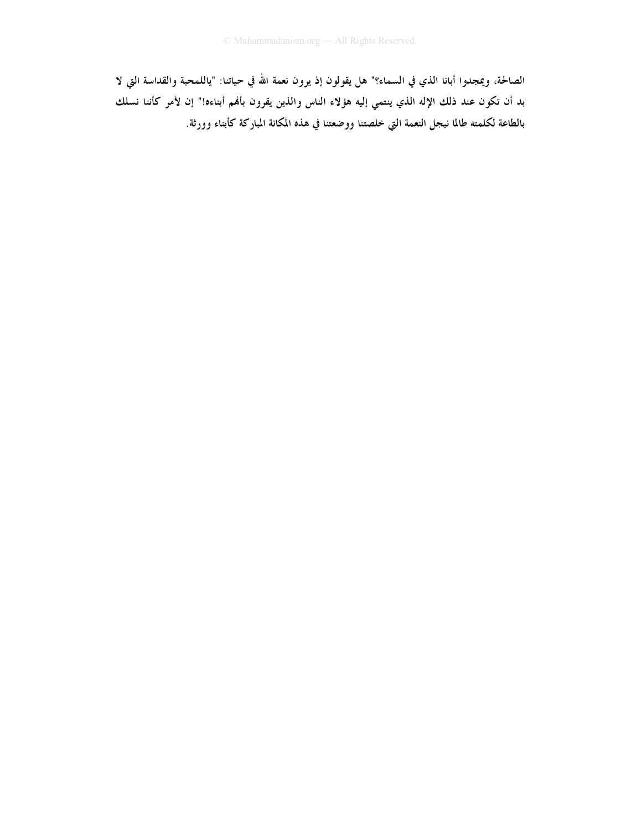الصالحة، ويمجدوا أبانا الذي في السماء؟" هل يقولون إذ يرون نعمة الله في حياتنا: "ياللمحبة والقداسة التي لا بد أن تكون عند ذلك الإله الذي ينتمي إليه هؤلاء الناس والذين يقرون بأفمم أبناءه!" إن لأمر كأننا نسلك بالطاعة لكلمته طالما نبجل النعمة التي خلصتنا ووضعتنا في هذه المكانة المباركة كأبناء وورثة.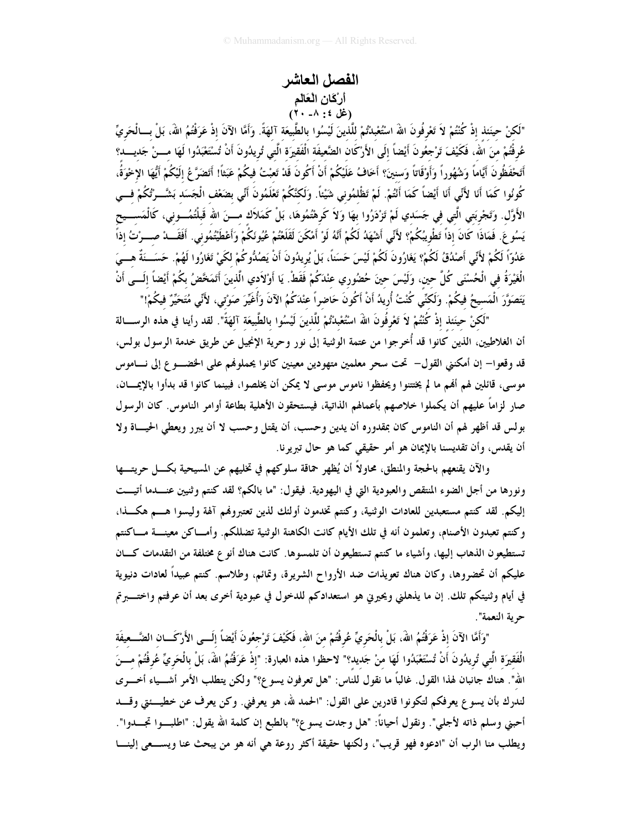## الفصل العاشر أرْكَانِ الْعَالَمِ  $(\forall \cdot -\wedge : \land \forall$

"لَكنْ حينَنذ إذْ كُنْتُمْ لاَ تَعْرِفُونَ اللهَ اسْتُعْبِدْتُمْ للَّذينَ لَيْسُوا بالطَّبْيعَة آلهَةً. وَأَمَّا الآنَ إذْ عَرَفْتُمُ اللهَ، بَلْ بِسالْحَرِيِّ عُرفْتُمْ منَ الله، فَكَيْفَ تَرْجعُونَ أَيْضاً إلَى الأَرْكَان الضَّعيفَة الْفَقيرَة الَّتي تُرِيدُونَ أَنْ تُسْتَعْبَدُوا لَهَا مـــنْ جَديــــد؟ أَتَحْفَظُونَ أَيَّاماً وَشُهُوراً وَأَوْقَاتاً وَسنينَ؟ أَخَافُ عَلَيْكُمْ أَنْ أَكُونَ قَدْ تَعبْتُ فيكُمْ عَبَثاً! أَتَضَرَّعُ إِلَيْكُمْ أَيُّهَا الإخْوَةُ، كُونُوا كَمَا أَنَا لأَنِّي أَنَا أَيْضاً كَمَا أَنْتُمْ. لَمْ تَظْلمُوني شَيْئاً. وَلَكنَّكُمْ تَعْلَمُونَ أَنّي بضَعْف الْجَسَد بَشَّــرْتُكُمْ فــي الأَوَّل. وَتَجْرِبَتي الَّتي في جَسَدي لَمْ تَزْدَرُوا بِهَا وَلاَ كَرهْتُمُوهَا، بَلْ كَمَلاَك مـــنَ الله قَبلْتُمُـــوني، كَالْمَســـيح يَسُوعَ. فَمَاذَا كَانَ إذاً تَطْويبُكُمْ؟ لأَنِّي أَشْهَدُ لَكُمْ أَنَّهُ لَوْ أَمْكَنَ لَقَلَعْتُمْ عُيُونَكُمْ وَأَعْطَيْتُمُوني. أَفَقَـــدْ صـــرْتُ إذاً عَدُوّاً لَكُمْ لأَنِّي أَصْدُقُ لَكُمْ؟ يَغَارُونَ لَكُمْ لَيْسَ حَسَناً، بَلْ يُرِيدُونَ أَنْ يَصُدُّوكُمْ لكَيْ تَغَارُوا لَهُمْ. حَسَــنَةٌ هـــيَ الْغَيْرَةُ في الْحُسْنَى كُلَّ حين، وَلَيْسَ حينَ حُضُوري عنْدَكُمْ فَقَطْ. يَا أَوْلاَدي الَّذينَ أَتَمَخّضُ بكُمْ أيْضاً إلَـــى أَنْ يَتَصَوَّرَ الْمَسيحُ فِيكُمْ. وَلَكنِّي كُنْتُ أُرِيدُ أَنْ أَكُونَ حَاضراً عنْدَكُمُ الآنَ وَأُغَيِّرَ صَوْتى، لأَنِّي مُتَحَيِّرٌ فِيكُمْ!"

"لَكنْ حِينَنذ إذْ كُنْتُمْ لاَ تَعْرِفُونَ اللهَ اسْتُعْبِدْتُمْ للَّذينَ لَيْسُوا بالطَّبيعَة آلهَةً". لقد رأينا في هذه الرســـالة أن الغلاطيين، الذين كانوا قد أُخرِجوا من عتمة الوثنية إلى نور وحرية الإنجيل عن طريق خدمة الرسول بولس، قد وقعوا– إن أمكنني القول– تحت سحر معلمين متهودين معينين كانوا يحملونهم على الخضـــوع إلى نـــاموس موسى، قائلين لهم ألهم ما لم يختتنوا ويحفظوا ناموس موسى لا يمكن أن يخلصوا، فبينما كانوا قد بدأوا بالإيمـــان، صار لزاماً عليهم أن يكملوا خلاصهم بأعمالهم الذاتية، فيستحقون الأهلية بطاعة أوامر الناموس. كان الرسول بولس قد أظهر لهم أن الناموس كان بمقدوره أن يدين وحسب، أن يقتل وحسب لا أن يبرر ويعطى الحيساة ولا أن يقدس، وأن تقديسنا بالإيمان هو أمر حقيقي كما هو حال تبريرنا.

والآن يقنعهم بالحجة والمنطق، محاولاً أن يُظهر حماقة سلوكهم في تخليهم عن المسيحية بكـــل حريتــــها ونورها من أجل الضوء المنتقص والعبودية التي في اليهودية. فيقول: "ما بالكم؟ لقد كنتم وثنيين عنـــدما أتيـــت إليكم. لقد كنتم مستعبدين للعادات الوثنية، وكنتم تخدمون أولئك لذين تعتبروفمم آلهة وليسوا هـــم هكـــذا، وكنتم تعبدون الأصنام، وتعلمون أنه في تلك الأيام كانت الكاهنة الوثنية تضللكم. وأمـــاكن معينــــة مــــاكنتم تستطيعون الذهاب إليها، وأشياء ما كنتم تستطيعون أن تلمسوها. كانت هناك أنوع مختلفة من التقدمات كــان عليكم أن تحضروها، وكان هناك تعويذات ضد الأرواح الشريرة، وتمائم، وطلاسم. كنتم عبيداً لعادات دنيوية في أيام وثنيتكم تلك. إن ما يذهلني ويحيرين هو استعدادكم للدخول في عبودية أخرى بعد أن عرفتم واختــــبرتم حرية النعمة".

"وَأَمَّا الآنَ إذْ عَرَفْتُمُ اللَّهَ، بَلْ بِالْحَرِيِّ عُرِفْتُمْ منَ الله، فَكَيْفَ تَرْجِعُونَ أيْضاً إلَــى الأَرْكَـــان الضَّـــعيفَة الْفَقيرَة الَّتي تُريدُونَ أَنْ تُسْتَعْبَدُوا لَهَا منْ جَديد؟" لاحظوا هذه العبارة: "إذْ عَرَفْتُمُ اللهَ، بَلْ بالْحَريِّ عُرفْتُمْ مـــنَ الله". هناك جانبان لهذا القول. غالبًا ما نقول للناس: "هل تعرفون يسوع؟" ولكن يتطلب الأمر أشـــياء أخـــري لندرك بأن يسوع يعرفكم لتكونوا قادرين على القول: "الحمد لله، هو يعرفني. وكن يعرف عن خطيــــنتي وقــــد أحبني وسلم ذاته لأجلى". ونقول أحياناً: "هل وجدت يسوع؟" بالطبع إن كلمة الله يقول: "اطلبـــوا تجــــدوا". ويطلب منا الرب أن "ادعوه فهو قريب"، ولكنها حقيقة أكثر روعة هي أنه هو من يبحث عنا ويســـعي إلينــــا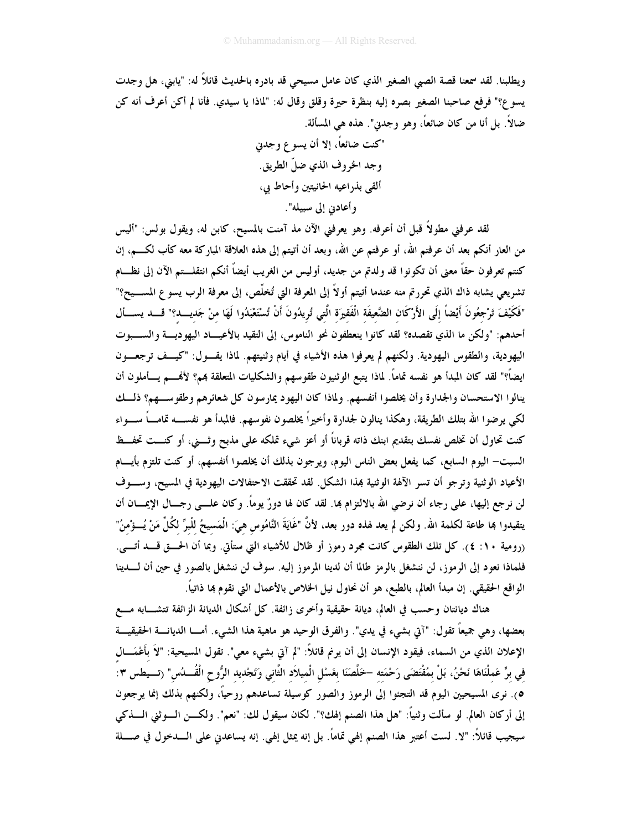ويطلبنا. لقد سمعنا قصة الصبي الصغير الذي كان عامل مسيحي قد بادره بالحديث قائلاً له: "يابني، هل وجدت يسو ع؟" فرفع صاحبنا الصغير بصره إليه بنظرة حيرة وقلق وقال له: "لماذا يا سيدي. فأنا لم أكن أعرف أنه كن ضالاً. بل أنا من كان ضائعاً، وهو وجدين". هذه هي المسألة.

> "كنت ضائعاً، إلا أن يسوع وجدني وجد الخروف الذي ضلِّ الطريق. ألقى بذراعيه الحانيتين وأحاط بي، وأعادين إلى سبيله".

لقد عرفني مطولاً قبل أن أعرفه. وهو يعرفني الآن مذ آمنت بالمسيح، كابن له، ويقول بولس: "أليس من العار أنكم بعد أن عرفتم الله، أو عرفتم عن الله، وبعد أن أتيتم إلى هذه العلاقة المباركة معه كأب لكــــم، إن كنتم تعرفون حقاً معنى أن تكونوا قد ولدتم من جديد، أوليس من الغريب أيضاً أنكم انتقلــتم الآن إلى نظــام تشريعي يشابه ذاك الذي تحررتم منه عندما أتيتم أولاً إلى المعرفة التي تُخلَّص، إلى معرفة الرب يسو ع المســـيح؟" "فَكَيْفَ تَرْجِعُونَ أَيْضاً إلَى الأَرْكَان الضَّعِيفَة الْفَقيرَة الَّتي تُرِيدُونَ أَنْ تُسْتَعْبَدُوا لَهَا مِنْ جَديـــد؟" قــــد يســـأل أحدهم: "ولكن ما الذي تقصده؟ لقد كانوا ينعطفون نحو الناموس، إلى التقيد بالأعيـــاد اليهوديـــة والســـبوت اليهودية، والطقوس اليهودية. ولكنهم لم يعرفوا هذه الأشياء في أيام وثنيتهم. لماذا يقسول: "كيسف ترجعسون ايضاً؟" لقد كان المبدأ هو نفسه تماماً. لماذا يتبع الوثنيون طقوسهم والشكليات المتعلقة بمم؟ لأفمـــم يـــأملون أن ينالوا الاستحسان والجدارة وأن يخلصوا أنفسهم. ولماذا كان اليهود يمارسون كل شعائرهم وطقوســهم؟ ذلــك لكي يوضوا الله بتلك الطريقة، وهكذا ينالون لجدارة وأخيراً يخلصون نفوسهم. فالمبدأ هو نفســـه تمامـــاً ســـواء كنت تحاول أن تخلص نفسك بتقديم ابنك ذاته قرباناً أو أعز شيء تملكه على مذبح وثسني، أو كنست تحفسظ السبت— اليوم السابع، كما يفعل بعض الناس اليوم، ويوجون بذلك أن يخلصوا أنفسهم، أو كنت تلتزم بأيسام الأعياد الوثنية وترجو أن تسر الآلهة الوثنية بمذا الشكل. لقد تحققت الاحتفالات اليهودية في المسيح، وسـوف لن نرجع إليها، على رجاء أن نرضي الله بالالتزام بما. لقد كان لها دورٌ يوماً. وكان علـــي رجـــال الإيمــــان أن يتقيدوا هِا طاعة لكلمة الله. ولكن لم يعد لهذه دور بعد، لأنَّ "غَايَةَ النَّامُوس هيَ: الْمَسيحُ للْبرِّ لكُلِّ مَنْ يُسؤْمنُ" (رومية ١٠: ٤). كل تلك الطقوس كانت مجرد رموز أو ظلال للأشياء التي ستأتي. وبما أن الحـــق قــــد أتــــي. فلماذا نعود إلى الرموز، لن ننشغل بالرمز طالما أن لدينا المرموز إليه. سوف لن ننشغل بالصور في حين أن لــــدينا الواقع الحقيقي. إن مبدأ العالم، بالطبع، هو أن نحاول نيل الخلاص بالأعمال التي نقوم بما ذاتياً.

هناك ديانتان وحسب في العالم، ديانة حقيقية وأخرى زائفة. كل أشكال الديانة الزائفة تتشـــابه مــــع بعضها، وهي جميعاً تقول: "آتي بشيء في يدي". والفرق الوحيد هو ماهية هذا الشيء. أمـــا الديانــــة الحقيقيــــة الإعلان الذي من السماء، فيقود الإنسان إلى أن يرنم قائلاً: "لم آتى بشيء معي". تقول المسيحية: "لاَ بأَغْمَـــال في برٍّ عَملْنَاهَا نَحْنُ، بَلْ بمُقْتَضَى رَحْمَته –خَلَّصَنَا بغَسْل الْميلاَد الثَّاني وَتَجْديد الرُّوح الْقُـــدُس" (تـــيطس ٣: ٥). نرى المسيحيين اليوم قد التجئوا إلى الرموز والصور كوسيلة تساعدهم روحيًا، ولكنهم بذلك إنما يرجعون إلى أركان العالم. لو سألت وثنياً: "هل هذا الصنم إلهك؟". لكان سيقول لك: "نعم". ولكـــن الــــوثني الــــذكي سيجيب قائلاً: "لا. لست أعتبر هذا الصنم إلهي تماماً. بل إنه يمثل إلهي. إنه يساعدني على الــــدخول في صـــــلة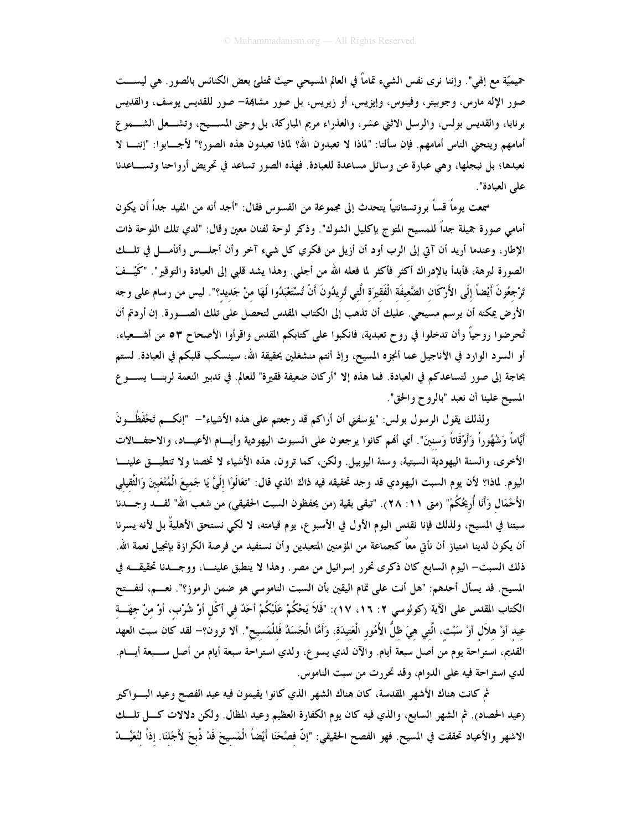حميميّة مع إلهي". وإننا نرى نفس الشيء تماماً في العالم المسيحي حيث تمتلئ بعض الكنائس بالصور. هي ليســـت صور الإله مارس، وجوبيتر، وفينوس، وإيزيس، أو زيريس، بل صور مشابهة– صور للقديس يوسف، والقديس برنابا، والقديس بولس، والرسل الاثني عشر، والعذراء مريم المباركة، بل وحتى المســيح، وتشــعل الشـــمو ع أمامهم وينحني الناس أمامهم. فإن سألنا: "لماذا لا تعبدون الله؟ لماذا تعبدون هذه الصور؟" لأجـــابوا: "إننــــا لا نعبدها؛ بل نبجلها، وهي عبارة عن وسائل مساعدة للعبادة. فهذه الصور تساعد في تحريض أرواحنا وتســــاعدنا على العبادة".

سمعت يوماً قساً بروتستانتياً يتحدث إلى مجموعة من القسوس فقال: "أجد أنه من المفيد جداً أن يكون أمامي صورة جميلة جداً للمسيح المتوج بإكليل الشوك". وذكر لوحة لفنان معين وقال: "لدي تلك اللوحة ذات الإطار، وعندما أريد أن آتي إلى الرب أود أن أزيل من فكري كل شيء آخر وأن أجلـــس وأتأمـــل في تلـــك الصورة لبرهة، فأبدأ بالإدراك أكثر فأكثر لما فعله الله من أجلي. وهذا يشد قلبي إلى العبادة والتوقير". "كَيْــفَ تَرْجعُونَ أَيْضاً إلَى الأَرْكَان الضَّعيفَة الْفَقيرَة الَّتى تُريدُونَ أَنْ تُسْتَعْبَدُوا لَهَا منْ جَديد؟". ليس من رسام على وجه الأرض يمكنه أن يرسم مسيحي. عليك أن تذهب إلى الكتاب المقدس لتحصل على تلك الصـــورة. إن أردتم أن تُحرِضوا روحياً وأن تدخلوا في روح تعبدية، فانكبوا على كتابكم المقدس واقرأوا الأصحاح ٥٣ من أشــعياء، أو السرد الوارد في الأناجيل عما أنجزه المسيح، وإذ أنتم منشغلين بحقيقة الله، سينسكب قلبكم في العبادة. لستم بحاجة إلى صور لتساعدكم في العبادة. فما هذه إلا "أركان ضعيفة فقيرة" للعالم. في تدبير النعمة لربنـــا يســــو ع المسيح علينا أن نعبد "بالروح والحق".

ولذلك يقول الرسول بولس: "يؤسفني أن أراكم قد رجعتم على هذه الأشياء"— "إنكـــم تَحْفَظُـــونَ أيَّاماً وَشُهُوراً وَأَوْقَاتاً وَسنينَ". أي أفمم كانوا يرجعون على السبوت اليهودية وأيـــام الأعيـــاد، والاحتفـــالات الأخرى، والسنة اليهودية السبتية، وسنة اليوبيل. ولكن، كما ترون، هذه الأشياء لا تخصنا ولا تنطبــق علينـــا اليوم. لماذا؟ لأن يوم السبت اليهودي قد وجد تحقيقه فيه ذاك الذي قال: "تعَالَوْا إِلَيَّ يَا جَميعَ الْمُتْعَبينَ وَالتَّقيلي الأَحْمَال وَأَنَا أُرِيحُكُمْ" (متى ١١: ٢٨). "تبقى بقية (من يحفظون السبت الحقيقي) من شعب الله" لقــــد وجــــدنا سبتنا في المسيح، ولذلك فإنا نقدس اليوم الأول في الأسبوع، يوم قيامته، لا لكي نستحق الأهليةً بل لأنه يسرنا أن يكون لدينا امتياز أن نأتي معاً كجماعة من المؤمنين المتعبدين وأن نستفيد من فرصة الكرازة بإنجيل نعمة الله. ذلك السبت– اليوم السابع كان ذكرى تحرر إسرائيل من مصر . وهذا لا ينطبق علينـــا، ووجـــدنا تحقيقـــه في المسيح. قد يسأل أحدهم: "هل أنت على تمام اليقين بأن السبت الناموسي هو ضمن الرموز؟". نعـــم، لنفـــتح الكتاب المقدس على الآية (كولوسي ٢: ١٦، ١٧): "فَلاَ يَحْكُمْ عَلَيْكُمْ أحَدٌ فِي أكْلِ أوْ شُرْبٍ، أوْ مِنْ جِهَــةِ عيد أوْ هلاَل أوْ سَبْت، الَّتي هيَ ظلُّ الأُمُور الْعَتيدَة، وَأَمَّا الْجَسَدُ فَللْمَسيح". ألا ترون؟– لقد كان سبت العهد القديم، استراحة يوم من أصل سبعة أيام. والآن لدي يسو ع، ولدي استراحة سبعة أيام من أصل ســـبعة أيـــام. لدي استراحة فيه على الدوام، وقد تحررت من سبت الناموس.

ثم كانت هناك الأشهر المقدسة، كان هناك الشهر الذي كانوا يقيمون فيه عيد الفصح وعيد البسواكير (عيد الحصاد). ثم الشهر السابع، والذي فيه كان يوم الكفارة العظيم وعيد المظال. ولكن دلالات كـــل تلـــك الاشهر والأعياد تحققت في المسيح. فهو الفصح الحقيقي: "إنَّ فصْحَنَا أَيْضاً الْمَسيحَ قَدْ ذُبحَ لأَجْلنَا. إذاً لنُعَيِّـــا.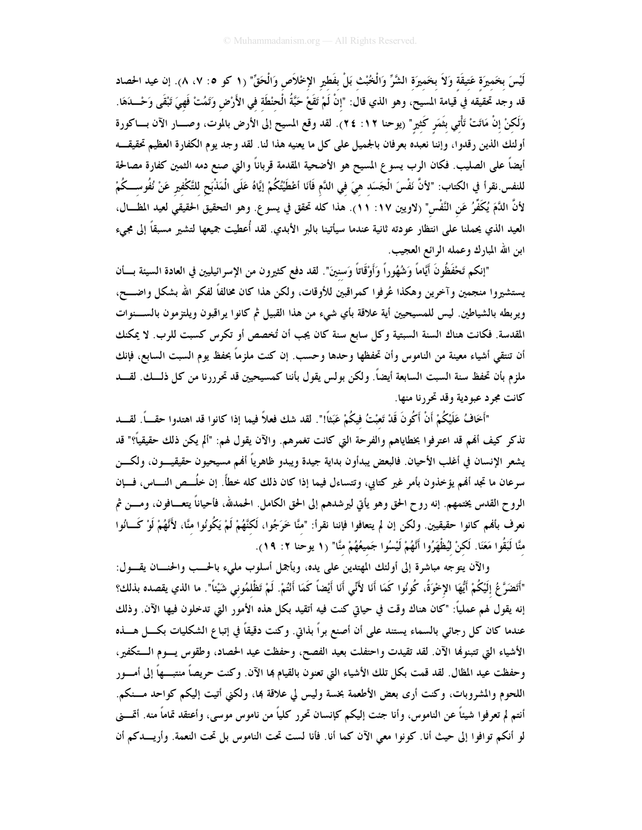لَيْسَ بخَميرَة عَتيقَة وَلاَ بخَميرَة الشَّرِّ وَالْخُبْث بَلْ بفَطيرِ الإخْلاَص وَالْحَقِّ" (١ كو ٥: ٧، ٨). إن عيد الحصاد قد وجد تحقيقه في قيامة المسيح، وهو الذي قال: "إنْ لَمْ تَقَعْ حَبَّةُ الْحنْطَة في الأَرْضِ وَتَمُتْ فَهيَ تَبْقَى وَحْـــدَهَا. وَلَكنْ إنْ مَاتَتْ تَأْتي بَثَمَر كَثير" (يوحنا ١٢: ٢٤). لقد وقع المسيح إلى الأرض بالموت، وصــــار الآن بــــاكورة أولئك الذين رقدوا، وإننا نعبده بعرفان بالجميل على كل ما يعنيه هذا لنا. لقد وجد يوم الكفارة العظيم تحقيقــه أيضاً على الصليب. فكان الرب يسوع المسيح هو الأضحية المقدمة قرباناً والتي صنع دمه الثمين كفارة مصالحة للنفس.نقرأ في الكتاب: "لأنَّ نَفْسَ الْجَسَد هيَ في الدَّم فَأنَا أعْطَيْتُكُمْ إيَّاهُ عَلَى الْمَذْبَح للتَّكْفير عَنْ نُفُوســكُمْ لأنَّ اللَّمَ يُكَفِّرُ عَنِ النَّفْسِ" (لاويين ١٧: ١١). هذا كله تحقق في يسوع. وهو التحقيق الحقيقي لعيد المظـــال، العيد الذي يحملنا على انتظار عودته ثانية عندما سيأتينا بالبر الأبدي. لقد أُعطيت جميعها لتشير مسبقاً إلى مجىء ابن الله المبارك وعمله الرائع العجيب.

"إنكم تَحْفَظُونَ أَيَّاماً وَشُهُوراً وَأَوْقَاتاً وَسنينَ". لقد دفع كثيرون من الإسرائيليين في العادة السيئة بسأن يستشيروا منجمين وآخرين وهكذا عُرفوا كمراقبين للأوقات، ولكن هذا كان مخالفاً لفكر الله بشكل واضـــح، ويربطه بالشياطين. ليس للمسيحيين أية علاقة بأي شيء من هذا القبيل ثم كانوا يراقبون ويلتزمون بالســــنوات المقدسة. فكانت هناك السنة السبتية وكل سابع سنة كان يجب أن تُخصص أو تكرس كسبت للرب. لا يمكنك أن تنتقى أشياء معينة من الناموس وأن تحفظها وحدها وحسب. إن كنت ملزماً بحفظ يوم السبت السابع، فإنك ملزم بأن تحفظ سنة السبت السابعة أيضاً. ولكن بولس يقول بأننا كمسيحيين قد تحرررنا من كل ذلـــك. لقــــد کانت مجرد عبودية وقد تحررنا منها.

"أَخَافُ عَلَيْكُمْ أَنْ أَكُونَ قَدْ تَعبْتُ فيكُمْ عَبَثاً!". لقد شك فعلاً فيما إذا كانوا قد اهتدوا حقـــاً. لقــــد تذكر كيف أُهْم قد اعترفوا بخطاياهم والفرحة التي كانت تغمرهم. والآن يقول لهم: "ألم يكن ذلك حقيقياً؟" قد يشعر الإنسان في أغلب الأحيان. فالبعض يبدأون بداية جيدة ويبدو ظاهرياً ألهم مسيحيون حقيقيـــون، ولكــــن سرعان ما تجد أفمم يؤخذون بأمر غير كتابي، وتتساءل فيما إذا كان ذلك كله خطأً. إن خُلَــص النــــاس، فـــإن الروح القدس يختمهم. إنه روح الحق وهو يأتي ليرشدهم إلى الحق الكامل. الحمدلله، فأحياناً يتعـــافون، ومــــن ثم نعرف بألهم كانوا حقيقيين. ولكن إن لم يتعافوا فإننا نقرأ: "منَّا خَرَجُوا، لَكنَّهُمْ لَمْ يَكُونُوا منَّا، لأَنَّهُمْ لَوْ كَــانُوا منَّا لَبَقُوا مَعَنَا. لَكنْ لَيُظْهَرُوا أَنَّهُمْ لَيْسُوا جَميعُهُمْ منَّا" (١ يوحنا ٢: ١٩).

والآن يتوجه مباشرة إلى أولئك المهتدين على يده، وبأجمل أسلوب مليء بالحـــب والحنـــان يقـــول: "أَتَضَرَّعُ إِلَيْكُمْ أَيُّهَا الإِخْوَةُ، كُونُوا كَمَا أَنَا لأَنِّى أَنَا أَيْضاً كَمَا أَنْتُمْ. لَمْ تَظْلمُونى شَيْئاً". ما الذي يقصده بذلك؟ إنه يقول لهم عملياً: "كان هناك وقت في حياتي كنت فيه أتقيد بكل هذه الأمور التي تدخلون فيها الآن. وذلك عندما كان كل رجائي بالسماء يستند على أن أصنع براً بذاتي. وكنت دقيقاً في إتباع الشكليات بكـــل هـــذه الأشياء التي تتبنوها الآن. لقد تقيدت واحتفلت بعيد الفصح، وحفظت عيد الحصاد، وطقوس يسوم الــتكفير، وحفظت عيد المظال. لقد قمت بكل تلك الأشياء التي تعنون بالقيام بما الآن. وكنت حريصاً منتبــــهاً إلى أمــــور اللحوم والمشروبات، وكنت أرى بعض الأطعمة بخسة وليس لي علاقة بما، ولكني أتيت إليكم كواحد مسنكم. أنتم لم تعرفوا شيئاً عن الناموس، وأنا جئت إليكم كإنسان تحرر كلياً من ناموس موسى، وأعتقد تماماً منه. أتمـــني لو أنكم توافوا إلى حيث أنا. كونوا معي الآن كما أنا. فأنا لست تحت الناموس بل تحت النعمة. وأريـــدكم أن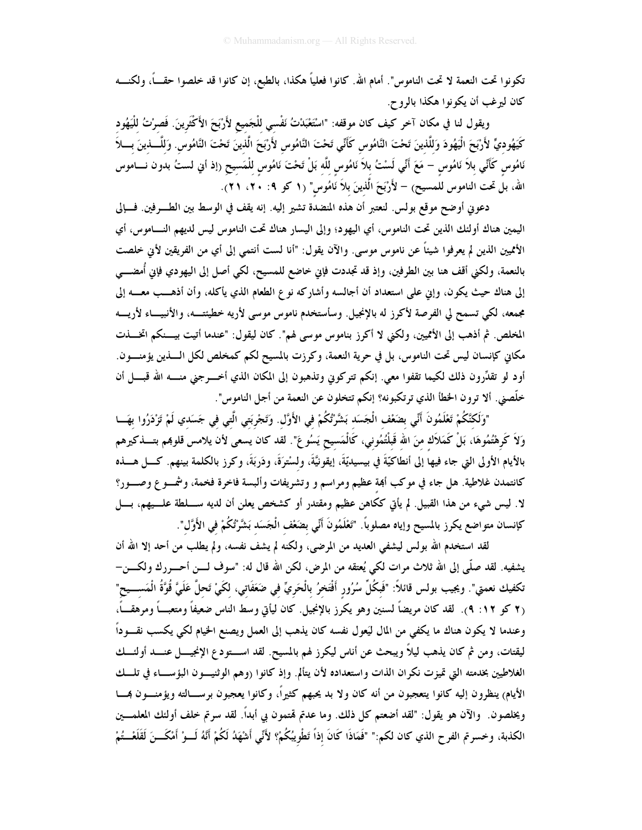تكونوا تحت النعمة لا تحت الناموس". أمام الله. كانوا فعلياً هكذا، بالطبع، إن كانوا قد خلصوا حقـــاً، ولكنــــه كان ليرغب أن يكونوا هكذا بالروح.

ويقول لنا في مكان آخر كيف كان موقفه: "اسْتَعْبَدْتْ نَفْسي للْجَميع لأَرْبَحَ الأَكْثَرينَ. فَصرْتُ للْيَهُود كَيَهُوديٍّ لأَرْبَحَ الْيَهُودَ وَللَّذينَ تَحْتَ النَّامُوس كَأَنِّي تَحْتَ النَّامُوس لأَرْبَحَ الَّذينَ تَحْتَ النَّامُوس. وَللَّـــذينَ بــــلاَ نَامُوسُ كَأَنِّي بلاَ نَامُوس – مَعَ أَنِّي لَسْتُ بلاَ نَامُوسِ للَّه بَلْ تَحْتَ نَامُوسِ لِلْمَسِيحِ (إذ أبي لستُ بدون نــــاموس الله، بلَّ تحت الناموس للمسيح) – لأَرْبَحَ الَّذينَ بلاَ نَامُوسِ" (١ كو ٩: ٢٠، ٢١).

دعوني أوضح موقع بولس. لنعتبر أن هذه المنضدة تشير إليه. إنه يقف في الوسط بين الطـــرفين. فـــإلى اليمين هناك أولئك الذين تحت الناموس، أي اليهود؛ وإلى اليسار هناك تحت الناموس ليس لديهم النـــاموس، أي الأمميين الذين لم يعرفوا شيئاً عن ناموس موسى. والآن يقول: "أنا لست أنتمي إلى أي من الفريقين لأني خلصت بالنعمة، ولكني أقف هنا بين الطرفين، وإذ قد تجددت فإني خاضع للمسيح، لكي أصل إلى اليهودي فإني أُمضـــي إلى هناك حيث يكون، وإين على استعداد أن أجالسه وأشاركه نوع الطعام الذي يأكله، وأن أذهــب معـــه إلى مجمعه، لكي تسمح لي الفرصة لأكرز له بالإنجيل. وسأستخدم ناموس موسى لأريه خطيئتـــه، والأنبيـــاء لأريــــه المخلص. ثم أذهب إلى الأمميين، ولكني لا أكرز بناموس موسى لهم". كان ليقول: "عندما أتيت بيـــنكم اتخـــذت مكاني كإنسان ليس تحت الناموس، بل في حرية النعمة، وكرزت بالمسيح لكم كمخلص لكل الــــذين يؤمنــــون. أود لو تقدِّرون ذلك لكيما تقفوا معي. إنكم تتركوني وتذهبون إلى المكان الذي أخـــرجني منــــه الله قبــــل أن خلَّصني. ألا ترون الخطأ الذي ترتكبونه؟ إنكم تتخلون عن النعمة من أجل الناموس".

"وَلَكَنَّكُمْ تَعْلَمُونَ أَنِّى بِضَعْف الْجَسَد بَشَّرْتُكُمْ في الأَوَّل. وَتَجْربَتِي الَّتِي في جَسَدِي لَمْ تَزْدَرُوا بِهَــا وَلاَ كَرِهْتُمُوهَا، بَلْ كَمَلاَك منَ الله قَبْلُتُمُوني، كَالْمَسيح يَسُوعَ". لقد كان يسعى لأن يلامس قلوهم بتـــذكيرهم بالأيام الأولى التي جاء فيها إلى أنطاكيَّةَ في بيسيديَّةَ، إيقونيَّةَ، ولسْترَةَ، ودَربَةَ، وكرز بالكلمة بينهم. كـــل هـــذه كانتمدن غلاطية. هل جاء في موكب أبمة عظيم ومراسم و وتشريفات وألبسة فاخرة فخمة، وشمـــو ع وصــــور؟ لا. ليس شيء من هذا القبيل. لم يأتي ككاهن عظيم ومقتدر أو كشخص يعلن أن لديه ســــلطة علــــيهم، بــــل كإنسان متواضع يكرز بالمسيح وإياه مصلوباً. "تَعْلَمُونَ أَنِّي بضَعْف الْجَسَد بَشَّرْتُكُمْ في الأَوَّل".

لقد استخدم الله بولس ليشفى العديد من المرضى، ولكنه لم يشف نفسه، ولم يطلب من أحد إلا الله أن يشفيه. لقد صلَّى إلى الله ثلاث مرات لكي يُعتقه من المرض، لكن الله قال له: "سوف لـــن أحــــررك ولكــــن– تكفيك نعمتي". ويجيب بولس قائلاً: "فَبكُلِّ سُرُور أَفْتَخرُ بالْحَريِّ في ضَعَفَاتي، لكَيْ تَحلَّ عَلَيَّ قُوَّةُ الْمَســـيح" (٢ كو ١٢: ٩). لقد كان مريضاً لسنين وهو يكرز بالإنجيل. كان ليأتي وسط الناس ضعيفاً ومتعبـــاً ومرهقـــاً، وعندما لا يكون هناك ما يكفي من المال ليَعول نفسه كان يذهب إلى العمل ويصنع الخيام لكي يكسب نقــــوداً ليقتات، ومن ثم كان يذهب ليلاً ويبحث عن أناس ليكرز لهم بالمسيح. لقد اســـتودع الإنجيــــل عنــــد أولئــــك الغلاطيين بخدمته التي تميزت نكران الذات واستعداده لأن يتألم. وإذ كانوا (وهم الوثنيـــون البؤســـاء في تلـــك الأيام) ينظرون إليه كانوا يتعجبون من أنه كان ولا بد يحبهم كثيراً، وكانوا يعجبون برســالته ويؤمنـــون بمـــا ويخلصون. ۖ والآن هو يقول: "لقد أضعتم كل ذلك. وما عدتم لهتمون بي أبداً. لقد سرتم خلف أولئك المعلمـــين الكذبة، وخسرتم الفرح الذي كان لكم:" "فَمَاذَا كَانَ إذاً تَطْوِيبُكُمْ؟ لأَنِّي أَشْهَدُ لَكُمْ أَنَّهُ لَــوْ أَمْكَــنَ لَقَلَعْــتُمْ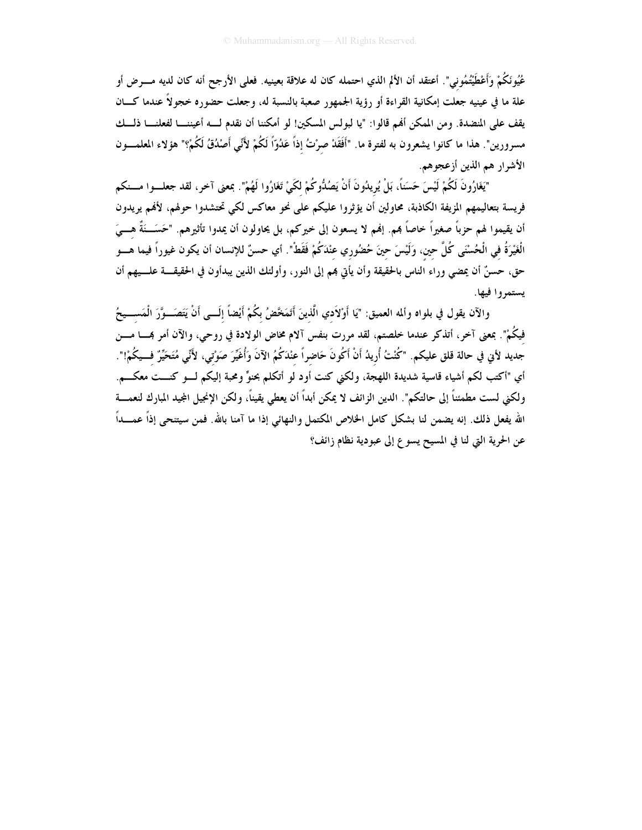عُيُونَكُمْ وَأَعْطَيْتُمُوني". أعتقد أن الألم الذي احتمله كان له علاقة بعينيه. فعلى الأرجح أنه كان لديه مـــرض أو علة ما في عينيه جعلت إمكانية القراءة أو رؤية الجمهور صعبة بالنسبة له، وجعلت حضوره خجولاً عندما كـــان يقف على المنضدة. ومن الممكن أفم قالوا: "يا لبولس المسكين! لو أمكننا أن نقدم لـــه أعيننــــا لفعلنــــا ذلـــك مسرورين". هذا ما كانوا يشعرون به لفترة ما. "أَفَقَدْ صرْتُ إذاً عَدُوّاً لَكُمْ لأَنِّي أَصْدُقُ لَكُمْ؟" هؤلاء المعلمـــون الأشرار هم الذين أزعجوهم.

"يَغَارُونَ لَكُمْ لَيْسَ حَسَناً، بَلْ يُرِيدُونَ أَنْ يَصُدُّوكُمْ لكَيْ تَغَارُوا لَهُمْ". بمعنى آخر، لقد جعلسوا مسنكم فريسة بتعاليمهم المزيفة الكاذبة، محاولين أن يؤثروا عليكم على نحو معاكس لكي تحتشدوا حولهم، لأفمم يريدون أن يقيموا لهم حزباً صغيراً خاصاً بمم. إنهم لا يسعون إلى خيركم، بل يحاولون أن يمدوا تأثيرهم. "حَسَـــنَةٌ هــــيَ الْغَيْرَةُ في الْحُسْنَى كُلَّ حين، وَلَيْسَ حينَ حُضُوري عنْدَكُمْ فَقَطْ". أي حسنٌ للإنسان أن يكون غيوراً فيما هـــو حق، حسنٌ أن يمضى وراء الناس بالحقيقة وأن يأتي بمم إلى النور، وأولئك الذين يبدأون في الحقيقــــة علــــيهم أن يستمروا فيها.

والآن يقول في بلواه وألمه العميق: "يَا أَوْلاَدي الَّذينَ أَتَمَخَّضُ بكُمْ أَيْضاً إِلَـــى أَنْ يَتَصَـــوَّرَ الْمَســـيحُ فيكُمْ". بمعنى آخر، أتذكر عندما خلصتم، لقد مررت بنفس آلام مخاض الولادة في روحي، والآن أمر بمــــا مــــن جديد لأني في حالة قلق عليكم. "كُنْتُ أُريدُ أَنْ أَكُونَ حَاضراً عنْدَكُمُ الآنَ وَأُغَيِّرَ صَوْتي، لأَنًى مُتَحَيِّرٌ فــيكُمْ!". أي "أكتب لكم أشياء قاسية شديدة اللهجة، ولكني كنت أود لو أتكلم بحنوٌّ ومحبة إليكم لـــو كنـــت معكـــم. ولكني لست مطمئناً إلى حالتكم". الدين الزائف لا يمكن أبداً أن يعطي يقيناً، ولكن الإنجيل المجيد المبارك لنعمــــة الله يفعل ذلك. إنه يضمن لنا بشكل كامل الخلاص المكتمل والنهائي إذا ما آمنا بالله. فمن سيتنحى إذاً عمـــداً عن الحرية التي لنا في المسيح يسوع إلى عبودية نظام زائف؟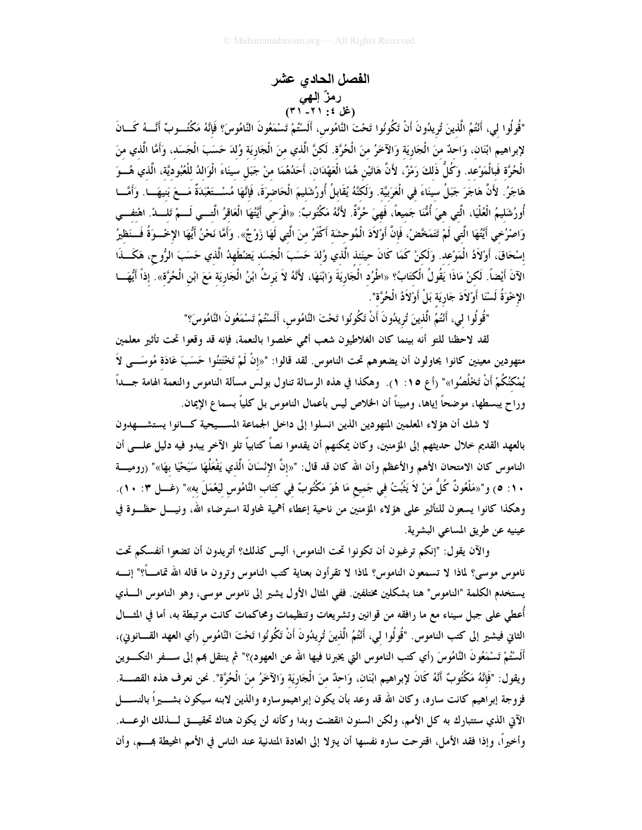## الفصل الحادي عشر رمزٌ الـهي<br>(غل ٤: ٢١- ٣١)

"قُولُوا لي، أَنْتُمُ الَّذينَ تُريدُونَ أَنْ تَكُونُوا تَحْتَ النَّامُوس، أَلَسْتُمْ تَسْمَعُونَ النَّامُوسَ؟ فَإنَّهُ مَكْتُــوبٌ أَنَّـــهُ كَـــانَ لإبراهيم ابْنَان، وَاحدٌ منَ الْجَارِيَة وَالآخَرُ منَ الْحُرَّة. لَكنَّ الَّذي منَ الْجَارِيَة وُلدَ حَسَبَ الْجَسَد، وَأَمَّا الَّذي منَ الْحُرَّة فَبالْمَوْعد. وَكُلُّ ذَلكَ رَمْزٌ، لأَنَّ هَاتَيْن هُمَا الْعَهْدَان، أَحَدُهُمَا منْ جَبَل سينَاءَ الْوَالدُ للْعُبُوديَّة، الّذي هُـــوَ هَاجَرُ. لأَنَّ هَاجَرَ جَبَلُ سينَاءَ في الْعَرَبيَّة. وَلَكنَّهُ يُقَابلُ أُورُشَليمَ الْحَاضرَةَ، فَإِنَّهَا مُسْــتَعْبَدَةٌ مَــعَ بَنيهَـــا. وَأَمَّـــا أُورُشَليمُ الْعُلْيَا، الَّتى هيَ أُمُّنَا جَميعاً، فَهيَ حُرَّةٌ. لأَنَّهُ مَكْتُوبٌ: «افْرَحى أَيَّتُهَا الْعَاقرُ الَّتـــى لَـــمْ تَلــــدْ. اهْتفـــى وَاصْرُحي أَيَّتُهَا الَّتي لَمْ تَتَمَخَّصْ، فَإِنَّ أَوْلاَدَ الْمُوحشَة أَكْثَرُ منَ الَّتي لَهَا زَوْجٌ». وَأَمَّا نَحْنُ أَيُّهَا الإخْــوَةُ فَــنَظيرُ إسْحَاقَ، أَوْلاَدُ الْمَوْعد. وَلَكنْ كَمَا كَانَ حينَئذ الَّذي وُلدَ حَسَبَ الْجَسَد يَصْطَهِدُ الَّذي حَسَبَ الرُّوح، هَكَــذَا الآنَ أَيْضاً. لَكنْ مَاذَا يَقُولُ الْكتَابُ؟ «اطْرُد الْجَارِيَةَ وَابْنَهَا، لأَنَّهُ لاَ يَرثُ ابْنُ الْجَارِيَة مَعَ ابْن الْحُرَّة». إذاً أَيُّهَـــا الإخْوَةُ لَسْنَا أَوْلاَدَ جَارِيَة بَلْ أَوْلاَدُ الْحُرَّة".

"قُولُو ا لي، أَنْتُمُ الَّذينَ تُرِيدُونَ أَنْ تَكُونُوا تَحْتَ النَّامُوس، أَلَسْتُمْ تَسْمَعُونَ النَّامُوسَ؟"

لقد لاحظنا للتو أنه بينما كان الغلاطيون شعب أممي خلصوا بالنعمة، فإنه قد وقعوا تحت تأثير معلمين متهودين معينين كانوا يحاولون أن يضعوهم تحت الناموس. لقد قالوا: "«إنْ لَمْ تَخْتَتْنُوا حَسَبَ عَادَة مُوسَـــى لاَ يُمْكَنُكُمْ أَنْ تَخْلُصُوا»" (أ ع ١٥: ١). وهكذا في هذه الرسالة تناول بولس مسألة الناموس والنعمة الهامة جـــداً وراح يبسطها، موضحاً إياها، ومبيناً أن الخلاص ليس بأعمال الناموس بل كلياً بسما ع الإيمان.

لا شك أن هؤلاء المعلمين المتهودين الذين انسلوا إلى داخل الجماعة المســيحية كــانوا يستشـــهدون بالعهد القديم خلال حديثهم إلى المؤمنين، وكان يمكنهم أن يقدموا نصاً كتابياً تلو الآخر يبدو فيه دليل علــــى أن الناموس كان الامتحان الأهم والأعظم وأن الله كان قد قال: "«إنَّ الإِنْسَانَ الَّذي يَفْعَلُهَا سَيَحْيَا بهَا»" (روميـــة ٠١: ٥) و"«مَلْعُونٌ كُلُّ مَنْ لاَ يَثْبُتُ في جَميع مَا هُوَ مَكْتُوبٌ في كتَاب النَّامُوس لَيَعْمَلَ به»" (غـــل ٣: ١٠). وهكذا كانوا يسعون للتأثير على هؤلاء المؤمنين من ناحية إعطاء أهمية لمحاولة استرضاء الله، ونيــــل حظـــوة في عينيه عن طريق المساعي البشرية.

والآن يقول: "إنكم ترغبون أن تكونوا تحت الناموس؛ أليس كذلك؟ أتريدون أن تضعوا أنفسكم تحت ناموس موسى؟ لماذا لا تسمعون الناموس؟ لماذا لا تقرأون بعناية كتب الناموس وترون ما قاله الله تمامـــاً؟" إنــــه يستخدم الكلمة "الناموس" هنا بشكلين مختلفين. ففي المثال الأول يشير إلى ناموس موسى، وهو الناموس الــــذي أُعطى على جبل سيناء مع ما رافقه من قوانين وتشريعات وتنظيمات ومحاكمات كانت مرتبطة به، أما في المثـــال الثاني فيشير إلى كتب الناموس. "قُولُوا لي، أَنْتُمُ الَّذينَ تُرِيدُونَ أَنْ تَكُونُوا تَحْتَ النَّامُوس (أي العهد القـــانوين)، أَلَسْتُمْ تَسْمَعُونَ النَّامُوسَ (أي كتب الناموس التي يخبرنا فيها الله عن العهود)؟" ثم ينتقل بمم إلى ســـفر التكـــوين ويقول: "فَإِنَّهُ مَكْتُوبٌ أَنَّهُ كَانَ لإبراهيم ابْنَان، وَاحدٌ منَ الْجَارِيَة وَالآخَرُ منَ الْحُرَّة". نحن نعرف هذه القصــــة. فزوجة إبراهيم كانت ساره، وكان الله قد وعد بأن يكون إبراهيموساره والذين لابنه سيكون بشـــــيراً بالنســـــل الآتي الذي ستتبارك به كل الأمم، ولكن السنون انقضت وبدا وكأنه لن يكون هناك تحقيــــق لــــذلك الوعــــد. وأخيراً، وإذا فقد الأمل، اقترحت ساره نفسها أن يتزلا إلى العادة المتدنية عند الناس في الأمم المحيطة بمـــم، وأن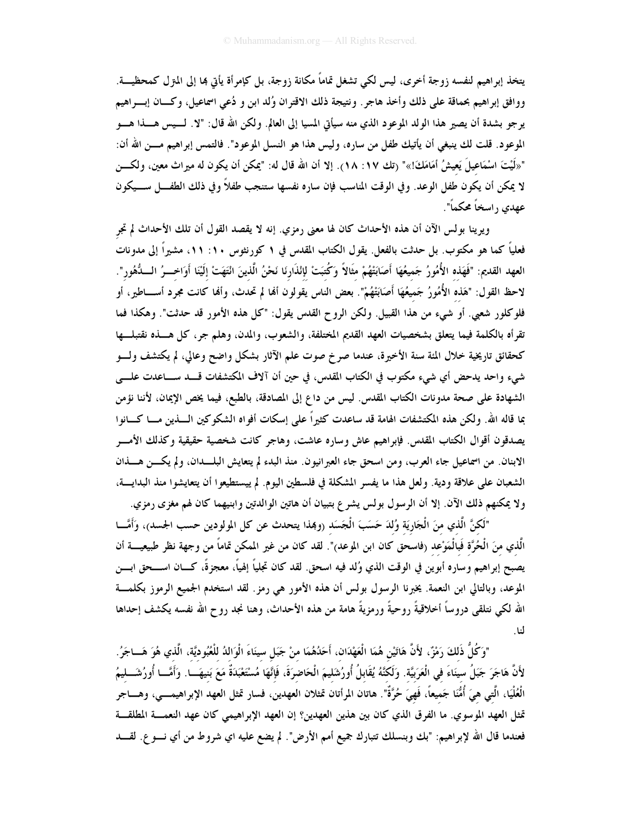يتخذ إبراهيم لنفسه زوجة أخرى، ليس لكي تشغل تمامًا مكانة زوجة، بل كإمرأة يأتي بما إلى المترل كمحظيـــة. ووافق إبراهيم بحماقة على ذلك وأخذ هاجر. ونتيجة ذلك الاقتران وُلد ابن و دُعي اسماعيل، وكــان إبـــراهيم يرجو بشدة أن يصير هذا الولد الموعود الذي منه سيأتي المسيا إلى العالم. ولكن الله قال: "لا. لـــيس هـــذا هــــو الموعود. قلت لك ينبغي أن يأتيك طفل من ساره، وليس هذا هو النسل الموعود". فالتمس إبراهيم مـــن الله أن: "«لَيْتَ اسْمَاعِيلَ يَعِيشُ أَمَامَكَ!»" (تك ١٧: ١٨). إلا أن الله قال له: "يمكن أن يكون له ميراث معين، ولكــن لا يمكن أن يكون طفل الوعد. وفي الوقت المناسب فإن ساره نفسها ستنجب طفلاً وفي ذلك الطفـــل ســـيكون عهدي , اسخاً محكماً".

ويرينا بولس الآن أن هذه الأحداث كان لها معنى رمزي. إنه لا يقصد القول أن تلك الأحداث لم تجر فعلياً كما هو مكتوب. بل حدثت بالفعل. يقول الكتاب المقدس في ١ كورنثوس ١٠: ١١، مشيراً إلى مدونات العهد القديم: "فَهَذه الأُمُورُ جَميعُهَا أَصَابَتْهُمْ مثَالاً وَكُتبَتْ لإنْذَارنَا نَحْنُ الَّذينَ انْتَهَتْ إلَيْنَا أَوَاخــرُ الـــدُّهُور". لاحظ القول: "هَذه الأُمُورُ جَميعُهَا أَصَابَتْهُمْ". بعض الناس يقولون ألها لم تحدث، وألها كانت مجرد أســــاطير، أو فلوكلور شعبي. أو شيء من هذا القبيل. ولكن الروح القدس يقول: "كل هذه الأمور قد حدثت". وهكذا فما تقرأه بالكلمة فيما يتعلق بشخصيات العهد القديم المختلفة، والشعوب، والمدن، وهلم جر، كل هـــذه نقتبلـــها كحقائق تاريخية خلال المئة سنة الأخيرة، عندما صرخ صوت علم الآثار بشكل واضح وعالى، لم يكتشف ولـــو شيء واحد يدحض أي شيء مكتوب في الكتاب المقدس، في حين أن آلاف المكتشفات قـــد ســـاعدت علــــي الشهادة على صحة مدونات الكتاب المقدس. ليس من داع إلى المصادقة، بالطبع، فيما يخص الإيمان، لأننا نؤمن بما قاله الله. ولكن هذه المكتشفات الهامة قد ساعدت كثيراً على إسكات أفواه الشكوكين السذين مسا كسانوا يصدقون أقوال الكتاب المقدس. فإبراهيم عاش وساره عاشت، وهاجر كانت شخصية حقيقية وكذلك الأمـــر الابنان. من اسماعيل جاء العرب، ومن اسحق جاء العبر انيون. منذ البدء لم يتعايش البلــدان، ولم يكـــن هـــذان الشعبان على علاقة ودية. ولعل هذا ما يفسر المشكلة في فلسطين اليوم. لم ييستطيعوا أن يتعايشوا منذ البدايــــة، ولا يمكنهم ذلك الآن. إلا أن الرسول بولس يشرع بتبيان أن هاتين الوالدتين وابنيهما كان لهم مغزى رمزي.

"لَكنَّ الَّذي منَ الْجَارِيَة وُلدَ حَسَبَ الْجَسَد (وهِذا يتحدث عن كل المولودين حسب الجسد)، وَأَمَّـــا الَّذي منَ الْحُرَّة فَبالْمَوْعد (فاسحق كان ابن الموعد)". لقد كان من غير الممكن تماماً من وجهة نظر طبيعيــــة أن يصبح إبراهيم وساره أبوين في الوقت الذي وُلد فيه اسحق. لقد كان تجلياً إلهياً، معجزةً، كـــان اســـحق ابــــن الموعد، وبالتالي ابن النعمة. يخبرنا الرسول بولس أن هذه الأمور هي رمزٍ. لقد استخدم الجميع الرموز بكلمـــة الله لكي نتلقى دروساً أخلاقيةً روحيةً ورمزيةً هامة من هذه الأحداث، وهنا نجد روح الله نفسه يكشف إحداها لنا.

"وَكُلُّ ذَلكَ رَمْزٌ، لأَنَّ هَاتَيْن هُمَا الْعَهْدَان، أَحَدُهُمَا منْ جَبَل سينَاءَ الْوَالدُ للْعُبُوديَّة، الّذي هُوَ هَـــاجَرُ. لأَنَّ هَاجَرَ جَبَلُ سينَاءَ في الْعَرَبيَّة. وَلَكنَّهُ يُقَابلُ أُورُشَليمَ الْحَاضرَةَ، فَإِنَّهَا مُسْتَعْبَدَةٌ مَعَ بَنيهَـــا. وَأَمَّـــا أُورُشَـــلِيمُ الْعُلْيَا، الَّتِي هيَ أُمُّنَا جَميعاً، فَهيَ حُرَّةٌ". هاتان المرأتان تمثلان العهدين، فسارٍ تمثل العهد الإبراهيمـــي، وهــــاجر تمثل العهد الموسوي. ما الفرق الذي كان بين هذين العهدين؟ إن العهد الإبراهيمي كان عهد النعمـــة المطلقـــة فعندما قال الله لإبراهيم: "بك وبنسلك تتبارك جميع أمم الأرض". لم يضع عليه اي شروط من أي نـــو ع. لقـــد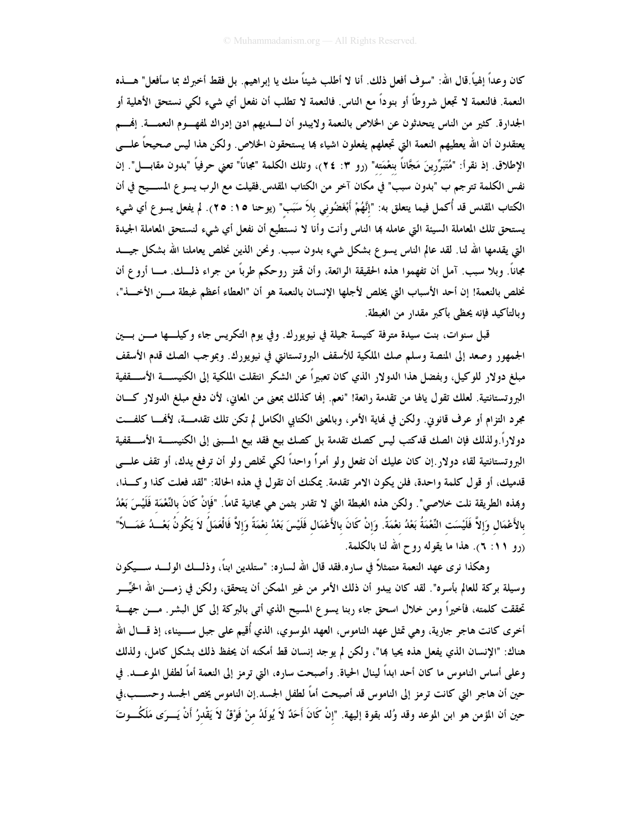كان وعداً إلهياً.قال الله: "سوف أفعل ذلك. أنا لا أطلب شيئاً منك يا إبراهيم. بل فقط أخبرك بما سأفعل" هــــذه النعمة. فالنعمة لا تجعل شروطاً أو بنوداً مع الناس. فالنعمة لا تطلب أن نفعل أي شيء لكي نستحق الأهلية أو الجدارة. كثير من الناس يتحدثون عن الخلاص بالنعمة ولايبدو أن لـــديهم ادبي إدراك لمفهـــوم النعمــــة. إنهــــم يعتقدون أن الله يعطيهم النعمة التي تجعلهم يفعلون اشياء بما يستحقون الخلاص. ولكن هذا ليس صحيحاً علــــى الإطلاق. إذ نقرأ: "مُتَبَرِّرينَ مَجَّانًا بنعْمَته" (رو ٣: ٢٤)، وتلك الكلمة "مجاناً" تعني حرفياً "بدون مقابـــل". إن نفس الكلمة تترجم ب "بدون سبب" في مكان آخر من الكتاب المقدس.فقيلت مع الرب يسوع المســـيح في أن الكتاب المقدس قد أُكمل فيما يتعلق به: "إنَّهُمْ أَبْغَضُوني بلاَ سَبَب" (يوحنا ١٥: ٢٥). لم يفعل يسوع أي شيء يستحق تلك المعاملة السيئة التي عامله بما الناس وأنت وأنا لا نستطيع أن نفعل أي شيء لنستحق المعاملة الجيدة التي يقدمها الله لنا. لقد عالم الناس يسوع بشكل شيء بدون سبب. ونحن الذين نخلص يعاملنا الله بشكل جيـــد مجاناً. وبلا سبب. آمل أن تفهموا هذه الحقيقة الرائعة، وأن قمتز روحكم طرباً من جراء ذلــك. مــــا أروع أن نخلص بالنعمة! إن أحد الأسباب التي يخلص لأجلها الإنسان بالنعمة هو أن "العطاء أعظم غبطة مــــن الأخــــذ"، وبالتأكيد فإنه يحظى بأكبر مقدار من الغبطة.

قبل سنوات، بنت سيدة مترفة كنيسة جميلة في نيويورك. وفي يوم التكريس جاء وكيلـــها مــــن بــــين الجمهور وصعد إلى المنصة وسلم صك الملكية للأسقف البروتستانتي في نيويورك. وبموجب الصك قدم الأسقف مبلغ دولار للوكيل، وبفضل هذا الدولار الذي كان تعبيراً عن الشكر انتقلت الملكية إلى الكنيســـة الأســــقفية البروتستانتية. لعلك تقول يالها من تقدمة رائعة! "نعم. إنها كذلك بمعنى من المعاين، لأن دفع مبلغ الدولار كـــان مجرد التزام أو عرف قانوين. ولكن في نماية الأمر، وبالمعنى الكتابي الكامل لم تكن تلك تقدمـــة، لأفمـــا كلفـــت دولاراً.ولذلك فإن الصك قدكتب ليس كصك تقدمة بل كصك بيع فقد بيع المسبني إلى الكنيســــة الأســـــقفية البروتستانتية لقاء دولار .إن كان عليك أن تفعل ولو أمراً واحداً لكي تخلص ولو أن ترفع يدك، أو تقف علـــي قدميك، أو قول كلمة واحدة، فلن يكون الامر تقدمة. يمكنك أن تقول في هذه الحالة: "لقد فعلت كذا وكــذا، وهِذه الطريقة نلت خلاصي". ولكن هذه الغبطة التي لا تقدر بثمن هي مجانية تماماً. "فَإِنْ كَانَ بِالنِّعْمَة فَلَيْسَ بَعْدُ بالأَعْمَال وَإِلاَّ فَلَيْسَت النِّعْمَةُ بَعْدُ نعْمَةً. وَإِنْ كَانَ بالأَعْمَال فَلَيْسَ بَعْدُ نعْمَةً وَإلاَّ فَالْعَمَلُ لاَ يَكُونُ بَعْـــدُ عَمَـــلاً" (رو ۶۱: ۲). هذا ما يقوله روح الله لنا بالكلمة.

وهكذا نرى عهد النعمة متمثلاً في ساره فقد قال الله لساره: "ستلدين ابناً، وذلـــك الولــــد ســــيكون وسيلة بركة للعالم بأسره". لقد كان يبدو أن ذلك الأمر من غير الممكن أن يتحقق، ولكن في زمـــن الله الحُيِّـــر تحققت كلمته، فأخيراً ومن خلال اسحق جاء ربنا يسوع المسيح الذي أتى بالبركة إلى كل البشر. مـــن جهـــة أخرى كانت هاجر جارية، وهي تمثل عهد الناموس، العهد الموسوي، الذي أُقيم على جبل ســـيناء، إذ قــــال الله هناك: "الإنسان الذي يفعل هذه يحيا ڢما"، ولكن لم يوجد إنسان قط أمكنه أن يحفظ ذلك بشكل كامل، ولذلك وعلى أساس الناموس ما كان أحد ابداً لينال الحياة. وأصبحت ساره، التي ترمز إلى النعمة أماً لطفل الموعــــد. في حين أن هاجر التي كانت ترمز إلى الناموس قد أصبحت أماً لطفل الجسد.إن الناموس يخص الجسد وحســـب،في حين أن المؤمن هو ابن الموعد وقد وُلد بقوة إليهة. "إنْ كَانَ أَحَدٌ لاَ يُولَدُ منْ فَوْقُ لاَ يَقْدرُ أَنْ يَـــرَى مَلَكُـــوتَ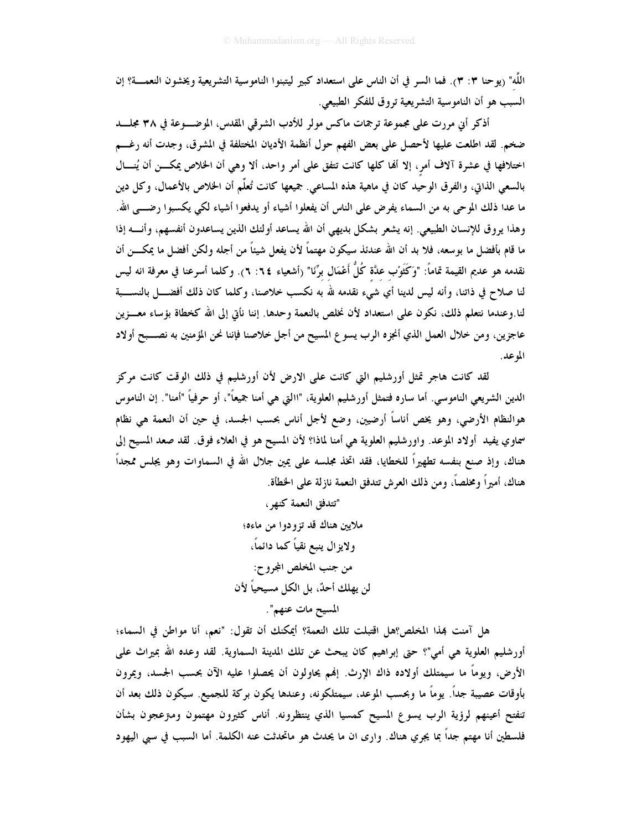اللَّه" (يوحنا ٣: ٣). فما السر في أن الناس على استعداد كبير ليتبنوا الناموسية التشريعية ويخشون النعمـــة؟ إن السبب هو أن الناموسية التشريعية تروق للفكر الطبيعي.

أذكر أني مررت على مجموعة ترجمات ماكس مولر للأدب الشرقي المقدس، الموضــــوعة في ٣٨ مجلــــد ضخم. لقد اطلعت عليها لأحصل على بعض الفهم حول أنظمة الأديان المختلفة في المشرق، وجدت أنه رغـــم اختلافها في عشرة آلاف أمر، إلا ألها كلها كانت تتفق على أمر واحد، ألا وهي أن الخلاص يمكــن أن يُنـــال بالسعي الذاتي، والفرق الوحيد كان في ماهية هذه المساعي. جميعها كانت تُعلُّم أن الخلاص بالأعمال، وكل دين ما عدا ذلك الموحى به من السماء يفرض على الناس أن يفعلوا أشياء أو يدفعوا أشياء لكي يكسبوا رضــــى الله. وهذا يروق للإنسان الطبيعي. إنه يشعر بشكل بديهي أن الله يساعد أولئك الذين يساعدون أنفسهم، وأنــــه إذا ما قام بأفضل ما بوسعه، فلا بد أن الله عندئذ سيكون مهتماً لأن يفعل شيئاً من أجله ولكن أفضل ما يمكـــن أن نقدمه هو عديم القيمة تماماً: "وَكَثَوْب عدَّة كُلُّ أَعْمَال برِّنَا" (أشعياء ٢: ٦). وكلما أسرعنا في معرفة انه ليس لنا صلاح في ذاتنا، وأنه ليس لدينا أي شيء نقدمه لله به نكسب خلاصنا، وكلما كان ذلك أفضــــل بالنســــبة لنا وعندما نتعلم ذلك، نكون على استعداد لأن نخلص بالنعمة وحدها. إننا نأتى إلى الله كخطاة بؤساء معـــزين عاجزين، ومن خلال العمل الذي أنجزه الرب يسوع المسيح من أجل خلاصنا فإننا نحن المؤمنين به نصـــبح أولاد الموعد.

لقد كانت هاجر تمثل أورشليم التي كانت على الارض لأن أورشليم في ذلك الوقت كانت مركز الدين الشريعي الناموسي. أما ساره فتمثل أورشليم العلوية، "االتي هي أمنا جميعاً"، أو حرفياً "أمنا". إن الناموس هوالنظام الأرضى، وهو يخص أناساً أرضيين، وضع لأجل أناس بحسب الجسد، في حين أن النعمة هي نظام سماوي يفيد أولاد الموعد. واورشليم العلوية هي أمنا لماذا؟ لأن المسيح هو في العلاء فوق. لقد صعد المسيح إلى هناك، وإذ صنع بنفسه تطهيراً للخطايا، فقد اتخذ مجلسه على يمين جلال الله في السماوات وهو يجلس ممجداً هناك، أميراً ومخلصاً، ومن ذلك العرش تتدفق النعمة نازلة على الخطأة.

> "تتدفق النعمة كنهر ، ملايين هناك قد تزودوا من ماءه؛ ولايزال ينبع نقياً كما دائماً، من جنب المخلص المجروح: لن يهلك أحدٌ، بل الكل مسيحياً لأن المسيح مات عنهم".

هل آمنت بمذا المخلص؟هل اقتبلت تلك النعمة؟ أيمكنك أن تقول: "نعم، أنا مواطن في السماء؛ أورشليم العلوية هي أمي"؟ حتى إبراهيم كان يبحث عن تلك المدينة السماوية. لقد وعده الله بميراث على الأرض، ويوماً ما سيمتلك أولاده ذاك الإرث. إفمم يحاولون أن يحصلوا عليه الآن بحسب الجسد، ويمرون بأوقات عصيبة جداً. يوماً ما وبحسب الموعد، سيمتلكونه، وعندها يكون بركة للجميع. سيكون ذلك بعد أن تنفتح أعينهم لرؤية الرب يسوع المسيح كمسيا الذي ينتظرونه. أناس كثيرون مهتمون ومتزعجون بشأن فلسطين أنا مهتم جداً بما يجري هناك. وارى ان ما يحدث هو ماتحدثت عنه الكلمة. أما السبب في سبي اليهود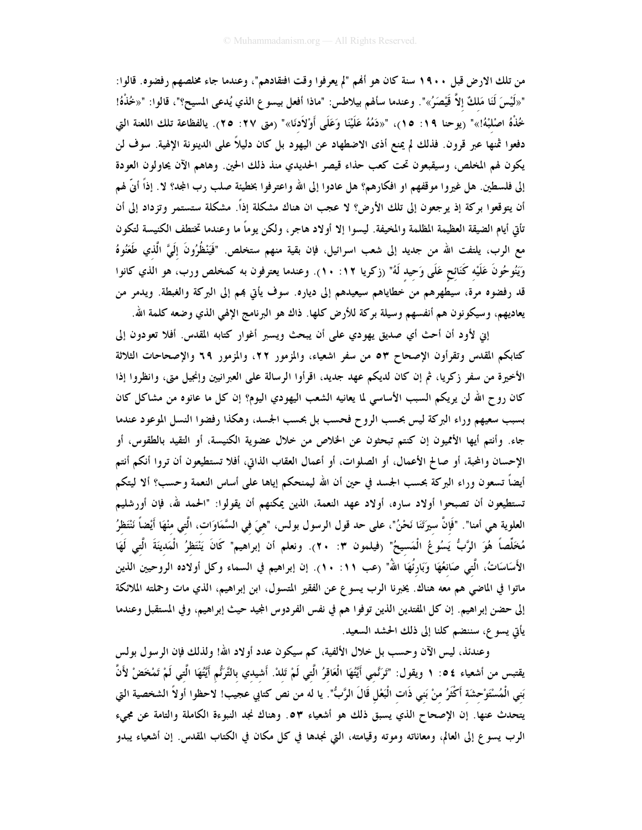من تلك الارض قبل ١٩٠٠ سنة كان هو أُمِّم "لم يعرفوا وقت افتقادهم"، وعندما جاء مخلصهم رفضوه. قالوا: "«لَيْسَ لَنَا مَلكٌ إلاَّ قَيْصَرُ»". وعندما سألهم بيلاطس: "ماذا أفعل بيسو ع الذي يُدعى المسيح؟"، قالوا: "«خُذْهُ! خُذْهُ اصْلَبْهُ!»" (يوحنا ١٩: ١٥)، "«دَمُهُ عَلَيْنَا وَعَلَى أَوْلاَدنَا»" (متى ٢٧: ٢٥). يالفظاعة تلك اللعنة التى دفعوا ثمنها عبر قرون. فذلك لم يمنع أذى الاضطهاد عن اليهود بل كان دليلاً على الدينونة الإلهية. سوف لن يكون لهم المخلص، وسيقبعون تحت كعب حذاء قيصر الحديدي منذ ذلك الحين. وهاهم الآن يحاولون العودة إلى فلسطين. هل غيروا موقفهم او افكارهم؟ هل عادوا إلى الله واعترفوا بخطيئة صلب رب المجد؟ لا. إذاً أنّ لهم أن يتوقعوا بركة إذ يرجعون إلى تلك الأرض؟ لا عجب ان هناك مشكلة إذاً. مشكلة ستستمر وتزداد إلى أن تأتي أيام الضيقة العظيمة المظلمة والمخيفة. ليسوا إلا أولاد هاجر، ولكن يوماً ما وعندما تختطف الكنيسة لتكون مع الرب، يلتفت الله من جديد إلى شعب اسرائيل، فإن بقية منهم ستخلص. "فَيَنْظُرُونَ إلَيَّ الَّذي طَعَنُوهُ وَيَنُوحُونَ عَلَيْه كَنَائح عَلَى وَحيد لَهُ" (زكريا ١٢: ١٠). وعندما يعترفون به كمخلص ورب، هو الذي كانوا قد رفضوه مرة، سيطهرهم من خطاياهم سيعيدهم إلى دياره. سوف يأتي بمم إلى البركة والغبطة. ويدمر من يعاديهم، وسيكونون هم أنفسهم وسيلة بركة للأرض كلها. ذاك هو البرنامج الإلهي الذي وضعه كلمة الله.

إنى لأود أن أحث أي صديق يهودي على أن يبحث ويسبر أغوار كتابه المقدس. أفلا تعودون إلى كتابكم المقدس وتقرأون الإصحاح ٥٣ من سفر اشعياء، والمزمور ٢٢، والمزمور ٢٩ والإصحاحات الثلاثة الأخيرة من سفر زكريا، ثم إن كان لديكم عهد جديد، اقرأوا الرسالة على العبرانيين وإنجيل متى، وانظروا إذا كان روح الله لن يريكم السبب الأساسي لما يعانيه الشعب اليهودي اليوم؟ إن كل ما عانوه من مشاكل كان بسبب سعيهم وراء البركة ليس بحسب الروح فحسب بل بحسب الجسد، وهكذا رفضوا النسل الموعود عندما جاء. وأنتم أيها الأمميون إن كنتم تبحثون عن الخلاص من خلال عضوية الكنيسة، أو التقيد بالطقوس، أو الإحسان والمجة، أو صالح الأعمال، أو الصلوات، أو أعمال العقاب الذاتي، أفلا تستطيعون أن تروا أنكم أنتم أيضاً تسعون وراء البركة بحسب الجسد في حين أن الله ليمنحكم إياها على أساس النعمة وحسب؟ ألا ليتكم تستطيعون أن تصبحوا أولاد ساره، أولاد عهد النعمة، الذين يمكنهم أن يقولوا: "الحمد لله، فإن أورشليم العلوية هي أمنا". "فَإِنَّ سيرَتَنَا نَحْنُ"، على حد قول الرسول بولس، "هيَ في السَّمَاوَات، الَّتِي منْهَا أيْضاً نَنْتَظرُ مُخَلِّصاً هُوَ الرَّبُّ يَسُوعُ الْمَسيحُ" (فيلمون ٣: ٢٠). ونعلم أن إبراهيم" كَانَ يَنْتَظرُ الْمَدينَةَ الَّتي لَهَا الأَسَاسَاتُ، الَّتي صَانعُهَا وَبَارتُهَا اللهُ" (عب ١١. ١٠). إن إبراهيم في السماء وكل أولاده الروحيين الذين ماتوا في الماضي هم معه هناك. يخبرنا الرب يسوع عن الفقير المتسول، ابن إبراهيم، الذي مات وحملته الملائكة إلى حضن إبراهيم. إن كل المفتدين الذين توفوا هم في نفس الفردوس المجيد حيث إبراهيم، وفي المستقبل وعندما يأتي يسوع، سننضم كلنا إلى ذلك الحشد السعيد.

وعندئذ، ليس الآن وحسب بل خلال الألفية، كم سيكون عدد أولاد الله! ولذلك فإن الرسول بولس يقتبس من أشعياء ٤ ٥: ١ ويقول: "تَرَنَّمي أَيَّتُهَا الْعَاقرُ الَّتي لَمْ تَلدْ. أَشيدي بالتَّرَنُّم أَيَّتُهَا الَّتي لَمْ تَمْخَضْ لأَنَّ بَني الْمُسْتَوْحشَة أَكْثَرُ منْ بَني ذَات الْبَعْل قَالَ الرَّبُّ". يا له من نص كتابي عجيب! لاحظوا أولاً الشخصية التي يتحدث عنها. إن الإصحاح الذي يسبق ذلك هو أشعياء ٥٣. وهناك نجد النبوءة الكاملة والتامة عن مجيء الرب يسوع إلى العالم، ومعاناته وموته وقيامته، التي نجدها في كل مكان في الكتاب المقدس. إن أشعياء يبدو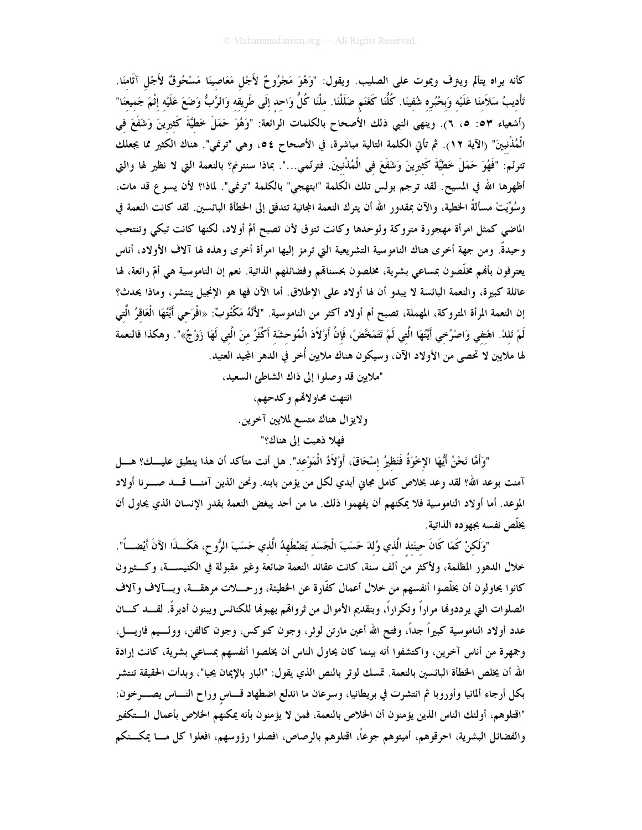كأنه يراه يتألم ويترف ويموت على الصليب. ويقول: "وَهُوَ مَجْرُوحٌ لأَجْل مَعَاصِينَا مَسْحُوقٌ لأَجْل آثَامنَا. تَأْديبُ سَلاَمنَا عَلَيْه وَبحُبُره شُفينَا. كُلُّنَا كَغَنَم ضَلَلْنَا. ملْنَا كُلُّ وَاحد إلَى طَريقه وَالرَّبُّ وَضَعَ عَلَيْه إثْمَ جَميعَنا" (أشعياء ٥٣: ٥، ٦). وينهي النبي ذلك الأصحاح بالكلمات الرائعة: "وَهُوَ حَمَلَ خَطيَّةَ كَثيرينَ وَشَفَعَ في الْمُذْنِبِينَ" (الآية ١٢). ثم تأتي الكلمة التالية مباشرة، في الأصحاح ٥٤، وهي "ترنمي". هناك الكثير مما يجعلك تترنّم: "فَهُوَ حَمَلَ خَطيَّةَ كَثيرينَ وَشَفَعَ في الْمُنْنبينَ. فترنّمي...". بماذا سنترنم؟ بالنعمة التي لا نظير لها والتي أظهرها الله في المسيح. لقد ترجم بولس تلك الكلمة "ابتهجي" بالكلمة "ترنمي". لماذا؟ لأن يسوع قد مات، وسُوِّيَتْ مسألةُ الخطية، والآن بمقدور الله أن يترك النعمة المجانية تتدفق إلى الخطأة البائسين. لقد كانت النعمة في الماضي كمثل امرأة مهجورة متروكة ولوحدها وكانت تتوق لأن تصبح أمَّ أولاد، لكنها كانت تبكي وتنتحب وحيدةً. ومن جهة أخرى هناك الناموسية التشريعية التي ترمز إليها امرأة أخرى وهذه لها آلاف الأولاد، أناس يعترفون بألهم مخلَّصون بمساعى بشرية، مخلصون بحسنالهم وفضائلهم الذاتية. نعم إن الناموسية هي أمّ رائعة، لها عائلة كبيرة، والنعمة البائسة لا يبدو أن لها أولاد على الإطلاق. أما الآن فها هو الإنجيل ينتشر، وماذا يحدث؟ إن النعمة المرأة المتروكة، المهملة، تصبح أم أولاد أكثر من الناموسية. "لأَنَّهُ مَكْتُوبٌ: «افْرَحى أَيَّتُهَا الْعَاقرُ الَّتى لَمْ تَلدْ. اهْتفي وَاصْرُخي أَيَّتُهَا الَّتي لَمْ تَتَمَخَّضْ، فَإنَّ أَوْلاَدَ الْمُوحشَة أَكْثَرُ منَ الَّتي لَهَا زَوْجٌ»". وهكذا فالنعمة لها ملايين لا تحصى من الأولاد الآن، وسيكون هناك ملايين أُخر في الدهر المجيد العتيد.

"ملايين قد وصلوا إلى ذاك الشاطئ السعيد،

انتهت محاولاقم وكدحهم، ولايزال هناك متسع لملايين آخرين. فهلا ذهبت الى هناك؟"

"وَأَمَّا نَحْنُ أَيُّهَا الإِخْوَةُ فَنَظيرُ إسْحَاقَ، أَوْلاَدُ الْمَوْعد". هل أنت متأكد أن هذا ينطبق عليـــك؟ هــــل آمنت بوعد الله؟ لقد وعد بخلاص كامل مجاني أبدي لكل من يؤمن بابنه. ونحن الذين آمنـــا قــــد صـــــرنا أولاد الموعد. أما أولاد الناموسية فلا يمكنهم أن يفهموا ذلك. ما من أحد يبغض النعمة بقدر الإنسان الذي يحاول أن يخلّص نفسه بجهوده الذاتية.

"وَلَكنْ كَمَا كَانَ حينَنذ الَّذي وُلدَ حَسَبَ الْجَسَد يَضْطَهِدُ الَّذي حَسَبَ الرُّوحِ، هَكَــذَا الآنَ أيْضــــأ". خلال الدهور المظلمة، ولأكثر من ألف سنة، كانت عقائد النعمة ضائعة وغير مقبولة في الكنيســـة، وكـــثيرون كانوا يحاولون أن يخلَّصوا أنفسهم من خلال أعمال كفَّارة عن الخطيئة، ورحــــلات مرهقــــة، وبـــآلاف وآلاف الصلوات التي يرددوها مراراً وتكراراً، وبتقديم الأموال من ثروالهم يهبوها للكنائس ويبنون أديرةً. لقــــد كــــان عدد أولاد الناموسية كبيراً جداً، وفتح الله أعين مارتن لوثر، وجون كنوكس، وجون كالفن، وولـــيم فاريــــل، وجمهرة من أناس آخرين، واكتشفوا أنه بينما كان يحاول الناس أن يخلصوا أنفسهم بمساعى بشرية، كانت إرادة الله أن يخلص الحظأة البائسين بالنعمة. تمسك لوثر بالنص الذي يقول: "البار بالإيمان يحيا"، وبدأت الحقيقة تنتشر بكل أرجاء ألمانيا وأوروبا ثم انتشرت في بريطانيا، وسرعان ما اندلع اضطهاد قـــاس وراح النــــاس يصـــــرخون: "اقتلوهم، أولئك الناس الذين يؤمنون أن الخلاص بالنعمة، فمن لا يؤمنون بأنه يمكنهم الخلاص بأعمال الـــتكفير والفضائل البشرية، احرقوهم، أميتوهم جوعاً، اقتلوهم بالرصاص، افصلوا رؤوسهم، افعلوا كل مـــا يمكـــنكم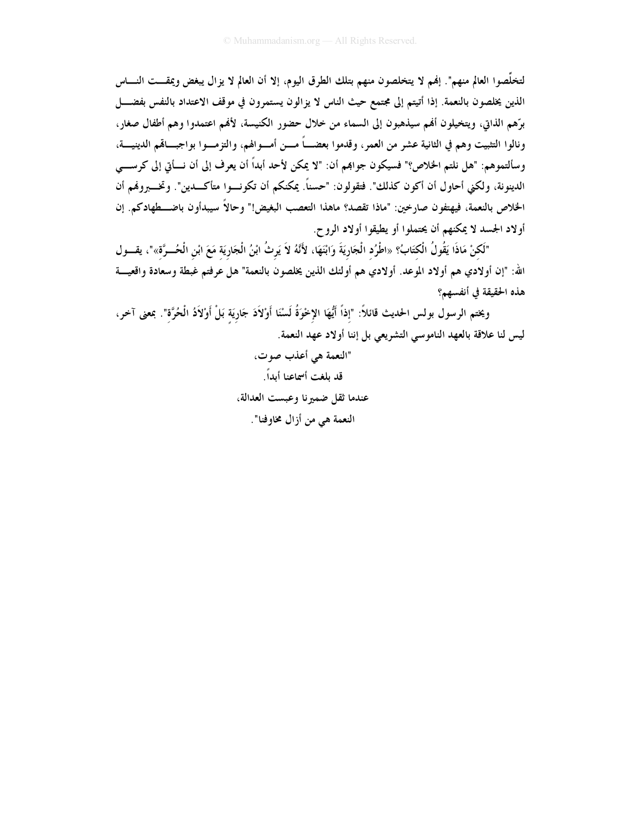لتخلُّصوا العالم منهم". إنهم لا يتخلصون منهم بتلك الطرق اليوم، إلا أن العالم لا يزال يبغض ويمقـــت النــــاس الذين يخلصون بالنعمة. إذا أتيتم إلى مجتمع حيث الناس لا يزالون يستمرون في موقف الاعتداد بالنفس بفضــــل برِّهم الذاتي، ويتخيلون أفمم سيذهبون إلى السماء من خلال حضور الكنيسة، لأفمم اعتمدوا وهم أطفال صغار، ونالوا التثبيت وهم في الثانية عشر من العمر ، وقدموا بعضـــاً مـــن أمـــوالهم، والتزمـــوا بواجبـــاقمم الدينيــــة، وسألتموهم: "هل نلتم الخلاص؟" فسيكون جوابمم أن: "لا يمكن لأحد أبداً أن يعرف إلى أن نـــأتي إلى كرســــي الدينونة، ولكني أحاول أن أكون كذلك". فتقولون: "حسناً. يمكنكم أن تكونسوا متأكسدين". وتخسيروفمم أن الخلاص بالنعمة، فيهتفون صارخين: "ماذا تقصد؟ ماهذا التعصب البغيض!" وحالاً سيبدأون باضــــطهادكم. إن أولاد الجسد لا يمكنهم أن يحتملوا أو يطيقوا أولاد الروح.

"لَكنْ مَاذَا يَقُولُ الْكَتَابُ؟ «اطْرُد الْجَارِيَةَ وَابْنَهَا، لأَنَّهُ لاَ يَرثُ ابْنُ الْجَارِيَة مَعَ ابْنِ الْحُـــرَّةِ»"، يقـــول الله: "إن أولادي هم أولاد الموعد. أولادي هم أولئك الذين يخلصون بالنعمة" هل عرفتم غبطة وسعادة واقعيـــة هذه الحقيقة في أنفسهم؟

ويختم الرسول بولس الحديث قائلاً: "إذاً أَيُّهَا الإخْوَةُ لَسْنَا أَوْلاَدَ جَاريَة بَلْ أَوْلاَدُ الْحُرَّة". بمعنى آخر، ليس لنا علاقة بالعهد الناموسي التشريعي بل إننا أولاد عهد النعمة.

> "النعمة هي أعذب صوت، قد بلغت أسماعنا أيداً. عندما ثقل ضميرنا وعبست العدالة، النعمة هي من أزال مخاوفنا".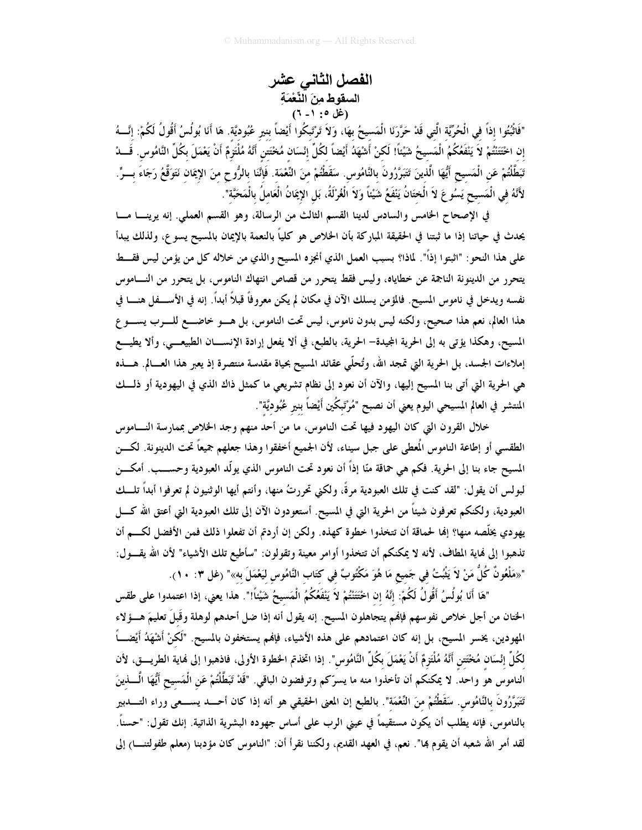الفصل الثاني عشر السقوط مِنَ النِّعْمَةِ (غل ٠: ١- ٦)

"فَاتْبُتُوا إذاً في الْحُرِّيَّة الَّتِي قَدْ حَرَّرَنَا الْمَسيحُ بهَا، وَلاَ تَرْتَبكُوا أَيْضاً بنير عُبُوديَّة. هَا أَنَا بُولُسُ أَقُولُ لَكُمْ: إنَّـــهُ إن احْتَتَنْتُمْ لاَ يَنْفَعُكُمُ الْمَسيحُ شَيْئاً! لَكنْ أَشْهَدُ أَيْضاً لكُلِّ إنْسَان مُحْتَتن أَنَّهُ مُلْتَزِمٌ أَنْ يَعْمَلَ بِكُلِّ النَّامُوسِ. قَـــا، تَبَطَّلْتُمْ عَنِ الْمَسيحِ أَيُّهَا الَّذينَ تَتَبَرَّرُونَ بالنَّامُوس. سَقَطْتُمْ منَ النِّعْمَة. فَإنَّنَا بالرُّوحِ منَ الإيمَان نَتَوَقَّعُ رَجَاءَ بـــرٍّ. لأَنَّهُ في الْمَسيح يَسُو عَ لاَ الْختَانُ يَنْفَعُ شَيْئاً وَلاَ الْغُرْلَةُ، بَلِ الإِيمَانُ الْعَاملُ بالْمَحَبَّة".

في الإصحاح الخامس والسادس لدينا القسم الثالث من الرسالة، وهو القسم العملي. إنه يرينـــا مـــا يحدث في حياتنا إذا ما ثبتنا في الحقيقة المباركة بأن الخلاص هو كلياً بالنعمة بالإيمان بالمسيح يسو ع، ولذلك يبدأ على هذا النحو : "اثبتوا إذاً". لماذا؟ بسبب العمل الذي أنجزه المسيح والذي من خلاله كل من يؤمن ليس فقسط يتحرر من الدينونة الناجمة عن خطاياه، وليس فقط يتحرر من قصاص انتهاك الناموس، بل يتحرر من النـــاموس نفسه ويدخل في ناموس المسيح. فالمؤمن يسلك الآن في مكان لم يكن معروفاً قبلاً أبداً. إنه في الأســـفل هنــــا في هذا العالم، نعم هذا صحيح، ولكنه ليس بدون ناموس، ليس تحت الناموس، بل هـــو خاضـــع للــــرب يســــو ع المسيح، وهكذا يؤتي به إلى الحرية المجيدة– الحرية، بالطبع، في ألا يفعل إرادة الإنســـان الطبيعـــي، وألا يطيـــع إملاءات الجسد، بل الحرية التي تمجد الله، وتُحلَّى عقائد المسيح بحياة مقدسة منتصرة إذ يعبر هذا العـــالم. هـــذه هي الحرية التي أتي بنا المسيح إليها، والآن أن نعود إلى نظام تشريعي ما كمثل ذاك الذي في اليهودية أو ذلــك المنتشر في العالم المسيحي اليوم يعني أن نصبح "مُرْتَبِكُين أَيْضاً بنير عُبُوديَّة".

خلال القرون التي كان اليهود فيها تحت الناموس، ما من أحد منهم وجد الخلاص بممارسة النساموس الطقسي أو إطاعة الناموس الُعطي على جبل سيناء، لأن الجميع أخفقوا وهذا جعلهم جميعاً تحت الدينونة. لكـــن المسيح جاء بنا إلى الحرية. فكم هي حماقة منّا إذاً أن نعود تحت الناموس الذي يولّد العبودية وحســـب. أمكـــن لبولس أن يقول: "لقد كنت في تلك العبودية مرةً، ولكني تحررتُ منها، وأنتم أيها الوثنيون لم تعرفوا أبداً تلـــك العبودية، ولكنكم تعرفون شيئاً من الحرية التي في المسيح. أستعودون الآن إلى تلك العبودية التي أعتق الله كــــل يهودي يخلَّصه منها؟ إنما لحماقة أن تتخذوا خطوة كهذه. ولكن إن أردتم أن تفعلوا ذلك فمن الأفضل لكـــم أن تذهبوا إلى فماية المطاف، لأنه لا يمكنكم أن تتخذوا أوامر معينة وتقولون: "سأطيع تلك الأشياء" لأن الله يقـــول: "«مَلْعُونٌ كُلُّ مَنْ لاَ يَثْبُتُ في جَميع مَا هُوَ مَكْتُوبٌ في كتَاب النَّامُوس ليَعْمَلَ به»" (غل ٣: ١٠).

"هَا أَنَا بُولُسُ أَقُولُ لَكُمْ: إنَّهُ إن اخْتَتَنْتُمْ لاَ يَنْفَعُكُمُ الْمَسيحُ شَيْئاً!". هذا يعنى، إذا اعتمدوا على طقس الختان من أجل خلاص نفوسهم فإنهم يتجاهلون المسيح. إنه يقول أنه إذا ضل أحدهم لوهلة وقَبلَ تعليمَ هـــؤلاء المهودين، يخسر المسيح، بل إنه كان اعتمادهم على هذه الأشياء، فإنهم يستخفون بالمسيح. "لَكنْ أَشْهَدُ أَيْضــــاً لكُلِّ إنْسَان مُخْتَتِن أَنَّهُ مُلْتَزِمٌ أَنْ يَعْمَلَ بكُلِّ النَّامُوس". إذا اتخذتم الخطوة الأولى، فاذهبوا إلى نماية الطريـــق، لأن الناموس هو واحد. لا يمكنكم أن تأخذوا منه ما يسرّكم وترفضون الباقي. "قَدْ تَبَطَّلْتُمْ عَنِ الْمَسيح أَيُّهَا الْـــذينَ تَتَبَرَّرُونَ بالنَّامُوس. سَقَطْتُمْ منَ النِّعْمَة". بالطبع إن المعنى الحقيقى هو أنه إذا كان أحــــد يســــعى وراء التـــــدبير بالناموس، فإنه يطلب أن يكون مستقيماً في عينى الرب على أساس جهوده البشرية الذاتية. إنك تقول: "حسناً. لقد أمر الله شعبه أن يقوم بما". نعم، في العهد القديم، ولكننا نقرأ أن: "الناموس كان مؤدبنا (معلم طفولتنــــا) إلى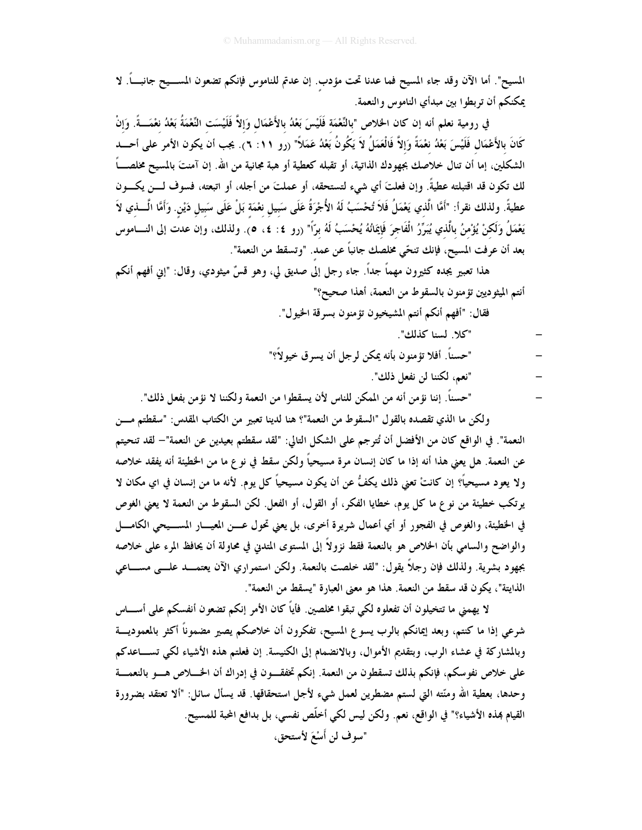المسيح". أما الآن وقد جاء المسيح فما عدنا تحت مؤدب. إن عدتم للناموس فإنكم تضعون المســـيح جانبــــاً. لا يمكنكم أن تربطوا بين مبدأي الناموس والنعمة.

في رومية نعلم أنه إن كان الخلاص "بالنَّعْمَة فَلَيْسَ بَعْدُ بالأَعْمَال وَإلاَّ فَلَيْسَت النَّعْمَةُ بَعْدُ نغمَـــةً. وَإنْ كَانَ بالأَعْمَال فَلَيْسَ بَعْدُ نعْمَةً وَإِلاَّ فَالْعَمَلُ لاَ يَكُونُ بَعْدُ عَمَلاً" (رو ١١: ٦). يجب أن يكون الأمر على أحــــد الشكلين، إما أن تنال خلاصك بجهودك الذاتية، أو تقبله كعطية أو هبة مجانية من الله. إن آمنتَ بالمسيح مخلصـــاً لك تكون قد اقتبلته عطيةً. وإن فعلتَ أي شيء لتستحقه، أو عملتَ من أجله، أو اتبعته، فسوف لـــن يكـــون عطيةً. ولذلك نقرأ: "أمَّا الَّذي يَعْمَلُ فَلاَ تُحْسَبُ لَهُ الأُجْرَةُ عَلَى سَبيل نعْمَة بَلْ عَلَى سَبيل دَيْن. وَأَمَّا الْــــذي لاَ يَعْمَلُ وَلَكنْ يُؤْمنُ بِالَّذي يُبَرِّرُ الْفَاجرَ فَإِيمَانُهُ يُحْسَبُ لَهُ بِرَّا" (رو ٤: ٤، ٥). ولذلك، وإن عدت إلى النـــاموس بعد أن عرفت المسيح، فإنك تنحّي مخلصك جانباً عن عمد. "وتسقط من النعمة".

هذا تعبير يجده كثيرون مهماً جداً. جاء رجل إلى صديق لي، وهو قسٌّ ميثودي، وقال: "إين أفهم أنكم أنتم الميثوديين تؤمنون بالسقوط من النعمة، أهذا صحيح؟"

فقال: "أفهم أنكم أنتم المشيخيون تؤمنون بسرقة الخيول".

- "كلا. لسنا كذلك".
- "حسناً. أفلا تؤمنون بأنه يمكن لرجل أن يسرق خيولاً؟"
	- "نعم، لكننا لن نفعل ذلك".
- "حسناً. إننا نؤمن أنه من الممكن للناس لأن يسقطوا من النعمة ولكننا لا نؤمن بفعل ذلك".

ولكن ما الذي تقصده بالقول "السقوط من النعمة"؟ هنا لدينا تعبير من الكتاب المقدس: "سقطتم مـــن النعمة". في الواقع كان من الأفضل أن تُترجم على الشكل التالي: "لقد سقطتم بعيدين عن النعمة"– لقد تنحيتم عن النعمة. هل يعني هذا أنه إذا ما كان إنسان مرة مسيحياً ولكن سقط في نو ع ما من الخطيئة أنه يفقد خلاصه ولا يعود مسيحياً؟ إن كانتْ تعني ذلك يكفُّ عن أن يكون مسيحياً كل يوم. لأنه ما من إنسان في اي مكان لا يرتكب خطيئة من نوع ما كل يوم، خطايا الفكر ، أو القول، أو الفعل. لكن السقوط من النعمة لا يعني الغوص في الخطيئة، والغوص في الفجور أو أي أعمال شريرة أخرى، بل يعني تحول عـــن المعيـــار المســـيحي الكامــــل والواضح والسامي بأن الخلاص هو بالنعمة فقط نزولاً إلى المستوى المتدني في محاولة أن يحافظ المرء على خلاصه بجهود بشرية. ولذلك فإن رجلًا يقول: "لقد خلصت بالنعمة. ولكن استمراري الآن يعتمـــد علـــي مســــاعي الذايتة"، يكون قد سقط من النعمة. هذا هو معنى العبارة "يسقط من النعمة".

لا يهمني ما تتخيلون أن تفعلوه لكي تبقوا مخلصين. فأياً كان الأمر إنكم تضعون أنفسكم على أســــاس شرعى إذا ما كنتم، وبعد إيمانكم بالرب يسوع المسيح، تفكرون أن خلاصكم يصير مضموناً أكثر بالمعموديــــة وبالمشاركة في عشاء الرب، وبتقديم الأموال، وبالانضمام إلى الكنيسة. إن فعلتم هذه الأشياء لكي تســـاعدكم على خلاص نفوسكم، فإنكم بذلك تسقطون من النعمة. إنكم تخفقـــون في إدراك أن الخــــلاص هــــو بالنعمــــة وحدها، بعطية الله ومنَّته التي لستم مضطرين لعمل شيء لأجل استحقاقها. قد يسأل سائل: "ألا تعتقد بضرورة القيام بمذه الأشياء؟" في الواقع، نعم. ولكن ليس لكي أخلَّص نفسي، بل بدافع الحبة للمسيح. "سوف لن أَسْعَ لأستحق،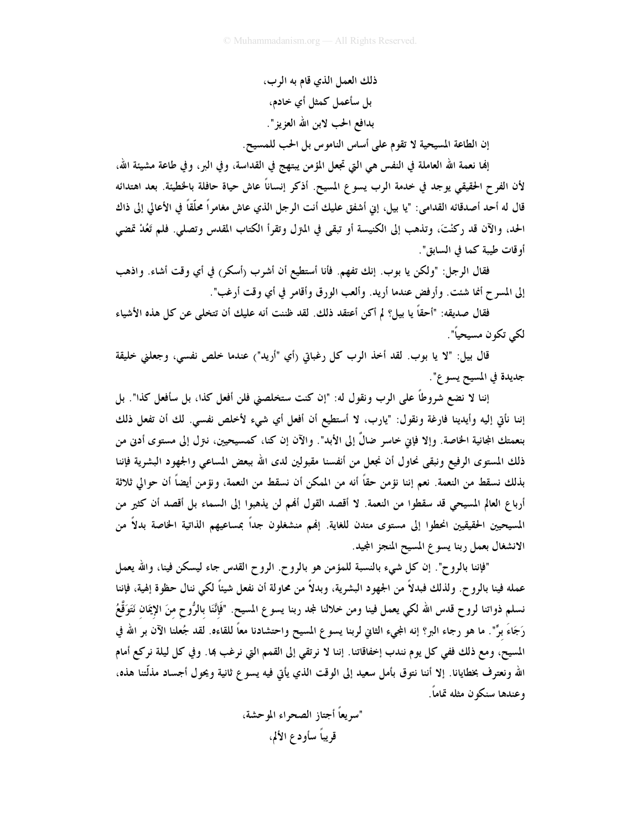ذلك العمل الذي قام به الرب، بل سأعمل كمثل أي خادم، بدافع الحب لابن الله العزيز ".

إن الطاعة المسيحية لا تقوم على أساس الناموس بل الحب للمسيح.

إنما نعمة الله العاملة في النفس هي التي تجعل المؤمن يبتهج في القداسة، وفي البر، وفي طاعة مشيئة الله، لأن الفرح الحقيقي يوجد في خدمة الرب يسوع المسيح. أذكر إنساناً عاش حياة حافلة بالخطيئة. بعد اهتدائه قال له أحد أصدقائه القدامي: "يا بيل، إني أشفق عليك أنت الرجل الذي عاش مغامراً محلَّقاً في الأعالي إلى ذاك الحد، والآن قد ركنْتَ، وتذهب إلى الكنيسة أو تبقى في المتزل وتقرأ الكتاب المقدس وتصلى. فلم تَعُدْ تمضي أو قات طيبة كما في السابق".

فقال الرجل: "ولكن يا بوب. إنك تفهم. فأنا أستطيع أن أشرب (أسكر) في أي وقت أشاء. واذهب إلى المسرح أنما شئت. وأرفض عندما أريد. وألعب الورق وأقامر في أي وقت أرغب".

فقال صديقه: "أحقاً يا بيل؟ لم أكن أعتقد ذلك. لقد ظننت أنه عليك أن تتخلى عن كل هذه الأشياء لكي تكون مسيحياً".

قال بيل: "لا يا بوب. لقد أخذ الرب كل رغباتي (أي "أريد") عندما خلص نفسي، وجعلني خليقة جديدة في المسيح يسو ع".

إننا لا نضع شروطاً على الرب ونقول له: "إن كنت ستخلصني فلن أفعل كذا، بل سأفعل كذا". بل إننا نأتى إليه وأيدينا فارغة ونقول: "يارب، لا أستطيع أن أفعل أي شيء لأخلص نفسي. لك أن تفعل ذلك بنعمتك المجانية الحاصة. وإلا فإني خاسر ضالٌ إلى الأبد". والآن إن كنا، كمسيحيين، نـتزل إلى مستوى أدني من ذلك المستوى الرفيع ونبقى نحاول أن نجعل من أنفسنا مقبولين لدى الله ببعض المساعى والجهود البشرية فإننا بذلك نسقط من النعمة. نعم إننا نؤمن حقاً أنه من الممكن أن نسقط من النعمة، ونؤمن أيضاً أن حوالي ثلاثة أرباع العالم المسيحي قد سقطوا من النعمة. لا أقصد القول ألهم لن يذهبوا إلى السماء بل أقصد أن كثير من المسيحيين الحقيقيين انحطوا إلى مستوى متدن للغاية. إلهم منشغلون جداً بمساعيهم الذاتية الخاصة بدلاً من الانشغال بعمل ربنا يسوع المسيح المنجز المجيد.

"فإننا بالروح". إن كل شيء بالنسبة للمؤمن هو بالروح. الروح القدس جاء ليسكن فينا، والله يعمل عمله فينا بالروح. ولذلك فبدلاً من الجهود البشرية، وبدلاً من محاولة أن نفعل شيئاً لكي ننال حظوة إلهية، فإننا نسلم ذواتنا لروح قدس الله لكي يعمل فينا ومن خلالنا لمجد ربنا يسوع المسيح. "فَإِنَّنَا بالرُّوحِ منَ الإيمَان نَتَوَقَّعُ رَجَاءَ برٍّ". ما هو رجاء البر؟ إنه المجيء الثاني لربنا يسو ع المسيح واحتشادنا معاً للقاءه. لقد جُعلنا الآن بر الله في المسيح، ومع ذلك ففي كل يوم نندب إخفاقاتنا. إننا لا نرتقي إلى القمم التي نرغب بما. وفي كل ليلة نركع أمام الله ونعترف بخطايانا. إلا أننا نتوق بأمل سعيد إلى الوقت الذي يأتى فيه يسوع ثانية ويحول أجساد مذلَّتنا هذه، وعندها سنكون مثله تماماً.

> "سويعاً أجتاز الصحراء الموحشة، قريباً سأودع الألم،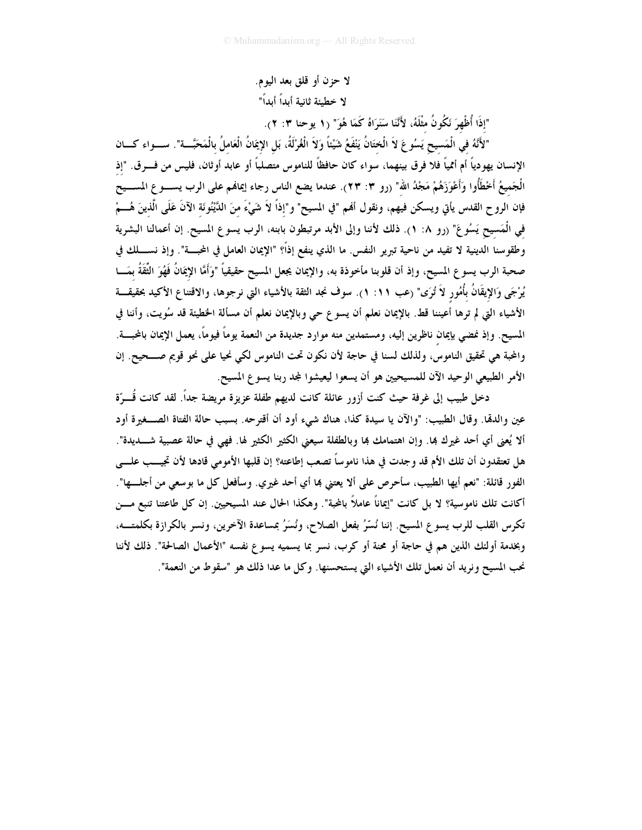لا حزن أو قلق بعد اليوم. لا خطيئة ثانية أبداً أبداً"

"إِذَا أُظْهِرَ نَكُونُ مثْلَهُ، لأَنَّنَا سَنَرَاهُ كَمَا هُوَ" (١ يوحنا ٣: ٢).

"لأَنَّهُ فِي الْمَسِيحِ يَسُوعَ لاَ الْختَانُ يَنْفَعُ شَيْئاً وَلاَ الْغُرْلَةُ، بَل الإِيمَانُ الْعَاملُ بالْمَحَبَّـــة". ســـواء كــــان الإنسان يهودياً أم أممياً فلا فرق بينهما، سواء كان حافظاً للناموس متصلباً أو عابد أوثان، فليس من فـــرق. "إذ الْجَميعُ أَخْطَأُوا وَأَعْوَزَهُمْ مَجْدُ الله" (رو ٣: ٢٣). عندما يضع الناس رجاء إيماهُم على الرب يســــو ع المســـيح فإن الروح القدس يأتي ويسكن فيهم، ونقول أفمم "في المسيح" و"إذاً لاَ شَيْءَ منَ الدَّيْنُونَة الآنَ عَلَى الَّذينَ هُـــمْ في الْمَسيح يَسُوعَ" (رو ٨: ١). ذلك لأننا وإلى الأبد مرتبطون بابنه، الرب يسوع المسيح. إن أعمالنا البشرية وطقوسنا الدينية لا تفيد من ناحية تبرير النفس. ما الذي ينفع إذاً؟ "الإيمان العامل في المحبـــة". وإذ نســــلك في صحبة الرب يسوع المسيح، وإذ أن قلوبنا مأخوذة به، والإيمان يجعل المسيح حقيقياً "وَأَمَّا الإِيمَانُ فَهُوَ الثّقَةُ بمَسا يُرْجَى وَالإِيقَانُ بأُمُور لاَ تُرَى" (عب ١١. ١). سوف نجد الثقة بالأشياء التي نرجوها، والاقتناع الأكيد بحقيقـــة الأشياء التي لم ترها أعيننا قط. بالإيمان نعلم أن يسوع حي وبالإيمان نعلم أن مسألة الخطيئة قد سُويت، وأننا في المسيح. وإذ نمضي بإيمان ناظرين إليه، ومستمدين منه موارد جديدة من النعمة يوماً فيوماً، يعمل الإيمان بالمحبسة. والمحبة هي تحقيق الناموس، ولذلك لسنا في حاجة لأن نكون تحت الناموس لكي نحيا على نحو قويم صـــحيح. إن الأمر الطبيعي الوحيد الآن للمسيحيين هو أن يسعوا ليعيشوا لمجد ربنا يسوع المسيح.

دخل طبيب إلى غرفة حيث كنت أزور عائلة كانت لديهم طفلة عزيزة مريضة جداً. لقد كانت قُـــرّة عين والدمَّا. وقال الطبيب: "والآن يا سيدة كذا، هناك شيء أود أن أقترحه. بسبب حالة الفتاة الصـــغيرة أود ألا يُعني أي أحد غيرك بما. وإن اهتمامك بما وبالطفلة سيعني الكثير الكثير لها. فهي في حالة عصبية شــــديدة". هل تعتقدون أن تلك الأم قد وجدت في هذا ناموساً تصعب إطاعته؟ إن قلبها الأمومي قادها لأن تجيـــب علــــي الفور قائلة: "نعم أيها الطبيب، سأحرص على ألا يعتني ها أي أحد غيري. وسأفعل كل ما بوسعي من أجلسها". أكانت تلك ناموسية؟ لا بل كانت "إيماناً عاملاً بالمحبة". وهكذا الحال عند المسيحيين. إن كل طاعتنا تنبع مـــن تكرس القلب للرب يسوع المسيح. إننا نُسِّرُ بفعل الصلاح، ونُسَرُ بمساعدة الآخرين، ونسر بالكرازة بكلمتــه، وبخدمة أولئك الذين هم في حاجة أو محنة أو كرب، نسر بما يسميه يسوع نفسه "الأعمال الصالحة". ذلك لأننا نحب المسيح ونريد أن نعمل تلك الأشياء التي يستحسنها. وكل ما عدا ذلك هو "سقوط من النعمة".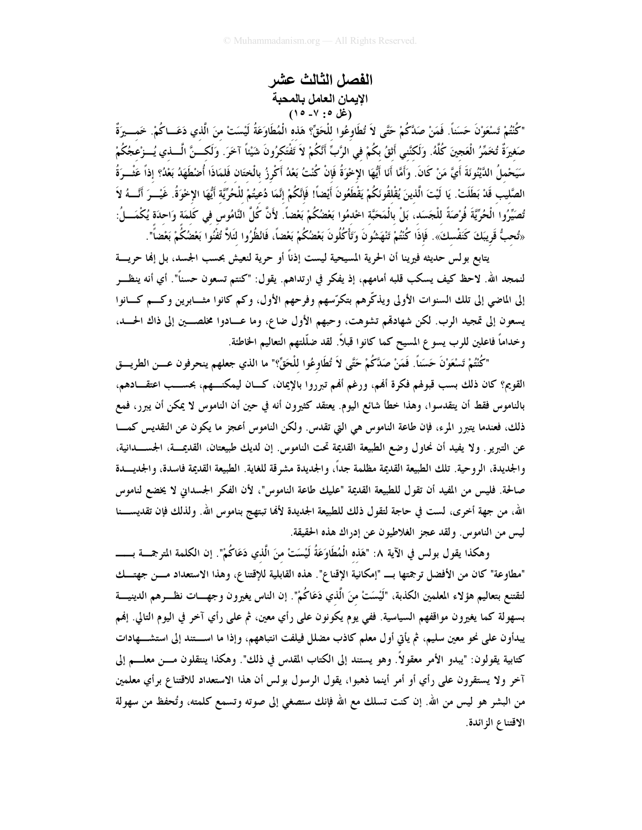الفصل الثالث عشر الإيمان العامل بالمحبة (غل ٥: ٧- ١٥)

"كُنْتُمْ تَسْعَوْنَ حَسَناً. فَمَنْ صَدَّكُمْ حَتَّى لاَ تُطَاوعُوا للْحَقِّ؟ هَذه الْمُطَاوَعَةُ لَيْسَتْ منَ الّذي دَعَـــاكُمْ. خَمـــيرَةٌ صَغِيرَةٌ تُخَمِّرُ الْعَجِينَ كُلَّهُ. وَلَكنَّنِي أَثقُ بِكُمْ في الرَّبِّ أَنَّكُمْ لاَ تَفْتَكرُونَ شَيْئاً آخَرَ. وَلَكسنَّ الْسلني يُسوْعجُكُمْ سَيَحْملُ الدَّيْنُوئَةَ أَيَّ مَنْ كَانَ. وَأَمَّا أَنَا أَيُّهَا الإِخْوَةُ فَإِنْ كُنْتُ بَعْدُ أَكْرِزُ بالْختَان فَلمَاذَا أُضْطَهَدُ بَعْدُ؟ إذاً عَثْــرَةُ الصَّليب قَدْ بَطَلَتْ. يَا لَيْتَ الَّذينَ يُقْلقُونَكُمْ يَقْطَعُونَ أَيْضاً! فَإِنَّكُمْ إِنَّمَا دُعيتُمْ للْحُرِّيَّة أَيُّهَا الإخْوَةُ. غَيْــرَ أَنَّـــهُ لاَ تُصَيِّرُوا الْحُرِّيَّةَ فُرْصَةً للْجَسَد، بَلْ بالْمَحَبَّة اخْدمُوا بَعْضُكُمْ بَعْضاً. لأَنَّ كُلّ النَّامُوس في كَلمَة وَاحدَة يُكْمَـــلُ: «تُحبُّ قَرِيبَكَ كَنَفْسكَ». فَإِذَا كُنْتُمْ تَنْهَشُونَ وَتَأْكُلُونَ بَعْضُكُمْ بَعْضاً، فَانْظُرُوا لئَلاَّ تُفْنُوا بَعْضُكُمْ بَعْضاً".

يتابع بولس حديثه فيرينا أن الحرية المسيحية ليست إذناً أو حرية لنعيش بحسب الجسد، بل إنما حريسة لنمجد الله. لاحظ كيف يسكب قلبه أمامهم، إذ يفكر في ارتداهم. يقول: "كنتم تسعون حسناً". أي أنه ينظـــر إلى الماضي إلى تلك السنوات الأولى ويذكّرهم بتكرّسهم وفرحهم الأول، وكم كانوا مثـــابرين وكـــم كـــانوا يسعون إلى تمجيد الرب. لكن شهادقم تشوهت، وحبهم الأول ضاع، وما عــادوا مخلصــين إلى ذاك الحــد، وخداماً فاعلين للرب يسوع المسيح كما كانوا قبلاً. لقد ضلَّلتهم التعاليم الخاطئة.

"كُنْتُمْ تَسْعَوْنَ حَسَناً. فَمَنْ صَدَّكُمْ حَتَّى لاَ تُطَاوِعُوا للْحَقِّ؟" ما الذي جعلهم ينحرفون عـــن الطريـــق القويم؟ كان ذلك بسب قبولهم فكرة أفمم، ورغم أفمم تبرروا بالإيمان، كـــان ليمكنـــهم، بحســـب اعتقــــادهم، بالناموس فقط أن يتقدسوا، وهذا خطأ شائع اليوم. يعتقد كثيرون أنه في حين أن الناموس لا يمكن أن يبرر، فمع ذلك، فعندما يتبرر المرء، فإن طاعة الناموس هي التي تقدس. ولكن الناموس أعجز ما يكون عن التقديس كمسا عن التبرير . ولا يفيد أن نحاول وضع الطبيعة القديمة تحت الناموس. إن لديك طبيعتان، القديمــة، الجســـدانية، والجديدة، الروحية. تلك الطبيعة القديمة مظلمة جداً، والجديدة مشرقة للغاية. الطبيعة القديمة فاسدة، والجديسدة صالحة. فليس من المفيد أن تقول للطبيعة القديمة "عليك طاعة الناموس"، لأن الفكر الجسداني لا يخضع لناموس الله، من جهة أخرى، لست في حاجة لتقول ذلك للطبيعة الجديدة لألها تبتهج بناموس الله. ولذلك فإن تقديســـنا ليس من الناموس. ولقد عجز الغلاطيون عن إدراك هذه الحقيقة.

"مطاوعة" كان من الأفضل ترجمتها بـــ "إمكانية الإقناع". هذه القابلية للإقتناع، وهذا الاستعداد مـــن جهتـــك لتقتنع بتعاليم هؤلاء المعلمين الكذبة، "لَيْسَتْ منَ الَّذي دَعَاكُمْ". إن الناس يغيرون وجهـــات نظـــرهم الدينيـــة بسهولة كما يغيرون مواقفهم السياسية. ففي يوم يكونون على رأي معين، ثم على رأي آخر في اليوم التالي. إفمم يبدأون على نحو معين سليم، ثم يأتي أول معلم كاذب مضلل فيلفت انتباههم، وإذا ما اســـتند إلى استشـــهادات كتابية يقولون: "يبدو الأمر معقولاً. وهو يستند إلى الكتاب المقدس في ذلك". وهكذا ينتقلون مـــن معلــــم إلى آخر ولا يستقرون على رأي أو أمر أينما ذهبوا، يقول الرسول بولس أن هذا الاستعداد للاقتناع برأي معلمين من البشر هو ليس من الله. إن كنت تسلك مع الله فإنك ستصغى إلى صوته وتسمع كلمته، وتُحفظ من سهولة الاقتناع الزائدة.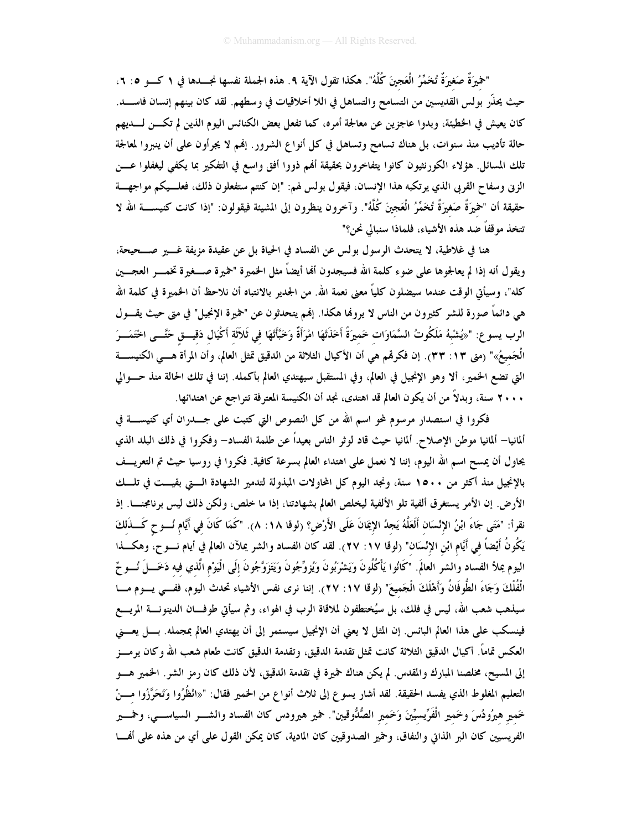"حْمِيرَةٌ صَغيرَةٌ تُخَمَّرُ الْعَجينَ كُلَّهُ". هكذا تقول الآية ٩. هذه الجملة نفسها نجــــدها في ١ كــــو ٥: ٦، حيث يحنَّر بولس القديسين من التسامح والتساهل في اللا أخلاقيات في وسطهم. لقد كان بينهم إنسان فاســــد. كان يعيش في الخطيئة، وبدوا عاجزين عن معالجة أمره، كما تفعل بعض الكنائس اليوم الذين لم تكـــن لــــديهم حالة تأديب منذ سنوات، بل هناك تسامح وتساهل في كل أنواع الشرور . إنهم لا يجرأون على أن ينبروا لمعالجة تلك المسائل. هؤلاء الكورنثيون كانوا يتفاخرون بحقيقة أفمم ذووا أفق واسع في التفكير بما يكفي ليغفلوا عـــن الزني وسفاح القربي الذي يرتكبه هذا الإنسان، فيقول بولس لهم: "إن كنتم ستفعلون ذلك، فعلــيكم مواجهـــة حقيقة أن "خميرَةٌ صَغيرَةٌ تُخمَّرُ الْعَجينَ كُلَّهُ". وآخرون ينظرون إلى المشيئة فيقولون: "إذا كانت كنيســــة الله لا تتخذ موقفاً ضد هذه الأشياء، فلماذا سنبالي نحن؟"

هنا في غلاطية، لا يتحدث الرسول بولس عن الفساد في الحياة بل عن عقيدة مزيفة غــــير صــــحيحة، ويقول أنه إذا لم يعالجوها على ضوء كلمة الله فسيجدون ألها أيضاً مثل الخميرة "خميرة صــــغيرة تخمـــــر العجــــين كله"، وسيأتي الوقت عندما سيضلون كلياً معنى نعمة الله. من الجدير بالانتباه أن نلاحظ أن الخميرة في كلمة الله هي دائماً صورة للشر كثيرون من الناس لا يروفما هكذا. إفمم يتحدثون عن "خميرة الإنجيل" في متى حيث يقـــول الرب يسوع: "«يُشْبهُ مَلَكُوتُ السَّمَاوَات خَميرَةً أَخَذَتْهَا امْرَأَةٌ وَخَبَّأَتْهَا في ثَلاَثَة أكْيَال دَقيـــق حَتّـــى اخْتَمَـــرَ الْجَميعُ»" (متى ١٣: ٣٣). إن فكرقم هي أن الأكيال الثلاثة من الدقيق تمثل العالم، وأن المرأة هـــي الكنيســــة التي تضع الخمير، ألا وهو الإنجيل في العالم، وفي المستقبل سيهتدي العالم بأكمله. إننا في تلك الحالة منذ حـــوالي ٢٠٠٠ سنة، وبدلاً من أن يكون العالم قد اهتدى، نجد أن الكنيسة المعترفة تتراجع عن اهتدائها.

فكروا في استصدار مرسوم لمحو اسم الله من كل النصوص التي كتبت على جــــدران أي كنيســــة في ألمانيا– ألمانيا موطن الإصلاح. ألمانيا حيث قاد لوثر الناس بعيداً عن طلمة الفساد– وفكروا في ذلك البلد الذي يحاول أن يمسح اسم الله اليوم، إننا لا نعمل على اهتداء العالم بسرعة كافية. فكروا في روسيا حيث تم التعريــف بالإنجيل منذ أكثر من ١٥٠٠ سنة، ونجد اليوم كل المحاولات المبذولة لتدمير الشهادة الـتي بقيــت في تلــك الأرض. إن الأمر يستغرق ألفية تلو الألفية ليخلص العالم بشهادتنا، إذا ما خلص، ولكن ذلك ليس برنامجنـــا. إذ نقرأ: "مَتَى جَاءَ ابْنُ الإِنْسَان أَلَعَلَّهُ يَجِدُ الإِيمَانَ عَلَى الأَرْضِ؟ (لوقا ١٨: ٨). "كَمَا كَانَ في أيَّام نُـــوح كَـــذَلكَ يَكُونُ أَيْضاً في أَيَّام ابْن الإنْسَان" (لوقا ١٧: ٢٧). لقد كان الفساد والشر يملآن العالم في أيام نــــوح، وهكــــذا اليوم يملأ الفساد والشر العالَم. "كَانُوا يَأْكُلُونَ وَيَشْرَبُونَ وَيُزوِّجُونَ وَيَتَزَوَّجُونَ إلَى الْيَوْم الّذي فيه دَخَـــلَ نُـــوحٌ الْفُلْكَ وَجَاءَ الطُّوفَانُ وَأَهْلَكَ الْجَميعَ" (لوقا ١٧: ٢٧). إننا نرى نفس الأشياء تحدث اليوم، ففـــى يــــوم مــــا سيذهب شعب الله، ليس في فلك، بل سيُختطفون لملاقاة الرب في الهواء، وثم سيأتي طوفـــان الدينونــــة المريــــع فينسكب على هذا العالم البائس. إن المثل لا يعني أن الإنجيل سيستمر إلى أن يهتدي العالم بمجمله. بـــل يعـــني العكس تماماً. أكيال الدقيق الثلاثة كانت تمثل تقدمة الدقيق، وتقدمة الدقيق كانت طعام شعب الله وكان يرمـــز إلى المسيح، مخلصنا المبارك والمقدس. لم يكن هناك خميرة في تقدمة الدقيق، لأن ذلك كان رمز الشر. الخمير هـــو التعليم المغلوط الذي يفسد الحقيقة. لقد أشار يسوع إلى ثلاث أنواع من الحمير فقال: "«انْظُرُوا وَتَحَرَّزُوا مـــنْ خَمير هيرُودُسَ وخَمير الْفَرِّيسيِّينَ وَخَمير الصُّدُّوقيين". حمير هيرودس كان الفساد والشــــر السياســــي، وحمــــير الفريسيين كان البر الذاتي والنفاق، وحمير الصدوقيين كان المادية، كان يمكن القول على أي من هذه على أفمــا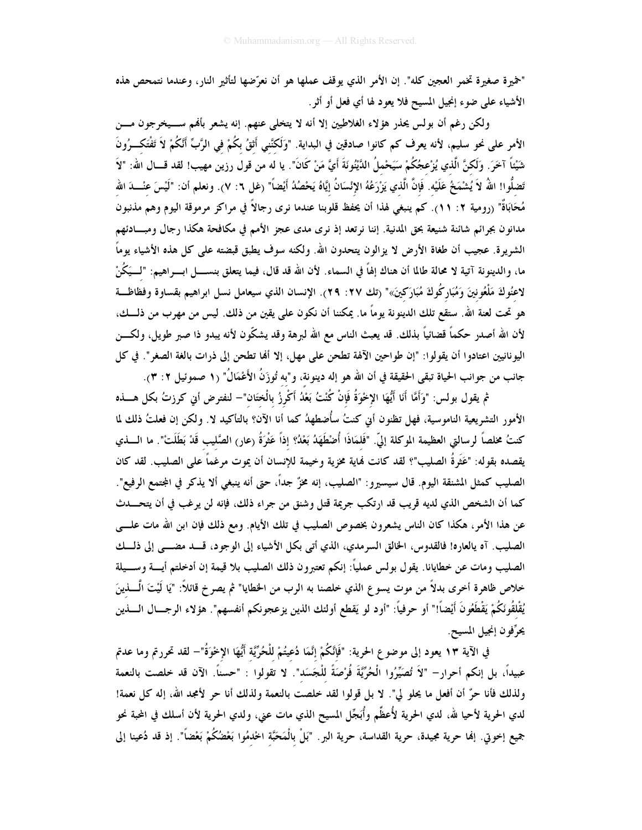"خميرة صغيرة تخمر العجين كله". إن الأمر الذي يوقف عملها هو أن نعرَّضها لتأثير النار، وعندما نتمحص هذه الأشياء على ضوء إنجيل المسيح فلا يعود لها أي فعل أو أثر.

ولكن رغم أن بولس يحذر هؤلاء الغلاطيين إلا أنه لا يتخلى عنهم. إنه يشعر بألهم ســـيخرجون مـــن الأمر على نحو سليم، لأنه يعرف كم كانوا صادقين في البداية. "وَلَكْنَني أَثقُ بكُمْ في الرَّبِّ أَنَّكُمْ لاَ تَفْتَكــرُونَ شَيْئاً آخَرَ. وَلَكنَّ الَّذي يُزْعجُكُمْ سَيَحْملُ الدَّيْنُونَةَ أَيَّ مَنْ كَانَ". يا له من قول رزين مهيب! لقد قـــال الله: "لاَ تَضلُّوا! اللَّهُ لاَ يُشْمَخُ عَلَيْه. فَإِنَّ الَّذي يَزْرَعُهُ الإِنْسَانُ إِيَّاهُ يَحْصُدُ أَيْضاً" (غل ٦: ٧). ونعلم أن: "لَيْسَ عنْــــدَ الله مُحَابَاةٌ" (رومية ٢: ١١). كم ينبغي لهذا أن يحفظ قلوبنا عندما نرى رجالاً في مراكز مرموقة اليوم وهم مذنبون مدانون بجرائم شائنة شنيعة بحق المدنية. إننا نرتعد إذ نرى مدى عجز الأمم في مكافحة هكذا رجال ومبـــادئهم الشريرة. عجيب أن طغاة الأرض لا يزالون يتحدون الله. ولكنه سوف يطبق قبضته على كل هذه الأشياء يوماً ما، والدينونة آتية لا محالة طالما أن هناك إلهاً في السماء. لأن الله قد قال، فيما يتعلق بنســــل ابـــــر اهيم: "لــــيَكُنْ لاعنُوكَ مَلْعُونينَ وَمُبَارِكُوكَ مُبَارَكينَ»" (تك ٢٧: ٢٩). الإنسان الذي سيعامل نسل ابراهيم بقساوة وفظاظــة هو تحت لعنة الله. ستقع تلك الدينونة يوماً ما. يمكننا أن نكون على يقين من ذلك. ليس من مهرب من ذلـــك، لأن الله أصدر حكماً قضائياً بذلك. قد يعبث الناس مع الله لبرهة وقد يشكّون لأنه يبدو ذا صبر طويل، ولكـــن اليونانيين اعتادوا أن يقولوا: "إن طواحين الآلهة تطحن على مهل، إلا ألها تطحن إلى ذرات بالغة الصغر". في كل جانب من جوانب الحياة تبقى الحقيقة في أن الله هو إله دينونة، و"به تُوزَنُ الأَعْمَالُ" (١ صموئيل ٢: ٣).

ثم يقول بولس: "وَأَمَّا أَنَا أَيُّهَا الإخْوَةُ فَإِنْ كُنْتُ بَعْدُ أَكْرِزُ بِالْخَتَان"— لنفترض أبي كرزتُ بكل هــــذه الأمور التشريعية الناموسية، فهل تظنون أبي كنتُ سأُضطهدُ كما أنا الآن؟ بالتأكيد لا. ولكن إن فعلتُ ذلك لما كنتُ مخلصاً لرسالتي العظيمة الموكلة إليّ. "فَلمَاذَا أُضْطَهَدُ بَعْدُ؟ إذاً عَثْرَةُ (عار) الصَّليب قَدْ بَطَلَتْ". ما الــــذي يقصده بقوله: "عَثَرةُ الصليب"؟ لقد كانت فماية مخزية وخيمة للإنسان أن يموت مرغماً على الصليب. لقد كان الصليب كمثل المشنقة اليوم. قال سيسيرو: "الصليب، إنه مخزٌ جداً، حتى أنه ينبغي ألا يذكر في المجتمع الرفيع". كما أن الشخص الذي لديه قريب قد ارتكب جريمة قتل وشنق من جراء ذلك، فإنه لن يرغب في أن يتحـــدث عن هذا الأمر، هكذا كان الناس يشعرون بخصوص الصليب في تلك الأيام. ومع ذلك فإن ابن الله مات علــــى الصليب. آه يالعاره! فالقدوس، الخالق السرمدي، الذي أتى بكل الأشياء إلى الوجود، قسد مضـــى إلى ذلـــك الصليب ومات عن خطايانا. يقول بولس عملياً: إنكم تعتبرون ذلك الصليب بلا قيمة إن أدخلتم أيــــة وســــيلة خلاص ظاهرة أخرى بدلاً من موت يسو ع الذي خلصنا به الرب من الخطايا" ثم يصر خ قائلاً: "يَا لَيْتَ الْــــذينَ يُقْلقُونَكُمْ يَقْطَعُونَ أَيْضاً!" أو حرفياً: "أود لو يَقطع أولئك الذين يزعجونكم أنفسهم". هؤلاء الرجـــال الــــذين يحرِّفون إنجيل المسيح.

في الآية ١٣ يعود إلى موضوع الحرية: "فَإِنَّكُمْ إِنَّمَا دُعيتُمْ لِلْحُرِّيَّة أَيُّهَا الإِخْوَةُ"– لقد تحررتم وما عدتم عبيداً، بل إنكم أحرارٍ – "لاَ تُصَيِّرُوا الْحُرِّيَّةَ فُرْصَةً للْجَسَد". لا تقولوا : "حسناً. الآن قد خلصت بالنعمة ولذلك فأنا حرٌّ أن أفعل ما يحلو لي". لا بل قولوا لقد خلصت بالنعمة ولذلك أنا حر لأمجد الله، إله كل نعمة! لدي الحرية لأحيا لله، لدي الحرية لأُعظِّم وأُبَجِّل المسيح الذي مات عني، ولدي الحرية لأن أسلك في المحبة نحو جميع إخوتي. إنما حرية مجيدة، حرية القداسة، حرية البر. "بَلْ بالْمَحَبَّة الخدمُوا بَعْضُكُمْ بَعْضاً". إذ قد دُعينا إلى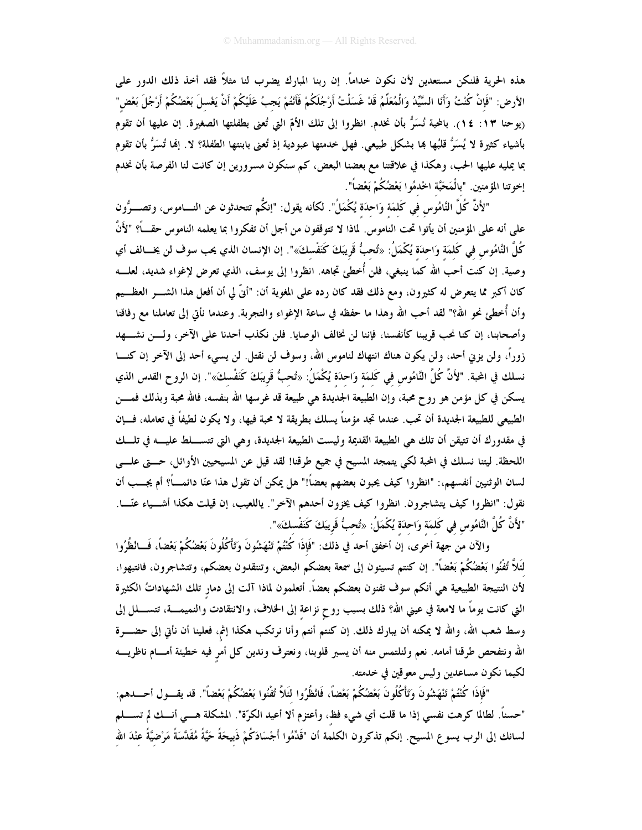هذه الحرية فلنكن مستعدين لأن نكون خداماً. إن ربنا المبارك يضرب لنا مثلاً فقد أخذ ذلك الدور على الأرض: "فَإِنْ كُنْتُ وَأَنَا السَّيِّدُ وَالْمُعَلِّمُ قَدْ غَسَلْتُ أَرْجُلَكُمْ فَأَنْتُمْ يَجبُ عَلَيْكُمْ أَنْ يَغْسلَ بَعْضُكُمْ أَرْجُلَ بَعْض" ريوحنا ١٣: ١٤). بالمحبة نُسَرُّ بأن نخدم. انظروا إلى تلك الأمّ التي تُعنى بطفلتها الصغيرة. إن عليها أن تقوم بأشياء كثيرة لا يُسَرُّ قلبُها بما بشكل طبيعي. فهل خدمتها عبودية إذ تُعنى بابنتها الطفلة؟ لا. إنما تُسَرُّ بأن تقوم بما يمليه عليها الحب، وهكذا في علاقتنا مع بعضنا البعض، كم سنكون مسرورين إن كانت لنا الفرصة بأن نخدم إخوتنا المؤمنين. "بالْمَحَبَّة اخْدمُوا بَعْضُكُمْ بَعْضَاً".

"لأَنَّ كُلَّ النَّامُوس في كَلمَة وَاحدَة يُكْمَلُ". لكأنه يقول: "إنكُّم تتحدثون عن النـــاموس، وتصـــوُّون على أنه على المؤمنين أن يأتوا تحت الناموس. لماذا لا تتوقفون من أجل أن تفكروا بما يعلمه الناموس حقــــاً؟ "لأَنّ كُلَّ النَّامُوس في كَلمَة وَاحدَة يُكْمَلُ: «تُحبُّ قَريبَكَ كَنَفْسكَ»". إن الإنسان الذي يحب سوف لن يخـــالف أي وصية. إن كنت أحب الله كما ينبغي، فلن أُخطئ تجاهه. انظروا إلى يوسف، الذي تعرض لإغواء شديد، لعلـــه كان أكبر مما يتعرض له كثيرون، ومع ذلك فقد كان رده على المغوية أن: "أَنَّ لي أن أفعل هذا الشــــر العظـــيم وأن أُخطئ نحو اللهْ؟" لقد أحب الله وهذا ما حفظه في ساعة الإغواء والتجربة. وعندما نأتى إلى تعاملنا مع رفاقنا وأصحابنا، إن كنا نحب قريبنا كأنفسنا، فإننا لن نخالف الوصايا. فلن نكذب أحدنا على الآخر، ولسن نشسهد زوراً، ولن يزني أحد، ولن يكون هناك انتهاك لناموس الله، وسوف لن نقتل. لن يسيء أحد إلى الآخر إن كنـــا نسلك في المحبة. "لأَنَّ كُلَّ النَّامُوس في كَلمَة وَاحدَة يُكْمَلُ: «تُحبُّ قَريبَكَ كَنَفْسكَ»". إن الروح القدس الذي يسكن في كل مؤمن هو روح محبة، وإن الطبيعة الجديدة هي طبيعة قد غرسها الله بنفسه، فالله محبة وبذلك فمـــن الطبيعي للطبيعة الجديدة أن تحب. عندما تجد مؤمناً يسلك بطريقة لا محبة فيها، ولا يكون لطيفاً في تعامله، فـــإن في مقدورك أن تتيقن أن تلك هي الطبيعة القديمة وليست الطبيعة الجديدة، وهي التي تتســـلط عليــــه في تلـــك اللحظة. ليتنا نسلك في المحبة لكي يتمجد المسيح في جميع طرقنا! لقد قيل عن المسيحيين الأوائل، حـــتي علـــي لسان الوثنيين أنفسهم،: "انظروا كيف يحبون بعضهم بعضاً!" هل يمكن أن تقول هذا عنّا دائمــــاً؟ أم يجـــب أن نقول: "انظروا كيف يتشاجرون. انظروا كيف يخزون أحدهم الآخر". ياللعيب، إن قيلت هكذا أشـــياء عنّـــا. "لأَنَّ كُلَّ النَّامُوس في كَلمَة وَاحدَة يُكْمَلُ: «تُحبُّ قَرِيبَكَ كَنَفْسكَ»".

والآن من جهة أخرى، إن أخفق أحد في ذلك: "فَإِذَا كُنْتُمْ تَنْهَشُونَ وَتَأْكُلُونَ بَعْضُكُمْ بَعْضًا، فَسائظُرُوا لَتَلاَّ تُفْنُوا بَعْضُكُمْ بَعْضاً". إن كنتم تسيئون إلى سمعة بعضكم البعض، وتنتقدون بعضكم، وتتشاجرون، فانتبهوا، لأن النتيجة الطبيعية هي أنكم سوف تفنون بعضكم بعضاً. أتعلمون لماذا آلت إلى دمار تلك الشهاداتُ الكثيرة التي كانت يوماً ما لامعة في عيني الله؟ ذلك بسبب روحٍ نزاعةٍ إلى الخلاف، والانتقادت والنميمـــة، تتســــلل إلى وسط شعب الله، والله لا يمكنه أن يبارك ذلك. إن كنتم أنتم وأنا نرتكب هكذا إثم، فعلينا أن نأتي إلى حضــــرة الله ونتفحص طرقنا أمامه. نعم ولنلتمس منه أن يسبر قلوبنا، ونعترف وندين كل أمر فيه خطيئة أمـــام ناظريــــه لكيما نكون مساعدين وليس معوقين في خدمته.

"فَإِذَا كُنْتُمْ تَنْهَشُونَ وَتَأْكُلُونَ بَعْضُكُمْ بَعْضاً، فَانْظُرُوا لَثَلاَّ تُفْنُوا بَعْضُكُمْ بَعْضاً". قد يقـــول أحـــــدهم: "حسناً. لطالما كرهت نفسي إذا ما قلت أي شيء فظ، وأعتزم ألا أعيد الكرّة". المشكلة هـــي أنـــك لم تســــلم لسانك إلى الرب يسوع المسيح. إنكم تذكرون الكلمة أن "قَدِّمُوا أَجْسَادَكُمْ ذَبيحَةً حَيَّةً مُقَدَّسَةً مَرْضيَّةً عنْدَ الله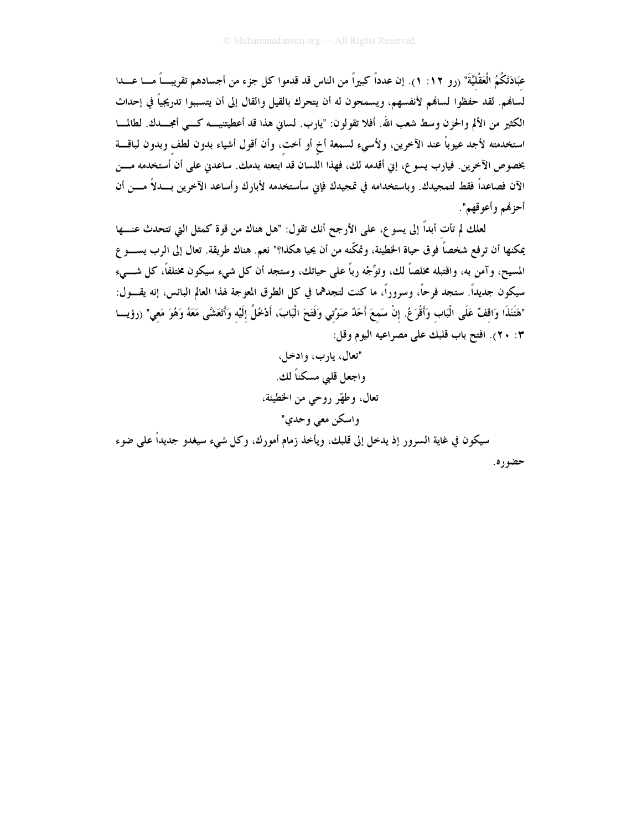عبَادَتَكُمُ الْعَقْليَّةَ" (رو ١٢: ١). إن عدداً كبيراً من الناس قد قدموا كل جزء من أجسادهم تقريب ً مـــا عـــدا لسافم. لقد حفظوا لسافم لأنفسهم، ويسمحون له أن يتحرك بالقيل والقال إلى أن يتسببوا تدريجياً في إحداث الكثير من الألم والحزن وسط شعب الله. أفلا تقولون: "يارب. لساني هذا قد أعطيتنيــــه كــــى أمجــــدك. لطالمــــا استخدمته لأجد عيوباً عند الآخرين، ولأسيء لسمعة أخ أو أخت، وأن أقول أشياء بدون لطف وبدون لباقـــة بخصوص الآخرين. فيارب يسوع، إني أقدمه لك، فهذا اللسان قد ابتعته بدمك. ساعدني على أن أستخدمه مـــن الآن فصاعداً فقط لتمجيدك. وباستخدامه في تمجيدك فإني سأستخدمه لأبارك وأساعد الآخرين بـــدلاً مـــن أن أحزفهم وأعوقهم".

لعلك لم تأت أبداً إلى يسو ع، على الأرجح أنك تقول: "هل هناك من قوة كمثل التي تتحدث عنـــها يمكنها أن ترفع شخصاً فوق حياة الخطيئة، وتمكَّنه من أن يحيا هكذا؟" نعم. هناك طريقة. تعال إلى الرب يســــو ع المسيح، و آمن به، واقتبله مخلصاً لك، وتوَّجْه رباً على حياتك، وستجد أن كل شيء سيكون مختلفاً، كل شـــيء سيكون جديداً. ستجد فرحاً، وسروراً، ما كنت لتجدهما في كل الطرق المعوجة لهذا العالم البائس، إنه يقـــول: "هَنَنَذَا وَاقفٌ عَلَى الْبَاب وَأَقْرَعُ. إنْ سَمعَ أَحَدٌ صَوْتي وَفَتَحَ الْبَابَ، أَدْخُلُ إلَيْه وَأتَعَشَى مَعَهُ وَهُوَ مَعي" (رؤيسا ٢: ٢٠). افتح باب قلبك على مصراعيه اليوم وقل:

> "تعال، يارب، وادخل، واجعل قلبي مسكناً لك. تعال، وطهّر روحي من الخطيئة، واسكن معي وحدي"

سيكون في غاية السرور إذ يدخل إلى قلبك، ويأخذ زمام أمورك، وكل شيء سيغدو جديداً على ضوء حضوره.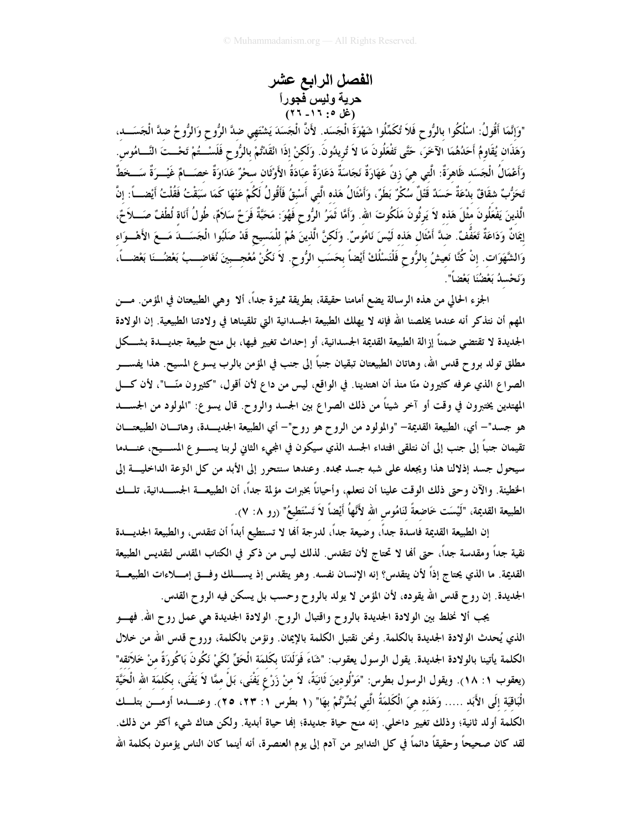الفصل الرابع عشر حرية وليس <del>ف</del>جوراً<br>(غل ٥: ١٦- ٢٦)

"وَإِنَّمَا أَقُولُ: اسْلُكُوا بالرُّوح فَلاَ تُكَمِّلُوا شَهْوَةَ الْجَسَد. لأَنَّ الْجَسَدَ يَشْتَهي ضدَّ الرُّوح وَالرُّوحُ ضدَّ الْجَسَـــد، وَهَذَانٍ يُقَاوِمُ أَحَدُهُمَا الآخَرَ، حَتَّى تَفْعَلُونَ مَا لاَ تُرِيدُونَ. وَلَكنْ إذَا انْقَدْتُمْ بالرُّوح فَلَسْــتُمْ تَحْــتَ النَّــامُوس. وَأَعْمَالُ الْجَسَد ظَاهرَةٌ: الَّتِي هيَ زِيَّ عَهَارَةٌ نَجَاسَةٌ دَعَارَةٌ عبَادَةُ الأَوْثَان سحْرٌ عَدَاوَةٌ خصَــامٌ غَيْــرَةٌ سَــخطٌ تَحَزُّبٌ شقَاقٌ بدْعَةٌ حَسَدٌ قَتْلٌ سُكْرٌ بَطَرٌ، وَأَمْثَالُ هَذه الَّتي أَسْبقُ فَأَقُولُ لَكُمْ عَنْهَا كَمَا سَبَقْتُ فَقُلْتُ أَيْضـــــاً: إنَّ الَّذينَ يَفْعَلُونَ مثْلَ هَذه لاَ يَرثُونَ مَلَكُوتَ الله. وَأَمَّا ثَمَرُ الرُّوحِ فَهُوَ: مَحَبَّةٌ فَرَحٌ سَلاَمٌ، طُولُ أَنَاة لُطْفٌ صَـــلاَحٌ، إِيمَانٌ وَدَاعَةٌ تَعَفُّفٌ. ضدَّ أَمْثَال هَذه لَيْسَ نَامُوسٌ. وَلَكنَّ الَّذينَ هُمْ للْمَسيح قَدْ صَلَبُوا الْجَسَـــدَ مَـــعَ الأَهْـــوَاء وَالشَّهَوَاتِ. إنْ كُنَّا نَعيشُ بالرُّوحِ فَلْنَسْلُكْ أَيْضاً بحَسَبِ الرُّوحِ. لاَ نَكُنْ مُعْجــبينَ نُغَاضـــبُ بَعْضــنَا بَعْضـــاً، وَنَحْسلُ بَعْضُنَا بَعْضاً".

الجزء الحالي من هذه الرسالة يضع أمامنا حقيقة، بطريقة مميزة جداً، ألا وهي الطبيعتان في المؤمن. مـــن المهم أن نتذكر أنه عندما يخلصنا الله فإنه لا يهلك الطبيعة الجسدانية التي تلقيناها في ولادتنا الطبيعية. إن الولادة الجديدة لا تقتضي ضمناً إزالة الطبيعة القديمة الجسدانية، أو إحداث تغيير فيها، بل منح طبيعة جديـــدة بشـــكل مطلق تولد بروح قدس الله، وهاتان الطبيعتان تبقيان جنباً إلى جنب في المؤمن بالرب يسوع المسيح. هذا يفســـر الصراع الذي عرفه كثيرون منّا منذ أن اهتدينا. في الواقع، ليس من داع لأن أقول، "كثيرون منّــــا"، لأن كــــل المهتدين يختبرون في وقت أو آخر شيئاً من ذلك الصراع بين الجسد والروح. قال يسوع: "المولود من الجســـد هو جسد"– أي، الطبيعة القديمة– "والمولود من الروح هو روح"– أي الطبيعة الجديـــدة، وهاتـــان الطبيعتـــان تقيمان جنباً إلى جنب إلى أن نتلقى افتداء الجسد الذي سيكون في المجيء الثاني لربنا يســــو ع المســـيح، عنـــــدما سيحول جسد إذلالنا هذا ويجعله على شبه جسد مجده. وعندها سنتحرر إلى الأبد من كل الترعة الداخليـــة إلى الخطيئة. والآن وحتى ذلك الوقت علينا أن نتعلم، وأحياناً بخبرات مؤلمة جداً، أن الطبيعـــة الجســــدانية، تلــــك الطبيعة القديمة، "لَيْسَت خَاضِعةً لَنَامُوس الله لأَنَّهاُ أَيْضاً لاَ تَسْتَطيعُ" (رو ٨: ٧).

إن الطبيعة القديمة فاسدة جداً، وضيعة جداً، لدرجة ألها لا تستطيع أبداً أن تتقدس، والطبيعة الجديـــدة نقية جداً ومقدسة جداً، حتى ألها لا تحتاج لأن تتقدس. لذلك ليس من ذكر في الكتاب المقدس لتقديس الطبيعة القديمة. ما الذي يحتاج إذاً لأن يتقدس؟ إنه الإنسان نفسه. وهو يتقدس إذ يســــلك وفـــق إمــــلاءات الطبيعـــة الجديدة. إن روح قدس الله يقوده، لأن المؤمن لا يولد بالروح وحسب بل يسكن فيه الروح القدس.

يجب ألا نخلط بين الولادة الجديدة بالروح واقتبال الروح. الولادة الجديدة هي عمل روح الله. فهـــو الذي يُحدث الولادة الجديدة بالكلمة. ونحن نقتبل الكلمة بالإيمان. ونؤمن بالكلمة، وروح قدس الله من خلال الكلمة يأتينا بالولادة الجديدة. يقول الرسول يعقوب: "شَاءَ فَوَلَدَنَا بِكَلمَة الْحَقِّ لَكَيْ نَكُونَ بَاكُورَةً منْ خَلاَتقه" (يعقوب ١: ١٨). ويقول الرسول بطرس: "مَوْلُودينَ ثَانيَةً، لاَ منْ زَرْعٍ يَفْنَى، بَلْ ممَّا لاَ يَفْنَى، بكَلمَة الله الْحَيَّة الْبَاقِيَة إلَى الأَبَد …… وَهَذه هيَ الْكَلمَةُ الَّتي بُشِّرْتُمْ بهَا" (١ بطرس ١: ٢٣، ٢٥). وعنـــدما أومـــن بتلـــك الكلمة أولد ثانية؛ وذلك تغيير داخلي. إنه منح حياة جديدة؛ إنها حياة أبدية. ولكن هناك شيء أكثر من ذلك. لقد كان صحيحاً وحقيقاً دائماً في كل التدابير من آدم إلى يوم العنصرة، أنه أينما كان الناس يؤمنون بكلمة الله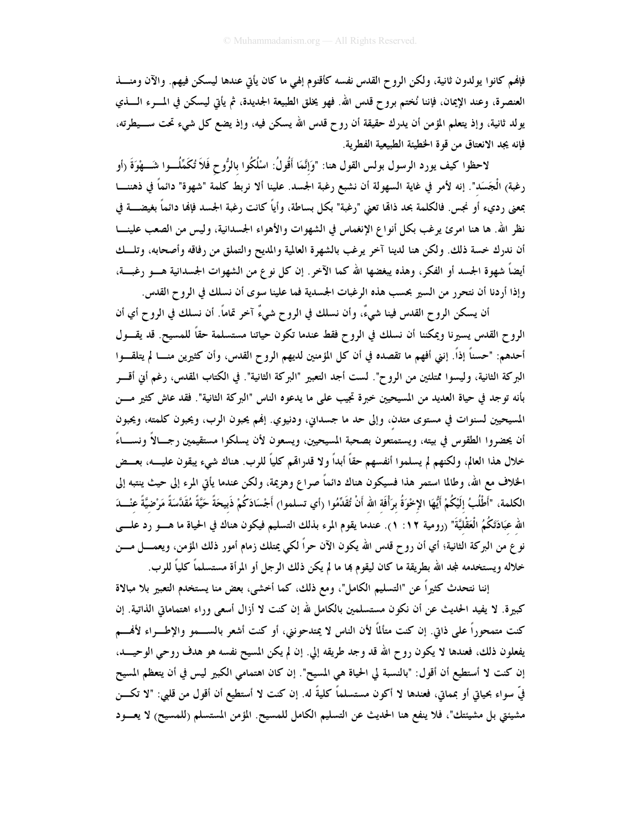فإفمم كانوا يولدون ثانية، ولكن الروح القدس نفسه كأقنوم إلهي ما كان يأتي عندها ليسكن فيهم. والآن ومنـــذ العنصرة، وعند الإيمان، فإننا نُختم بروح قدس الله. فهو يخلق الطبيعة الجديدة، ثم يأتي ليسكن في المــــرء الــــذي يولد ثانية، وإذ يتعلم المؤمن أن يدرك حقيقة أن روح قدس الله يسكن فيه، وإذ يضع كل شيء تحت ســـيطرته، فإنه يجد الانعتاق من قوة الخطيئة الطبيعية الفطرية.

لاحظوا كيف يورد الرسول بولس القول هنا: "وَإِنَّمَا أَقُولُ: اسْلُكُوا بالرُّوح فَلاَ تُكَمِّلُـــوا شَــــهْوَةَ (أو رغبة) الْجَسَد". إنه لأمر في غاية السهولة أن نشبع رغبة الجسد. علينا ألا نربط كلمة "شهوة" دائماً في ذهننــــا بمعنى رديء أو نجس. فالكلمة بحد ذامًا تعني "رغبة" بكل بساطة، وأياً كانت رغبة الجسد فإنما دائماً بغيضــــة في نظر الله. ها هنا امرئ يرغب بكل أنواع الإنغماس في الشهوات والأهواء الجسدانية، وليس من الصعب علينــــا أن ندرك خسة ذلك. ولكن هنا لدينا آخر يرغب بالشهرة العالمية والمديح والتملق من رفاقه وأصحابه، وتلــك أيضاً شهوة الجسد أو الفكر، وهذه يبغضها الله كما الآخر. إن كل نوع من الشهوات الجسدانية هـــو رغبـــة، وإذا أردنا أن نتحرر من السير بحسب هذه الرغبات الجسدية فما علينا سوى أن نسلك في الروح القدس.

أن يسكن الروح القدس فينا شيءٌ، وأن نسلك في الروح شيءٌ آخر تماماً. أن نسلك في الروح أي أن الروح القدس يسيرنا ويمكننا أن نسلك في الروح فقط عندما تكون حياتنا مستسلمة حقاً للمسيح. قد يقـــول أحدهم: "حسناً إذاً. إنني أفهم ما تقصده في أن كل المؤمنين لديهم الروح القدس، وأن كثيرين منـــا لم يتلقـــوا البركة الثانية، وليسوا ممتلئين من الروح". لست أجد التعبير "البركة الثانية". في الكتاب المقدس، رغم أني أقسر بأنه توجد في حياة العديد من المسيحيين خبرة تجيب على ما يدعوه الناس "البركة الثانية". فقد عاش كثير مـــن المسيحيين لسنوات في مستوى متدن، وإلى حد ما جسداني، ودنيوي. إنهم يحبون الرب، ويحبون كلمته، ويحبون أن يحضروا الطقوس في بيته، ويستمتعون بصحبة المسيحيين، ويسعون لأن يسلكوا مستقيمين رجــالاً ونســـاءً خلال هذا العالم، ولكنهم لم يسلموا أنفسهم حقاً أبداً ولا قدرالهم كلياً للرب. هناك شيء يبقون عليـــه، بعــض الخلاف مع الله، وطالما استمر هذا فسيكون هناك دائماً صراع وهزيمة، ولكن عندما يأتى المرء إلى حيث ينتبه إلى الكلمة، "أَطْلُبُ إِلَيْكُمْ أَيُّهَا الإِحْوَةُ بِرَأْفَةِ الله أَنْ تُقَدِّمُوا (أي تسلموا) أَجْسَادَكُمْ ذَبيحَةً حَيَّةً مُقَدَّسَةً مَرْضيَّةً عنْـــدَ الله عبَادَتَكُمُ الْعَقْلِيَّةَ" (رومية ١٢: ١). عندما يقوم المرء بذلك التسليم فيكون هناك في الحياة ما هــــو رد علــــي نو ع من البركة الثانية؛ أي أن رو ح قدس الله يكون الآن حراً لكي يمتلك زمام أمور ذلك المؤمن، ويعمــــل مــــن خلاله ويستخدمه لمجد الله بطريقة ما كان ليقوم بما ما لم يكن ذلك الرجل أو المرأة مستسلماً كلياً للرب.

إننا نتحدث كثيراً عن "التسليم الكامل"، ومع ذلك، كما أخشى، بعض منا يستخدم التعبير بلا مبالاة كبيرة. لا يفيد الحديث عن أن نكون مستسلمين بالكامل لله إن كنت لا أزال أسعى وراء اهتماماتي الذاتية. إن كنت متمحوراً على ذاتي. إن كنت متألمًا لأن الناس لا يمتدحونني، أو كنت أشعر بالســـمو والإطـــراء لأفمـــم يفعلون ذلك، فعندها لا يكون روح الله قد وجد طريقه إلى. إن لم يكن المسيح نفسه هو هدف روحي الوحيـــد، إن كنت لا أستطيع أن أقول: "بالنسبة لي الحياة هي المسيح". إن كان اهتمامي الكبير ليس في أن يتعظم المسيح فيِّ سواء بحياتي أو بمماني، فعندها لا أكون مستسلماً كليةً له. إن كنت لا أستطيع أن أقول من قلبي: "لا تكـــن مشيئتي بل مشيئتك"، فلا ينفع هنا الحديث عن التسليم الكامل للمسيح. المؤمن المستسلم (للمسيح) لا يعسود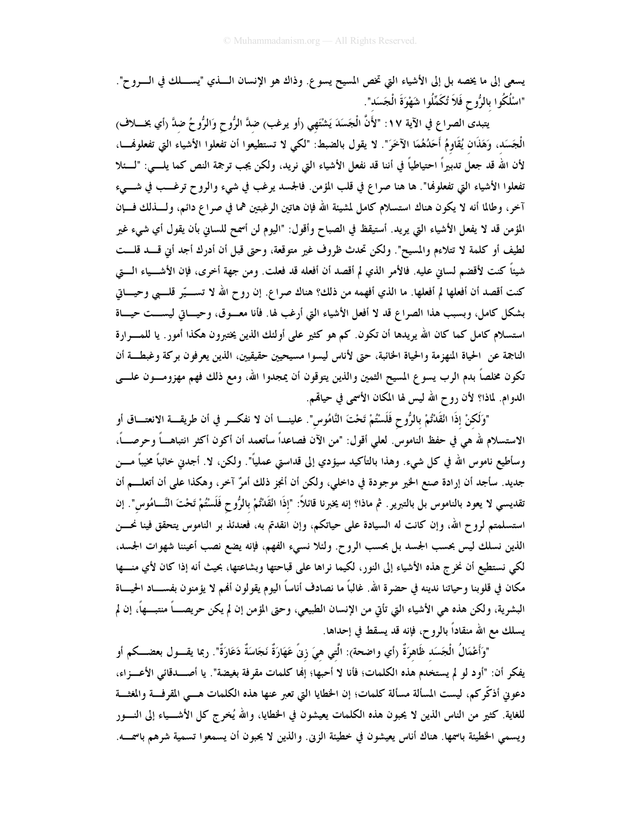يسعى إلى ما يخصه بل إلى الأشياء التي تخص المسيح يسوع. وذاك هو الإنسان الـــــذي "يســـــلك في الـــــروح". "اسْلُكُوا بالرُّوح فَلاَ تُكَمِّلُوا شَهْوَةَ الْجَسَد".

يتبدى الصراع في الآية ١٧: "لأَنَّ الْجَسَدَ يَشْتَهِي (أو يرغب) ضدَّ الرُّوح وَالرُّوحُ ضدَّ (أي بخــــلاف) الْجَسَد، وَهَذَان يُقَاوِمُ أَحَدُهُمَا الآخَرَ". لا يقول بالضبط: "لكي لا تستطيعوا أن تفعلوا الأشياء التي تفعلوفمـــا، لأن الله قد جعل تدبيراً احتياطياً في أننا قد نفعل الأشياء التي نريد، ولكن يجب ترجمة النص كما يلــــي: "لــــئلا تفعلوا الأشياء التي تفعلوفما". ها هنا صراع في قلب المؤمن. فالجسد يرغب في شيء والروح ترغـــب في شــــيء آخر، وطالما أنه لا يكون هناك استسلام كامل لمشيئة الله فإن هاتين الرغبتين هما في صراع دائم، ولــــذلك فــــإن المؤمن قد لا يفعل الأشياء التي يريد. أستيقظ في الصباح وأقول: "اليوم لن أسمح للساني بأن يقول أي شيء غير لطيف أو كلمة لا تتلاءم والمسيح". ولكن تحدث ظروف غير متوقعة، وحتى قبل أن أدرك أجد أين قسد قلست شيئاً كنت لأقضم لساني عليه. فالأمر الذي لم أقصد أن أفعله قد فعلت. ومن جهة أخرى، فإن الأشـــياء الــــق كنت أقصد أن أفعلها لم أفعلها. ما الذي أفهمه من ذلك؟ هناك صراع. إن روح الله لا تســـيّر قلـــبي وحيـــاتي بشكل كامل، وبسبب هذا الصراع قد لا أفعل الأشياء التي أرغب لها. فأنا معــوق، وحيــاتي ليســت حيــاة استسلام كامل كما كان الله يريدها أن تكون. كم هو كثير على أولئك الذين يختبرون هكذا أمور. يا للمسرارة الناجمة عن الحياة المنهزمة والحياة الخائبة، حتى لأناس ليسوا مسيحيين حقيقيين، الذين يعرفون بركة وغبطـة أن تكون مخلصاً بدم الرب يسوع المسيح الثمين والذين يتوقون أن يمجدوا الله، ومع ذلك فهم مهزومـون علـــى الدوام. لماذا؟ لأن روح الله ليس لها المكان الأسمى في حياقمم.

"وَلَكنْ إذَا انْقَلَتْمْ بِالرُّوحِ فَلَسْتُمْ تَحْتَ النَّامُوس". علينــــا أن لا نفكــــر في أن طريقــــة الانعتــــاق أو الاستسلام لله هي في حفظ الناموس. لعلي أقول: "من الآن فصاعداً سأتعمد أن أكون أكثر انتباهـــاً وحرصـــاً، وسأطيع ناموس الله في كل شيء. وهذا بالتأكيد سيؤدي إلى قداستي عملياً". ولكن، لا. أجدني خائباً مخيباً مـــن جديد. سأجد أن إرادة صنع الخير موجودة في داخلي، ولكن أن أنجز ذلك أمرٌ آخر، وهكذا على أن أتعلـــم أن تقديسي لا يعود بالناموس بل بالتبرير . ثم ماذا؟ إنه يخبرنا قائلاً: "إذَا انْقَدْتُمْ بالرُّوح فَلَسْتُمْ تَحْتَ النَّـــامُوس". إن استسلمتم لروح الله، وإن كانت له السيادة على حياتكم، وإن انقدتم به، فعندئذ بر الناموس يتحقق فينا نحـــن الذين نسلك ليس بحسب الجسد بل بحسب الروح. ولئلا نسيء الفهم، فإنه يضع نصب أعيننا شهوات الجسد، لكي نستطيع أن نخرج هذه الأشياء إلى النور، لكيما نراها على قباحتها وبشاعتها، بحيث أنه إذا كان لأي منـــها مكان في قلوبنا وحياتنا ندينه في حضرة الله. غالباً ما نصادف أناساً اليوم يقولون ألهم لا يؤمنون بفســــاد الحيــــاة البشرية، ولكن هذه هي الأشياء التي تأتي من الإنسان الطبيعي، وحتى المؤمن إن لم يكن حريصــــاً منتبــــهاً، إن لم يسلك مع الله منقاداً بالروح، فإنه قد يسقط في إحداها.

"وَأَعْمَالُ الْجَسَد ظَاهرَةٌ (أي واضحة): الَّتبي هيَ زِنٌ عَهَارَةٌ نَجَاسَةٌ دَعَارَةٌ". ربما يقــــول بعضـــكم أو يفكر أن: "أود لو لم يستخدم هذه الكلمات؛ فأنا لا أحبها؛ إلها كلمات مقرفة بغيضة". يا أصـــدقائي الأعـــزاء، دعوني أذكّركم، ليست المسألة مسألة كلمات؛ إن الخطايا التي تعبر عنها هذه الكلمات هـــي المقرفـــة والمغثـــة للغاية. كثير من الناس الذين لا يحبون هذه الكلمات يعيشون في الخطايا، والله يُخرج كل الأشــــياء إلى النــــور ويسمى الخطيئة باسمها. هناك أناس يعيشون في خطيئة الزين. والذين لا يحبون أن يسمعوا تسمية شرهم باسمـــه.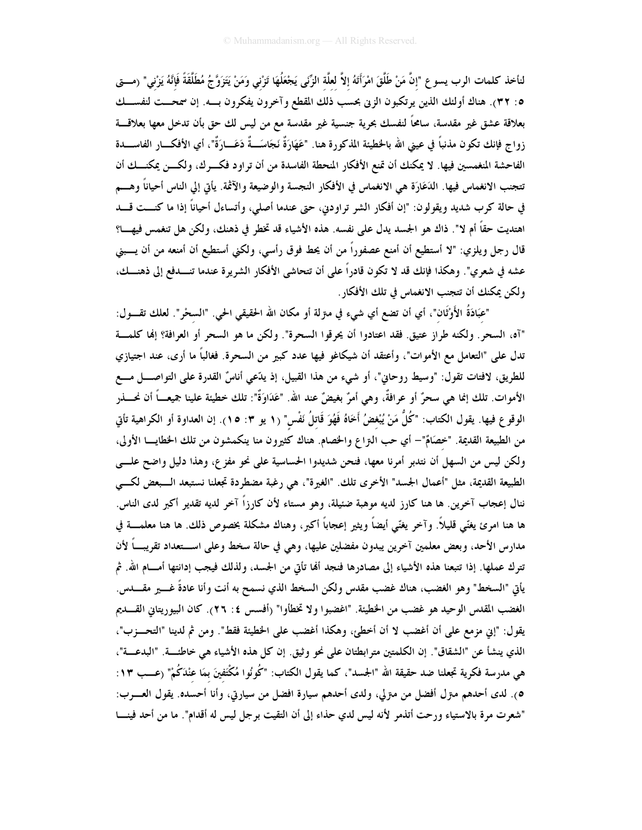لنأخذ كلمات الرب يسوع "إنَّ مَنْ طَلَّقَ امْرَأَتَهُ إلاَّ لعلَّة الزَّنَى يَجْعَلُهَا تَزْني وَمَنْ يَتَزَوَّجُ مُطَلَّقَةً فَإِنَّهُ يَزْني" (مـــق ٥: ٣٢). هناك أولئك الذين يرتكبون الزين بحسب ذلك المقطع وآخرون يفكرون بسه. إن سمحــت لنفســـك بعلاقة عشق غير مقدسة، سامحاً لنفسك بحرية جنسية غير مقدسة مع من ليس لك حق بأن تدخل معها بعلاقــــة زواج فإنك تكون مذنباً في عيني الله بالخطيئة المذكورة هنا. "عَهَارَةٌ نَجَاسَــةٌ دَعَـــارَةٌ"، أي الأفكـــار الفاســــدة الفاحشة المنغمسين فيها. لا يمكنك أن تمنع الأفكار المنحطة الفاسدة من أن تراود فكـــرك، ولكــــن يمكنـــك أن تتجنب الانغماس فيها. الدَعَارَة هي الانغماس في الأفكار النجسة والوضيعة والآثمة. يأتي إلى الناس أحياناً وهـــم في حالة كرب شديد ويقولون: "إن أفكار الشر تراودني، حتى عندما أصلي، وأتساءل أحياناً إذا ما كنـــت قـــد اهتديت حقاً أم لا". ذاك هو الجسد يدل على نفسه. هذه الأشياء قد تخطر في ذهنك، ولكن هل تنغمس فيهـــا؟ قال رجل ويلزي: "لا أستطيع أن أمنع عصفوراً من أن يحط فوق رأسي، ولكني أستطيع أن أمنعه من أن يــــبني عشه في شعري". وهكذا فإنك قد لا تكون قادراً على أن تتحاشى الأفكار الشريرة عندما تنـــدفع إلى ذهنـــك، ولكن يمكنك أن تتجنب الانغماس في تلك الأفكار .

"عَبَادَةُ الأَوْثَان"، أي أن تضع أي شيء في مترلة أو مكان الله الحقيقي الحي. "السخر". لعلك تقــــول: "آه، السحر . ولكنه طراز عتيق. فقد اعتادوا أن يحرقوا السحرة". ولكن ما هو السحر أو العرافة؟ إنما كلمة تدل على "التعامل مع الأموات"، وأعتقد أن شيكاغو فيها عدد كبير من السحرة. فغالباً ما أرى، عند اجتيازي للطريق، لافتات تقول: "وسيط روحاني"، أو شيء من هذا القبيل، إذ يدَّعي أناسٌ القدرة على التواصــــل مــــع الأموات. تلك إنما هي سحرٌ أو عرافةٌ، وهي أمرٌ بغيضٌ عند الله. "عَدَاوَةٌ": تلك خطيئة علينا جميعـــاً أن نحــــذر الوقوع فيها. يقول الكتاب: "كُلُّ مَنْ يُبْغضُ أَخَاهُ فَهُوَ قَاتلُ نَفْس" (١ يو ٣: ١٥). إن العداوة أو الكراهية تأتي من الطبيعة القديمة. "خصَامٌ"– أي حب النزاع والخصام. هناك كثيرون منا ينكمشون من تلك الخطايـــا الأولى، ولكن ليس من السهل أن نتدبر أمرنا معها، فنحن شديدوا الحساسية على نحو مفزع، وهذا دليل واضح علــي الطبيعة القديمة، مثل "أعمال الجسد" الأخرى تلك. "الغيرة"، هي رغبة مضطردة تجعلنا نستبعد الــبعض لكـــي ننال إعجاب آخرين. ها هنا كارز لديه موهبة ضئيلة، وهو مستاء لأن كارزاً آخر لديه تقدير أكبر لدى الناس. ها هنا امرئ يغنّي قليلاً. وآخر يغنّي أيضاً ويثير إعجاباً أكبر، وهناك مشكلة بخصوص ذلك. ها هنا معلمــــة في مدارس الأحد، وبعض معلمين آخرين يبدون مفضلين عليها، وهي في حالة سخط وعلى اســتعداد تقريبـــاً لأن تترك عملها. إذا تتبعنا هذه الأشياء إلى مصادرها فنجد ألها تأتي من الجسد، ولذلك فيجب إدانتها أمـــام الله. ثم يأتي "السخط" وهو الغضب، هناك غضب مقدس ولكن السخط الذي نسمح به أنت وأنا عادةً غــــير مقــــدس. الغضب المقدس الوحيد هو غضب من الخطيئة. "اغضبوا ولا تخطأوا" (أفسس ٤: ٢٦). كان البيوريتاني القسديم يقول: "إني مزمع على أن أغضب لا أن أخطئ، وهكذا أغضب على الخطيئة فقط". ومن ثم لدينا "التحــزب"، الذي ينشأ عن "الشقاق". إن الكلمتين مترابطتان على نحو وثيق. إن كل هذه الأشياء هي خاطئــــة. "البدعــــة"، هي مدرسة فكرية تجعلنا ضد حقيقة الله "الجسد"، كما يقول الكتاب: "كُونُوا مُكْتَفينَ بمَا عنْدَكُمْ" (عـــب ١٣: ٥). لدى أحدهم متزل أفضل من متزلي، ولدى أحدهم سيارة افضل من سيارتي، وأنا أحسده. يقول العــــــرب: "شعرت مرة بالاستياء ورحت أتذمر لأنه ليس لدي حذاء إلى أن التقيت برجل ليس له أقدام". ما من أحد فينـــا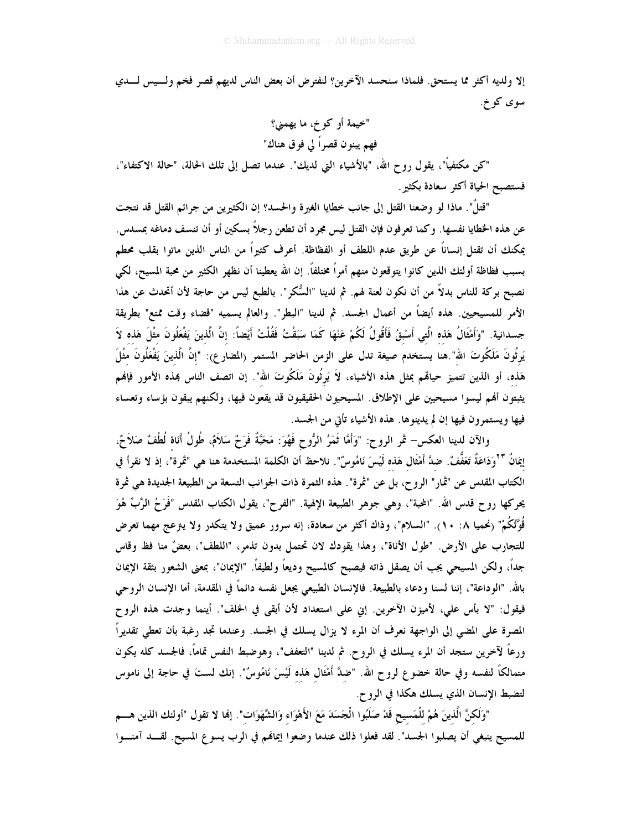إلا ولديه أكثر مما يستحق. فلماذا سنحسد الآخرين؟ لنفترض أن بعض الناس لديهم قصر فخم ولسيس لـــدي سوي کو خ.

"خيمة أو كو خ، ما يهمني؟ فهم يبنون قصراً لي فوق هناك"

"كن مكتفياً"، يقول روح الله، "بالأشياء التي لديك". عندما تصل إلى تلك الحالة، "حالة الاكتفاء"، فستصبح الحياة أكثر سعادة بكثير .

"قتلٌ". ماذا لو وضعنا القتل إلى جانب خطايا الغيرة والحسد؟ إن الكثيرين من جرائم القتل قد نتجت عن هذه الخطايا نفسها. وكما تعرفون فإن القتل ليس مجرد أن تطعن رجلاً بسكين أو أن تنسف دماغه بمسدس. يمكنك أن تقتل إنساناً عن طريق عدم اللطف أو الفظاظة. أعرف كثيراً من الناس الذين ماتوا بقلب محطم بسبب فظاظة أولئك الذين كانوا يتوقعون منهم أمراً مختلفاً. إن الله يعطينا أن نظهر الكثير من محبة المسيح، لكي نصبح بركة للناس بدلاً من أن نكون لعنة لهم. ثم لدينا "السُّكر". بالطبع ليس من حاجة لأن أتحدث عن هذا الأمر للمسيحيين. هذه أيضاً من أعمال الجسد. ثم لدينا "البطر". والعالم يسميه "قضاء وقت ممتع" بطريقة جسدانية. "وَأَمْثَالُ هَذه الَّتِي أَسْبقُ فَأَقُولُ لَكُمْ عَنْهَا كَمَا سَبَقْتُ فَقُلْتُ أَيْضاً: إنَّ الَّذينَ يَفْعَلُونَ مثْلَ هَذه لاَ يَرِثُونَ مَلَكُوتَ الله".هنا يستخدم صيغة تدل على الزمن الحاضر المستمر (المضار ع): "إنَّ الَّذينَ يَفْعَلُونَ مثْلَ هَذه، أو الذين تتميز حياهَم بمثل هذه الأشياء، لاَ يَرثُونَ مَلَكُوتَ الله". إن اتصف الناس بمذه الأمور فإنهم يثبتون ألهم ليسوا مسيحيين على الإطلاق. المسيحيون الحقيقيون قد يقعون فيها، ولكنهم يبقون بؤساء وتعساء فيها ويستمرون فيها إن لم يدينوها. هذه الأشياء تأتي من الجسد.

والآن لدينا العكس– ثمر الروح: "وَأَمَّا ثَمَرُ الرُّوح فَهُوَ: مَحَبَّةٌ فَرَحٌ سَلاَمٌ، طُولُ أَنَاة لُطْفٌ صَلاَحٌ، إِيمَانٌ "'وَدَاعَةٌ تَعَفُّفٌ. ضدَّ أَمْثَال هَذه لَيْسَ نَامُوسٌ". نلاحظ أن الكلمة المستخدمة هنا هي "ثمرة"، إذ لا نقرأ في الكتاب المقدس عن "ثمار" الروح، بل عن "ثمرة". هذه الثمرة ذات الجوانب التسعة من الطبيعة الجديدة هي ثمرة يحركها روح قدس الله. "الحبة"، وهي جوهر الطبيعة الإلهية. "الفرح"، يقول الكتاب المقدس "فَرَحُ الرَّبِّ هُوَ قُوَّتُكُمْ" (نحميا ٨: ١٠). "السلام"، وذاك أكثر من سعادة، إنه سرور عميق ولا يتكدر ولا يتزعج مهما تعرض للتجارب على الأرض. "طول الأناة"، وهذا يقودك لان تحتمل بدون تذمر، "اللطف"، بعضٌ منا فظ وقاس جداً، ولكن المسيحي يجب أن يصقل ذاته فيصبح كالمسيح وديعاً ولطيفاً. "الإيمان"، بمعنى الشعور بثقة الإيمان بالله. "الوداعة"، إننا لسنا ودعاء بالطبيعة. فالإنسان الطبيعي يجعل نفسه دائماً في المقدمة، أما الإنسان الروحي فيقول: "لا بأس على، لأميزن الآخرين. إني على استعداد لأن أبقى في الخلف". أينما وجدت هذه الروح المصرة على المضى إلى الواجهة نعرف أن المرء لا يزال يسلك في الجسد. وعندما تجد رغبة بأن تعطي تقديراً ورعاً لآخرين ستجد أن المرء يسلك في الروح. ثم لدينا "التعفف"، وهوضبط النفس تماماً، فالجسد كله يكون متمالكًا لنفسه وفي حالة خضوع لروح الله. "ضلَّ أَمْثَال هَذه لَيْسَ نَامُوسٌ". إنك لستَ في حاجة إلى ناموس لتضبط الإنسان الذي يسلك هكذا في الروح.

"وَلَكنَّ الَّذينَ هُمْ للْمَسيح قَدْ صَلَبُوا الْجَسَدَ مَعَ الأَهْوَاء وَالشَّهَوَاتِ". إنها لا تقول "أولئك الذين هـــم للمسيح ينبغي أن يصلبوا الجسد". لقد فعلوا ذلك عندما وضعوا إيمانهم في الرب يسوع المسيح. لقـــد آمنـــوا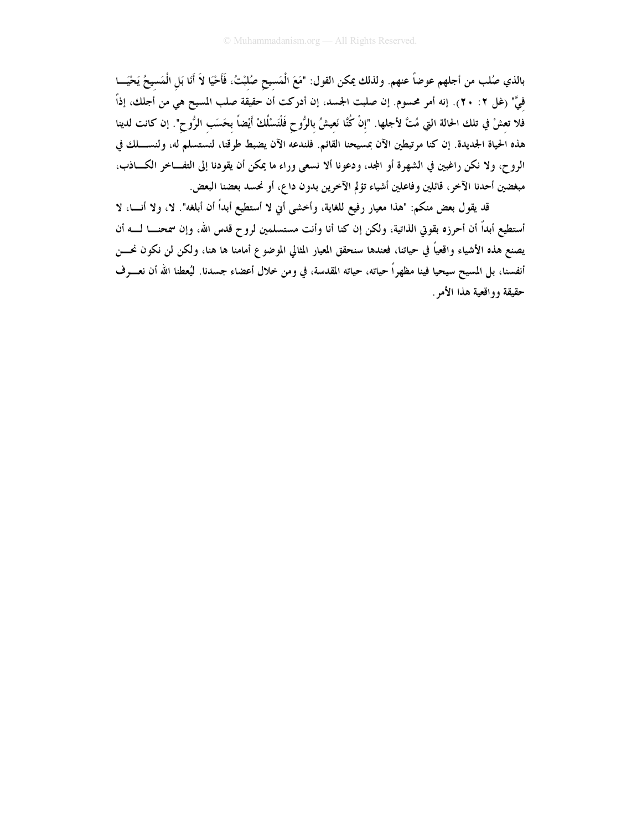بالذي صُلب من أجلهم عوضاً عنهم. ولذلك يمكن القول: "مَعَ الْمَسِيحِ صُلبْتُ، فَأَحْيَا لاَ أَنَا بَلِ الْمَسيحُ يَحْيَـــا فيَّ" (غل ٢: ٢٠). إنه أمر محسوم. إن صلبت الجسد، إن أدركت أن حقيقة صلب المسيح هي من أجلك، إذاً فلا تعشْ في تلك الحالة التي مُتَّ لأجلها. "إنْ كُنَّا نَعيشُ بالرُّوح فَلْنَسْلُكْ أَيْضاً بِحَسَبِ الرُّوح". إن كانت لدينا هذه الحياة الجديدة. إن كنا مرتبطين الآن بمسيحنا القائم. فلندعه الآن يضبط طرقنا، لنستسلم له، ولنســـلك في الروح، ولا نكن راغبين في الشهرة أو المجد، ودعونا ألا نسعى وراء ما يمكن أن يقودنا إلى التفـــاخر الكــــاذب، مبغضين أحدنا الآخر ، قائلين و فاعلين أشياء تؤلم الآخرين بدون داع، أو نحسد بعضنا البعض.

قد يقول بعض منكم: "هذا معيار رفيع للغاية، وأخشى أني لا أستطيع أبداً أن أبلغه". لا، ولا أنـــا، لا أستطيع أبداً أن أحرزه بقوتي الذاتية، ولكن إن كنا أنا وأنت مستسلمين لروح قدس الله، وإن سمحنـــا لــــه أن يصنع هذه الأشياء واقعياً في حياتنا، فعندها سنحقق المعيار المثالي الموضوع أمامنا ها هنا، ولكن لن نكون نحــــن أنفسنا، بل المسيح سيحيا فينا مظهراً حياته، حياته المقدسة، في ومن خلال أعضاء جسدنا. ليُعطنا الله أن نعـــرف حقيقة وواقعية هذا الأمر .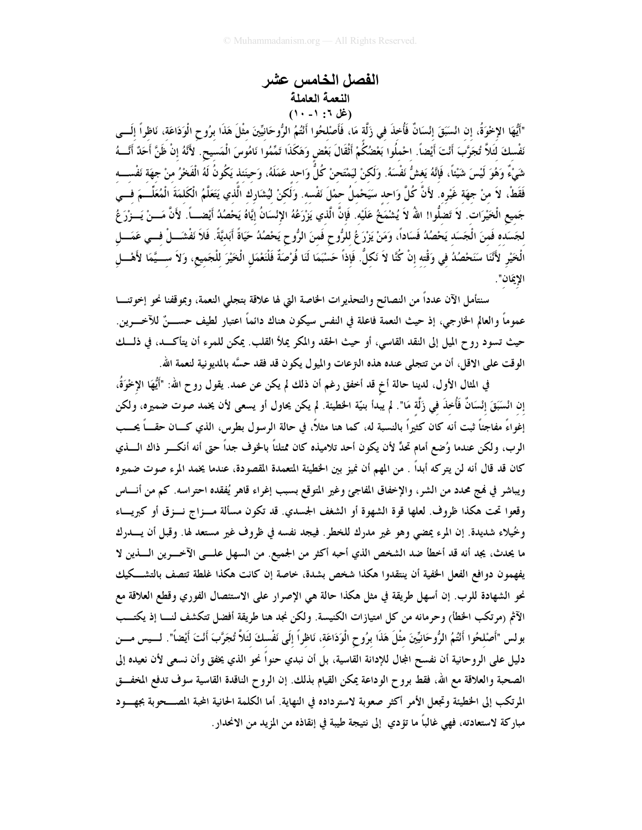## الفصل الخامس عشر النعمة العاملة (غل ٦: ١- ١٠)

"أَيُّهَا الإِخْوَةُ، إن انْسَبَقَ إنْسَانٌ فَأُخذَ في زَلَّة مَا، فَأَصْلحُوا أَنْتُمُ الرُّوحَانيِّينَ مثْلَ هَذَا برُوح الْوَدَاعَة، نَاظراً إلَـــى نَفْسكَ لئَلاَّ تُجَرَّبَ أَنْتَ أَيْضاً. احْملُوا بَعْضُكُمْ أَثْقَالَ بَعْضٍ وَهَكَذَا تَمِّمُوا نَامُوسَ الْمَسيح. لأَنَّهُ إنْ ظَنَّ أَحَدٌ أَنَّـــهُ شَيْءٌ وَهُوَ لَيْسَ شَيْئاً، فَإِنَّهُ يَغشُّ نَفْسَهُ. وَلَكنْ ليَمْتَحنْ كُلُّ وَاحد عَمَلَهُ، وَحينَئذ يَكُونُ لَهُ الْفَخْرُ منْ جهَة نَفْســـه فَقَطْ، لاَ منْ جهَة غَيْره. لأَنَّ كُلَّ وَاحد سَيَحْملُ حمْلَ نَفْسه. وَلَكنْ ليُشَارِك الَّذي يَتَعَلَّمُ الْكَلمَةَ الْمُعَلِّـــمَ فـــى جَميع الْخَيْرَات. لاَ تَضلُّوا! اللهُ لاَ يُشْمَخُ عَلَيْه. فَإِنَّ الَّذي يَزْرَعُهُ الإِنْسَانُ إيَّاهُ يَحْصُدُ أَيْضــــاً. لأَنَّ مَـــنْ يَـــزْرَ عُ لجَسَده فَمنَ الْجَسَد يَحْصُدُ فَسَاداً، وَمَنْ يَزْرَعُ للرُّوح فَمنَ الرُّوح يَحْصُدُ حَيَاةً أَبَديَّةً. فَلاَ نَفْشَـــلْ فــي عَمَـــل الْخَيْرِ لأَنَّنَا سَنَحْصُلُهُ في وَقْته إنْ كُنَّا لاَ نَكلُّ. فَإذاً حَسْبَمَا لَنَا فُرْصَةٌ فَلْنَعْمَل الْخَيْرَ للْجَميع، وَلاَ ســـيَّمَا لأَهْـــل الإيمَان".

سنتأمل الآن عدداً من النصائح والتحذيرات الخاصة التي لها علاقة بتجلى النعمة، وبموقفنا نحو إخوتنـــا عموماً والعالم الحارجي، إذ حيث النعمة فاعلة في النفس سيكون هناك دائماً اعتبار لطيف حســــنٌ للآخـــــرين. حيث تسود روح الميل إلى النقد القاسي، أو حيث الحقد والمكر يملأ القلب. يمكن للمرء أن يتأكــد، في ذلـــك الوقت على الاقل، أن من تتجلى عنده هذه التزعات والميول يكون قد فقد حسَّه بالمديونية لنعمة الله.

في المثال الأول، لدينا حالة أخ قد أخفق رغم أن ذلك لم يكن عن عمد. يقول رو ح الله: "أَيُّهَا الإِخْوَةُ، إن انْسَبَقَ إنْسَانٌ فَأُخذَ في زَلَّة مَا". لم يبدأ بنيّة الخطيئة. لم يكن يحاول أو يسعى لأن يخمد صوت ضميره، ولكن إغواءً مفاجئاً ثبت أنه كان كثيراً بالنسبة له، كما هنا مثلاً، في حالة الرسول بطرس، الذي كـــان حقـــاً يحـــب الرب، ولكن عندما وُضع أمام تحدٍّ لأن يكون أحد تلاميذه كان ممتلئاً بالخوف جداً حتى أنه أنكـــر ذاك الــــذي كان قد قال أنه لن يتركه أبداً . من المهم أن نميز بين الخطيئة المتعمدة المقصودة، عندما يخمد المرء صوت ضميره ويباشر في فمج محدد من الشر، والإخفاق المفاجئ وغير المتوقع بسبب إغراء قاهر يُفقده احتراسه. كم من أنـــاس وقعوا تحت هكذا ظروف. لعلها قوة الشهوة أو الشغف الجسدي. قد تكون مسألة مـــزاج نـــزق أو كبريــــاء وخُيلاء شديدة. إن المرء يمضي وهو غير مدرك للخطر . فيجد نفسه في ظروف غير مستعد لها. وقبل أن يـــدرك ما يحدث، يجد أنه قد أخطأ ضد الشخص الذي أحبه أكثر من الجميع. من السهل علـــى الآخــــرين الــــذين لا يفهمون دوافع الفعل الخفية أن ينتقدوا هكذا شخص بشدة، خاصة إن كانت هكذا غلطة تتصف بالتشــكيك نحو الشهادة للرب. إن أسهل طريقة في مثل هكذا حالة هي الإصرار على الاستئصال الفوري وقطع العلاقة مع الآثم (مرتكب الخطأ) وحرمانه من كل امتيازات الكنيسة. ولكن نجد هنا طريقة أفضل تتكشف لنسا إذ يكتــب بولس "أَصْلحُوا أَنْتُمُ الرُّوحَانيِّينَ مثْلَ هَذَا برُوحٍ الْوَدَاعَةِ، نَاظراً إلَى نَفْسكَ لَنَلاً تُجَرَّبَ أَنْتَ أَيْضاً". لــيس مـــن دليل على الروحانية أن نفسح المجال للإدانة القاسية، بل أن نبدي حنواً نحو الذي يخفق وأن نسعى لأن نعيده إلى الصحبة والعلاقة مع الله، فقط بروح الوداعة يمكن القيام بذلك. إن الروح الناقدة القاسية سوف تدفع المخفـــق المرتكب إلى الخطيئة وتجعل الأمر أكثر صعوبة لاسترداده في النهاية. أما الكلمة الحانية المحبة المصـــحوبة بجهـــود مباركة لاستعادته، فهي غالباً ما تؤدي إلى نتيجة طيبة في إنقاذه من المزيد من الانحدار .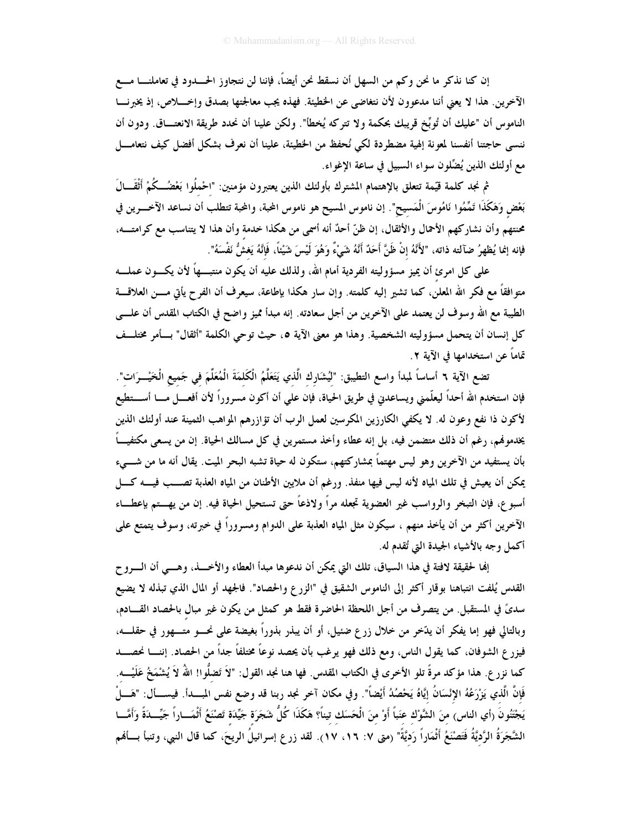إن كنا نذكر ما نحن وكم من السهل أن نسقط نحن أيضاً، فإننا لن نتجاوز الحــــدود في تعاملنــــا مــــع الآخرين. هذا لا يعني أننا مدعوون لأن نتغاضى عن الخطيئة. فهذه يجب معالجتها بصدق وإخــــلاص، إذ يخبرنــــا الناموس أن "عليك أن تُوبِّخ قريبك بحكمة ولا تتركه يُخطأ". ولكن علينا أن نحدد طريقة الانعتــاق. ودون أن ننسبي حاجتنا أنفسنا لمعونة إلهية مضطردة لكي نُحفظ من الخطيئة، علينا أن نعرف بشكل أفضل كيف نتعامــــل مع أولئك الذين يُضِّلون سواء السبيل في ساعة الإغواء.

ثم نجد كلمة قيّمة تتعلق بالإهتمام المشترك بأولئك الذين يعتبرون مؤمنين: "احْملُوا بَعْضُــكُمْ أَثْقَـــالَ بَعْض وَهَكَذَا تَمَّمُوا نَامُوسَ الْمَسيح". إن ناموس المسيح هو ناموس المحبة، والمحبة تتطلب أن نساعد الآخـــرين في محنتهم وأن نشاركهم الأحمال والأثقال، إن ظنّ أحدٌ أنه أسمى من هكذا خدمة وأن هذا لا يتناسب مع كرامتـــه، فإنه إنما يُظهِرُ ضآلته ذاته، "لأَنَّهُ إنْ ظَنَّ أَحَدٌ أَنَّهُ شَيْءٌ وَهُوَ لَيْسَ شَيْئاً، فَإِنَّهُ يَغشُ نَفْسَهُ".

على كل امرئ أن يميز مسؤوليته الفردية أمام الله، ولذلك عليه أن يكون منتبـــهاً لأن يكـــون عملــــه متوافقاً مع فكر الله المعلن، كما تشير إليه كلمته. وإن سار هكذا بإطاعة، سيعرف أن الفرح يأتي مــــن العلاقــــة الطيبة مع الله وسوف لن يعتمد على الآخرين من أجل سعادته. إنه مبدأ مميز واضح في الكتاب المقدس أن علـــي كل إنسان أن يتحمل مسؤوليته الشخصية. وهذا هو معنى الآية ٥، حيث توحى الكلمة "أثقال" بسأمر مختلسف تماماً عن استخدامها في الآية ٢.

تضع الآية ٢ أساساً لمبدأ واسع التطيبق: "لَيُشَارِك الَّذي يَتَعَلَّمُ الْكَلمَةَ الْمُعَلِّمَ في جَميع الْخَيْــرَات". فإن استخدم الله أحداً ليعلّمني ويساعدني في طريق الحياة، فإن على أن أكون مسروراً لأن أفعـــل مــــا أســــتطيع لأكون ذا نفع وعون له. لا يكفى الكارزين المكرسين لعمل الرب أن تؤازرهم المواهب الثمينة عند أولئك الذين يخدمونهم، رغم أن ذلك متضمن فيه، بل إنه عطاء وأخذ مستمرين في كل مسالك الحياة. إن من يسعى مكتفيـــاً بأن يستفيد من الآخرين وهو ليس مهتماً بمشاركتهم، ستكون له حياة تشبه البحر الميت. يقال أنه ما من شــــىء يمكن أن يعيش في تلك المياه لأنه ليس فيها منفذ. ورغم أن ملايين الأطنان من المياه العذبة تصـــب فيــــه كــــل أسبو ع، فإن التبخر والرواسب غير العضوية تجعله مراً ولاذعاً حتى تستحيل الحياة فيه. إن من يهـــتم بإعطـــاء الآخرين أكثر من أن يأخذ منهم ، سيكون مثل المياه العذبة على الدوام ومسروراً في خبرته، وسوف يتمتع على أكمل وجه بالأشياء الجيدة التي تُقدم له.

إِلها لحقيقة لافتة في هذا السياق، تلك التي يمكن أن ندعوها مبدأ العطاء والأخـــذ، وهـــي أن الــــرو ح القدس يُلفت انتباهنا بوقار أكثر إلى الناموس الشقيق في "الزرع والحصاد". فالجهد أو المال الذي تبذله لا يضيع سديٍّ في المستقبل. من يتصرف من أجل اللحظة الحاضرة فقط هو كمثل من يكون غير مبال بالحصاد القـــادم، وبالتالي فهو إما يفكر أن يدّخر من خلال زرع ضئيل، أو أن يبذر بذوراً بغيضة على نحـــو متــــهور في حقلــــه، فيزر ع الشوفان، كما يقول الناس، ومع ذلك فهو يرغب بأن يحصد نوعاً مختلفاً جداً من الحصاد. إننــــا نحصــــد كما نزر ع. هذا مؤكد مرةً تلو الأخرى في الكتاب المقدس. فها هنا نجد القول: "لاَ تَضلُّوا! اللهُ لاَ يُشْمَخُ عَلَيْـــه. فَإِنَّ الَّذي يَزْرَعُهُ الإِنْسَانُ إِيَّاهُ يَحْصُدُ أَيْضاً". وفي مكان آخر نجد ربنا قد وضع نفس المسدأ. فيســـأل: "هَــــلْ يَجْتَنُونَ (أي الناس) منَ الشَّوْك عَنباً أَوْ منَ الْحَسَك تيناً؟ هَكَذَا كُلُّ شَجَرَة جَيِّدَة تَصْنَعُ أَثْمَـــاراً جَيِّـــدَةً وَأَمَّـــا الشَّجَرَةُ الرَّديَّةُ فَتَصْنَعُ أَثْمَاراً رَديَّةً" (متى ٧: ١٦، ١٧). لقد زرع إسرائيلُ الريحَ، كما قال النبي، وتنبأ بسألهم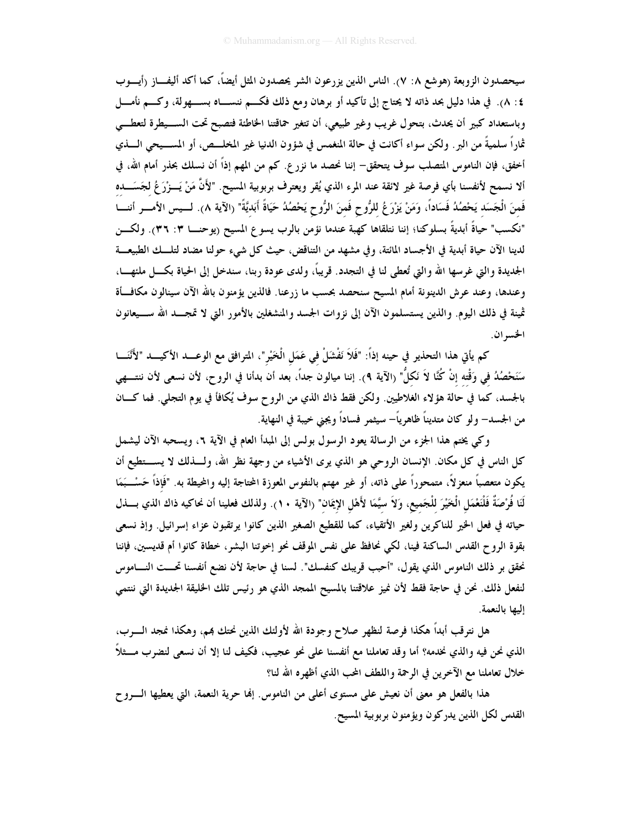سيحصدون الزوبعة (هوشع ٨: ٧). الناس الذين يزرعون الشر يحصدون المثل أيضاً، كما أكد أليفـــاز (أيــــوب ٤: ٨). في هذا دليل بحد ذاته لا يحتاج إلى تأكيد أو برهان ومع ذلك فكـــم ننســـاه بســـهولة، وكـــم نأمـــل وباستعداد كبير أن يحدث، بتحول غريب وغير طبيعي، أن تتغير حماقتنا الخاطئة فتصبح تحت الســيطرة لتعطــي ثماراً سلميةً من البر . ولكن سواء أكانت في حالة المنغمس في شؤون الدنيا غير المخلـــص، أو المســـيحي الــــذي أخفق، فإن الناموس المتصلب سوف يتحقق– إننا نحصد ما نزرع. كم من المهم إذاً أن نسلك بحذر أمام الله، في ألا نسمح لأنفسنا بأي فرصة غير لائقة عند المرء الذي يُقر ويعترف بربوبية المسيح. "لأَنَّ مَنْ يَـــزْرَغُ لجَسَـــده فَمنَ الْجَسَد يَحْصُدُ فَسَاداً، وَمَنْ يَزْرَعُ للرُّوحِ فَمنَ الرُّوحِ يَحْصُدُ حَيَاةً أَبَديَّةً" (الآية ٨). لــيس الأمـــر أننـــا "نكسب" حياةً أبديةً بسلوكنا؛ إننا نتلقاها كهبة عندما نؤمن بالرب يسوع المسيح (يوحنـــا ٣: ٣٦). ولكـــن لدينا الآن حياة أبدية في الأجساد المائتة، وفي مشهد من التناقض، حيث كل شيء حولنا مضاد لتلـــك الطبيعـــة الجديدة والتي غرسها الله والتي تُعطى لنا في التجدد. قريباً، ولدى عودة ربنا، سندخل إلى الحياة بكــــل ملئهــــا، وعندها، وعند عرش الدينونة أمام المسيح سنحصد بحسب ما زرعنا. فالذين يؤمنون بالله الآن سينالون مكافسأة ثمينة في ذلك اليوم. والذين يستسلمون الآن إلى نزوات الجسد والمنشغلين بالأمور التي لا تمجــد الله ســـيعانون الخسران.

كم يأتي هذا التحذير في حينه إذاً: "فَلاَ نَفْشَلْ في عَمَل الْخَيْر"، المترافق مع الوعـــد الأكيـــد "لأَنْنَـــا سَنَحْصُدُ في وَقْتِه إنْ كُنَّا لاَ نَكلُّ" (الآية ٩). إننا ميالون جداً، بعد أن بدأنا في الروح، لأن نسعى لأن ننتـــهي بالجسد، كما في حالة هؤلاء الغلاطيين. ولكن فقط ذاك الذي من الروح سوف يُكافأ في يوم التجلي. فما كـــان من الجسد— ولو كان متديناً ظاهرياً— سيثمر فساداً ويجني خيبة في النهاية.

وكي يختم هذا الجزء من الرسالة يعود الرسول بولس إلى المبدأ العام في الآية ٦، ويسحبه الآن ليشمل كل الناس في كل مكان. الإنسان الروحي هو الذي يوى الأشياء من وجهة نظر الله، ولــــذلك لا يســــتطيع أن يكون متعصباً منعزلاً، متمحوراً على ذاته، أو غير مهتم بالنفوس المعوزة المحتاجة إليه والمحيطة به. "فَإذاً حَسْــبَمَا لَنَا فُرْصَةٌ فَلْنَعْمَلِ الْخَيْرَ للْجَميع، وَلاَ سيَّمَا لأَهْلِ الإِيمَان" (الآية ١٠). ولذلك فعلينا أن نحاكيه ذاك الذي بــــذل حياته في فعل الخير للناكرين ولغير الأتقياء، كما للقطيع الصغير الذين كانوا يرتقبون عزاء إسرائيل. وإذ نسعى بقوة الروح القدس الساكنة فينا، لكي نحافظ على نفس الموقف نحو إخوتنا البشر، خطاة كانوا أم قديسين، فإننا نحقق بر ذلك الناموس الذي يقول، "أحبب قريبك كنفسك". لسنا في حاجة لأن نضع أنفسنا تحـــت النـــاموس لنفعل ذلك. نحن في حاجة فقط لأن نميز علاقتنا بالمسيح الممجد الذي هو رئيس تلك الخليقة الجديدة التي ننتمي البها بالنعمة.

هل نترقب أبداً هكذا فرصة لنظهر صلاح وجودة الله لأولئك الذين نحتك بمم، وهكذا نمجد الــــرب، الذي نحن فيه والذي نخدمه؟ أما وقد تعاملنا مع أنفسنا على نحو عجيب، فكيف لنا إلا أن نسعى لنضرب مـــثلاً خلال تعاملنا مع الآخرين في الرحمة واللطف المحب الذي أظهره الله لنا؟

هذا بالفعل هو معنى أن نعيش على مستوى أعلى من الناموس. إلها حرية النعمة، التي يعطيها الــــروح القدس لكل الذين يدركون ويؤمنون بربوبية المسيح.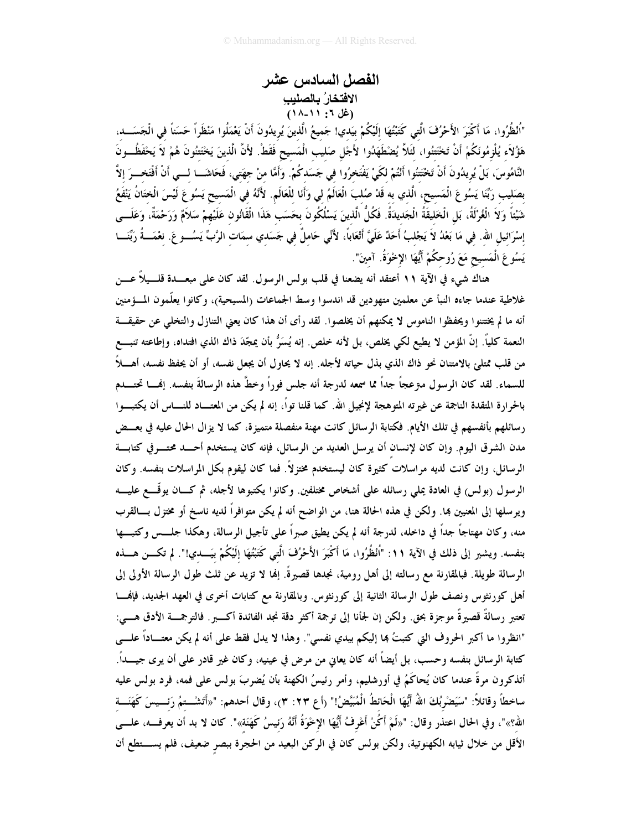## الفصل السادس عشر الافتخارُ بالصليبِ<br>(غل ٦: ١١-١٨)

"اُنْظُرُوا، مَا أَكْبَرَ الأَحْرُفَ الَّتِي كَتَبْتُهَا إِلَيْكُمْ بِيَدِي! جَميعُ الَّذينَ يُرِيدُونَ أَنْ يَعْمَلُوا مَنْظَراً حَسَناً في الْجَسَـــد، هَؤُلاَء يُلْزِمُونَكُمْ أَنْ تَخْتَتُوا، لَثَلاَّ يُضْطَهَدُوا لأَجْل صَليب الْمَسيح فَقَطْ. لأَنَّ الّذينَ يَخْتتُونَ هُمْ لاَ يَحْفَظُــونَ النَّامُوسَ، بَلْ يُرِيدُونَ أَنْ تَخْتَتُوا أَنْتُمْ لكَيْ يَفْتَخرُوا في جَسَدكُمْ. وَأَمَّا منْ جهَتي، فَحَاشَــا لـــي أَنْ أَفْتَخـــرَ إلاَّ بصَليب رَبِّنَا يَسُوعَ الْمَسيح، الَّذي به قَدْ صُلبَ الْعَالَمُ لي وَأَنَا للْعَالَمِ. لأَنَّهُ في الْمَسيح يَسُوعَ لَيْسَ الْختَانُ يَنْفَعُ شَيْئاً وَلَا الْغُرْلَةُ، بَل الْخَليقَةُ الْجَديدَةُ. فَكُلُّ الّذينَ يَسْلُكُونَ بحَسَب هَذَا الْقَانُون عَلَيْهمْ سَلاَمٌ وَرَحْمَةٌ، وَعَلَـــى إسْرَائيل الله. في مَا بَعْدُ لاَ يَجْلبُ أَحَدٌ عَلَيَّ أَتْعَاباً، لأَنِّي حَاملٌ في جَسَدي سمَات الرَّبِّ يَسُـــو عَ. نعْمَـــةُ رَبِّنَـــا يَسُوعَ الْمَسِيحِ مَعَ رُوحكُمْ أَيُّهَا الإخْوَةُ. آمينَ".

هناك شيء في الآية ١١ أعتقد أنه يضعنا في قلب بولس الرسول. لقد كان على مبعـــدة قلــــيلاً عــــن غلاطية عندما جاءه النبأ عن معلمين متهودين قد اندسوا وسط الجماعات (المسيحية)، وكانوا يعلّمون المـــؤمنين أنه ما لم يختتنوا ويحفظوا الناموس لا يمكنهم أن يخلصوا. لقد رأى أن هذا كان يعني التنازل والتخلي عن حقيقـــة النعمة كلياً. إنَّ المؤمن لا يطيع لكي يخلص، بل لأنه خلص. إنه يُسَرُّ بأن يمجّدَ ذاك الذي افتداه، وإطاعته تنبــع من قلب ممتلئ بالامتنان نحو ذاك الذي بذل حياته لأجله. إنه لا يحاول أن يجعل نفسه، أو أن يحفظ نفسه، أهــــلاً للسماء. لقد كان الرسول معّ عجاً جداً مما سمعه لدرجة أنه جلس فوراً وخطَّ هذه الرسالةَ بنفسه. إفمـــا تحتـــــــدم بالحرارة المتقدة الناجمة عن غيرته المتوهجة لإنجيل الله. كما قلنا تواً، إنه لم يكن من المعتـــاد للنــــاس أن يكتبـــوا رسائلهم بأنفسهم في تلك الأيام. فكتابة الرسائل كانت مهنة منفصلة متميزة، كما لا يزال الحال عليه في بعــض مدن الشرق اليوم. وإن كان لإنسان أن يرسل العديد من الرسائل، فإنه كان يستخدم أحـــد محتـــرفي كتابـــة الرسائل، وإن كانت لديه مراسلات كثيرة كان ليستخدم مختزلاً. فما كان ليقوم بكل المراسلات بنفسه. وكان الرسول (بولس) في العادة يملي رسائله على أشخاص مختلفين. وكانوا يكتبوها لأجله، ثم كـــان يوقّــــع عليــــه ويرسلها إلى المعنيين بما. ولكن في هذه الحالة هنا، من الواضح أنه لم يكن متوافراً لديه ناسخ أو مختزل بسالقرب منه، وكان مهتاجاً جداً في داخله، لدرجة أنه لم يكن يطيق صبراً على تأجيل الرسالة، وهكذا جلـــس وكتبـــها بنفسه. ويشير إلى ذلك في الآية ١١: "اُنْظُرُوا، مَا أَكْبَرَ الأَحْرُفَ الَّتِي كَتَبْتُهَا إِلَيْكُمْ بَيَــدي!". لم تكـــن هـــذه الرسالة طويلة. فبالمقارنة مع رسالته إلى أهل رومية، نجدها قصيرةً. إنما لا تزيد عن ثلث طول الرسالة الأولى إلى أهل كورنثوس ونصف طول الرسالة الثانية إلى كورنثوس. وبالمقارنة مع كتابات أخرى في العهد الجديد، فإنهــــا تعتبر رسالةً قصيرةً موجزة بحق. ولكن إن لجأنا إلى ترجمة أكثر دقة نجد الفائدة أكــــبر. فالترجمـــة الأدق هــــي: "انظروا ما أكبر الحروف التي كتبتُ بما إليكم بيدي نفسي". وهذا لا يدل فقط على أنه لم يكن معتـــاداً علــــي كتابة الرسائل بنفسه وحسب، بل أيضاً أنه كان يعاني من مرض في عينيه، وكان غير قادر على أن يرى جيـــداً. أتذكرون مرةً عندما كان يُحاكَمُ في أورشليم، وأمر رئيسُ الكهنة بأن يُضربَ بولس على فمه، فرد بولس عليه ساخطاً وقائلاً: "سَيَضْربُكَ اللهُ أَيُّهَا الْحَائطُ الْمُبَيَّضُ!" (أع ٢٣: ٣)، وقال أحدهم: "«أَتَشْــتمُ رَئــيسَ كَهَنَـــة الله؟»"، وفي الحال اعتذر وقال: "«لَمْ أكُنْ أَعْرِفُ أَيُّهَا الإِخْوَةُ أَنَّهُ رَئيسُ كَهَنَة»". كان لا بد أن يعرفـــه، علــــى الأقل من خلال ثيابه الكهنوتية، ولكن بولس كان في الركن البعيد من الحجرة ببصرٍ ضعيف، فلم يســـتطع أن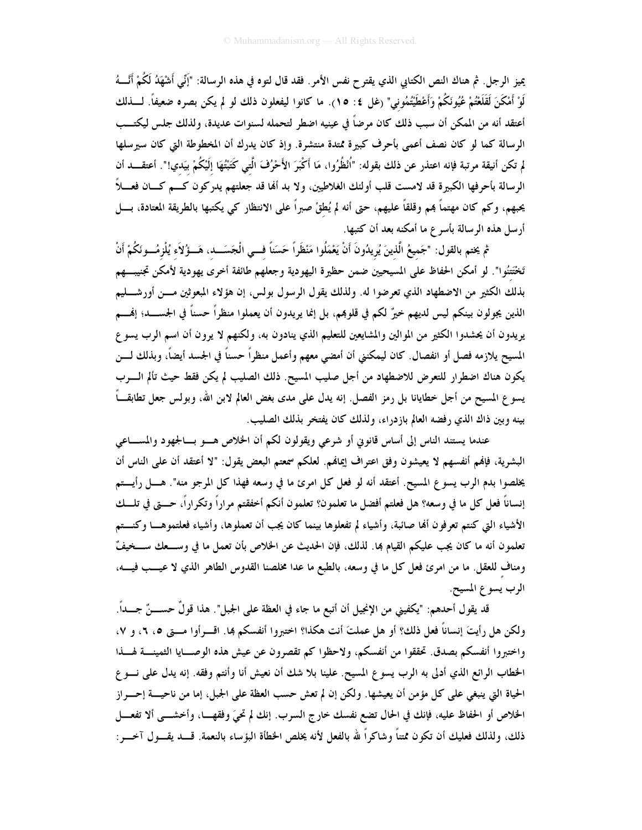يميز الرجل. ثم هناك النص الكتابي الذي يقترح نفس الأمر. فقد قال لتوه في هذه الرسالة: "إَنِّي أَشْهَدُ لَكُمْ أَنَّـــهُ لَوْ أَمْكَنَ لَقَلَعْتُمْ عُيُونَكُمْ وَأَعْطَيْتُمُوني" (غل ٤: ١٥). ما كانوا ليفعلون ذلك لو لم يكن بصره ضعيفاً. لــــذلك أعتقد أنه من الممكن أن سبب ذلك كان مرضاً في عينيه اضطر لتحمله لسنوات عديدة، ولذلك جلس ليكتــب الرسالة كما لو كان نصف أعمى بأحرف كبيرة ممتدة منتشرة. وإذ كان يدرك أن المخطوطة التي كان سيرسلها لم تكن أنيقة مرتبة فإنه اعتذر عن ذلك بقوله: "اُنْظُرُوا، مَا أَكْبَرَ الأَحْرُفَ الَّتي كَتَبْتُهَا إلَيْكُمْ بيَدي!". أعتقــــد أن الرسالة بأحرفها الكبيرة قد لامست قلب أولئك الغلاطيين، ولا بد ألها قد جعلتهم يدركون كـــم كـــان فعــــلاً يحبهم، وكم كان مهتماً هم وقلقاً عليهم، حتى أنه لم يُطقْ صبراً على الانتظار كي يكتبها بالطريقة المعتادة، بـــل أرسل هذه الرسالة بأسرع ما أمكنه بعد أن كتبها.

ثم يختم بالقول: "جَميعُ الَّذينَ يُرِيدُونَ أَنْ يَعْمَلُوا مَنْظَراً حَسَناً فـــي الْجَسَـــد، هَـــؤُلاَء يُلْزمُـــونَكُمْ أَنْ تَخْتَتُوا". لو أمكن الحفاظ على المسيحيين ضمن حظيرة اليهودية وجعلهم طائفة أخرى يهودية لأمكن تجنيب هم بذلك الكثير من الاضطهاد الذي تعرضوا له. ولذلك يقول الرسول بولس، إن هؤلاء المبعوثين مسن أورشـــليم الذين يجولون بينكم ليس لديهم خيرٌ لكم في قلوبمم، بل إنما يريدون أن يعملوا منظراً حسناً في الجســـد؛ إنهــــم يريدون أن يحشدوا الكثير من الموالين والمشايعين للتعليم الذي ينادون به، ولكنهم لا يرون أن اسم الرب يسوع المسيح يلازمه فصل أو انفصال. كان ليمكنني أن أمضى معهم وأعمل منظراً حسناً في الجسد أيضاً، وبذلك لـــن يكون هناك اضطرار للتعرض للاضطهاد من أجل صليب المسيح. ذلك الصليب لم يكن فقط حيث تألم السرب يسوع المسيح من أجل خطايانا بل رمز الفصل. إنه يدل على مدى بغض العالم لابن الله، وبولس جعل تطابقـــاً بينه وبين ذاك الذي رفضه العالم بازدراء، ولذلك كان يفتخر بذلك الصليب.

عندما يستند الناس إلى أساس قانوني أو شرعي ويقولون لكم أن الخلاص هـــو بـــالجهود والمســـاعي البشرية، فإنهم أنفسهم لا يعيشون وفق اعتراف إيمانهم. لعلكم سمعتم البعض يقول: "لا أعتقد أن على الناس أن يخلصوا بدم الرب يسوع المسيح. أعتقد أنه لو فعل كل امرئ ما في وسعه فهذا كل المرجو منه". هــــل رأيــــتم إنساناً فعل كل ما في وسعه؟ هل فعلتم أفضل ما تعلمون؟ تعلمون أنكم أخفقتم مراراً وتكراراً، حـــتى في تلـــك الأشياء التي كنتم تعرفون ألها صائبة، وأشياء لم تفعلوها بينما كان يجب أن تعملوها، وأشياء فعلتموهـــا وكنـــتم تعلمون أنه ما كان يجب عليكم القيام بما. لذلك، فإن الحديث عن الخلاص بأن تعمل ما في وســــعك ســــخيفٌ ومناف للعقل. ما من امرئ فعل كل ما في وسعه، بالطبع ما عدا مخلصنا القدوس الطاهر الذي لا عيـــب فيــــه، الرب يسوع المسيح.

قد يقول أحدهم: "يكفيني من الإنجيل أن أتبع ما جاء في العظة على الجبل". هذا قولٌ حســـنٌ جـــداً. ولكن هل رأيتَ إنساناً فعل ذلك؟ أو هل عملتَ أنت هكذا؟ اختبروا أنفسكم ها. اقـــرأوا مـــتى ٥، ٦، و ٧، واختبروا أنفسكم بصدق. تحققوا من أنفسكم، ولاحظوا كم تقصرون عن عيش هذه الوصـــايا الثمينــــة لهـــذا الخطاب الرائع الذي أدلى به الرب يسوع المسيح. علينا بلا شك أن نعيش أنا وأنتم وفقه. إنه يدل على نـــوع الحياة التي ينبغي على كل مؤمن أن يعيشها. ولكن إن لم تعش حسب العظة على الجبل، إما من ناحيــــة إحــــراز الخلاص أو الحفاظ عليه، فإنك في الحال تضع نفسك خارج السرب. إنك لم تحيَ وفقهــا، وأخشـــي ألا تفعـــل ذلك، ولذلك فعليك أن تكون ممتنًا وشاكراً لله بالفعل لأنه يخلص الخطأة البؤساء بالنعمة. قــــد يقــــول آخــــو :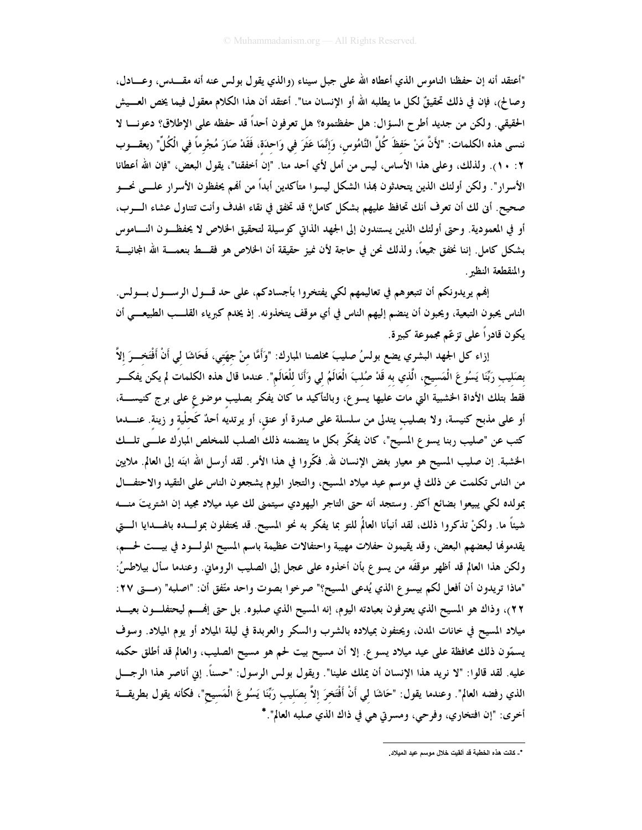"أعتقد أنه إن حفظنا الناموس الذي أعطاه الله على جبل سيناء (والذي يقول بولس عنه أنه مقــــدس، وعــــادل، وصالح)، فإن في ذلك تحقيقٌ لكل ما يطلبه الله أو الإنسان منا". أعتقد أن هذا الكلام معقول فيما يخص العـــيش الحقيقي. ولكن من جديد أطرح السؤال: هل حفظتموه؟ هل تعرفون أحداً قد حفظه على الإطلاق؟ دعونـــا لا ننسي هذه الكلمات: "لأَنَّ مَنْ حَفظَ كُلَّ النَّامُوس، وَإِنَّمَا عَثَرَ في وَاحدَة، فَقَدْ صَارَ مُجْرماً في الْكُلِّ" ريعقـــوب ٢ : ١٠). ولذلك، وعلى هذا الأساس، ليس من أمل لأي أحد منا. "إن أخفقنا"، يقول البعض، "فإن الله أعطانا الأسرار". ولكن أولئك الذين يتحدثون بمذا الشكل ليسوا متأكدين أبداً من ألهم يحفظون الأسرار علـــى نحـــو صحيح. أين لك أن تعرف أنك تحافظ عليهم بشكل كامل؟ قد تخفق في نقاء الهدف وأنت تتناول عشاء الـوب، أو في المعمودية. وحتى أولئك الذين يستندون إلى الجهد الذاتي كوسيلة لتحقيق الخلاص لا يحفظـون النـــاموس بشكل كامل. إننا نخفق جميعاً، ولذلك نحن في حاجة لأن نميز حقيقة أن الخلاص هو فقـــط بنعمـــة الله المجانيـــة والمنقطعة النظير .

إنهم يريدونكم أن تتبعوهم في تعاليمهم لكي يفتخروا بأجسادكم، على حد قـــول الرســـول بـــولس. الناس يحبون التبعية، ويحبون أن ينضم إليهم الناس في أي موقف يتخذونه. إذ يخدم كبرياء القلـــب الطبيعــــى أن يكون قادراً على تزعّم مجموعة كبيرة.

إزاء كل الجهد البشري يضع بولسُ صليبَ مخلصنا المبارك: "وَأَمَّا منْ جهَتي، فَحَاشَا لي أَنْ أَفْتَخـــرَ إلاَّ بصَلِيب رَبِّنَا يَسُوعَ الْمَسِيحِ، الَّذي به قَدْ صُلبَ الْعَالَمُ لي وَأَنَا لِلْعَالَمِ". عندما قال هذه الكلمات لم يكن يفكـــر فقط بتلك الأداة الخشبية التي مات عليها يسوع، وبالتأكيد ما كان يفكر بصليبٍ موضوعٍ على برج كنيســـة، أو على مذبح كنيسة، ولا بصليب يتدلى من سلسلة على صدرة أو عنق، أو يرتديه أحدٌ كَحلْية و زينة. عنــــدما كتب عن "صليب ربنا يسوع المسيح"، كان يفكّر بكل ما يتضمنه ذلك الصلب للمخلص المبارك علـــى تلـــك الخشبة. إن صليب المسيح هو معيار بغض الإنسان لله. فكَّروا في هذا الأمر . لقد أرسل الله ابنَه إلى العالم. ملايين من الناس تكلمت عن ذلك في موسم عيد ميلاد المسيح، والتجار اليوم يشجعون الناس على التقيد والاحتفــال بمولده لكي يبيعوا بضائع أكثر. وستجد أنه حتى التاجر اليهودي سيتمنى لك عيد ميلاد مجيد إن اشتريتَ منــــه شيئاً ما. ولكنْ تذكروا ذلك، لقد أنبأنا العالمُ للتو بما يفكر به نحو المسيح. قد يحتفلون بمولـــده بالهــــدايا الــــتى يقدموها لبعضهم البعض، وقد يقيمون حفلات مهيبة واحتفالات عظيمة باسم المسيح المولسود في بيست لحسم، ولكن هذا العالم قد أظهر موقفَه من يسو ع بأن أخذوه على عجل إلى الصليب الروماني. وعندما سأل بيلاطسُ: "ماذا تريدون أن أفعل لكم بيسو ع الذي يُدعى المسيح؟" صرخوا بصوت واحد متّفق أن: "اصلبه" (مــــتى ٢٧: ٢٢)، وذاك هو المسيح الذي يعترفون بعبادته اليوم، إنه المسيح الذي صلبوه. بل حتى إنهـــم ليحتفلــــون بعيــــد ميلاد المسيح في خانات المدن، ويحتفون بميلاده بالشرب والسكر والعربدة في ليلة الميلاد أو يوم الميلاد. وسوف يسمّون ذلك محافظة على عيد ميلاد يسوع. إلا أن مسيح بيت لحم هو مسيح الصليب، والعالم قد أطلق حكمه عليه. لقد قالوا: "لا نريد هذا الإنسان أن يملك علينا". ويقول بولس الرسول: "حسناً. إني أناصر هذا الرجـــل الذي رفضه العالم". وعندما يقول: "حَاشَا لي أَنْ أَفْتَخرَ إلاَّ بصَليب رَبِّنَا يَسُوعَ الْمَسيح"، فكأنه يقول بطريقـــة أخرى: "إن افتخاري، وفرحي، ومسرتي هي في ذاك الذي صلبه العالم". \*

<sup>\*</sup>\_ كانت هذه الخطبة قد ألقيت خلال موسم عيد الميلاد.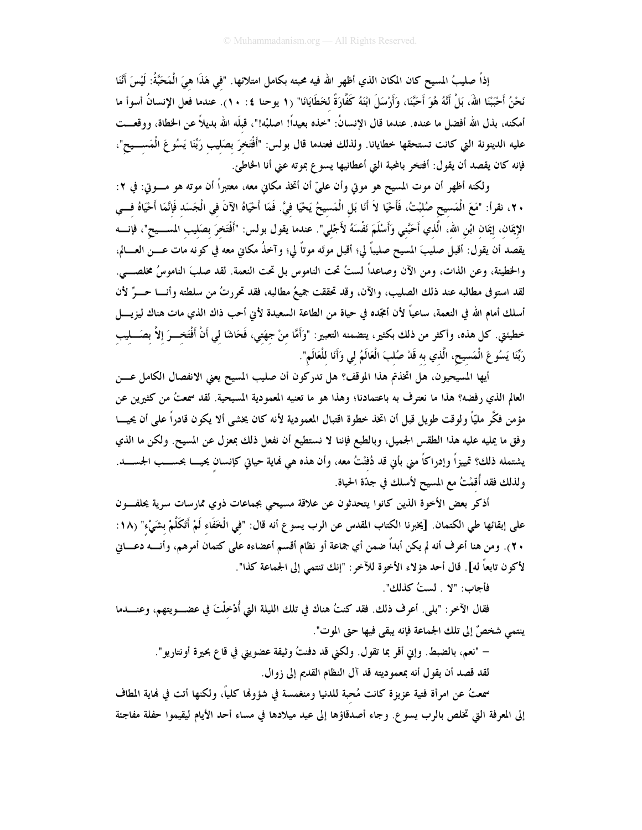إذاً صليبُ المسيح كان المكان الذي أظهرِ الله فيه محبته بكامل امتلائها. "في هَذَا هيَ الْمَحَبَّةُ: لَيْسَ أَنَنا نَحْنُ أَحْبَبْنَا اللهَ، بَلْ أَنَّهُ هُوَ أَحَبَّنَا، وَأَرْسَلَ ابْنَهُ كَفَّارَةً لخَطَايَانَا" (١ يوحنا ٤: ١٠). عندما فعل الإنسانُ أسوأ ما أمكنه، بذل الله أفضل ما عنده. عندما قال الإنسانُ: "خذه بعيداً! اصلبْه!"، قبلَه الله بديلاً عن الخطاة، ووقعــت عليه الدينونة التي كانت تستحقها خطايانا. ولذلك فعندما قال بولس: "أَفْتَخرَ بصَليب رَبِّنَا يَسُوعَ الْمَســـيح"، فإنه كان يقصد أن يقول: أفتخر بالمحبة التي أعطانيها يسوع بموته عني أنا الخاطئ.

ولكنه أظهر أن موت المسيح هو موتي وأن عليّ أن أتخذ مكاني معه، معتبراً أن موته هو مــــوتي: في ٢: ٢٠، نقرأ: "مَعَ الْمَسيح صُلبْتُ، فَأَحْيَا لاَ أَنَا بَلِ الْمَسيحُ يَحْيَا فيَّ. فَمَا أَحْيَاهُ الآنَ في الْجَسَد فَإِنَّمَا أَحْيَاهُ فـــي الإِيمَان، إيمَان ابْن الله، الَّذي أَحَبَّني وَأَسْلَمَ نَفْسَهُ لأَجْلي". عندما يقول بولس: "أَفْتَخرَ بصَليب المســـيح"، فإنــــه يقصد أن يقول: أقبل صليبَ المسيح صليباً لي؛ أقبل موتَه موتاً لي؛ وآخذُ مكاني معه في كونه مات عــــن العــــالم، والخطيئة، وعن الذات، ومن الآن وصاعداً لستُ تحت الناموس بل تحت النعمة. لقد صلبَ الناموسُ مخلصـــي. لقد استوفى مطالبه عند ذلك الصليب، والآن، وقد تحققت جميعُ مطالبه، فقد تحررتُ من سلطته وأنـــا حـــرٌ لأن أسلك أمام الله في النعمة، ساعياً لأن أمجّده في حياة من الطاعة السعيدة لأنى أحب ذاك الذي مات هناك ليزيـــــل خطيئتي. كل هذه، وأكثر من ذلك بكثير، يتضمنه التعبير: "وَأَمَّا منْ جهَتي، فَحَاشَا لي أَنْ أَفْتَخــرَ إلاَّ بصَـــليب رَبَّنَا يَسُوعَ الْمَسيح، الَّذي به قَدْ صُلبَ الْعَالَمُ لي وَأَنَا للْعَالَم".

أيها المسيحيون، هل اتخذتم هذا الموقف؟ هل تدركون أن صليب المسيح يعني الانفصال الكامل عـــن العالم الذي رفضه؟ هذا ما نعترف به باعتمادنا؛ وهذا هو ما تعنيه المعمودية المسيحية. لقد سمعتُ من كثيرين عن مؤمن فكَّر مليّاً ولوقت طويل قبل أن اتخذ خطوة اقتبال المعمودية لأنه كان يخشى ألا يكون قادراً على أن يحيـــا وفق ما يمليه عليه هذا الطقس الجميل، وبالطبع فإننا لا نستطيع أن نفعل ذلك بمعزل عن المسيح. ولكن ما الذي يشتمله ذلك؟ تمييزاً وإدراكاً مني بأني قد دُفنْتُ معه، وأن هذه هي نُماية حياتي كإنسان يحيــــا بحســـب الجســــد. ولذلك فقد أُقمْتُ مع المسيح لأسلك في جدّة الحياة.

أذكر بعض الأخوة الذين كانوا يتحدثون عن علاقة مسيحي بجماعات ذوي ممارسات سرية يحلفون على إبقائها طي الكتمان. [يخبرنا الكتاب المقدس عن الرب يسوع أنه قال: "في الْخَفَاء لَمْ أَتَكَلَّمْ بشَيْء" (١٨: ٢٠). ومن هنا أعرف أنه لم يكن أبداً ضمن أي جماعة أو نظام أقسم أعضاءه على كتمان أمرهم، وأنــــه دعــــاني لأكون تابعاً له] . قال أحد هؤلاء الأخوة للآخر: "إنك تنتمى إلى الجماعة كذا".

فأجاب: "لا . لستُ كذلك".

فقال الآخر: "بلي. أعرف ذلك. فقد كنتُ هناك في تلك الليلة التي أُدْخِلْتَ في عضــــويتهم، وعنــــدما ينتمي شخصٌ إلى تلك الجماعة فإنه يبقى فيها حتى الموت".

– "نعم، بالضبط. وإني أقر بما تقول. ولكني قد دفنتُ وثيقة عضويتي في قاع بحيرة أونتاريو".

لقد قصد أن يقول أنه بمعموديته قد آل النظام القديم إلى زوال.

سمعتُ عن امرأة فتية عزيزة كانت مُحبة للدنيا ومنغمسة في شؤولها كلياً، ولكنها أتت في نماية المطاف إلى المعرفة التي تخلص بالرب يسوع. وجاء أصدقاؤها إلى عيد ميلادها في مساء أحد الأيام ليقيموا حفلة مفاجئة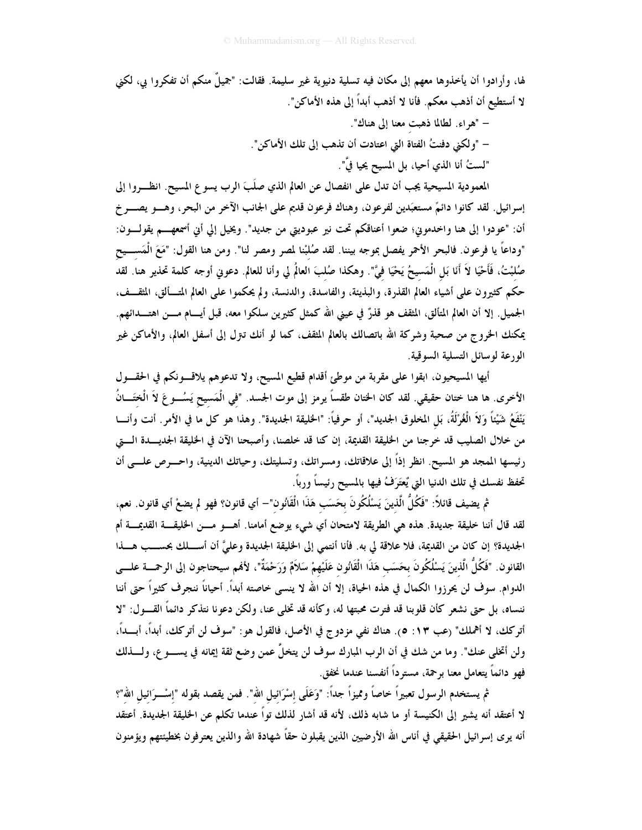لها، وأرادوا أن يأخذوها معهم إلى مكان فيه تسلية دنيوية غير سليمة. فقالت: "جميلٌ منكم أن تفكروا بي، لكني لا أستطيع أن أذهب معكم. فأنا لا أذهب أبداً إلى هذه الأماكن".

– "هراء. لطالما ذهبت معنا إلى هناك".

– "ولكني دفنتُ الفتاة التي اعتادت أن تذهب إلى تلك الأماكن".

"لستُ أنا الذي أحيا، بل المسيح يحيا فيَّ".

المعمودية المسيحية يجب أن تدل على انفصال عن العالم الذي صلَبَ الرب يسوع المسيح. انظـــروا إلى إسرائيل. لقد كانوا دائمٌ مستعبَدين لفرعون، وهناك فرعون قديم على الجانب الآخر من البحر، وهـــو يصــــر خ أن: "عودوا إلى هنا واخدموني؛ ضعوا أعناقكم تحت نير عبوديتي من جديد". ويخيل إلي أني أسمعهـــم يقولــــون: "وداعاً يا فرعون. فالبحر الأحمر يفصل بموجه بيننا. لقد صُلبْنا لمصر ومصر لنا". ومن هنا القول: "مَعَ الْمَســـيح صُلبْتُ، فَأَحْيَا لاَ أَنَا بَلِ الْمَسيحُ يَحْيَا فيَّ". وهكذا صُلبَ العالَم لي وأنا للعالم. دعوني أوجه كلمة تحذير هنا. لقد حكم كثيرون على أشياء العالم القذرة، والبذيئة، والفاسدة، والدنسة، ولم يحكموا على العالم المتـــألق، المثقـــف، الجميل. إلا أن العالم المتألق، المثقف هو قذرٌ في عينى الله كمثل كثيرين سلكوا معه، قبل أيـــام مــــن اهتــــدائهم. يمكنك الخروج من صحبة وشركة الله باتصالك بالعالم المثقف، كما لو أنك تنزل إلى أسفل العالم، والأماكن غير الورعة لوسائل التسلية السوقية.

أيها المسيحيون، ابقوا على مقربة من موطئ أقدام قطيع المسيح، ولا تدعوهم يلاقسونكم في الحقسول الأخرى. ها هنا ختان حقيقى. لقد كان الختان طقساً يرمز إلى موت الجسد. "في الْمَسيح يَسُـــو عَ لاَ الْخَـَـــانُ يَنْفَعُ شَيْئًا وَلاَ الْغُرْلَةُ، بَل المخلوق الجديد"، أو حرفياً: "الخليقة الجديدة". وهذا هو كل ما في الأمر. أنت وأنـــا من خلال الصليب قد خرجنا من الخليقة القديمة، إن كنا قد خلصنا، وأصبحنا الآن في الخليقة الجديــدة الــــق رئيسها الممجد هو المسيح. انظر إذاً إلى علاقاتك، ومسراتك، وتسليتك، وحياتك الدينية، واحـــرص علــــى أن تحفظ نفسك في تلك الدنيا التي يُعتَرَفُ فيها بالمسيح رئيساً ورباً.

ثم يضيف قائلاً: "فَكُلُّ الَّذينَ يَسْلُكُونَ بحَسَبٍ هَذَا الْقَانُون"— أي قانون؟ فهو لم يضعْ أي قانون. نعم، لقد قال أننا خليقة جديدة. هذه هي الطريقة لامتحان أي شيء يوضع أمامنا. أهـــو مـــن الخليقـــة القديمـــة أم الجديدة؟ إن كان من القديمة، فلا علاقة لي به. فأنا أنتمي إلى الخليقة الجديدة وعليَّ أن أســـلك بحســـب هـــذا القانون. "فَكُلُّ الَّذينَ يَسْلُكُونَ بعَسَب هَذَا الْقَانُون عَلَيْهِمْ سَلاَمٌ وَرَحْمَةٌ"، لأنهم سيحتاجون إلى الرحمــــة علـــــى الدوام. سوف لن يحرزوا الكمال في هذه الحياة، إلا أن الله لا ينسى خاصته أبداً. أحياناً ننجرف كثيراً حتى أننا ننساه، بل حتى نشعر كأن قلوبنا قد فترت محبتها له، وكأنه قد تخلي عنا، ولكن دعونا نتذكر دائماً القـــول: "لا أتركك، لا أهملك" (عب ١٣: ٥). هناك نفي مزدوج في الأصل، فالقول هو: "سوف لن أتركك، أبداً، أبـــداً، ولن أتخلى عنك". وما من شك في أن الرب المبارك سوف لن يتخلُّ عمن وضع ثقة إيمانه في يســــو ع، ولـــــذلك فهو دائماً يتعامل معنا برحمة، مسترداً أنفسنا عندما نخفق.

ثم يستخدم الرسول تعبيراً خاصاً ومميزاً جداً: "وَعَلَى إسْرَائيل الله". فمن يقصد بقوله "إِسْـــرَائِيلِ اللهِ"؟ لا أعتقد أنه يشير إلى الكنيسة أو ما شابه ذلك، لأنه قد أشار لذلك تواً عندما تكلم عن الخليقة الجديدة. أعتقد أنه يرى إسرائيل الحقيقي في أناس الله الأرضيين الذين يقبلون حقاً شهادة الله والذين يعترفون بخطيئتهم ويؤمنون